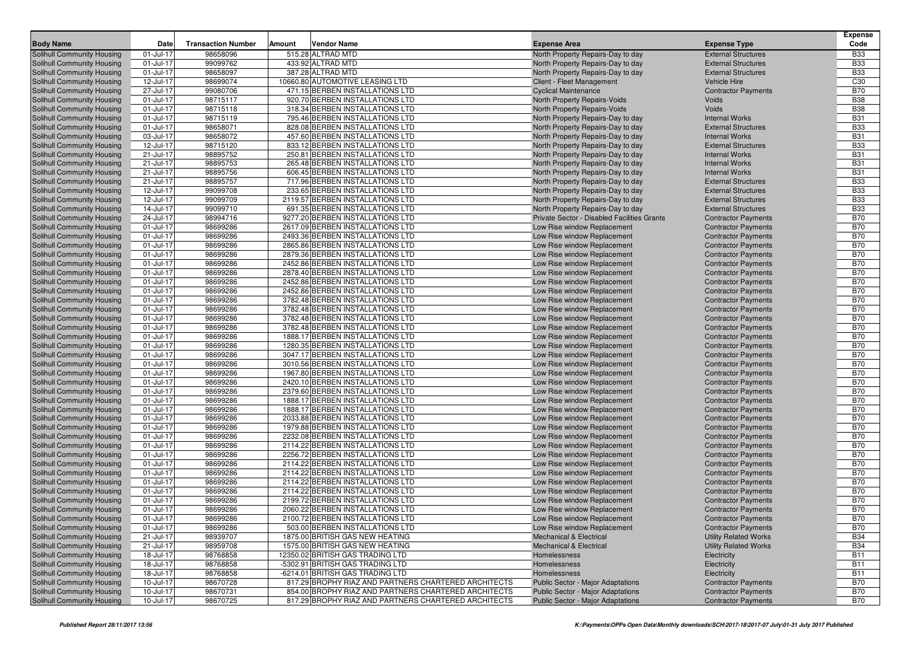|                            |              |                           |        |                                                                      |                                                            |                                                          | <b>Expense</b>           |
|----------------------------|--------------|---------------------------|--------|----------------------------------------------------------------------|------------------------------------------------------------|----------------------------------------------------------|--------------------------|
| <b>Body Name</b>           | Date         | <b>Transaction Number</b> | Amount | <b>Vendor Name</b>                                                   | <b>Expense Area</b>                                        | <b>Expense Type</b>                                      | Code                     |
| Solihull Community Housing | 01-Jul-17    | 98658096                  |        | 515.28 ALTRAD MTD                                                    | North Property Repairs-Day to day                          | <b>External Structures</b>                               | <b>B33</b>               |
| Solihull Community Housing | 01-Jul-17    | 99099762                  |        | 433.92 ALTRAD MTD                                                    | North Property Repairs-Day to day                          | <b>External Structures</b>                               | <b>B33</b>               |
| Solihull Community Housing | 01-Jul-17    | 98658097                  |        | 387.28 ALTRAD MTD                                                    | North Property Repairs-Day to day                          | <b>External Structures</b>                               | <b>B33</b>               |
| Solihull Community Housing | 12-Jul-17    | 98699074                  |        | 10660.80 AUTOMOTIVE LEASING LTD                                      | Client - Fleet Management                                  | <b>Vehicle Hire</b>                                      | C30                      |
| Solihull Community Housing | 27-Jul-17    | 99080706                  |        | 471.15 BERBEN INSTALLATIONS LTD                                      | <b>Cyclical Maintenance</b>                                | <b>Contractor Payments</b>                               | <b>B70</b>               |
| Solihull Community Housing | 01-Jul-17    | 98715117                  |        | 920.70 BERBEN INSTALLATIONS LTD                                      | <b>North Property Repairs-Voids</b>                        | Voids                                                    | <b>B38</b>               |
| Solihull Community Housing | 01-Jul-17    | 98715118                  |        | 318.34 BERBEN INSTALLATIONS LTD                                      | North Property Repairs-Voids                               | Voids                                                    | <b>B38</b>               |
| Solihull Community Housing | 01-Jul-17    | 98715119                  |        | 795.46 BERBEN INSTALLATIONS LTD                                      | North Property Repairs-Day to day                          | <b>Internal Works</b>                                    | <b>B31</b>               |
| Solihull Community Housing | 01-Jul-17    | 98658071                  |        | 828.08 BERBEN INSTALLATIONS LTD                                      | North Property Repairs-Day to day                          | <b>External Structures</b>                               | <b>B33</b>               |
| Solihull Community Housing | 03-Jul-17    | 98658072                  |        | 457.60 BERBEN INSTALLATIONS LTD                                      | North Property Repairs-Day to day                          | <b>Internal Works</b>                                    | <b>B31</b>               |
| Solihull Community Housing | 12-Jul-17    | 98715120                  |        | 833.12 BERBEN INSTALLATIONS LTD                                      | North Property Repairs-Day to day                          | <b>External Structures</b>                               | <b>B33</b>               |
| Solihull Community Housing | 21-Jul-17    | 98895752                  |        | 250.81 BERBEN INSTALLATIONS LTD                                      | North Property Repairs-Day to day                          | <b>Internal Works</b>                                    | <b>B31</b>               |
| Solihull Community Housing | 21-Jul-17    | 98895753                  |        | 265.48 BERBEN INSTALLATIONS LTD                                      | North Property Repairs-Day to day                          | <b>Internal Works</b>                                    | <b>B31</b>               |
| Solihull Community Housing | 21-Jul-17    | 98895756                  |        | 606.45 BERBEN INSTALLATIONS LTD                                      | North Property Repairs-Day to day                          | <b>Internal Works</b>                                    | <b>B31</b>               |
| Solihull Community Housing | 21-Jul-17    | 98895757                  |        | 717.96 BERBEN INSTALLATIONS LTD                                      | North Property Repairs-Day to day                          | <b>External Structures</b>                               | <b>B33</b>               |
| Solihull Community Housing | 12-Jul-17    | 99099708                  |        | 233.65 BERBEN INSTALLATIONS LTD                                      | North Property Repairs-Day to day                          | <b>External Structures</b>                               | <b>B33</b>               |
| Solihull Community Housing | 12-Jul-17    | 99099709                  |        | 2119.57 BERBEN INSTALLATIONS LTD                                     | North Property Repairs-Day to day                          | <b>External Structures</b>                               | <b>B33</b>               |
| Solihull Community Housing | 14-Jul-17    | 99099710                  |        | 691.35 BERBEN INSTALLATIONS LTD                                      | North Property Repairs-Day to day                          | <b>External Structures</b>                               | <b>B33</b>               |
| Solihull Community Housing | 24-Jul-17    | 98994716                  |        | 9277.20 BERBEN INSTALLATIONS LTD                                     | Private Sector - Disabled Facilities Grants                | <b>Contractor Payments</b>                               | <b>B70</b>               |
| Solihull Community Housing | 01-Jul-17    | 98699286                  |        | 2617.09 BERBEN INSTALLATIONS LTD                                     | Low Rise window Replacement                                | <b>Contractor Payments</b>                               | <b>B70</b>               |
| Solihull Community Housing | 01-Jul-17    | 98699286                  |        | 2493.36 BERBEN INSTALLATIONS LTD                                     | Low Rise window Replacement                                | <b>Contractor Payments</b>                               | <b>B70</b>               |
| Solihull Community Housing | 01-Jul-17    | 98699286                  |        | 2865.86 BERBEN INSTALLATIONS LTD                                     | Low Rise window Replacement                                | <b>Contractor Payments</b>                               | <b>B70</b>               |
| Solihull Community Housing | 01-Jul-17    | 98699286                  |        | 2879.36 BERBEN INSTALLATIONS LTD                                     | Low Rise window Replacement                                | <b>Contractor Payments</b>                               | <b>B70</b>               |
| Solihull Community Housing | 01-Jul-17    | 98699286                  |        | 2452.86 BERBEN INSTALLATIONS LTD                                     | Low Rise window Replacement                                | <b>Contractor Payments</b>                               | <b>B70</b>               |
| Solihull Community Housing | 01-Jul-17    | 98699286                  |        | 2878.40 BERBEN INSTALLATIONS LTD                                     | Low Rise window Replacement                                | <b>Contractor Payments</b>                               | <b>B70</b>               |
| Solihull Community Housing | 01-Jul-17    | 98699286                  |        | 2452.86 BERBEN INSTALLATIONS LTD                                     | Low Rise window Replacement                                | <b>Contractor Payments</b>                               | <b>B70</b>               |
| Solihull Community Housing | 01-Jul-17    | 98699286                  |        | 2452.86 BERBEN INSTALLATIONS LTD                                     | Low Rise window Replacement                                | <b>Contractor Payments</b>                               | <b>B70</b>               |
| Solihull Community Housing | 01-Jul-17    | 98699286                  |        | 3782.48 BERBEN INSTALLATIONS LTD                                     | Low Rise window Replacement                                |                                                          | <b>B70</b>               |
| Solihull Community Housing | 01-Jul-17    | 98699286                  |        | 3782.48 BERBEN INSTALLATIONS LTD                                     | Low Rise window Replacement                                | <b>Contractor Payments</b><br><b>Contractor Payments</b> | <b>B70</b>               |
| Solihull Community Housing | 01-Jul-17    |                           |        | 3782.48 BERBEN INSTALLATIONS LTD                                     |                                                            |                                                          | <b>B70</b>               |
| Solihull Community Housing | 01-Jul-17    | 98699286<br>98699286      |        | 3782.48 BERBEN INSTALLATIONS LTD                                     | Low Rise window Replacement                                | <b>Contractor Payments</b>                               | <b>B70</b>               |
| Solihull Community Housing | 01-Jul-17    | 98699286                  |        | 1888.17 BERBEN INSTALLATIONS LTD                                     | Low Rise window Replacement<br>Low Rise window Replacement | <b>Contractor Payments</b><br><b>Contractor Payments</b> | <b>B70</b>               |
| Solihull Community Housing | 01-Jul-17    | 98699286                  |        | 1280.35 BERBEN INSTALLATIONS LTD                                     | Low Rise window Replacement                                |                                                          | <b>B70</b>               |
| Solihull Community Housing | 01-Jul-17    | 98699286                  |        | 3047.17 BERBEN INSTALLATIONS LTD                                     | Low Rise window Replacement                                | <b>Contractor Payments</b><br><b>Contractor Payments</b> | <b>B70</b>               |
| Solihull Community Housing | 01-Jul-17    | 98699286                  |        | 3010.56 BERBEN INSTALLATIONS LTD                                     | Low Rise window Replacement                                |                                                          | <b>B70</b>               |
|                            | 01-Jul-17    | 98699286                  |        | 1967.80 BERBEN INSTALLATIONS LTD                                     |                                                            | <b>Contractor Payments</b>                               | <b>B70</b>               |
| Solihull Community Housing | 01-Jul-17    | 98699286                  |        | 2420.10 BERBEN INSTALLATIONS LTD                                     | Low Rise window Replacement                                | <b>Contractor Payments</b>                               | <b>B70</b>               |
| Solihull Community Housing | 01-Jul-17    | 98699286                  |        | 2379.60 BERBEN INSTALLATIONS LTD                                     | Low Rise window Replacement<br>Low Rise window Replacement | <b>Contractor Payments</b>                               | <b>B70</b>               |
| Solihull Community Housing |              |                           |        |                                                                      |                                                            | <b>Contractor Payments</b>                               | <b>B70</b>               |
| Solihull Community Housing | 01-Jul-17    | 98699286                  |        | 1888.17 BERBEN INSTALLATIONS LTD                                     | Low Rise window Replacement                                | <b>Contractor Payments</b>                               |                          |
| Solihull Community Housing | 01-Jul-17    | 98699286                  |        | 1888.17 BERBEN INSTALLATIONS LTD                                     | Low Rise window Replacement                                | <b>Contractor Payments</b>                               | <b>B70</b>               |
| Solihull Community Housing | 01-Jul-17    | 98699286                  |        | 2033.88 BERBEN INSTALLATIONS LTD                                     | Low Rise window Replacement                                | <b>Contractor Payments</b>                               | <b>B70</b><br><b>B70</b> |
| Solihull Community Housing | 01-Jul-17    | 98699286                  |        | 1979.88 BERBEN INSTALLATIONS LTD<br>2232.08 BERBEN INSTALLATIONS LTD | Low Rise window Replacement                                | <b>Contractor Payments</b>                               |                          |
| Solihull Community Housing | 01-Jul-17    | 98699286                  |        |                                                                      | Low Rise window Replacement                                | <b>Contractor Payments</b>                               | <b>B70</b><br><b>B70</b> |
| Solihull Community Housing | 01-Jul-17    | 98699286                  |        | 2114.22 BERBEN INSTALLATIONS LTD                                     | Low Rise window Replacement                                | <b>Contractor Payments</b>                               |                          |
| Solihull Community Housing | 01-Jul-17    | 98699286                  |        | 2256.72 BERBEN INSTALLATIONS LTD<br>2114.22 BERBEN INSTALLATIONS LTD | Low Rise window Replacement                                | <b>Contractor Payments</b>                               | <b>B70</b>               |
| Solihull Community Housing | 01-Jul-17    | 98699286                  |        |                                                                      | Low Rise window Replacement                                | <b>Contractor Payments</b>                               | <b>B70</b>               |
| Solihull Community Housing | 01-Jul-17    | 98699286                  |        | 2114.22 BERBEN INSTALLATIONS LTD                                     | Low Rise window Replacement                                | <b>Contractor Payments</b>                               | <b>B70</b>               |
| Solihull Community Housing | 01-Jul-17    | 98699286                  |        | 2114.22 BERBEN INSTALLATIONS LTD                                     | Low Rise window Replacement                                | <b>Contractor Payments</b>                               | <b>B70</b>               |
| Solihull Community Housing | 01-Jul-17    | 98699286                  |        | 2114.22 BERBEN INSTALLATIONS LTD                                     | Low Rise window Replacement                                | <b>Contractor Payments</b>                               | <b>B70</b>               |
| Solihull Community Housing | 01-Jul-17    | 98699286                  |        | 2199.72 BERBEN INSTALLATIONS LTD                                     | Low Rise window Replacement                                | <b>Contractor Payments</b>                               | <b>B70</b>               |
| Solihull Community Housing | 01-Jul-17    | 98699286                  |        | 2060.22 BERBEN INSTALLATIONS LTD                                     | Low Rise window Replacement                                | <b>Contractor Payments</b>                               | <b>B70</b>               |
| Solihull Community Housing | 01-Jul-17    | 98699286                  |        | 2100.72 BERBEN INSTALLATIONS LTD                                     | Low Rise window Replacement                                | <b>Contractor Payments</b>                               | B70                      |
| Solihull Community Housing | 01-Jul-17    | 98699286                  |        | 503.00 BERBEN INSTALLATIONS LTD                                      | Low Rise window Replacement                                | <b>Contractor Payments</b>                               | <b>B70</b>               |
| Solihull Community Housing | 21-Jul-17    | 98939707                  |        | 1875.00 BRITISH GAS NEW HEATING                                      | <b>Mechanical &amp; Electrical</b>                         | <b>Utility Related Works</b>                             | <b>B34</b>               |
| Solihull Community Housing | 21-Jul-17    | 98959708                  |        | 1575.00 BRITISH GAS NEW HEATING                                      | <b>Mechanical &amp; Electrical</b>                         | <b>Utility Related Works</b>                             | <b>B34</b>               |
| Solihull Community Housing | 18-Jul-17    | 98768858                  |        | 12350.02 BRITISH GAS TRADING LTD                                     | Homelessness                                               | Electricity                                              | <b>B11</b>               |
| Solihull Community Housing | 18-Jul-17    | 98768858                  |        | -5302.91 BRITISH GAS TRADING LTD                                     | Homelessness                                               | Electricity                                              | <b>B11</b>               |
| Solihull Community Housing | 18-Jul-17    | 98768858                  |        | -6214.01 BRITISH GAS TRADING LTD                                     | Homelessness                                               | Electricity                                              | <b>B11</b>               |
| Solihull Community Housing | 10-Jul-17    | 98670728                  |        | 817.29 BROPHY RIAZ AND PARTNERS CHARTERED ARCHITECTS                 | Public Sector - Major Adaptations                          | <b>Contractor Payments</b>                               | <b>B70</b>               |
| Solihull Community Housing | $10$ -Jul-17 | 98670731                  |        | 854.00 BROPHY RIAZ AND PARTNERS CHARTERED ARCHITECTS                 | <b>Public Sector - Major Adaptations</b>                   | <b>Contractor Payments</b>                               | <b>B70</b>               |
| Solihull Community Housing | $10$ -Jul-17 | 98670725                  |        | 817.29 BROPHY RIAZ AND PARTNERS CHARTERED ARCHITECTS                 | Public Sector - Major Adaptations                          | <b>Contractor Payments</b>                               | <b>B70</b>               |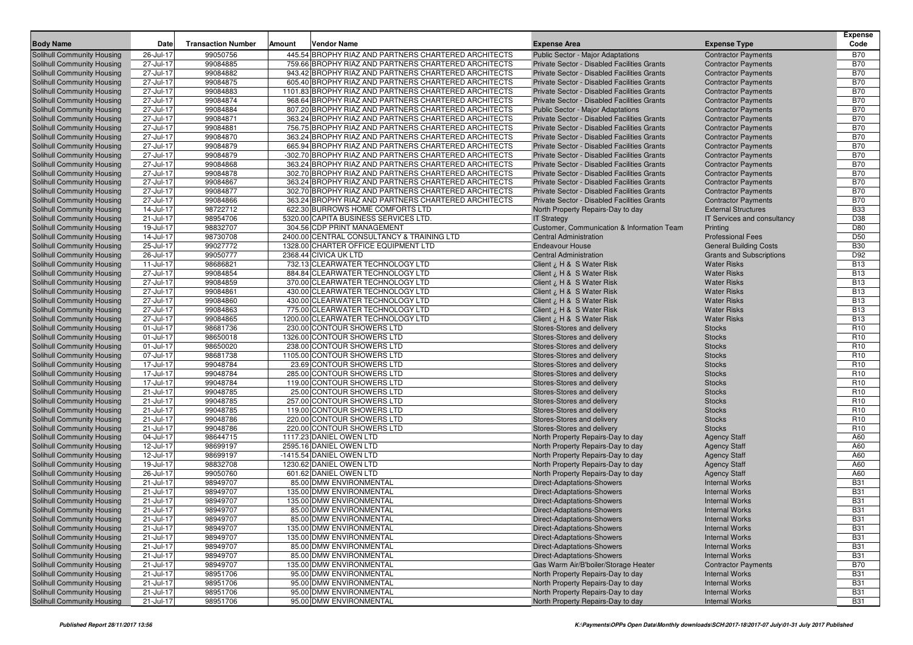| <b>Body Name</b>                  | Date      | <b>Transaction Number</b> | Amount | <b>Vendor Name</b>                                    | <b>Expense Area</b>                         | <b>Expense Type</b>             | <b>Expense</b><br>Code |
|-----------------------------------|-----------|---------------------------|--------|-------------------------------------------------------|---------------------------------------------|---------------------------------|------------------------|
| Solihull Community Housing        | 26-Jul-17 | 99050756                  |        | 445.54 BROPHY RIAZ AND PARTNERS CHARTERED ARCHITECTS  | Public Sector - Major Adaptations           | <b>Contractor Payments</b>      | <b>B70</b>             |
| <b>Solihull Community Housing</b> | 27-Jul-17 | 99084885                  |        | 759.66 BROPHY RIAZ AND PARTNERS CHARTERED ARCHITECTS  | Private Sector - Disabled Facilities Grants | <b>Contractor Payments</b>      | <b>B70</b>             |
| <b>Solihull Community Housing</b> | 27-Jul-17 | 99084882                  |        | 943.42 BROPHY RIAZ AND PARTNERS CHARTERED ARCHITECTS  | Private Sector - Disabled Facilities Grants | <b>Contractor Payments</b>      | <b>B70</b>             |
| <b>Solihull Community Housing</b> | 27-Jul-17 | 99084875                  |        | 605.40 BROPHY RIAZ AND PARTNERS CHARTERED ARCHITECTS  | Private Sector - Disabled Facilities Grants | <b>Contractor Payments</b>      | <b>B70</b>             |
| Solihull Community Housing        | 27-Jul-17 | 99084883                  |        | 1101.83 BROPHY RIAZ AND PARTNERS CHARTERED ARCHITECTS | Private Sector - Disabled Facilities Grants | <b>Contractor Payments</b>      | <b>B70</b>             |
| Solihull Community Housing        | 27-Jul-17 | 99084874                  |        | 968.64 BROPHY RIAZ AND PARTNERS CHARTERED ARCHITECTS  | Private Sector - Disabled Facilities Grants | <b>Contractor Payments</b>      | <b>B70</b>             |
| <b>Solihull Community Housing</b> | 27-Jul-17 | 99084884                  |        | 807.20 BROPHY RIAZ AND PARTNERS CHARTERED ARCHITECTS  | Public Sector - Major Adaptations           | <b>Contractor Payments</b>      | <b>B70</b>             |
| Solihull Community Housing        | 27-Jul-17 | 99084871                  |        | 363.24 BROPHY RIAZ AND PARTNERS CHARTERED ARCHITECTS  | Private Sector - Disabled Facilities Grants | <b>Contractor Payments</b>      | <b>B70</b>             |
| <b>Solihull Community Housing</b> | 27-Jul-17 | 99084881                  |        | 756.75 BROPHY RIAZ AND PARTNERS CHARTERED ARCHITECTS  | Private Sector - Disabled Facilities Grants | <b>Contractor Payments</b>      | <b>B70</b>             |
| Solihull Community Housing        | 27-Jul-17 | 99084870                  |        | 363.24 BROPHY RIAZ AND PARTNERS CHARTERED ARCHITECTS  | Private Sector - Disabled Facilities Grants | <b>Contractor Payments</b>      | <b>B70</b>             |
| Solihull Community Housing        | 27-Jul-17 | 99084879                  |        | 665.94 BROPHY RIAZ AND PARTNERS CHARTERED ARCHITECTS  | Private Sector - Disabled Facilities Grants | <b>Contractor Payments</b>      | <b>B70</b>             |
| <b>Solihull Community Housing</b> | 27-Jul-17 | 99084879                  |        | -302.70 BROPHY RIAZ AND PARTNERS CHARTERED ARCHITECTS | Private Sector - Disabled Facilities Grants | <b>Contractor Payments</b>      | <b>B70</b>             |
| Solihull Community Housing        | 27-Jul-17 | 99084868                  |        | 363.24 BROPHY RIAZ AND PARTNERS CHARTERED ARCHITECTS  | Private Sector - Disabled Facilities Grants | <b>Contractor Payments</b>      | <b>B70</b>             |
| Solihull Community Housing        | 27-Jul-17 | 99084878                  |        | 302.70 BROPHY RIAZ AND PARTNERS CHARTERED ARCHITECTS  | Private Sector - Disabled Facilities Grants | <b>Contractor Payments</b>      | <b>B70</b>             |
| <b>Solihull Community Housing</b> | 27-Jul-17 | 99084867                  |        | 363.24 BROPHY RIAZ AND PARTNERS CHARTERED ARCHITECTS  | Private Sector - Disabled Facilities Grants | <b>Contractor Payments</b>      | <b>B70</b>             |
| <b>Solihull Community Housing</b> | 27-Jul-17 | 99084877                  |        | 302.70 BROPHY RIAZ AND PARTNERS CHARTERED ARCHITECTS  | Private Sector - Disabled Facilities Grants | <b>Contractor Payments</b>      | <b>B70</b>             |
| <b>Solihull Community Housing</b> | 27-Jul-17 | 99084866                  |        | 363.24 BROPHY RIAZ AND PARTNERS CHARTERED ARCHITECTS  | Private Sector - Disabled Facilities Grants | <b>Contractor Payments</b>      | <b>B70</b>             |
| <b>Solihull Community Housing</b> | 14-Jul-17 | 98722712                  |        | 622.30 BURROWS HOME COMFORTS LTD                      | North Property Repairs-Day to day           | <b>External Structures</b>      | <b>B33</b>             |
| <b>Solihull Community Housing</b> | 21-Jul-17 | 98954706                  |        | 5320.00 CAPITA BUSINESS SERVICES LTD.                 | <b>IT Strategy</b>                          | IT Services and consultancy     | D38                    |
| <b>Solihull Community Housing</b> | 19-Jul-17 | 98832707                  |        | 304.56 CDP PRINT MANAGEMENT                           | Customer, Communication & Information Team  | Printing                        | D80                    |
| <b>Solihull Community Housing</b> | 14-Jul-17 | 98730708                  |        | 2400.00 CENTRAL CONSULTANCY & TRAINING LTD            | <b>Central Administration</b>               | <b>Professional Fees</b>        | D <sub>50</sub>        |
| Solihull Community Housing        | 25-Jul-17 | 99027772                  |        | 1328.00 CHARTER OFFICE EQUIPMENT LTD                  | <b>Endeavour House</b>                      | <b>General Building Costs</b>   | <b>B30</b>             |
| <b>Solihull Community Housing</b> | 26-Jul-17 | 99050777                  |        | 2368.44 CIVICA UK LTD                                 | <b>Central Administration</b>               | <b>Grants and Subscriptions</b> | D92                    |
| <b>Solihull Community Housing</b> | 11-Jul-17 | 98686821                  |        | 732.13 CLEARWATER TECHNOLOGY LTD                      | Client ¿ H & S Water Risk                   | <b>Water Risks</b>              | <b>B13</b>             |
| <b>Solihull Community Housing</b> | 27-Jul-17 | 99084854                  |        | 884.84 CLEARWATER TECHNOLOGY LTD                      | Client ¿ H & S Water Risk                   | <b>Water Risks</b>              | <b>B13</b>             |
| <b>Solihull Community Housing</b> | 27-Jul-17 | 99084859                  |        | 370.00 CLEARWATER TECHNOLOGY LTD                      | Client ¿ H & S Water Risk                   | <b>Water Risks</b>              | <b>B13</b>             |
| <b>Solihull Community Housing</b> | 27-Jul-17 | 99084861                  |        | 430.00 CLEARWATER TECHNOLOGY LTD                      | Client ¿ H & S Water Risk                   | <b>Water Risks</b>              | <b>B13</b>             |
| <b>Solihull Community Housing</b> | 27-Jul-17 | 99084860                  |        | 430.00 CLEARWATER TECHNOLOGY LTD                      | Client ¿ H & S Water Risk                   | <b>Water Risks</b>              | <b>B13</b>             |
| <b>Solihull Community Housing</b> | 27-Jul-17 | 99084863                  |        | 775.00 CLEARWATER TECHNOLOGY LTD                      | Client ¿ H & S Water Risk                   | <b>Water Risks</b>              | <b>B13</b>             |
| <b>Solihull Community Housing</b> | 27-Jul-17 | 99084865                  |        | 1200.00 CLEARWATER TECHNOLOGY LTD                     | Client ¿ H & S Water Risk                   | <b>Water Risks</b>              | <b>B13</b>             |
| <b>Solihull Community Housing</b> | 01-Jul-17 | 98681736                  |        | 230.00 CONTOUR SHOWERS LTD                            | Stores-Stores and delivery                  | <b>Stocks</b>                   | R <sub>10</sub>        |
| Solihull Community Housing        | 01-Jul-17 | 98650018                  |        | 1326.00 CONTOUR SHOWERS LTD                           | Stores-Stores and delivery                  | <b>Stocks</b>                   | R <sub>10</sub>        |
| <b>Solihull Community Housing</b> | 01-Jul-17 | 98650020                  |        | 238.00 CONTOUR SHOWERS LTD                            | Stores-Stores and delivery                  | <b>Stocks</b>                   | R <sub>10</sub>        |
| <b>Solihull Community Housing</b> | 07-Jul-17 | 98681738                  |        | 1105.00 CONTOUR SHOWERS LTD                           | Stores-Stores and delivery                  | <b>Stocks</b>                   | R <sub>10</sub>        |
| <b>Solihull Community Housing</b> | 17-Jul-17 | 99048784                  |        | 23.69 CONTOUR SHOWERS LTD                             | Stores-Stores and delivery                  | <b>Stocks</b>                   | R <sub>10</sub>        |
| <b>Solihull Community Housing</b> | 17-Jul-17 | 99048784                  |        | 285.00 CONTOUR SHOWERS LTD                            | Stores-Stores and delivery                  | <b>Stocks</b>                   | R <sub>10</sub>        |
| Solihull Community Housing        | 17-Jul-17 | 99048784                  |        | 119.00 CONTOUR SHOWERS LTD                            | Stores-Stores and delivery                  | <b>Stocks</b>                   | R <sub>10</sub>        |
| <b>Solihull Community Housing</b> | 21-Jul-17 | 99048785                  |        | 25.00 CONTOUR SHOWERS LTD                             | Stores-Stores and delivery                  | <b>Stocks</b>                   | R <sub>10</sub>        |
| Solihull Community Housing        | 21-Jul-17 | 99048785                  |        | 257.00 CONTOUR SHOWERS LTD                            | Stores-Stores and delivery                  | <b>Stocks</b>                   | R <sub>10</sub>        |
| <b>Solihull Community Housing</b> | 21-Jul-17 | 99048785                  |        | 119.00 CONTOUR SHOWERS LTD                            | Stores-Stores and delivery                  | <b>Stocks</b>                   | R <sub>10</sub>        |
| Solihull Community Housing        | 21-Jul-17 | 99048786                  |        | 220.00 CONTOUR SHOWERS LTD                            | Stores-Stores and delivery                  | <b>Stocks</b>                   | R <sub>10</sub>        |
| <b>Solihull Community Housing</b> | 21-Jul-17 | 99048786                  |        | 220.00 CONTOUR SHOWERS LTD                            | Stores-Stores and delivery                  | <b>Stocks</b>                   | R <sub>10</sub>        |
| <b>Solihull Community Housing</b> | 04-Jul-17 | 98644715                  |        | 1117.23 DANIEL OWEN LTD                               | North Property Repairs-Day to day           | <b>Agency Staff</b>             | A60                    |
| Solihull Community Housing        | 12-Jul-17 | 98699197                  |        | 2595.16 DANIEL OWEN LTD                               | North Property Repairs-Day to day           | <b>Agency Staff</b>             | A60                    |
| <b>Solihull Community Housing</b> | 12-Jul-17 | 98699197                  |        | -1415.54 DANIEL OWEN LTD                              | North Property Repairs-Day to day           | <b>Agency Staff</b>             | A60                    |
| Solihull Community Housing        | 19-Jul-17 | 98832708                  |        | 1230.62 DANIEL OWEN LTD                               | North Property Repairs-Day to day           | <b>Agency Staff</b>             | A60                    |
| Solihull Community Housing        | 26-Jul-17 | 99050760                  |        | 601.62 DANIEL OWEN LTD                                | North Property Repairs-Day to day           | <b>Agency Staff</b>             | A60                    |
| <b>Solihull Community Housing</b> | 21-Jul-17 | 98949707                  |        | 85.00 DMW ENVIRONMENTAL                               | Direct-Adaptations-Showers                  | <b>Internal Works</b>           | <b>B31</b>             |
| <b>Solihull Community Housing</b> | 21-Jul-17 | 98949707                  |        | 135.00 DMW ENVIRONMENTAL                              | Direct-Adaptations-Showers                  | <b>Internal Works</b>           | <b>B31</b>             |
| <b>Solihull Community Housing</b> | 21-Jul-17 | 98949707                  |        | 135.00 DMW ENVIRONMENTAL                              | Direct-Adaptations-Showers                  | <b>Internal Works</b>           | <b>B31</b>             |
| <b>Solihull Community Housing</b> | 21-Jul-17 | 98949707                  |        | 85.00 DMW ENVIRONMENTAL                               | <b>Direct-Adaptations-Showers</b>           | <b>Internal Works</b>           | <b>B31</b>             |
| Solihull Community Housing        | 21-Jul-17 | 98949707                  |        | 85.00 DMW ENVIRONMENTAL                               | Direct-Adaptations-Showers                  | <b>Internal Works</b>           | <b>B31</b>             |
| <b>Solihull Community Housing</b> | 21-Jul-17 | 98949707                  |        | 135.00 DMW ENVIRONMENTAL                              | <b>Direct-Adaptations-Showers</b>           | <b>Internal Works</b>           | <b>B31</b>             |
| <b>Solihull Community Housing</b> | 21-Jul-17 | 98949707                  |        | 135.00 DMW ENVIRONMENTAL                              | <b>Direct-Adaptations-Showers</b>           | <b>Internal Works</b>           | <b>B31</b>             |
| <b>Solihull Community Housing</b> | 21-Jul-17 | 98949707                  |        | 85.00 DMW ENVIRONMENTAL                               | <b>Direct-Adaptations-Showers</b>           | <b>Internal Works</b>           | <b>B31</b>             |
| Solihull Community Housing        | 21-Jul-17 | 98949707                  |        | 85.00 DMW ENVIRONMENTAL                               | <b>Direct-Adaptations-Showers</b>           | <b>Internal Works</b>           | <b>B31</b>             |
| Solihull Community Housing        | 21-Jul-17 | 98949707                  |        | 135.00 DMW ENVIRONMENTAL                              | Gas Warm Air/B'boiler/Storage Heater        | <b>Contractor Payments</b>      | <b>B70</b>             |
| <b>Solihull Community Housing</b> | 21-Jul-17 | 98951706                  |        | 95.00 DMW ENVIRONMENTAL                               | North Property Repairs-Day to day           | <b>Internal Works</b>           | <b>B31</b>             |
| Solihull Community Housing        | 21-Jul-17 | 98951706                  |        | 95.00 DMW ENVIRONMENTAL                               | North Property Repairs-Day to day           | <b>Internal Works</b>           | <b>B31</b>             |
| <b>Solihull Community Housing</b> | 21-Jul-17 | 98951706                  |        | 95.00 DMW ENVIRONMENTAL                               | North Property Repairs-Day to day           | <b>Internal Works</b>           | <b>B31</b>             |
| Solihull Community Housing        | 21-Jul-17 | 98951706                  |        | 95.00 DMW ENVIRONMENTAL                               | North Property Repairs-Day to day           | <b>Internal Works</b>           | <b>B31</b>             |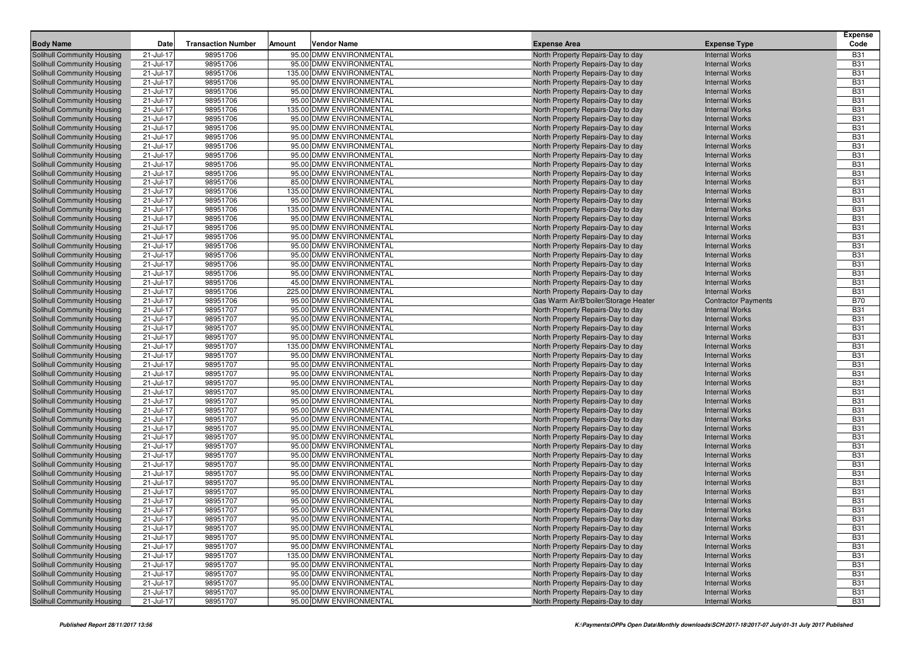| <b>Body Name</b>                                                       | Date                   | <b>Transaction Number</b> | Amount | <b>Vendor Name</b>                                 | <b>Expense Area</b>                                                    | <b>Expense Type</b>                            | <b>Expense</b><br>Code   |
|------------------------------------------------------------------------|------------------------|---------------------------|--------|----------------------------------------------------|------------------------------------------------------------------------|------------------------------------------------|--------------------------|
|                                                                        |                        |                           |        |                                                    |                                                                        |                                                |                          |
| Solihull Community Housing<br>Solihull Community Housing               | 21-Jul-17<br>21-Jul-17 | 98951706<br>98951706      |        | 95.00 DMW ENVIRONMENTAL<br>95.00 DMW ENVIRONMENTAL | North Property Repairs-Day to day                                      | <b>Internal Works</b><br><b>Internal Works</b> | <b>B31</b><br><b>B31</b> |
| Solihull Community Housing                                             | 21-Jul-17              | 98951706                  |        | 135.00 DMW ENVIRONMENTAL                           | North Property Repairs-Day to day<br>North Property Repairs-Day to day | <b>Internal Works</b>                          | <b>B31</b>               |
| Solihull Community Housing                                             | 21-Jul-17              | 98951706                  |        | 95.00 DMW ENVIRONMENTAL                            | North Property Repairs-Day to day                                      | <b>Internal Works</b>                          | <b>B31</b>               |
| Solihull Community Housing                                             | 21-Jul-17              | 98951706                  |        | 95.00 DMW ENVIRONMENTAL                            | North Property Repairs-Day to day                                      | <b>Internal Works</b>                          | <b>B31</b>               |
| Solihull Community Housing                                             | 21-Jul-17              | 98951706                  |        | 95.00 DMW ENVIRONMENTAL                            | North Property Repairs-Day to day                                      | <b>Internal Works</b>                          | <b>B31</b>               |
| <b>Solihull Community Housing</b>                                      | 21-Jul-17              | 98951706                  |        | 135.00 DMW ENVIRONMENTAL                           | North Property Repairs-Day to day                                      | <b>Internal Works</b>                          | <b>B31</b>               |
| Solihull Community Housing                                             | 21-Jul-17              | 98951706                  |        | 95.00 DMW ENVIRONMENTAL                            | North Property Repairs-Day to day                                      | <b>Internal Works</b>                          | <b>B31</b>               |
| <b>Solihull Community Housing</b>                                      | 21-Jul-17              | 98951706                  |        | 95.00 DMW ENVIRONMENTAL                            | North Property Repairs-Day to day                                      | <b>Internal Works</b>                          | <b>B31</b>               |
| <b>Solihull Community Housing</b>                                      | 21-Jul-17              | 98951706                  |        | 95.00 DMW ENVIRONMENTAL                            | North Property Repairs-Day to day                                      | <b>Internal Works</b>                          | <b>B31</b>               |
| <b>Solihull Community Housing</b>                                      | 21-Jul-17              | 98951706                  |        | 95.00 DMW ENVIRONMENTAL                            | North Property Repairs-Day to day                                      | <b>Internal Works</b>                          | <b>B31</b>               |
| Solihull Community Housing                                             | 21-Jul-17              | 98951706                  |        | 95.00 DMW ENVIRONMENTAL                            | North Property Repairs-Day to day                                      | <b>Internal Works</b>                          | <b>B31</b>               |
| Solihull Community Housing                                             | 21-Jul-17              | 98951706                  |        | 95.00 DMW ENVIRONMENTAL                            | North Property Repairs-Day to day                                      | <b>Internal Works</b>                          | <b>B31</b>               |
| <b>Solihull Community Housing</b>                                      | 21-Jul-17              | 98951706                  |        | 95.00 DMW ENVIRONMENTAL                            | North Property Repairs-Day to day                                      | <b>Internal Works</b>                          | <b>B31</b>               |
| Solihull Community Housing                                             | 21-Jul-17              | 98951706                  |        | 85.00 DMW ENVIRONMENTAL                            | North Property Repairs-Day to day                                      | <b>Internal Works</b>                          | <b>B31</b>               |
| <b>Solihull Community Housing</b>                                      | 21-Jul-17              | 98951706                  |        | 135.00 DMW ENVIRONMENTAL                           | North Property Repairs-Day to day                                      | <b>Internal Works</b>                          | <b>B31</b>               |
| Solihull Community Housing                                             | 21-Jul-17              | 98951706                  |        | 95.00 DMW ENVIRONMENTAL                            | North Property Repairs-Day to day                                      | <b>Internal Works</b>                          | <b>B31</b>               |
| Solihull Community Housing                                             | 21-Jul-17              | 98951706                  |        | 135.00 DMW ENVIRONMENTAL                           | North Property Repairs-Day to day                                      | <b>Internal Works</b>                          | <b>B31</b>               |
| <b>Solihull Community Housing</b>                                      | 21-Jul-17              | 98951706                  |        | 95.00 DMW ENVIRONMENTAL                            | North Property Repairs-Day to day                                      | <b>Internal Works</b>                          | <b>B31</b>               |
| Solihull Community Housing                                             | 21-Jul-17              | 98951706                  |        | 95.00 DMW ENVIRONMENTAL                            | North Property Repairs-Day to day                                      | <b>Internal Works</b>                          | <b>B31</b>               |
| <b>Solihull Community Housing</b>                                      | 21-Jul-17              | 98951706                  |        | 95.00 DMW ENVIRONMENTAL                            | North Property Repairs-Day to day                                      | <b>Internal Works</b>                          | <b>B31</b>               |
| <b>Solihull Community Housing</b>                                      | 21-Jul-17              | 98951706                  |        | 95.00 DMW ENVIRONMENTAL                            | North Property Repairs-Day to day                                      | <b>Internal Works</b>                          | <b>B31</b>               |
| <b>Solihull Community Housing</b>                                      | 21-Jul-17              | 98951706                  |        | 95.00 DMW ENVIRONMENTAL                            | North Property Repairs-Day to day                                      | <b>Internal Works</b>                          | <b>B31</b>               |
| <b>Solihull Community Housing</b>                                      | 21-Jul-17              | 98951706                  |        | 95.00 DMW ENVIRONMENTAL                            | North Property Repairs-Day to day                                      | <b>Internal Works</b>                          | <b>B31</b>               |
| Solihull Community Housing                                             | 21-Jul-17              | 98951706                  |        | 95.00 DMW ENVIRONMENTAL                            | North Property Repairs-Day to day                                      | <b>Internal Works</b>                          | <b>B31</b>               |
| <b>Solihull Community Housing</b>                                      | 21-Jul-17              | 98951706                  |        | 45.00 DMW ENVIRONMENTAL                            | North Property Repairs-Day to day                                      | <b>Internal Works</b>                          | <b>B31</b>               |
| Solihull Community Housing                                             | 21-Jul-17              | 98951706                  |        | 225.00 DMW ENVIRONMENTAL                           | North Property Repairs-Day to day                                      | <b>Internal Works</b>                          | <b>B31</b>               |
| Solihull Community Housing                                             | 21-Jul-17              | 98951706                  |        | 95.00 DMW ENVIRONMENTAL                            | Gas Warm Air/B'boiler/Storage Heater                                   | <b>Contractor Payments</b>                     | <b>B70</b>               |
| <b>Solihull Community Housing</b>                                      | 21-Jul-17              | 98951707                  |        | 95.00 DMW ENVIRONMENTAL                            | North Property Repairs-Day to day                                      | <b>Internal Works</b>                          | <b>B31</b>               |
| Solihull Community Housing                                             | 21-Jul-17              | 98951707                  |        | 95.00 DMW ENVIRONMENTAL                            | North Property Repairs-Day to day                                      | <b>Internal Works</b>                          | <b>B31</b>               |
| <b>Solihull Community Housing</b>                                      | 21-Jul-17              | 98951707                  |        | 95.00 DMW ENVIRONMENTAL                            | North Property Repairs-Day to day                                      | <b>Internal Works</b>                          | <b>B31</b>               |
| <b>Solihull Community Housing</b>                                      | 21-Jul-17              | 98951707                  |        | 95.00 DMW ENVIRONMENTAL                            | North Property Repairs-Day to day                                      | <b>Internal Works</b>                          | <b>B31</b>               |
| <b>Solihull Community Housing</b>                                      | 21-Jul-17              | 98951707                  |        | 135.00 DMW ENVIRONMENTAL                           | North Property Repairs-Day to day                                      | <b>Internal Works</b>                          | <b>B31</b>               |
| <b>Solihull Community Housing</b>                                      | 21-Jul-17              | 98951707                  |        | 95.00 DMW ENVIRONMENTAL                            | North Property Repairs-Day to day                                      | <b>Internal Works</b>                          | <b>B31</b>               |
| Solihull Community Housing                                             | 21-Jul-17              | 98951707                  |        | 95.00 DMW ENVIRONMENTAL                            | North Property Repairs-Day to day                                      | <b>Internal Works</b>                          | <b>B31</b>               |
| <b>Solihull Community Housing</b>                                      | 21-Jul-17              | 98951707                  |        | 95.00 DMW ENVIRONMENTAL                            | North Property Repairs-Day to day                                      | <b>Internal Works</b>                          | <b>B31</b>               |
| <b>Solihull Community Housing</b>                                      | 21-Jul-17              | 98951707                  |        | 95.00 DMW ENVIRONMENTAL                            | North Property Repairs-Day to day                                      | <b>Internal Works</b>                          | <b>B31</b>               |
| <b>Solihull Community Housing</b>                                      | 21-Jul-17              | 98951707                  |        | 95.00 DMW ENVIRONMENTAL                            | North Property Repairs-Day to day                                      | <b>Internal Works</b>                          | <b>B31</b>               |
| <b>Solihull Community Housing</b>                                      | 21-Jul-17              | 98951707                  |        | 95.00 DMW ENVIRONMENTAL                            | North Property Repairs-Day to day                                      | <b>Internal Works</b>                          | <b>B31</b>               |
| Solihull Community Housing                                             | 21-Jul-17              | 98951707                  |        | 95.00 DMW ENVIRONMENTAL                            | North Property Repairs-Day to day                                      | <b>Internal Works</b>                          | <b>B31</b>               |
| <b>Solihull Community Housing</b>                                      | 21-Jul-17              | 98951707<br>98951707      |        | 95.00 DMW ENVIRONMENTAL<br>95.00 DMW ENVIRONMENTAL | North Property Repairs-Day to day                                      | <b>Internal Works</b>                          | <b>B31</b><br><b>B31</b> |
| <b>Solihull Community Housing</b><br><b>Solihull Community Housing</b> | 21-Jul-17<br>21-Jul-17 | 98951707                  |        | 95.00 DMW ENVIRONMENTAL                            | North Property Repairs-Day to day<br>North Property Repairs-Day to day | <b>Internal Works</b><br><b>Internal Works</b> | <b>B31</b>               |
| <b>Solihull Community Housing</b>                                      | 21-Jul-17              | 98951707                  |        | 95.00 DMW ENVIRONMENTAL                            | North Property Repairs-Day to day                                      | <b>Internal Works</b>                          | <b>B31</b>               |
| Solihull Community Housing                                             | 21-Jul-17              | 98951707                  |        | 95.00 DMW ENVIRONMENTAL                            | North Property Repairs-Day to day                                      | <b>Internal Works</b>                          | <b>B31</b>               |
| <b>Solihull Community Housing</b>                                      | 21-Jul-17              | 98951707                  |        | 95.00 DMW ENVIRONMENTAL                            | North Property Repairs-Day to day                                      | <b>Internal Works</b>                          | <b>B31</b>               |
| <b>Solihull Community Housing</b>                                      | 21-Jul-17              | 98951707                  |        | 95.00 DMW ENVIRONMENTAL                            | North Property Repairs-Day to day                                      | <b>Internal Works</b>                          | <b>B31</b>               |
| Solihull Community Housing                                             | 21-Jul-17              | 98951707                  |        | 95.00 DMW ENVIRONMENTAL                            | North Property Repairs-Day to day                                      | <b>Internal Works</b>                          | <b>B31</b>               |
| <b>Solihull Community Housing</b>                                      | 21-Jul-17              | 98951707                  |        | 95.00 DMW ENVIRONMENTAL                            | North Property Repairs-Day to day                                      | <b>Internal Works</b>                          | <b>B31</b>               |
| Solihull Community Housing                                             | 21-Jul-17              | 98951707                  |        | 95.00 DMW ENVIRONMENTAL                            | North Property Repairs-Day to day                                      | <b>Internal Works</b>                          | <b>B31</b>               |
| Solihull Community Housing                                             | 21-Jul-17              | 98951707                  |        | 95.00 DMW ENVIRONMENTAL                            | North Property Repairs-Day to day                                      | <b>Internal Works</b>                          | <b>B31</b>               |
| Solihull Community Housing                                             | $21 -$ Jul-17          | 98951707                  |        | 95.00 DMW ENVIRONMENTAL                            | North Property Repairs-Day to day                                      | <b>Internal Works</b>                          | <b>B31</b>               |
| Solihull Community Housing                                             | 21-Jul-17              | 98951707                  |        | 95.00 DMW ENVIRONMENTAL                            | North Property Repairs-Day to day                                      | <b>Internal Works</b>                          | <b>B31</b>               |
| Solihull Community Housing                                             | 21-Jul-17              | 98951707                  |        | 95.00 DMW ENVIRONMENTAL                            | North Property Repairs-Day to day                                      | <b>Internal Works</b>                          | <b>B31</b>               |
| Solihull Community Housing                                             | 21-Jul-17              | 98951707                  |        | 95.00 DMW ENVIRONMENTAL                            | North Property Repairs-Day to day                                      | <b>Internal Works</b>                          | <b>B31</b>               |
| Solihull Community Housing                                             | 21-Jul-17              | 98951707                  |        | 135.00 DMW ENVIRONMENTAL                           | North Property Repairs-Day to day                                      | <b>Internal Works</b>                          | <b>B31</b>               |
| Solihull Community Housing                                             | 21-Jul-17              | 98951707                  |        | 95.00 DMW ENVIRONMENTAL                            | North Property Repairs-Day to day                                      | <b>Internal Works</b>                          | <b>B31</b>               |
| Solihull Community Housing                                             | 21-Jul-17              | 98951707                  |        | 95.00 DMW ENVIRONMENTAL                            | North Property Repairs-Day to day                                      | <b>Internal Works</b>                          | <b>B31</b>               |
| Solihull Community Housing                                             | 21-Jul-17              | 98951707                  |        | 95.00 DMW ENVIRONMENTAL                            | North Property Repairs-Day to day                                      | <b>Internal Works</b>                          | <b>B31</b>               |
| Solihull Community Housing                                             | 21-Jul-17              | 98951707                  |        | 95.00 DMW ENVIRONMENTAL                            | North Property Repairs-Day to day                                      | <b>Internal Works</b>                          | <b>B31</b>               |
| Solihull Community Housing                                             | 21-Jul-17              | 98951707                  |        | 95.00 DMW ENVIRONMENTAL                            | North Property Repairs-Day to day                                      | <b>Internal Works</b>                          | <b>B31</b>               |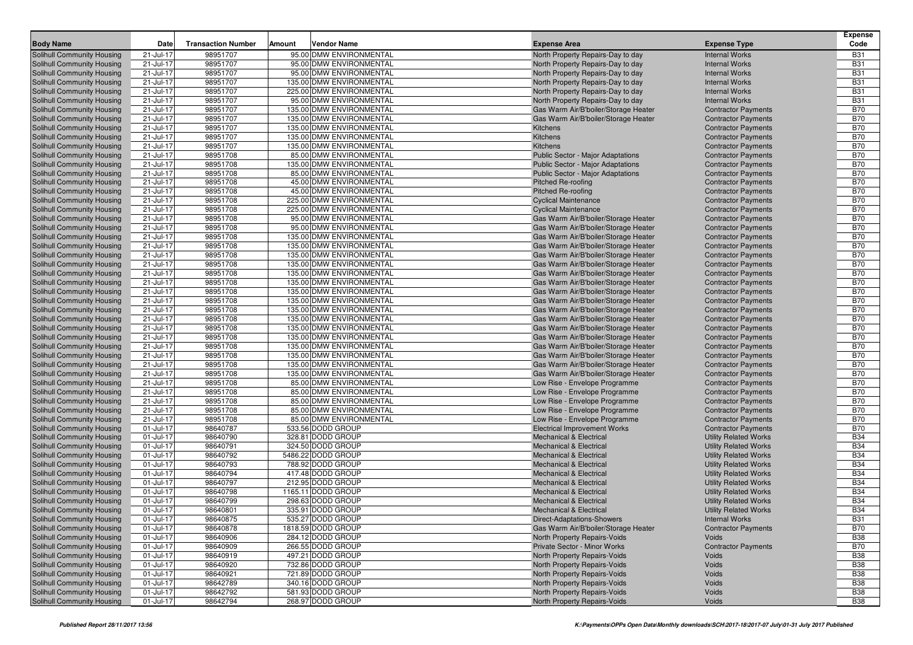|                                                                        | Date                   |                           | Amount |                                                     |                                                                           |                                                          | <b>Expense</b><br>Code   |
|------------------------------------------------------------------------|------------------------|---------------------------|--------|-----------------------------------------------------|---------------------------------------------------------------------------|----------------------------------------------------------|--------------------------|
| <b>Body Name</b>                                                       |                        | <b>Transaction Number</b> |        | <b>Vendor Name</b>                                  | <b>Expense Area</b>                                                       | <b>Expense Type</b>                                      |                          |
| <b>Solihull Community Housing</b>                                      | 21-Jul-17              | 98951707                  |        | 95.00 DMW ENVIRONMENTAL                             | North Property Repairs-Day to day                                         | <b>Internal Works</b>                                    | <b>B31</b>               |
| <b>Solihull Community Housing</b>                                      | 21-Jul-17              | 98951707                  |        | 95.00 DMW ENVIRONMENTAL                             | North Property Repairs-Day to day                                         | <b>Internal Works</b>                                    | <b>B31</b>               |
| <b>Solihull Community Housing</b>                                      | 21-Jul-17              | 98951707                  |        | 95.00 DMW ENVIRONMENTAL                             | North Property Repairs-Day to day                                         | <b>Internal Works</b>                                    | <b>B31</b>               |
| <b>Solihull Community Housing</b>                                      | 21-Jul-17              | 98951707<br>98951707      |        | 135.00 DMW ENVIRONMENTAL                            | North Property Repairs-Day to day                                         | <b>Internal Works</b>                                    | <b>B31</b><br><b>B31</b> |
| <b>Solihull Community Housing</b><br><b>Solihull Community Housing</b> | 21-Jul-17<br>21-Jul-17 | 98951707                  |        | 225.00 DMW ENVIRONMENTAL<br>95.00 DMW ENVIRONMENTAL | North Property Repairs-Day to day                                         | <b>Internal Works</b><br><b>Internal Works</b>           | <b>B31</b>               |
| <b>Solihull Community Housing</b>                                      | 21-Jul-17              | 98951707                  |        | 135.00 DMW ENVIRONMENTAL                            | North Property Repairs-Day to day<br>Gas Warm Air/B'boiler/Storage Heater | <b>Contractor Payments</b>                               | <b>B70</b>               |
| <b>Solihull Community Housing</b>                                      | 21-Jul-17              | 98951707                  |        | 135.00 DMW ENVIRONMENTAL                            | Gas Warm Air/B'boiler/Storage Heater                                      | <b>Contractor Payments</b>                               | <b>B70</b>               |
| <b>Solihull Community Housing</b>                                      | 21-Jul-17              | 98951707                  |        | 135.00 DMW ENVIRONMENTAL                            | Kitchens                                                                  | <b>Contractor Payments</b>                               | <b>B70</b>               |
| <b>Solihull Community Housing</b>                                      | 21-Jul-17              | 98951707                  |        | 135.00 DMW ENVIRONMENTAL                            | Kitchens                                                                  | <b>Contractor Payments</b>                               | <b>B70</b>               |
| <b>Solihull Community Housing</b>                                      | 21-Jul-17              | 98951707                  |        | 135.00 DMW ENVIRONMENTAL                            | <b>Kitchens</b>                                                           | <b>Contractor Payments</b>                               | <b>B70</b>               |
| <b>Solihull Community Housing</b>                                      | 21-Jul-17              | 98951708                  |        | 85.00 DMW ENVIRONMENTAL                             | <b>Public Sector - Major Adaptations</b>                                  | <b>Contractor Payments</b>                               | <b>B70</b>               |
| Solihull Community Housing                                             | 21-Jul-17              | 98951708                  |        | 135.00 DMW ENVIRONMENTAL                            | Public Sector - Major Adaptations                                         | <b>Contractor Payments</b>                               | <b>B70</b>               |
| Solihull Community Housing                                             | 21-Jul-17              | 98951708                  |        | 85.00 DMW ENVIRONMENTAL                             | <b>Public Sector - Major Adaptations</b>                                  | <b>Contractor Payments</b>                               | <b>B70</b>               |
| <b>Solihull Community Housing</b>                                      | 21-Jul-17              | 98951708                  |        | 45.00 DMW ENVIRONMENTAL                             | Pitched Re-roofing                                                        | <b>Contractor Payments</b>                               | <b>B70</b>               |
| <b>Solihull Community Housing</b>                                      | 21-Jul-17              | 98951708                  |        | 45.00 DMW ENVIRONMENTAL                             | Pitched Re-roofing                                                        | <b>Contractor Payments</b>                               | <b>B70</b>               |
| Solihull Community Housing                                             | 21-Jul-17              | 98951708                  |        | 225.00 DMW ENVIRONMENTAL                            | <b>Cyclical Maintenance</b>                                               | <b>Contractor Payments</b>                               | <b>B70</b>               |
| <b>Solihull Community Housing</b>                                      | 21-Jul-17              | 98951708                  |        | 225.00 DMW ENVIRONMENTAL                            | <b>Cyclical Maintenance</b>                                               | <b>Contractor Payments</b>                               | <b>B70</b>               |
| <b>Solihull Community Housing</b>                                      | 21-Jul-17              | 98951708                  |        | 95.00 DMW ENVIRONMENTAL                             | Gas Warm Air/B'boiler/Storage Heater                                      | <b>Contractor Payments</b>                               | <b>B70</b>               |
| <b>Solihull Community Housing</b>                                      | 21-Jul-17              | 98951708                  |        | 95.00 DMW ENVIRONMENTAL                             | Gas Warm Air/B'boiler/Storage Heater                                      | <b>Contractor Payments</b>                               | <b>B70</b>               |
| <b>Solihull Community Housing</b>                                      | 21-Jul-17              | 98951708                  |        | 135.00 DMW ENVIRONMENTAL                            | Gas Warm Air/B'boiler/Storage Heater                                      | <b>Contractor Payments</b>                               | <b>B70</b>               |
| <b>Solihull Community Housing</b>                                      | 21-Jul-17              | 98951708                  |        | 135.00 DMW ENVIRONMENTAL                            | Gas Warm Air/B'boiler/Storage Heater                                      | <b>Contractor Payments</b>                               | <b>B70</b>               |
| Solihull Community Housing                                             | 21-Jul-17              | 98951708                  |        | 135.00 DMW ENVIRONMENTAL                            | Gas Warm Air/B'boiler/Storage Heater                                      | <b>Contractor Payments</b>                               | <b>B70</b>               |
| Solihull Community Housing                                             | 21-Jul-17              | 98951708                  |        | 135.00 DMW ENVIRONMENTAL                            | Gas Warm Air/B'boiler/Storage Heater                                      | <b>Contractor Payments</b>                               | <b>B70</b>               |
| <b>Solihull Community Housing</b>                                      | 21-Jul-17              | 98951708                  |        | 135.00 DMW ENVIRONMENTAL                            | Gas Warm Air/B'boiler/Storage Heater                                      | <b>Contractor Payments</b>                               | <b>B70</b>               |
| <b>Solihull Community Housing</b>                                      | 21-Jul-17              | 98951708                  |        | 135.00 DMW ENVIRONMENTAL                            | Gas Warm Air/B'boiler/Storage Heater                                      | <b>Contractor Payments</b>                               | <b>B70</b>               |
| <b>Solihull Community Housing</b>                                      | 21-Jul-17              | 98951708                  |        | 135.00 DMW ENVIRONMENTAL                            | Gas Warm Air/B'boiler/Storage Heater                                      | <b>Contractor Payments</b>                               | <b>B70</b>               |
| Solihull Community Housing                                             | 21-Jul-17              | 98951708                  |        | 135.00 DMW ENVIRONMENTAL                            | Gas Warm Air/B'boiler/Storage Heater                                      | <b>Contractor Payments</b>                               | <b>B70</b>               |
| <b>Solihull Community Housing</b>                                      | 21-Jul-17              | 98951708                  |        | 135.00 DMW ENVIRONMENTAL                            | Gas Warm Air/B'boiler/Storage Heater                                      | <b>Contractor Payments</b>                               | <b>B70</b>               |
| <b>Solihull Community Housing</b>                                      | 21-Jul-17              | 98951708                  |        | 135.00 DMW ENVIRONMENTAL                            | Gas Warm Air/B'boiler/Storage Heater                                      | <b>Contractor Payments</b>                               | <b>B70</b>               |
| <b>Solihull Community Housing</b>                                      | 21-Jul-17              | 98951708                  |        | 135.00 DMW ENVIRONMENTAL                            | Gas Warm Air/B'boiler/Storage Heater                                      | <b>Contractor Payments</b>                               | <b>B70</b>               |
| <b>Solihull Community Housing</b>                                      | 21-Jul-17              | 98951708                  |        | 135.00 DMW ENVIRONMENTAL                            | Gas Warm Air/B'boiler/Storage Heater                                      | <b>Contractor Payments</b>                               | <b>B70</b>               |
| <b>Solihull Community Housing</b>                                      | 21-Jul-17              | 98951708                  |        | 135.00 DMW ENVIRONMENTAL                            | Gas Warm Air/B'boiler/Storage Heater                                      | <b>Contractor Payments</b>                               | <b>B70</b>               |
| <b>Solihull Community Housing</b>                                      | 21-Jul-17              | 98951708                  |        | 135.00 DMW ENVIRONMENTAL                            | Gas Warm Air/B'boiler/Storage Heater                                      | <b>Contractor Payments</b>                               | <b>B70</b>               |
| <b>Solihull Community Housing</b>                                      | 21-Jul-17              | 98951708                  |        | 135.00 DMW ENVIRONMENTAL                            | Gas Warm Air/B'boiler/Storage Heater                                      | <b>Contractor Payments</b>                               | <b>B70</b>               |
| <b>Solihull Community Housing</b>                                      | 21-Jul-17              | 98951708                  |        | 135.00 DMW ENVIRONMENTAL                            | Gas Warm Air/B'boiler/Storage Heater                                      | <b>Contractor Payments</b>                               | <b>B70</b>               |
| <b>Solihull Community Housing</b>                                      | 21-Jul-17              | 98951708                  |        | 85.00 DMW ENVIRONMENTAL                             | Low Rise - Envelope Programme                                             | <b>Contractor Payments</b>                               | <b>B70</b>               |
| <b>Solihull Community Housing</b>                                      | 21-Jul-17              | 98951708<br>98951708      |        | 85.00 DMW ENVIRONMENTAL                             | Low Rise - Envelope Programme                                             | <b>Contractor Payments</b>                               | <b>B70</b><br><b>B70</b> |
| <b>Solihull Community Housing</b><br><b>Solihull Community Housing</b> | 21-Jul-17<br>21-Jul-17 | 98951708                  |        | 85.00 DMW ENVIRONMENTAL<br>85.00 DMW ENVIRONMENTAL  | Low Rise - Envelope Programme<br>Low Rise - Envelope Programme            | <b>Contractor Payments</b><br><b>Contractor Payments</b> | <b>B70</b>               |
| <b>Solihull Community Housing</b>                                      | 21-Jul-17              | 98951708                  |        | 85.00 DMW ENVIRONMENTAL                             | Low Rise - Envelope Programme                                             | <b>Contractor Payments</b>                               | <b>B70</b>               |
| <b>Solihull Community Housing</b>                                      | 01-Jul-17              | 98640787                  |        | 533.56 DODD GROUP                                   | <b>Electrical Improvement Works</b>                                       | <b>Contractor Payments</b>                               | <b>B70</b>               |
| <b>Solihull Community Housing</b>                                      | 01-Jul-17              | 98640790                  |        | 328.81 DODD GROUP                                   | <b>Mechanical &amp; Electrical</b>                                        | <b>Utility Related Works</b>                             | <b>B34</b>               |
| <b>Solihull Community Housing</b>                                      | 01-Jul-17              | 98640791                  |        | 324.50 DODD GROUP                                   | <b>Mechanical &amp; Electrical</b>                                        | <b>Utility Related Works</b>                             | <b>B34</b>               |
| <b>Solihull Community Housing</b>                                      | 01-Jul-17              | 98640792                  |        | 5486.22 DODD GROUP                                  | <b>Mechanical &amp; Electrical</b>                                        | <b>Utility Related Works</b>                             | <b>B34</b>               |
| <b>Solihull Community Housing</b>                                      | 01-Jul-17              | 98640793                  |        | 788.92 DODD GROUP                                   | <b>Mechanical &amp; Electrical</b>                                        | <b>Utility Related Works</b>                             | <b>B34</b>               |
| <b>Solihull Community Housing</b>                                      | 01-Jul-17              | 98640794                  |        | 417.48 DODD GROUP                                   | <b>Mechanical &amp; Electrical</b>                                        | <b>Utility Related Works</b>                             | <b>B34</b>               |
| Solihull Community Housing                                             | 01-Jul-17              | 98640797                  |        | 212.95 DODD GROUP                                   | <b>Mechanical &amp; Electrical</b>                                        | <b>Utility Related Works</b>                             | <b>B34</b>               |
| <b>Solihull Community Housing</b>                                      | 01-Jul-17              | 98640798                  |        | 1165.11 DODD GROUP                                  | <b>Mechanical &amp; Electrical</b>                                        | <b>Utility Related Works</b>                             | <b>B34</b>               |
| <b>Solihull Community Housing</b>                                      | 01-Jul-17              | 98640799                  |        | 298.63 DODD GROUP                                   | <b>Mechanical &amp; Electrical</b>                                        | <b>Utility Related Works</b>                             | <b>B34</b>               |
| <b>Solihull Community Housing</b>                                      | 01-Jul-17              | 98640801                  |        | 335.91 DODD GROUP                                   | <b>Mechanical &amp; Electrical</b>                                        | <b>Utility Related Works</b>                             | <b>B34</b>               |
| <b>Solihull Community Housing</b>                                      | 01-Jul-17              | 98640875                  |        | 535.27 DODD GROUP                                   | Direct-Adaptations-Showers                                                | <b>Internal Works</b>                                    | <b>B31</b>               |
| <b>Solihull Community Housing</b>                                      | 01-Jul-17              | 98640878                  |        | 1818.59 DODD GROUP                                  | Gas Warm Air/B'boiler/Storage Heater                                      | <b>Contractor Payments</b>                               | <b>B70</b>               |
| <b>Solihull Community Housing</b>                                      | 01-Jul-17              | 98640906                  |        | 284.12 DODD GROUP                                   | North Property Repairs-Voids                                              | Voids                                                    | <b>B38</b>               |
| <b>Solihull Community Housing</b>                                      | 01-Jul-17              | 98640909                  |        | 266.55 DODD GROUP                                   | Private Sector - Minor Works                                              | <b>Contractor Payments</b>                               | <b>B70</b>               |
| <b>Solihull Community Housing</b>                                      | 01-Jul-17              | 98640919                  |        | 497.21 DODD GROUP                                   | North Property Repairs-Voids                                              | Voids                                                    | <b>B38</b>               |
| <b>Solihull Community Housing</b>                                      | 01-Jul-17              | 98640920                  |        | 732.86 DODD GROUP                                   | North Property Repairs-Voids                                              | Voids                                                    | <b>B38</b>               |
| <b>Solihull Community Housing</b>                                      | 01-Jul-17              | 98640921                  |        | 721.89 DODD GROUP                                   | North Property Repairs-Voids                                              | Voids                                                    | <b>B38</b>               |
| Solihull Community Housing                                             | 01-Jul-17              | 98642789                  |        | 340.16 DODD GROUP                                   | North Property Repairs-Voids                                              | Voids                                                    | <b>B38</b>               |
| Solihull Community Housing                                             | 01-Jul-17              | 98642792                  |        | 581.93 DODD GROUP                                   | North Property Repairs-Voids                                              | Voids                                                    | <b>B38</b>               |
| Solihull Community Housing                                             | $01 -$ Jul-17          | 98642794                  |        | 268.97 DODD GROUP                                   | North Property Repairs-Voids                                              | Voids                                                    | <b>B38</b>               |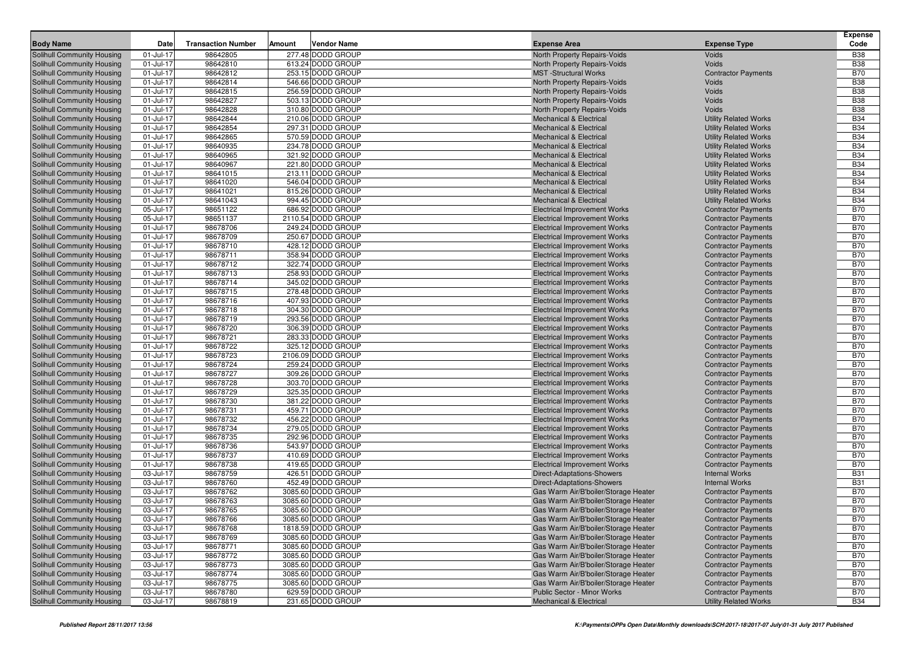| <b>Body Name</b>                                         | Date                   | <b>Transaction Number</b> | Amount | <b>Vendor Name</b>                     | <b>Expense Area</b>                                                        | <b>Expense Type</b>                                      | <b>Expense</b><br>Code   |
|----------------------------------------------------------|------------------------|---------------------------|--------|----------------------------------------|----------------------------------------------------------------------------|----------------------------------------------------------|--------------------------|
| Solihull Community Housing                               | 01-Jul-17              | 98642805                  |        | 277.48 DODD GROUP                      | North Property Repairs-Voids                                               | Voids                                                    | <b>B38</b>               |
| Solihull Community Housing                               | 01-Jul-17              | 98642810                  |        | 613.24 DODD GROUP                      | North Property Repairs-Voids                                               | Voids                                                    | <b>B38</b>               |
| Solihull Community Housing                               | 01-Jul-17              | 98642812                  |        | 253.15 DODD GROUP                      | <b>MST</b> -Structural Works                                               | <b>Contractor Payments</b>                               | <b>B70</b>               |
| Solihull Community Housing                               | 01-Jul-17              | 98642814                  |        | 546.66 DODD GROUP                      | North Property Repairs-Voids                                               | Voids                                                    | <b>B38</b>               |
| Solihull Community Housing                               | 01-Jul-17              | 98642815                  |        | 256.59 DODD GROUP                      | North Property Repairs-Voids                                               | Voids                                                    | <b>B38</b>               |
| Solihull Community Housing                               | 01-Jul-17              | 98642827                  |        | 503.13 DODD GROUP                      | North Property Repairs-Voids                                               | Voids                                                    | <b>B38</b>               |
| Solihull Community Housing                               | 01-Jul-17              | 98642828                  |        | 310.80 DODD GROUP                      | North Property Repairs-Voids                                               | Voids                                                    | <b>B38</b>               |
| Solihull Community Housing                               | 01-Jul-17              | 98642844                  |        | 210.06 DODD GROUP                      | <b>Mechanical &amp; Electrical</b>                                         | <b>Utility Related Works</b>                             | <b>B34</b>               |
| Solihull Community Housing                               | 01-Jul-17              | 98642854                  |        | 297.31 DODD GROUP                      | <b>Mechanical &amp; Electrical</b>                                         | <b>Utility Related Works</b>                             | <b>B34</b>               |
| Solihull Community Housing                               | 01-Jul-17              | 98642865                  |        | 570.59 DODD GROUP                      | <b>Mechanical &amp; Electrical</b>                                         | <b>Utility Related Works</b>                             | <b>B34</b>               |
| <b>Solihull Community Housing</b>                        | 01-Jul-17              | 98640935                  |        | 234.78 DODD GROUP                      | <b>Mechanical &amp; Electrical</b>                                         | <b>Utility Related Works</b>                             | <b>B34</b>               |
| <b>Solihull Community Housing</b>                        | 01-Jul-17              | 98640965                  |        | 321.92 DODD GROUP                      | <b>Mechanical &amp; Electrical</b>                                         | <b>Utility Related Works</b>                             | <b>B34</b>               |
| Solihull Community Housing                               | 01-Jul-17              | 98640967                  |        | 221.80 DODD GROUP                      | <b>Mechanical &amp; Electrical</b>                                         | <b>Utility Related Works</b>                             | <b>B34</b>               |
| <b>Solihull Community Housing</b>                        | 01-Jul-17              | 98641015                  |        | 213.11 DODD GROUP                      | <b>Mechanical &amp; Electrical</b>                                         | <b>Utility Related Works</b>                             | <b>B34</b>               |
| Solihull Community Housing                               | 01-Jul-17              | 98641020                  |        | 546.04 DODD GROUP                      | <b>Mechanical &amp; Electrical</b>                                         | <b>Utility Related Works</b>                             | <b>B34</b>               |
| Solihull Community Housing                               | 01-Jul-17              | 98641021                  |        | 815.26 DODD GROUP                      | <b>Mechanical &amp; Electrical</b>                                         | <b>Utility Related Works</b>                             | <b>B34</b>               |
| Solihull Community Housing                               | 01-Jul-17              | 98641043                  |        | 994.45 DODD GROUP                      | <b>Mechanical &amp; Electrical</b>                                         | <b>Utility Related Works</b>                             | <b>B34</b>               |
| Solihull Community Housing                               | 05-Jul-17              | 98651122                  |        | 686.92 DODD GROUP                      | <b>Electrical Improvement Works</b>                                        | <b>Contractor Payments</b>                               | <b>B70</b>               |
| Solihull Community Housing                               | 05-Jul-17              | 98651137                  |        | 2110.54 DODD GROUP                     | <b>Electrical Improvement Works</b>                                        | <b>Contractor Payments</b>                               | <b>B70</b>               |
| Solihull Community Housing                               | 01-Jul-17              | 98678706                  |        | 249.24 DODD GROUP                      | <b>Electrical Improvement Works</b>                                        | <b>Contractor Payments</b>                               | <b>B70</b>               |
| Solihull Community Housing                               | 01-Jul-17              | 98678709                  |        | 250.67 DODD GROUP                      | <b>Electrical Improvement Works</b>                                        | <b>Contractor Payments</b>                               | <b>B70</b>               |
| Solihull Community Housing                               | 01-Jul-17              | 98678710                  |        | 428.12 DODD GROUP                      | <b>Electrical Improvement Works</b>                                        | <b>Contractor Payments</b>                               | <b>B70</b>               |
| Solihull Community Housing                               | 01-Jul-17              | 98678711                  |        | 358.94 DODD GROUP                      | <b>Electrical Improvement Works</b>                                        | <b>Contractor Payments</b>                               | <b>B70</b>               |
| Solihull Community Housing                               | 01-Jul-17              | 98678712                  |        | 322.74 DODD GROUP                      | <b>Electrical Improvement Works</b>                                        | <b>Contractor Payments</b>                               | <b>B70</b>               |
| Solihull Community Housing                               | 01-Jul-17              | 98678713                  |        | 258.93 DODD GROUP                      | <b>Electrical Improvement Works</b>                                        | <b>Contractor Payments</b>                               | <b>B70</b>               |
| Solihull Community Housing                               | 01-Jul-17              | 98678714                  |        | 345.02 DODD GROUP                      | <b>Electrical Improvement Works</b>                                        | <b>Contractor Payments</b>                               | <b>B70</b>               |
| Solihull Community Housing                               | 01-Jul-17              | 98678715                  |        | 278.48 DODD GROUP                      | <b>Electrical Improvement Works</b>                                        | <b>Contractor Payments</b>                               | <b>B70</b>               |
| Solihull Community Housing                               | 01-Jul-17              | 98678716                  |        | 407.93 DODD GROUP                      | <b>Electrical Improvement Works</b>                                        | <b>Contractor Payments</b>                               | <b>B70</b>               |
| Solihull Community Housing                               | 01-Jul-17              | 98678718                  |        | 304.30 DODD GROUP                      | <b>Electrical Improvement Works</b>                                        | <b>Contractor Payments</b>                               | <b>B70</b>               |
| Solihull Community Housing                               | 01-Jul-17              | 98678719                  |        | 293.56 DODD GROUP                      | <b>Electrical Improvement Works</b>                                        | <b>Contractor Payments</b>                               | <b>B70</b>               |
| Solihull Community Housing                               | 01-Jul-17              | 98678720                  |        | 306.39 DODD GROUP                      | <b>Electrical Improvement Works</b>                                        | <b>Contractor Payments</b>                               | <b>B70</b>               |
| Solihull Community Housing                               | 01-Jul-17              | 98678721                  |        | 283.33 DODD GROUP                      | <b>Electrical Improvement Works</b>                                        | <b>Contractor Payments</b>                               | <b>B70</b>               |
| Solihull Community Housing                               | 01-Jul-17              | 98678722                  |        | 325.12 DODD GROUP                      | <b>Electrical Improvement Works</b>                                        | <b>Contractor Payments</b>                               | <b>B70</b>               |
| Solihull Community Housing                               | 01-Jul-17              | 98678723                  |        | 2106.09 DODD GROUP                     | <b>Electrical Improvement Works</b>                                        | <b>Contractor Payments</b>                               | <b>B70</b>               |
| Solihull Community Housing                               | 01-Jul-17              | 98678724                  |        | 259.24 DODD GROUP                      | <b>Electrical Improvement Works</b>                                        | <b>Contractor Payments</b>                               | <b>B70</b>               |
| Solihull Community Housing                               | 01-Jul-17              | 98678727                  |        | 309.26 DODD GROUP                      | <b>Electrical Improvement Works</b>                                        | <b>Contractor Payments</b>                               | <b>B70</b>               |
| Solihull Community Housing                               | 01-Jul-17              | 98678728                  |        | 303.70 DODD GROUP                      | <b>Electrical Improvement Works</b>                                        | <b>Contractor Payments</b>                               | <b>B70</b>               |
| Solihull Community Housing                               | 01-Jul-17              | 98678729                  |        | 325.35 DODD GROUP                      | <b>Electrical Improvement Works</b>                                        | <b>Contractor Payments</b>                               | <b>B70</b>               |
| Solihull Community Housing                               | 01-Jul-17              | 98678730                  |        | 381.22 DODD GROUP<br>459.71 DODD GROUP | <b>Electrical Improvement Works</b>                                        | <b>Contractor Payments</b>                               | <b>B70</b><br><b>B70</b> |
| Solihull Community Housing                               | 01-Jul-17              | 98678731<br>98678732      |        | 456.22 DODD GROUP                      | <b>Electrical Improvement Works</b>                                        | <b>Contractor Payments</b>                               | <b>B70</b>               |
| Solihull Community Housing<br>Solihull Community Housing | 01-Jul-17<br>01-Jul-17 | 98678734                  |        | 279.05 DODD GROUP                      | <b>Electrical Improvement Works</b><br><b>Electrical Improvement Works</b> | <b>Contractor Payments</b><br><b>Contractor Payments</b> | <b>B70</b>               |
| Solihull Community Housing                               | 01-Jul-17              | 98678735                  |        | 292.96 DODD GROUP                      | <b>Electrical Improvement Works</b>                                        | <b>Contractor Payments</b>                               | <b>B70</b>               |
| Solihull Community Housing                               | 01-Jul-17              | 98678736                  |        | 543.97 DODD GROUP                      | <b>Electrical Improvement Works</b>                                        | <b>Contractor Payments</b>                               | <b>B70</b>               |
| Solihull Community Housing                               | 01-Jul-17              | 98678737                  |        | 410.69 DODD GROUP                      | <b>Electrical Improvement Works</b>                                        | <b>Contractor Payments</b>                               | <b>B70</b>               |
| Solihull Community Housing                               | 01-Jul-17              | 98678738                  |        | 419.65 DODD GROUP                      | <b>Electrical Improvement Works</b>                                        | <b>Contractor Payments</b>                               | <b>B70</b>               |
| Solihull Community Housing                               | 03-Jul-17              | 98678759                  |        | 426.51 DODD GROUP                      | Direct-Adaptations-Showers                                                 | <b>Internal Works</b>                                    | <b>B31</b>               |
| Solihull Community Housing                               | 03-Jul-17              | 98678760                  |        | 452.49 DODD GROUP                      | Direct-Adaptations-Showers                                                 | <b>Internal Works</b>                                    | <b>B31</b>               |
| <b>Solihull Community Housing</b>                        | 03-Jul-17              | 98678762                  |        | 3085.60 DODD GROUP                     | Gas Warm Air/B'boiler/Storage Heater                                       | <b>Contractor Payments</b>                               | <b>B70</b>               |
| Solihull Community Housing                               | 03-Jul-17              | 98678763                  |        | 3085.60 DODD GROUP                     | Gas Warm Air/B'boiler/Storage Heater                                       | <b>Contractor Payments</b>                               | <b>B70</b>               |
| Solihull Community Housing                               | 03-Jul-17              | 98678765                  |        | 3085.60 DODD GROUP                     | Gas Warm Air/B'boiler/Storage Heater                                       | <b>Contractor Payments</b>                               | <b>B70</b>               |
| <b>Solihull Community Housing</b>                        | 03-Jul-17              | 98678766                  |        | 3085.60 DODD GROUP                     | Gas Warm Air/B'boiler/Storage Heater                                       | <b>Contractor Payments</b>                               | <b>B70</b>               |
| Solihull Community Housing                               | 03-Jul-17              | 98678768                  |        | 1818.59 DODD GROUP                     | Gas Warm Air/B'boiler/Storage Heater                                       | <b>Contractor Payments</b>                               | <b>B70</b>               |
| Solihull Community Housing                               | 03-Jul-17              | 98678769                  |        | 3085.60 DODD GROUP                     | Gas Warm Air/B'boiler/Storage Heater                                       | <b>Contractor Payments</b>                               | <b>B70</b>               |
| Solihull Community Housing                               | 03-Jul-17              | 98678771                  |        | 3085.60 DODD GROUP                     | Gas Warm Air/B'boiler/Storage Heater                                       | <b>Contractor Payments</b>                               | <b>B70</b>               |
| Solihull Community Housing                               | 03-Jul-17              | 98678772                  |        | 3085.60 DODD GROUP                     | Gas Warm Air/B'boiler/Storage Heater                                       | <b>Contractor Payments</b>                               | <b>B70</b>               |
| Solihull Community Housing                               | 03-Jul-17              | 98678773                  |        | 3085.60 DODD GROUP                     | Gas Warm Air/B'boiler/Storage Heater                                       | <b>Contractor Payments</b>                               | <b>B70</b>               |
| Solihull Community Housing                               | 03-Jul-17              | 98678774                  |        | 3085.60 DODD GROUP                     | Gas Warm Air/B'boiler/Storage Heater                                       | <b>Contractor Payments</b>                               | <b>B70</b>               |
| Solihull Community Housing                               | 03-Jul-17              | 98678775                  |        | 3085.60 DODD GROUP                     | Gas Warm Air/B'boiler/Storage Heater                                       | <b>Contractor Payments</b>                               | <b>B70</b>               |
| Solihull Community Housing                               | 03-Jul-17              | 98678780                  |        | 629.59 DODD GROUP                      | Public Sector - Minor Works                                                | <b>Contractor Payments</b>                               | <b>B70</b>               |
| Solihull Community Housing                               | 03-Jul-17              | 98678819                  |        | 231.65 DODD GROUP                      | Mechanical & Electrical                                                    | <b>Utility Related Works</b>                             | <b>B34</b>               |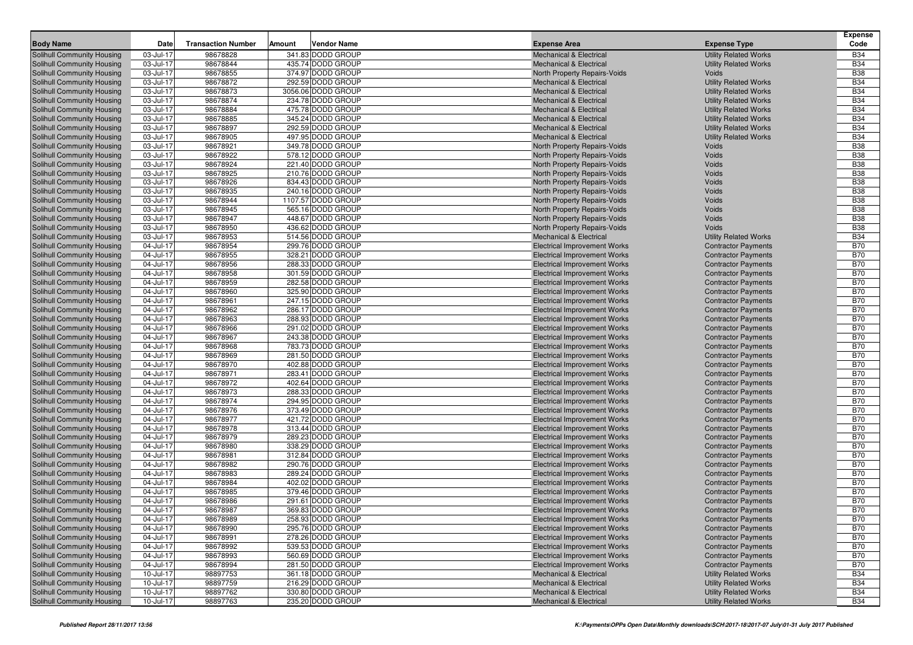| <b>Body Name</b>                                                       | Date                   | <b>Transaction Number</b> | Amount | <b>Vendor Name</b>                     | <b>Expense Area</b>                                                        | <b>Expense Type</b>                                      | <b>Expense</b><br>Code   |
|------------------------------------------------------------------------|------------------------|---------------------------|--------|----------------------------------------|----------------------------------------------------------------------------|----------------------------------------------------------|--------------------------|
| Solihull Community Housing                                             | 03-Jul-17              | 98678828                  |        | 341.83 DODD GROUP                      | <b>Mechanical &amp; Electrical</b>                                         | <b>Utility Related Works</b>                             | <b>B34</b>               |
| <b>Solihull Community Housing</b>                                      | 03-Jul-17              | 98678844                  |        | 435.74 DODD GROUP                      | <b>Mechanical &amp; Electrical</b>                                         | <b>Utility Related Works</b>                             | <b>B34</b>               |
| Solihull Community Housing                                             | 03-Jul-17              | 98678855                  |        | 374.97 DODD GROUP                      | North Property Repairs-Voids                                               | Voids                                                    | <b>B38</b>               |
| Solihull Community Housing                                             | 03-Jul-17              | 98678872                  |        | 292.59 DODD GROUP                      | <b>Mechanical &amp; Electrical</b>                                         | <b>Utility Related Works</b>                             | <b>B34</b>               |
| Solihull Community Housing                                             | 03-Jul-17              | 98678873                  |        | 3056.06 DODD GROUP                     | <b>Mechanical &amp; Electrical</b>                                         | <b>Utility Related Works</b>                             | <b>B34</b>               |
| <b>Solihull Community Housing</b>                                      | 03-Jul-17              | 98678874                  |        | 234.78 DODD GROUP                      | <b>Mechanical &amp; Electrical</b>                                         | <b>Utility Related Works</b>                             | <b>B34</b>               |
| <b>Solihull Community Housing</b>                                      | 03-Jul-17              | 98678884                  |        | 475.78 DODD GROUP                      | <b>Mechanical &amp; Electrical</b>                                         | <b>Utility Related Works</b>                             | <b>B34</b>               |
| <b>Solihull Community Housing</b>                                      | 03-Jul-17              | 98678885                  |        | 345.24 DODD GROUP                      | <b>Mechanical &amp; Electrical</b>                                         | <b>Utility Related Works</b>                             | <b>B34</b>               |
| <b>Solihull Community Housing</b>                                      | 03-Jul-17              | 98678897                  |        | 292.59 DODD GROUP                      | <b>Mechanical &amp; Electrical</b>                                         | <b>Utility Related Works</b>                             | <b>B34</b>               |
| <b>Solihull Community Housing</b>                                      | 03-Jul-17              | 98678905                  |        | 497.95 DODD GROUP                      | <b>Mechanical &amp; Electrical</b>                                         | <b>Utility Related Works</b>                             | <b>B34</b>               |
| Solihull Community Housing                                             | 03-Jul-17              | 98678921                  |        | 349.78 DODD GROUP                      | <b>North Property Repairs-Voids</b>                                        | Voids                                                    | <b>B38</b>               |
| <b>Solihull Community Housing</b>                                      | 03-Jul-17              | 98678922                  |        | 578.12 DODD GROUP                      | North Property Repairs-Voids                                               | Voids                                                    | <b>B38</b>               |
| Solihull Community Housing                                             | 03-Jul-17              | 98678924                  |        | 221.40 DODD GROUP                      | North Property Repairs-Voids                                               | Voids                                                    | <b>B38</b>               |
| Solihull Community Housing                                             | 03-Jul-17              | 98678925                  |        | 210.76 DODD GROUP                      | North Property Repairs-Voids                                               | Voids                                                    | <b>B38</b>               |
| Solihull Community Housing                                             | 03-Jul-17              | 98678926                  |        | 834.43 DODD GROUP                      | North Property Repairs-Voids                                               | Voids                                                    | <b>B38</b>               |
| <b>Solihull Community Housing</b>                                      | 03-Jul-17              | 98678935                  |        | 240.16 DODD GROUP                      | North Property Repairs-Voids                                               | Voids                                                    | <b>B38</b>               |
| Solihull Community Housing                                             | 03-Jul-17              | 98678944                  |        | 1107.57 DODD GROUP                     | North Property Repairs-Voids                                               | Voids                                                    | <b>B38</b>               |
| <b>Solihull Community Housing</b>                                      | 03-Jul-17              | 98678945                  |        | 565.16 DODD GROUP                      | North Property Repairs-Voids                                               | Voids                                                    | <b>B38</b>               |
| Solihull Community Housing                                             | 03-Jul-17              | 98678947                  |        | 448.67 DODD GROUP                      | North Property Repairs-Voids                                               | Voids                                                    | <b>B38</b>               |
| <b>Solihull Community Housing</b>                                      | 03-Jul-17              | 98678950                  |        | 436.62 DODD GROUP                      | North Property Repairs-Voids                                               | Voids                                                    | <b>B38</b>               |
| <b>Solihull Community Housing</b>                                      | 03-Jul-17              | 98678953                  |        | 514.56 DODD GROUP                      | <b>Mechanical &amp; Electrical</b>                                         | <b>Utility Related Works</b>                             | <b>B34</b>               |
| Solihull Community Housing                                             | 04-Jul-17              | 98678954                  |        | 299.76 DODD GROUP                      | <b>Electrical Improvement Works</b>                                        | <b>Contractor Payments</b>                               | <b>B70</b>               |
| Solihull Community Housing                                             | 04-Jul-17              | 98678955                  |        | 328.21 DODD GROUP                      | <b>Electrical Improvement Works</b>                                        | <b>Contractor Payments</b>                               | <b>B70</b>               |
| Solihull Community Housing                                             | 04-Jul-17              | 98678956                  |        | 288.33 DODD GROUP                      | <b>Electrical Improvement Works</b>                                        | <b>Contractor Payments</b>                               | <b>B70</b>               |
| Solihull Community Housing                                             | 04-Jul-17              | 98678958                  |        | 301.59 DODD GROUP                      | <b>Electrical Improvement Works</b>                                        | <b>Contractor Payments</b>                               | <b>B70</b>               |
| Solihull Community Housing                                             | 04-Jul-17              | 98678959                  |        | 282.58 DODD GROUP                      | <b>Electrical Improvement Works</b>                                        | <b>Contractor Payments</b>                               | <b>B70</b>               |
| Solihull Community Housing                                             | 04-Jul-17              | 98678960                  |        | 325.90 DODD GROUP                      | <b>Electrical Improvement Works</b>                                        | <b>Contractor Payments</b>                               | <b>B70</b>               |
| <b>Solihull Community Housing</b>                                      | 04-Jul-17              | 98678961                  |        | 247.15 DODD GROUP                      | <b>Electrical Improvement Works</b>                                        | <b>Contractor Payments</b>                               | <b>B70</b>               |
| Solihull Community Housing                                             | 04-Jul-17              | 98678962                  |        | 286.17 DODD GROUP                      | <b>Electrical Improvement Works</b>                                        | <b>Contractor Payments</b>                               | <b>B70</b>               |
| Solihull Community Housing                                             | 04-Jul-17              | 98678963                  |        | 288.93 DODD GROUP                      | <b>Electrical Improvement Works</b>                                        | <b>Contractor Payments</b>                               | <b>B70</b>               |
| <b>Solihull Community Housing</b><br><b>Solihull Community Housing</b> | 04-Jul-17<br>04-Jul-17 | 98678966<br>98678967      |        | 291.02 DODD GROUP<br>243.38 DODD GROUP | <b>Electrical Improvement Works</b>                                        | <b>Contractor Payments</b>                               | <b>B70</b><br><b>B70</b> |
| <b>Solihull Community Housing</b>                                      | 04-Jul-17              | 98678968                  |        | 783.73 DODD GROUP                      | <b>Electrical Improvement Works</b><br><b>Electrical Improvement Works</b> | <b>Contractor Payments</b><br><b>Contractor Payments</b> | <b>B70</b>               |
| <b>Solihull Community Housing</b>                                      | 04-Jul-17              | 98678969                  |        | 281.50 DODD GROUP                      | <b>Electrical Improvement Works</b>                                        | <b>Contractor Payments</b>                               | <b>B70</b>               |
| Solihull Community Housing                                             | 04-Jul-17              | 98678970                  |        | 402.88 DODD GROUP                      | <b>Electrical Improvement Works</b>                                        | <b>Contractor Payments</b>                               | <b>B70</b>               |
| Solihull Community Housing                                             | 04-Jul-17              | 98678971                  |        | 283.41 DODD GROUP                      | <b>Electrical Improvement Works</b>                                        | <b>Contractor Payments</b>                               | <b>B70</b>               |
| <b>Solihull Community Housing</b>                                      | 04-Jul-17              | 98678972                  |        | 402.64 DODD GROUP                      | <b>Electrical Improvement Works</b>                                        | <b>Contractor Payments</b>                               | <b>B70</b>               |
| <b>Solihull Community Housing</b>                                      | 04-Jul-17              | 98678973                  |        | 288.33 DODD GROUP                      | <b>Electrical Improvement Works</b>                                        | <b>Contractor Payments</b>                               | <b>B70</b>               |
| <b>Solihull Community Housing</b>                                      | 04-Jul-17              | 98678974                  |        | 294.95 DODD GROUP                      | <b>Electrical Improvement Works</b>                                        | <b>Contractor Payments</b>                               | <b>B70</b>               |
| Solihull Community Housing                                             | 04-Jul-17              | 98678976                  |        | 373.49 DODD GROUP                      | <b>Electrical Improvement Works</b>                                        | <b>Contractor Payments</b>                               | <b>B70</b>               |
| Solihull Community Housing                                             | 04-Jul-17              | 98678977                  |        | 421.72 DODD GROUP                      | <b>Electrical Improvement Works</b>                                        | <b>Contractor Payments</b>                               | <b>B70</b>               |
| <b>Solihull Community Housing</b>                                      | 04-Jul-17              | 98678978                  |        | 313.44 DODD GROUP                      | <b>Electrical Improvement Works</b>                                        | <b>Contractor Payments</b>                               | <b>B70</b>               |
| <b>Solihull Community Housing</b>                                      | 04-Jul-17              | 98678979                  |        | 289.23 DODD GROUP                      | <b>Electrical Improvement Works</b>                                        | <b>Contractor Payments</b>                               | <b>B70</b>               |
| Solihull Community Housing                                             | 04-Jul-17              | 98678980                  |        | 338.29 DODD GROUP                      | <b>Electrical Improvement Works</b>                                        | <b>Contractor Payments</b>                               | <b>B70</b>               |
| Solihull Community Housing                                             | 04-Jul-17              | 98678981                  |        | 312.84 DODD GROUP                      | <b>Electrical Improvement Works</b>                                        | <b>Contractor Payments</b>                               | <b>B70</b>               |
| Solihull Community Housing                                             | 04-Jul-17              | 98678982                  |        | 290.76 DODD GROUP                      | <b>Electrical Improvement Works</b>                                        | <b>Contractor Payments</b>                               | <b>B70</b>               |
| <b>Solihull Community Housing</b>                                      | 04-Jul-17              | 98678983                  |        | 289.24 DODD GROUP                      | <b>Electrical Improvement Works</b>                                        | <b>Contractor Payments</b>                               | <b>B70</b>               |
| Solihull Community Housing                                             | 04-Jul-17              | 98678984                  |        | 402.02 DODD GROUP                      | <b>Electrical Improvement Works</b>                                        | <b>Contractor Payments</b>                               | <b>B70</b>               |
| Solihull Community Housing                                             | 04-Jul-17              | 98678985                  |        | 379.46 DODD GROUP                      | <b>Electrical Improvement Works</b>                                        | <b>Contractor Payments</b>                               | <b>B70</b>               |
| Solihull Community Housing                                             | 04-Jul-17              | 98678986                  |        | 291.61 DODD GROUP                      | <b>Electrical Improvement Works</b>                                        | <b>Contractor Payments</b>                               | <b>B70</b>               |
| Solihull Community Housing                                             | 04-Jul-17              | 98678987                  |        | 369.83 DODD GROUP                      | <b>Electrical Improvement Works</b>                                        | <b>Contractor Payments</b>                               | <b>B70</b>               |
| Solihull Community Housing                                             | 04-Jul-17              | 98678989                  |        | 258.93 DODD GROUP                      | <b>Electrical Improvement Works</b>                                        | <b>Contractor Payments</b>                               | <b>B70</b>               |
| Solihull Community Housing                                             | 04-Jul-17              | 98678990                  |        | 295.76 DODD GROUP                      | <b>Electrical Improvement Works</b>                                        | <b>Contractor Payments</b>                               | <b>B70</b>               |
| Solihull Community Housing                                             | 04-Jul-17              | 98678991                  |        | 278.26 DODD GROUP                      | <b>Electrical Improvement Works</b>                                        | <b>Contractor Payments</b>                               | <b>B70</b>               |
| Solihull Community Housing                                             | 04-Jul-17              | 98678992                  |        | 539.53 DODD GROUP                      | <b>Electrical Improvement Works</b>                                        | <b>Contractor Payments</b>                               | <b>B70</b>               |
| <b>Solihull Community Housing</b>                                      | 04-Jul-17              | 98678993                  |        | 560.69 DODD GROUP                      | <b>Electrical Improvement Works</b>                                        | <b>Contractor Payments</b>                               | <b>B70</b>               |
| <b>Solihull Community Housing</b>                                      | 04-Jul-17              | 98678994                  |        | 281.50 DODD GROUP                      | <b>Electrical Improvement Works</b>                                        | <b>Contractor Payments</b>                               | <b>B70</b>               |
| Solihull Community Housing                                             | 10-Jul-17              | 98897753                  |        | 361.18 DODD GROUP                      | <b>Mechanical &amp; Electrical</b>                                         | <b>Utility Related Works</b>                             | <b>B34</b>               |
| Solihull Community Housing                                             | 10-Jul-17              | 98897759                  |        | 216.29 DODD GROUP                      | <b>Mechanical &amp; Electrical</b>                                         | <b>Utility Related Works</b>                             | <b>B34</b>               |
| <b>Solihull Community Housing</b>                                      | 10-Jul-17              | 98897762                  |        | 330.80 DODD GROUP                      | <b>Mechanical &amp; Electrical</b>                                         | <b>Utility Related Works</b>                             | <b>B34</b>               |
| Solihull Community Housing                                             | 10-Jul-17              | 98897763                  |        | 235.20 DODD GROUP                      | Mechanical & Electrical                                                    | <b>Utility Related Works</b>                             | <b>B34</b>               |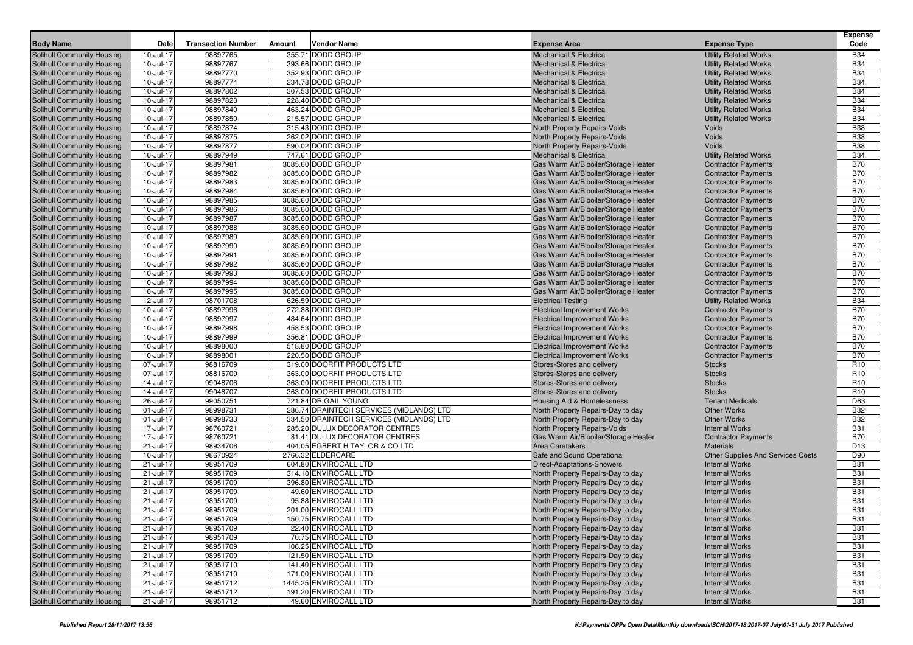| <b>Body Name</b>                                         | Date                   | <b>Transaction Number</b> | Amount<br><b>Vendor Name</b>             | <b>Expense Area</b>                                               | <b>Expense Type</b>                         | <b>Expense</b><br>Code   |
|----------------------------------------------------------|------------------------|---------------------------|------------------------------------------|-------------------------------------------------------------------|---------------------------------------------|--------------------------|
| Solihull Community Housing                               | 10-Jul-17              | 98897765                  | 355.71 DODD GROUP                        | <b>Mechanical &amp; Electrical</b>                                | <b>Utility Related Works</b>                | <b>B34</b>               |
| Solihull Community Housing                               | 10-Jul-17              | 98897767                  | 393.66 DODD GROUP                        | <b>Mechanical &amp; Electrical</b>                                | <b>Utility Related Works</b>                | <b>B34</b>               |
| Solihull Community Housing                               | 10-Jul-17              | 98897770                  | 352.93 DODD GROUP                        | <b>Mechanical &amp; Electrical</b>                                | <b>Utility Related Works</b>                | <b>B34</b>               |
| Solihull Community Housing                               | 10-Jul-17              | 98897774                  | 234.78 DODD GROUP                        | <b>Mechanical &amp; Electrical</b>                                | <b>Utility Related Works</b>                | <b>B34</b>               |
| Solihull Community Housing                               | 10-Jul-17              | 98897802                  | 307.53 DODD GROUP                        | <b>Mechanical &amp; Electrical</b>                                | <b>Utility Related Works</b>                | <b>B34</b>               |
| Solihull Community Housing                               | 10-Jul-17              | 98897823                  | 228.40 DODD GROUP                        | <b>Mechanical &amp; Electrical</b>                                | <b>Utility Related Works</b>                | <b>B34</b>               |
| Solihull Community Housing                               | 10-Jul-17              | 98897840                  | 463.24 DODD GROUP                        | <b>Mechanical &amp; Electrical</b>                                | <b>Utility Related Works</b>                | <b>B34</b>               |
| Solihull Community Housing                               | 10-Jul-17              | 98897850                  | 215.57 DODD GROUP                        | <b>Mechanical &amp; Electrical</b>                                | <b>Utility Related Works</b>                | <b>B34</b>               |
| Solihull Community Housing                               | 10-Jul-17              | 98897874                  | 315.43 DODD GROUP                        | North Property Repairs-Voids                                      | Voids                                       | <b>B38</b>               |
| Solihull Community Housing                               | 10-Jul-17              | 98897875                  | 262.02 DODD GROUP                        | North Property Repairs-Voids                                      | Voids                                       | <b>B38</b>               |
| <b>Solihull Community Housing</b>                        | 10-Jul-17              | 98897877                  | 590.02 DODD GROUP                        | North Property Repairs-Voids                                      | Voids                                       | <b>B38</b>               |
| Solihull Community Housing                               | 10-Jul-17              | 98897949                  | 747.61 DODD GROUP                        | <b>Mechanical &amp; Electrical</b>                                | <b>Utility Related Works</b>                | <b>B34</b>               |
| Solihull Community Housing                               | 10-Jul-17              | 98897981                  | 3085.60 DODD GROUP                       | Gas Warm Air/B'boiler/Storage Heater                              | <b>Contractor Payments</b>                  | <b>B70</b>               |
| Solihull Community Housing                               | 10-Jul-17              | 98897982                  | 3085.60 DODD GROUP                       | Gas Warm Air/B'boiler/Storage Heater                              | <b>Contractor Payments</b>                  | <b>B70</b>               |
| Solihull Community Housing                               | 10-Jul-17              | 98897983                  | 3085.60 DODD GROUP                       | Gas Warm Air/B'boiler/Storage Heater                              | <b>Contractor Payments</b>                  | <b>B70</b>               |
| <b>Solihull Community Housing</b>                        | 10-Jul-17              | 98897984                  | 3085.60 DODD GROUP                       | Gas Warm Air/B'boiler/Storage Heater                              | <b>Contractor Payments</b>                  | <b>B70</b>               |
| Solihull Community Housing                               | 10-Jul-17              | 98897985                  | 3085.60 DODD GROUP                       | Gas Warm Air/B'boiler/Storage Heater                              | <b>Contractor Payments</b>                  | <b>B70</b>               |
| Solihull Community Housing                               | 10-Jul-17              | 98897986                  | 3085.60 DODD GROUP                       | Gas Warm Air/B'boiler/Storage Heater                              | <b>Contractor Payments</b>                  | <b>B70</b>               |
| Solihull Community Housing                               | 10-Jul-17              | 98897987                  | 3085.60 DODD GROUP                       | Gas Warm Air/B'boiler/Storage Heater                              | <b>Contractor Payments</b>                  | <b>B70</b>               |
| Solihull Community Housing                               | 10-Jul-17              | 98897988                  | 3085.60 DODD GROUP                       | Gas Warm Air/B'boiler/Storage Heater                              | <b>Contractor Payments</b>                  | <b>B70</b>               |
| <b>Solihull Community Housing</b>                        | 10-Jul-17              | 98897989                  | 3085.60 DODD GROUP                       | Gas Warm Air/B'boiler/Storage Heater                              | <b>Contractor Payments</b>                  | <b>B70</b>               |
| Solihull Community Housing                               | 10-Jul-17              | 98897990                  | 3085.60 DODD GROUP                       | Gas Warm Air/B'boiler/Storage Heater                              | <b>Contractor Payments</b>                  | <b>B70</b>               |
| Solihull Community Housing                               | 10-Jul-17              | 98897991                  | 3085.60 DODD GROUP                       | Gas Warm Air/B'boiler/Storage Heater                              | <b>Contractor Payments</b>                  | <b>B70</b>               |
| Solihull Community Housing                               | 10-Jul-17              | 98897992                  | 3085.60 DODD GROUP                       | Gas Warm Air/B'boiler/Storage Heater                              | <b>Contractor Payments</b>                  | <b>B70</b>               |
| Solihull Community Housing                               | 10-Jul-17              | 98897993                  | 3085.60 DODD GROUP                       | Gas Warm Air/B'boiler/Storage Heater                              | <b>Contractor Payments</b>                  | <b>B70</b>               |
| <b>Solihull Community Housing</b>                        | 10-Jul-17              | 98897994                  | 3085.60 DODD GROUP                       | Gas Warm Air/B'boiler/Storage Heater                              | <b>Contractor Payments</b>                  | <b>B70</b>               |
| Solihull Community Housing                               | 10-Jul-17              | 98897995                  | 3085.60 DODD GROUP                       | Gas Warm Air/B'boiler/Storage Heater                              | <b>Contractor Payments</b>                  | <b>B70</b>               |
| Solihull Community Housing                               | 12-Jul-17              | 98701708                  | 626.59 DODD GROUP                        | <b>Electrical Testing</b>                                         | <b>Utility Related Works</b>                | <b>B34</b>               |
| Solihull Community Housing                               | 10-Jul-17              | 98897996                  | 272.88 DODD GROUP                        | <b>Electrical Improvement Works</b>                               | <b>Contractor Payments</b>                  | <b>B70</b>               |
| Solihull Community Housing                               | 10-Jul-17              | 98897997                  | 484.64 DODD GROUP                        | <b>Electrical Improvement Works</b>                               | <b>Contractor Payments</b>                  | <b>B70</b>               |
| <b>Solihull Community Housing</b>                        | 10-Jul-17              | 98897998                  | 458.53 DODD GROUP                        | <b>Electrical Improvement Works</b>                               | <b>Contractor Payments</b>                  | <b>B70</b>               |
| Solihull Community Housing                               | 10-Jul-17              | 98897999                  | 356.81 DODD GROUP                        | <b>Electrical Improvement Works</b>                               | <b>Contractor Payments</b>                  | <b>B70</b><br><b>B70</b> |
| Solihull Community Housing                               | 10-Jul-17              | 98898000<br>98898001      | 518.80 DODD GROUP<br>220.50 DODD GROUP   | <b>Electrical Improvement Works</b>                               | <b>Contractor Payments</b>                  | <b>B70</b>               |
| Solihull Community Housing<br>Solihull Community Housing | 10-Jul-17<br>07-Jul-17 | 98816709                  | 319.00 DOORFIT PRODUCTS LTD              | <b>Electrical Improvement Works</b><br>Stores-Stores and delivery | <b>Contractor Payments</b><br><b>Stocks</b> | R <sub>10</sub>          |
| <b>Solihull Community Housing</b>                        | 07-Jul-17              | 98816709                  | 363.00 DOORFIT PRODUCTS LTD              | Stores-Stores and delivery                                        | <b>Stocks</b>                               | R <sub>10</sub>          |
| Solihull Community Housing                               | 14-Jul-17              | 99048706                  | 363.00 DOORFIT PRODUCTS LTD              | Stores-Stores and delivery                                        | <b>Stocks</b>                               | R <sub>10</sub>          |
| Solihull Community Housing                               | 14-Jul-17              | 99048707                  | 363.00 DOORFIT PRODUCTS LTD              | Stores-Stores and delivery                                        | <b>Stocks</b>                               | R <sub>10</sub>          |
| Solihull Community Housing                               | 26-Jul-17              | 99050751                  | 721.84 DR GAIL YOUNG                     | Housing Aid & Homelessness                                        | <b>Tenant Medicals</b>                      | D63                      |
| Solihull Community Housing                               | 01-Jul-17              | 98998731                  | 286.74 DRAINTECH SERVICES (MIDLANDS) LTD | North Property Repairs-Day to day                                 | <b>Other Works</b>                          | <b>B32</b>               |
| <b>Solihull Community Housing</b>                        | 01-Jul-17              | 98998733                  | 334.50 DRAINTECH SERVICES (MIDLANDS) LTD | North Property Repairs-Day to day                                 | <b>Other Works</b>                          | <b>B32</b>               |
| Solihull Community Housing                               | 17-Jul-17              | 98760721                  | 285.20 DULUX DECORATOR CENTRES           | North Property Repairs-Voids                                      | <b>Internal Works</b>                       | <b>B31</b>               |
| Solihull Community Housing                               | 17-Jul-17              | 98760721                  | 81.41 DULUX DECORATOR CENTRES            | Gas Warm Air/B'boiler/Storage Heater                              | <b>Contractor Payments</b>                  | <b>B70</b>               |
| Solihull Community Housing                               | 21-Jul-17              | 98934706                  | 404.05 EGBERT H TAYLOR & CO LTD          | <b>Area Caretakers</b>                                            | <b>Materials</b>                            | D <sub>13</sub>          |
| Solihull Community Housing                               | 10-Jul-17              | 98670924                  | 2766.32 ELDERCARE                        | Safe and Sound Operational                                        | <b>Other Supplies And Services Costs</b>    | D90                      |
| <b>Solihull Community Housing</b>                        | 21-Jul-17              | 98951709                  | 604.80 ENVIROCALL LTD                    | Direct-Adaptations-Showers                                        | <b>Internal Works</b>                       | <b>B31</b>               |
| Solihull Community Housing                               | 21-Jul-17              | 98951709                  | 314.10 ENVIROCALL LTD                    | North Property Repairs-Day to day                                 | <b>Internal Works</b>                       | <b>B31</b>               |
| Solihull Community Housing                               | 21-Jul-17              | 98951709                  | 396.80 ENVIROCALL LTD                    | North Property Repairs-Day to day                                 | <b>Internal Works</b>                       | <b>B31</b>               |
| Solihull Community Housing                               | 21-Jul-17              | 98951709                  | 49.60 ENVIROCALL LTD                     | North Property Repairs-Day to day                                 | <b>Internal Works</b>                       | <b>B31</b>               |
| Solihull Community Housing                               | 21-Jul-17              | 98951709                  | 95.88 ENVIROCALL LTD                     | North Property Repairs-Day to day                                 | <b>Internal Works</b>                       | <b>B31</b>               |
| Solihull Community Housing                               | 21-Jul-17              | 98951709                  | 201.00 ENVIROCALL LTD                    | North Property Repairs-Day to day                                 | <b>Internal Works</b>                       | <b>B31</b>               |
| Solihull Community Housing                               | 21-Jul-17              | 98951709                  | 150.75 ENVIROCALL LTD                    | North Property Repairs-Day to day                                 | <b>Internal Works</b>                       | <b>B31</b>               |
| Solihull Community Housing                               | 21-Jul-17              | 98951709                  | 22.40 ENVIROCALL LTD                     | North Property Repairs-Day to day                                 | <b>Internal Works</b>                       | <b>B31</b>               |
| Solihull Community Housing                               | 21-Jul-17              | 98951709                  | 70.75 ENVIROCALL LTD                     | North Property Repairs-Day to day                                 | <b>Internal Works</b>                       | <b>B31</b>               |
| Solihull Community Housing                               | 21-Jul-17              | 98951709                  | 106.25 ENVIROCALL LTD                    | North Property Repairs-Day to day                                 | <b>Internal Works</b>                       | <b>B31</b>               |
| Solihull Community Housing                               | 21-Jul-17              | 98951709                  | 121.50 ENVIROCALL LTD                    | North Property Repairs-Day to day                                 | <b>Internal Works</b>                       | <b>B31</b>               |
| Solihull Community Housing                               | 21-Jul-17              | 98951710                  | 141.40 ENVIROCALL LTD                    | North Property Repairs-Day to day                                 | <b>Internal Works</b>                       | <b>B31</b>               |
| Solihull Community Housing                               | 21-Jul-17              | 98951710                  | 171.00 ENVIROCALL LTD                    | North Property Repairs-Day to day                                 | <b>Internal Works</b>                       | <b>B31</b>               |
| Solihull Community Housing                               | 21-Jul-17              | 98951712                  | 1445.25 ENVIROCALL LTD                   | North Property Repairs-Day to day                                 | <b>Internal Works</b>                       | <b>B31</b>               |
| Solihull Community Housing                               | 21-Jul-17              | 98951712                  | 191.20 ENVIROCALL LTD                    | North Property Repairs-Day to day                                 | <b>Internal Works</b>                       | <b>B31</b>               |
| Solihull Community Housing                               | $21 -$ Jul-17          | 98951712                  | 49.60 ENVIROCALL LTD                     | North Property Repairs-Day to day                                 | <b>Internal Works</b>                       | <b>B31</b>               |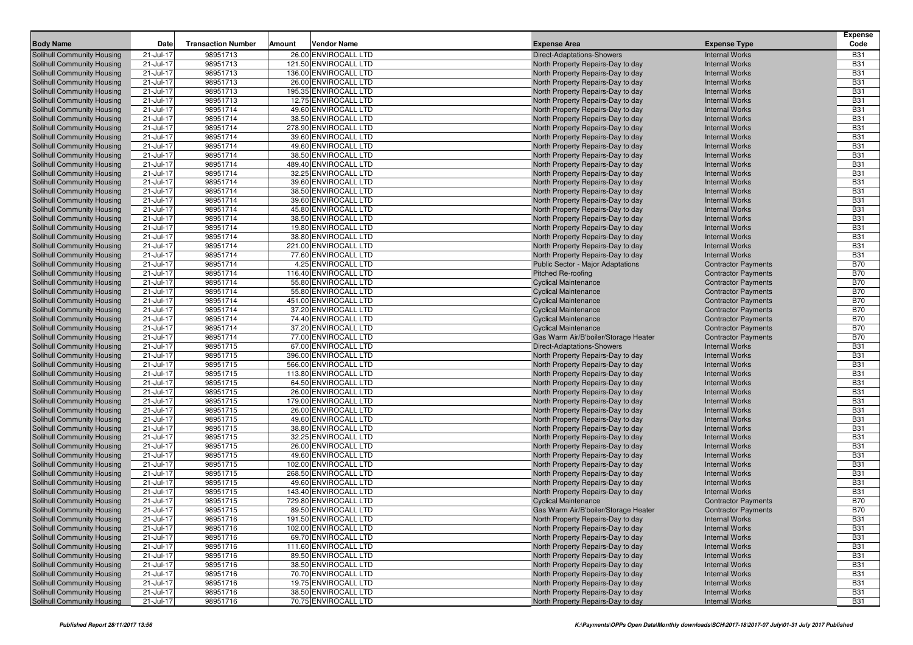|                                                                        |                        |                           |        |                                               |                                                                        |                                                | <b>Expense</b>           |
|------------------------------------------------------------------------|------------------------|---------------------------|--------|-----------------------------------------------|------------------------------------------------------------------------|------------------------------------------------|--------------------------|
| <b>Body Name</b>                                                       | Date                   | <b>Transaction Number</b> | Amount | <b>Vendor Name</b>                            | <b>Expense Area</b>                                                    | <b>Expense Type</b>                            | Code                     |
| Solihull Community Housing                                             | 21-Jul-17              | 98951713                  |        | 26.00 ENVIROCALL LTD                          | Direct-Adaptations-Showers                                             | <b>Internal Works</b>                          | <b>B31</b>               |
| <b>Solihull Community Housing</b>                                      | 21-Jul-17              | 98951713                  |        | 121.50 ENVIROCALL LTD                         | North Property Repairs-Day to day                                      | <b>Internal Works</b>                          | <b>B31</b>               |
| <b>Solihull Community Housing</b>                                      | 21-Jul-17              | 98951713                  |        | 136.00 ENVIROCALL LTD                         | North Property Repairs-Day to day                                      | <b>Internal Works</b>                          | <b>B31</b>               |
| <b>Solihull Community Housing</b>                                      | 21-Jul-17              | 98951713                  |        | 26.00 ENVIROCALL LTD                          | North Property Repairs-Day to day                                      | <b>Internal Works</b>                          | <b>B31</b>               |
| <b>Solihull Community Housing</b>                                      | 21-Jul-17              | 98951713                  |        | 195.35 ENVIROCALL LTD                         | North Property Repairs-Day to day                                      | <b>Internal Works</b>                          | <b>B31</b>               |
| Solihull Community Housing                                             | 21-Jul-17              | 98951713                  |        | 12.75 ENVIROCALL LTD                          | North Property Repairs-Day to day                                      | <b>Internal Works</b>                          | <b>B31</b>               |
| <b>Solihull Community Housing</b>                                      | 21-Jul-17              | 98951714                  |        | 49.60 ENVIROCALL LTD                          | North Property Repairs-Day to day                                      | <b>Internal Works</b>                          | <b>B31</b>               |
| <b>Solihull Community Housing</b>                                      | 21-Jul-17              | 98951714                  |        | 38.50 ENVIROCALL LTD                          | North Property Repairs-Day to day                                      | <b>Internal Works</b>                          | <b>B31</b>               |
| <b>Solihull Community Housing</b>                                      | 21-Jul-17              | 98951714                  |        | 278.90 ENVIROCALL LTD                         | North Property Repairs-Day to day                                      | <b>Internal Works</b>                          | <b>B31</b>               |
| <b>Solihull Community Housing</b>                                      | 21-Jul-17              | 98951714                  |        | 39.60 ENVIROCALL LTD                          | North Property Repairs-Day to day                                      | <b>Internal Works</b>                          | <b>B31</b>               |
| Solihull Community Housing                                             | 21-Jul-17              | 98951714                  |        | 49.60 ENVIROCALL LTD                          | North Property Repairs-Day to day                                      | <b>Internal Works</b>                          | <b>B31</b>               |
| <b>Solihull Community Housing</b>                                      | 21-Jul-17              | 98951714                  |        | 38.50 ENVIROCALL LTD                          | North Property Repairs-Day to day                                      | <b>Internal Works</b><br><b>Internal Works</b> | <b>B31</b><br><b>B31</b> |
| Solihull Community Housing                                             | 21-Jul-17              | 98951714<br>98951714      |        | 489.40 ENVIROCALL LTD                         | North Property Repairs-Day to day                                      |                                                | <b>B31</b>               |
| <b>Solihull Community Housing</b><br><b>Solihull Community Housing</b> | 21-Jul-17<br>21-Jul-17 | 98951714                  |        | 32.25 ENVIROCALL LTD<br>39.60 ENVIROCALL LTD  | North Property Repairs-Day to day<br>North Property Repairs-Day to day | <b>Internal Works</b><br><b>Internal Works</b> | <b>B31</b>               |
| <b>Solihull Community Housing</b>                                      | 21-Jul-17              | 98951714                  |        | 38.50 ENVIROCALL LTD                          | North Property Repairs-Day to day                                      | <b>Internal Works</b>                          | <b>B31</b>               |
| <b>Solihull Community Housing</b>                                      | 21-Jul-17              | 98951714                  |        | 39.60 ENVIROCALL LTD                          | North Property Repairs-Day to day                                      | <b>Internal Works</b>                          | <b>B31</b>               |
| <b>Solihull Community Housing</b>                                      | 21-Jul-17              | 98951714                  |        | 45.80 ENVIROCALL LTD                          | North Property Repairs-Day to day                                      | <b>Internal Works</b>                          | <b>B31</b>               |
| <b>Solihull Community Housing</b>                                      | 21-Jul-17              | 98951714                  |        | 38.50 ENVIROCALL LTD                          | North Property Repairs-Day to day                                      | <b>Internal Works</b>                          | <b>B31</b>               |
| <b>Solihull Community Housing</b>                                      | 21-Jul-17              | 98951714                  |        | 19.80 ENVIROCALL LTD                          | North Property Repairs-Day to day                                      | <b>Internal Works</b>                          | <b>B31</b>               |
| <b>Solihull Community Housing</b>                                      | 21-Jul-17              | 98951714                  |        | 38.80 ENVIROCALL LTD                          | North Property Repairs-Day to day                                      | <b>Internal Works</b>                          | <b>B31</b>               |
| <b>Solihull Community Housing</b>                                      | 21-Jul-17              | 98951714                  |        | 221.00 ENVIROCALL LTD                         | North Property Repairs-Day to day                                      | <b>Internal Works</b>                          | <b>B31</b>               |
| Solihull Community Housing                                             | 21-Jul-17              | 98951714                  |        | 77.60 ENVIROCALL LTD                          | North Property Repairs-Day to day                                      | <b>Internal Works</b>                          | <b>B31</b>               |
| <b>Solihull Community Housing</b>                                      | 21-Jul-17              | 98951714                  |        | 4.25 ENVIROCALL LTD                           | <b>Public Sector - Major Adaptations</b>                               | <b>Contractor Payments</b>                     | <b>B70</b>               |
| <b>Solihull Community Housing</b>                                      | 21-Jul-17              | 98951714                  |        | 116.40 ENVIROCALL LTD                         | Pitched Re-roofing                                                     | <b>Contractor Payments</b>                     | <b>B70</b>               |
| <b>Solihull Community Housing</b>                                      | 21-Jul-17              | 98951714                  |        | 55.80 ENVIROCALL LTD                          | <b>Cyclical Maintenance</b>                                            | <b>Contractor Payments</b>                     | <b>B70</b>               |
| <b>Solihull Community Housing</b>                                      | 21-Jul-17              | 98951714                  |        | 55.80 ENVIROCALL LTD                          | <b>Cyclical Maintenance</b>                                            | <b>Contractor Payments</b>                     | <b>B70</b>               |
| <b>Solihull Community Housing</b>                                      | 21-Jul-17              | 98951714                  |        | 451.00 ENVIROCALL LTD                         | <b>Cyclical Maintenance</b>                                            | <b>Contractor Payments</b>                     | <b>B70</b>               |
| <b>Solihull Community Housing</b>                                      | 21-Jul-17              | 98951714                  |        | 37.20 ENVIROCALL LTD                          | <b>Cyclical Maintenance</b>                                            | <b>Contractor Payments</b>                     | <b>B70</b>               |
| <b>Solihull Community Housing</b>                                      | 21-Jul-17              | 98951714                  |        | 74.40 ENVIROCALL LTD                          | <b>Cyclical Maintenance</b>                                            | <b>Contractor Payments</b>                     | <b>B70</b>               |
| <b>Solihull Community Housing</b>                                      | 21-Jul-17              | 98951714                  |        | 37.20 ENVIROCALL LTD                          | <b>Cyclical Maintenance</b>                                            | <b>Contractor Payments</b>                     | <b>B70</b>               |
| <b>Solihull Community Housing</b>                                      | 21-Jul-17              | 98951714                  |        | 77.00 ENVIROCALL LTD                          | Gas Warm Air/B'boiler/Storage Heater                                   | <b>Contractor Payments</b>                     | <b>B70</b>               |
| <b>Solihull Community Housing</b>                                      | 21-Jul-17              | 98951715                  |        | 67.00 ENVIROCALL LTD                          | Direct-Adaptations-Showers                                             | <b>Internal Works</b>                          | <b>B31</b>               |
| <b>Solihull Community Housing</b>                                      | 21-Jul-17              | 98951715                  |        | 396.00 ENVIROCALL LTD                         | North Property Repairs-Day to day                                      | <b>Internal Works</b>                          | <b>B31</b>               |
| <b>Solihull Community Housing</b>                                      | 21-Jul-17              | 98951715                  |        | 566.00 ENVIROCALL LTD                         | North Property Repairs-Day to day                                      | <b>Internal Works</b>                          | <b>B31</b>               |
| <b>Solihull Community Housing</b>                                      | 21-Jul-17              | 98951715                  |        | 113.80 ENVIROCALL LTD                         | North Property Repairs-Day to day                                      | <b>Internal Works</b>                          | <b>B31</b>               |
| <b>Solihull Community Housing</b>                                      | 21-Jul-17              | 98951715                  |        | 64.50 ENVIROCALL LTD                          | North Property Repairs-Day to day                                      | <b>Internal Works</b>                          | <b>B31</b>               |
| <b>Solihull Community Housing</b>                                      | 21-Jul-17              | 98951715                  |        | 26.00 ENVIROCALL LTD                          | North Property Repairs-Day to day                                      | <b>Internal Works</b>                          | <b>B31</b>               |
| <b>Solihull Community Housing</b>                                      | 21-Jul-17              | 98951715                  |        | 179.00 ENVIROCALL LTD                         | North Property Repairs-Day to day                                      | <b>Internal Works</b>                          | <b>B31</b>               |
| <b>Solihull Community Housing</b>                                      | 21-Jul-17              | 98951715                  |        | 26.00 ENVIROCALL LTD                          | North Property Repairs-Day to day                                      | <b>Internal Works</b>                          | <b>B31</b>               |
| <b>Solihull Community Housing</b>                                      | 21-Jul-17              | 98951715                  |        | 49.60 ENVIROCALL LTD                          | North Property Repairs-Day to day                                      | <b>Internal Works</b>                          | <b>B31</b>               |
| <b>Solihull Community Housing</b>                                      | 21-Jul-17              | 98951715                  |        | 38.80 ENVIROCALL LTD                          | North Property Repairs-Day to day                                      | <b>Internal Works</b>                          | <b>B31</b>               |
| <b>Solihull Community Housing</b>                                      | 21-Jul-17              | 98951715                  |        | 32.25 ENVIROCALL LTD                          | North Property Repairs-Day to day                                      | <b>Internal Works</b>                          | <b>B31</b>               |
| <b>Solihull Community Housing</b>                                      | 21-Jul-17              | 98951715                  |        | 26.00 ENVIROCALL LTD                          | North Property Repairs-Day to day                                      | <b>Internal Works</b>                          | <b>B31</b>               |
| <b>Solihull Community Housing</b>                                      | 21-Jul-17              | 98951715                  |        | 49.60 ENVIROCALL LTD                          | North Property Repairs-Day to day                                      | <b>Internal Works</b>                          | <b>B31</b>               |
| <b>Solihull Community Housing</b>                                      | 21-Jul-17              | 98951715                  |        | 102.00 ENVIROCALL LTD                         | North Property Repairs-Day to day                                      | <b>Internal Works</b>                          | <b>B31</b>               |
| <b>Solihull Community Housing</b>                                      | 21-Jul-17              | 98951715                  |        | 268.50 ENVIROCALL LTD                         | North Property Repairs-Day to day                                      | <b>Internal Works</b>                          | <b>B31</b>               |
| <b>Solihull Community Housing</b>                                      | 21-Jul-17              | 98951715                  |        | 49.60 ENVIROCALL LTD                          | North Property Repairs-Day to day                                      | <b>Internal Works</b>                          | <b>B31</b>               |
| <b>Solihull Community Housing</b>                                      | 21-Jul-17              | 98951715                  |        | 143.40 ENVIROCALL LTD                         | North Property Repairs-Day to day                                      | <b>Internal Works</b>                          | <b>B31</b>               |
| <b>Solihull Community Housing</b>                                      | 21-Jul-17              | 98951715                  |        | 729.80 ENVIROCALL LTD                         | <b>Cyclical Maintenance</b>                                            | <b>Contractor Payments</b>                     | <b>B70</b>               |
| <b>Solihull Community Housing</b>                                      | 21-Jul-17              | 98951715                  |        | 89.50 ENVIROCALL LTD                          | Gas Warm Air/B'boiler/Storage Heater                                   | <b>Contractor Payments</b>                     | <b>B70</b>               |
| Solihull Community Housing                                             | 21-Jul-17              | 98951716                  |        | 191.50 ENVIROCALL LTD                         | North Property Repairs-Day to day                                      | <b>Internal Works</b>                          | <b>B31</b><br><b>B31</b> |
| <b>Solihull Community Housing</b><br>Solihull Community Housing        | 21-Jul-17              | 98951716<br>98951716      |        | 102.00 ENVIROCALL LTD<br>69.70 ENVIROCALL LTD | North Property Repairs-Day to day                                      | <b>Internal Works</b><br><b>Internal Works</b> | <b>B31</b>               |
| Solihull Community Housing                                             | 21-Jul-17<br>21-Jul-17 | 98951716                  |        | 111.60 ENVIROCALL LTD                         | North Property Repairs-Day to day<br>North Property Repairs-Day to day | <b>Internal Works</b>                          | <b>B31</b>               |
| <b>Solihull Community Housing</b>                                      | 21-Jul-17              | 98951716                  |        | 89.50 ENVIROCALL LTD                          | North Property Repairs-Day to day                                      | <b>Internal Works</b>                          | <b>B31</b>               |
| <b>Solihull Community Housing</b>                                      | 21-Jul-17              | 98951716                  |        | 38.50 ENVIROCALL LTD                          | North Property Repairs-Day to day                                      | <b>Internal Works</b>                          | <b>B31</b>               |
| <b>Solihull Community Housing</b>                                      | 21-Jul-17              | 98951716                  |        | 70.70 ENVIROCALL LTD                          | North Property Repairs-Day to day                                      | <b>Internal Works</b>                          | <b>B31</b>               |
| <b>Solihull Community Housing</b>                                      | 21-Jul-17              | 98951716                  |        | 19.75 ENVIROCALL LTD                          | North Property Repairs-Day to day                                      | <b>Internal Works</b>                          | <b>B31</b>               |
| <b>Solihull Community Housing</b>                                      | 21-Jul-17              | 98951716                  |        | 38.50 ENVIROCALL LTD                          | North Property Repairs-Day to day                                      | <b>Internal Works</b>                          | <b>B31</b>               |
| Solihull Community Housing                                             | 21-Jul-17              | 98951716                  |        | 70.75 ENVIROCALL LTD                          | North Property Repairs-Day to day                                      | <b>Internal Works</b>                          | <b>B31</b>               |
|                                                                        |                        |                           |        |                                               |                                                                        |                                                |                          |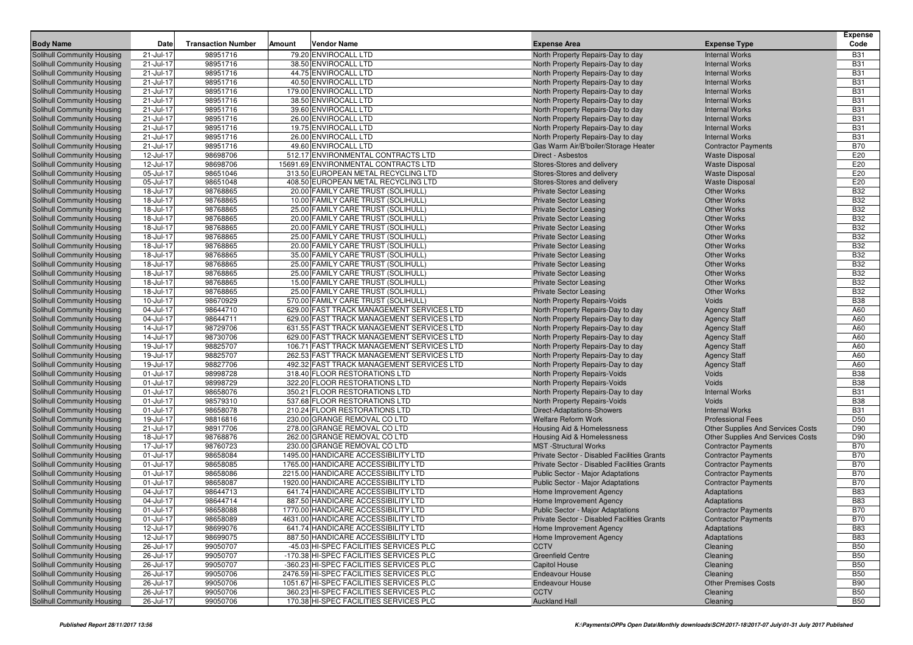| Solihull Community Housing<br>21-Jul-17<br>98951716<br>79.20 ENVIROCALL LTD<br><b>Internal Works</b><br><b>B31</b><br>North Property Repairs-Day to day<br>98951716<br>38.50 ENVIROCALL LTD<br><b>B31</b><br>Solihull Community Housing<br>21-Jul-17<br>North Property Repairs-Day to day<br><b>Internal Works</b><br><b>B31</b><br>21-Jul-17<br>98951716<br>44.75 ENVIROCALL LTD<br><b>Internal Works</b><br>Solihull Community Housing<br>North Property Repairs-Day to day<br>98951716<br>40.50 ENVIROCALL LTD<br><b>B31</b><br>Solihull Community Housing<br>21-Jul-17<br>North Property Repairs-Day to day<br><b>Internal Works</b><br><b>B31</b><br><b>Solihull Community Housing</b><br>21-Jul-17<br>98951716<br>179.00 ENVIROCALL LTD<br>North Property Repairs-Day to day<br><b>Internal Works</b><br>98951716<br><b>B31</b><br>21-Jul-17<br>38.50 ENVIROCALL LTD<br>North Property Repairs-Day to day<br><b>Internal Works</b><br>Solihull Community Housing<br>98951716<br>39.60 ENVIROCALL LTD<br><b>B31</b><br>Solihull Community Housing<br>21-Jul-17<br>North Property Repairs-Day to day<br><b>Internal Works</b><br><b>B31</b><br>21-Jul-17<br>98951716<br>26.00 ENVIROCALL LTD<br><b>Internal Works</b><br>Solihull Community Housing<br>North Property Repairs-Day to day<br>98951716<br>19.75 ENVIROCALL LTD<br><b>B31</b><br>Solihull Community Housing<br>21-Jul-17<br>North Property Repairs-Day to day<br><b>Internal Works</b><br><b>B31</b><br>Solihull Community Housing<br>21-Jul-17<br>98951716<br>26.00 ENVIROCALL LTD<br><b>Internal Works</b><br>North Property Repairs-Day to day<br><b>B70</b><br>98951716<br>49.60 ENVIROCALL LTD<br>Solihull Community Housing<br>21-Jul-17<br>Gas Warm Air/B'boiler/Storage Heater<br><b>Contractor Payments</b><br>E20<br>Solihull Community Housing<br>12-Jul-17<br>98698706<br>512.17 ENVIRONMENTAL CONTRACTS LTD<br><b>Waste Disposal</b><br>Direct - Asbestos<br>E20<br>12-Jul-17<br>98698706<br>15691.69 ENVIRONMENTAL CONTRACTS LTD<br>Stores-Stores and delivery<br>Solihull Community Housing<br><b>Waste Disposal</b><br>98651046<br>313.50 EUROPEAN METAL RECYCLING LTD<br>E20<br>Solihull Community Housing<br>05-Jul-17<br>Stores-Stores and delivery<br><b>Waste Disposal</b><br>E20<br>Solihull Community Housing<br>05-Jul-17<br>98651048<br>408.50 EUROPEAN METAL RECYCLING LTD<br><b>Waste Disposal</b><br>Stores-Stores and delivery<br><b>B32</b><br>98768865<br>20.00 FAMILY CARE TRUST (SOLIHULL)<br>Solihull Community Housing<br>18-Jul-17<br><b>Private Sector Leasing</b><br><b>Other Works</b><br><b>B32</b><br>Solihull Community Housing<br>18-Jul-17<br>98768865<br>10.00 FAMILY CARE TRUST (SOLIHULL)<br><b>Other Works</b><br><b>Private Sector Leasing</b><br><b>B32</b><br>98768865<br>18-Jul-17<br>25.00 FAMILY CARE TRUST (SOLIHULL)<br><b>Other Works</b><br>Solihull Community Housing<br><b>Private Sector Leasing</b><br>98768865<br><b>B32</b><br>Solihull Community Housing<br>18-Jul-17<br>20.00 FAMILY CARE TRUST (SOLIHULL)<br><b>Other Works</b><br><b>Private Sector Leasing</b><br><b>B32</b><br>Solihull Community Housing<br>18-Jul-17<br>98768865<br>20.00 FAMILY CARE TRUST (SOLIHULL)<br><b>Other Works</b><br><b>Private Sector Leasing</b><br><b>B32</b><br>98768865<br>Solihull Community Housing<br>18-Jul-17<br>25.00 FAMILY CARE TRUST (SOLIHULL)<br><b>Other Works</b><br><b>Private Sector Leasing</b><br><b>B32</b><br>Solihull Community Housing<br>18-Jul-17<br>98768865<br>20.00 FAMILY CARE TRUST (SOLIHULL)<br><b>Other Works</b><br><b>Private Sector Leasing</b><br><b>B32</b><br>18-Jul-17<br>98768865<br>35.00 FAMILY CARE TRUST (SOLIHULL)<br><b>Other Works</b><br>Solihull Community Housing<br><b>Private Sector Leasing</b><br>98768865<br>25.00 FAMILY CARE TRUST (SOLIHULL)<br><b>B32</b><br>Solihull Community Housing<br>18-Jul-17<br><b>Other Works</b><br><b>Private Sector Leasing</b><br><b>B32</b><br>Solihull Community Housing<br>18-Jul-17<br>98768865<br>25.00 FAMILY CARE TRUST (SOLIHULL)<br><b>Other Works</b><br><b>Private Sector Leasing</b><br>18-Jul-17<br>98768865<br>15.00 FAMILY CARE TRUST (SOLIHULL)<br><b>B32</b><br>Solihull Community Housing<br><b>Private Sector Leasing</b><br><b>Other Works</b><br><b>B32</b><br>Solihull Community Housing<br>18-Jul-17<br>98768865<br>25.00 FAMILY CARE TRUST (SOLIHULL)<br><b>Other Works</b><br><b>Private Sector Leasing</b><br><b>B38</b><br>10-Jul-17<br>98670929<br>570.00 FAMILY CARE TRUST (SOLIHULL)<br>Solihull Community Housing<br>North Property Repairs-Voids<br>Voids<br>98644710<br>A60<br>Solihull Community Housing<br>04-Jul-17<br>629.00 FAST TRACK MANAGEMENT SERVICES LTD<br>North Property Repairs-Day to day<br><b>Agency Staff</b><br>Solihull Community Housing<br>04-Jul-17<br>98644711<br>629.00 FAST TRACK MANAGEMENT SERVICES LTD<br>North Property Repairs-Day to day<br><b>Agency Staff</b><br>A60<br>98729706<br>631.55 FAST TRACK MANAGEMENT SERVICES LTD<br>A60<br>Solihull Community Housing<br>14-Jul-17<br>North Property Repairs-Day to day<br><b>Agency Staff</b><br>Solihull Community Housing<br>14-Jul-17<br>98730706<br>629.00 FAST TRACK MANAGEMENT SERVICES LTD<br>North Property Repairs-Day to day<br><b>Agency Staff</b><br>A60<br>A60<br>19-Jul-17<br>98825707<br>106.71 FAST TRACK MANAGEMENT SERVICES LTD<br>Solihull Community Housing<br>North Property Repairs-Day to day<br><b>Agency Staff</b><br>98825707<br>262.53 FAST TRACK MANAGEMENT SERVICES LTD<br>A60<br>Solihull Community Housing<br>19-Jul-17<br>North Property Repairs-Day to day<br><b>Agency Staff</b><br>Solihull Community Housing<br>19-Jul-17<br>98827706<br>492.32 FAST TRACK MANAGEMENT SERVICES LTD<br>North Property Repairs-Day to day<br><b>Agency Staff</b><br>A60<br>98998728<br><b>B38</b><br>Solihull Community Housing<br>01-Jul-17<br>318.40 FLOOR RESTORATIONS LTD<br>North Property Repairs-Voids<br>Voids<br>98998729<br>322.20 FLOOR RESTORATIONS LTD<br><b>B38</b><br>Solihull Community Housing<br>01-Jul-17<br>North Property Repairs-Voids<br>Voids<br><b>B31</b><br>01-Jul-17<br>98658076<br>350.21 FLOOR RESTORATIONS LTD<br><b>Internal Works</b><br>Solihull Community Housing<br>North Property Repairs-Day to day<br>98579310<br>537.68 FLOOR RESTORATIONS LTD<br><b>B38</b><br>Solihull Community Housing<br>01-Jul-17<br>North Property Repairs-Voids<br><b>Voids</b><br>Solihull Community Housing<br>01-Jul-17<br>98658078<br>210.24 FLOOR RESTORATIONS LTD<br>Direct-Adaptations-Showers<br><b>Internal Works</b><br><b>B31</b><br>98816816<br>D50<br><b>Solihull Community Housing</b><br>19-Jul-17<br>230.00 GRANGE REMOVAL CO LTD<br><b>Welfare Reform Work</b><br><b>Professional Fees</b><br>D90<br>Solihull Community Housing<br>21-Jul-17<br>98917706<br>278.00 GRANGE REMOVAL CO LTD<br>Housing Aid & Homelessness<br><b>Other Supplies And Services Costs</b><br>98768876<br>D90<br>18-Jul-17<br>262.00 GRANGE REMOVAL CO LTD<br>Solihull Community Housing<br>Housing Aid & Homelessness<br><b>Other Supplies And Services Costs</b><br>98760723<br>230.00 GRANGE REMOVAL CO LTD<br><b>B70</b><br><b>Solihull Community Housing</b><br>17-Jul-17<br><b>MST</b> -Structural Works<br><b>Contractor Payments</b><br><b>B70</b><br>Solihull Community Housing<br>01-Jul-17<br>98658084<br>1495.00 HANDICARE ACCESSIBILITY LTD<br>Private Sector - Disabled Facilities Grants<br><b>Contractor Payments</b><br>98658085<br>1765.00 HANDICARE ACCESSIBILITY LTD<br><b>B70</b><br><b>Solihull Community Housing</b><br>01-Jul-17<br>Private Sector - Disabled Facilities Grants<br><b>Contractor Payments</b><br><b>B70</b><br>Solihull Community Housing<br>01-Jul-17<br>98658086<br>2215.00 HANDICARE ACCESSIBILITY LTD<br><b>Public Sector - Major Adaptations</b><br><b>Contractor Payments</b><br><b>B70</b><br>01-Jul-17<br>98658087<br>1920.00 HANDICARE ACCESSIBILITY LTD<br>Solihull Community Housing<br>Public Sector - Major Adaptations<br><b>Contractor Payments</b><br>98644713<br>641.74 HANDICARE ACCESSIBILITY LTD<br><b>B83</b><br><b>Solihull Community Housing</b><br>04-Jul-17<br>Home Improvement Agency<br>Adaptations<br><b>B83</b><br>Solihull Community Housing<br>04-Jul-17<br>98644714<br>887.50 HANDICARE ACCESSIBILITY LTD<br>Adaptations<br>Home Improvement Agency<br><b>B70</b><br>Solihull Community Housing<br>01-Jul-17<br>98658088<br>1770.00 HANDICARE ACCESSIBILITY LTD<br>Public Sector - Major Adaptations<br><b>Contractor Payments</b><br>Solihull Community Housing<br>$01 -$ Jul-17<br>98658089<br>4631.00 HANDICARE ACCESSIBILITY LTD<br>Private Sector - Disabled Facilities Grants<br><b>Contractor Payments</b><br><b>B70</b><br><b>B83</b><br>12-Jul-17<br>98699076<br>Solihull Community Housing<br>641.74 HANDICARE ACCESSIBILITY LTD<br>Adaptations<br>Home Improvement Agency<br>98699075<br>Adaptations<br><b>B83</b><br>Solihull Community Housing<br>12-Jul-17<br>887.50 HANDICARE ACCESSIBILITY LTD<br>Home Improvement Agency<br>99050707<br><b>B50</b><br>Solihull Community Housing<br>26-Jul-17<br>-45.03 HI-SPEC FACILITIES SERVICES PLC<br><b>CCTV</b><br>Cleaning<br>99050707<br><b>Greenfield Centre</b><br><b>B50</b><br>Solihull Community Housing<br>26-Jul-17<br>-170.38 HI-SPEC FACILITIES SERVICES PLC<br>Cleaning<br>99050707<br>-360.23 HI-SPEC FACILITIES SERVICES PLC<br><b>B50</b><br>Solihull Community Housing<br>26-Jul-17<br><b>Capitol House</b><br>Cleaning<br><b>B50</b><br>26-Jul-17<br>99050706<br>2476.59 HI-SPEC FACILITIES SERVICES PLC<br>Solihull Community Housing<br><b>Endeavour House</b><br>Cleaning<br><b>B90</b><br>Solihull Community Housing<br>26-Jul-17<br>99050706<br>1051.67 HI-SPEC FACILITIES SERVICES PLC<br><b>Endeavour House</b><br><b>Other Premises Costs</b><br>99050706<br>360.23 HI-SPEC FACILITIES SERVICES PLC<br><b>B50</b><br>Solihull Community Housing<br>26-Jul-17<br><b>CCTV</b><br>Cleaning<br>99050706<br>170.38 HI-SPEC FACILITIES SERVICES PLC<br><b>Auckland Hall</b><br><b>B50</b><br>Solihull Community Housing<br>26-Jul-17<br>Cleaning |                  |      |                           |        |                    |                     |                     | <b>Expense</b> |
|-----------------------------------------------------------------------------------------------------------------------------------------------------------------------------------------------------------------------------------------------------------------------------------------------------------------------------------------------------------------------------------------------------------------------------------------------------------------------------------------------------------------------------------------------------------------------------------------------------------------------------------------------------------------------------------------------------------------------------------------------------------------------------------------------------------------------------------------------------------------------------------------------------------------------------------------------------------------------------------------------------------------------------------------------------------------------------------------------------------------------------------------------------------------------------------------------------------------------------------------------------------------------------------------------------------------------------------------------------------------------------------------------------------------------------------------------------------------------------------------------------------------------------------------------------------------------------------------------------------------------------------------------------------------------------------------------------------------------------------------------------------------------------------------------------------------------------------------------------------------------------------------------------------------------------------------------------------------------------------------------------------------------------------------------------------------------------------------------------------------------------------------------------------------------------------------------------------------------------------------------------------------------------------------------------------------------------------------------------------------------------------------------------------------------------------------------------------------------------------------------------------------------------------------------------------------------------------------------------------------------------------------------------------------------------------------------------------------------------------------------------------------------------------------------------------------------------------------------------------------------------------------------------------------------------------------------------------------------------------------------------------------------------------------------------------------------------------------------------------------------------------------------------------------------------------------------------------------------------------------------------------------------------------------------------------------------------------------------------------------------------------------------------------------------------------------------------------------------------------------------------------------------------------------------------------------------------------------------------------------------------------------------------------------------------------------------------------------------------------------------------------------------------------------------------------------------------------------------------------------------------------------------------------------------------------------------------------------------------------------------------------------------------------------------------------------------------------------------------------------------------------------------------------------------------------------------------------------------------------------------------------------------------------------------------------------------------------------------------------------------------------------------------------------------------------------------------------------------------------------------------------------------------------------------------------------------------------------------------------------------------------------------------------------------------------------------------------------------------------------------------------------------------------------------------------------------------------------------------------------------------------------------------------------------------------------------------------------------------------------------------------------------------------------------------------------------------------------------------------------------------------------------------------------------------------------------------------------------------------------------------------------------------------------------------------------------------------------------------------------------------------------------------------------------------------------------------------------------------------------------------------------------------------------------------------------------------------------------------------------------------------------------------------------------------------------------------------------------------------------------------------------------------------------------------------------------------------------------------------------------------------------------------------------------------------------------------------------------------------------------------------------------------------------------------------------------------------------------------------------------------------------------------------------------------------------------------------------------------------------------------------------------------------------------------------------------------------------------------------------------------------------------------------------------------------------------------------------------------------------------------------------------------------------------------------------------------------------------------------------------------------------------------------------------------------------------------------------------------------------------------------------------------------------------------------------------------------------------------------------------------------------------------------------------------------------------------------------------------------------------------------------------------------------------------------------------------------------------------------------------------------------------------------------------------------------------------------------------------------------------------------------------------------------------------------------------------------------------------------------------------------------------------------------------------------------------------------------------------------------------------------------------------------------------------------------------------------------------------------------------------------------------------------------------------------------------------------------------------------------------------------------------------------------------------------------------------------------------------------------------------------------------------------------------------------------------------------------------------------------------------------------------------------------------------------------------------------------------------------------------------------------------------------------------------------------------------------------------------------------------------------------------------------------------------------------------------------------------------------------------------------------------------------------------------------------------------------------------------------------------------------------------------------------------------------------------------------------------------------------------------------------------------------------------------------------------------------------------------------------------------------------------------------------------------------------------------------------------------------------------------------------------------------------------------------------------------------------------------------------------------------------------------------------------------------------------------------------------------------------------------------------------------------------------------------------------------------------------------------------------------------------------------------------------------------------------------------------------------------------------------------------------------------------------------------------------------------------------------------------------------------------------------------------------------------------------------------------------------------------------------------------------------------------------------------------------------------------------------------------------------------------------------------------------------------------------------------------------------------------------------------------------------------------------------------------------------------------------------------------------------------------------------------------------------------------------------------------------------------------------------------------------------------------|------------------|------|---------------------------|--------|--------------------|---------------------|---------------------|----------------|
|                                                                                                                                                                                                                                                                                                                                                                                                                                                                                                                                                                                                                                                                                                                                                                                                                                                                                                                                                                                                                                                                                                                                                                                                                                                                                                                                                                                                                                                                                                                                                                                                                                                                                                                                                                                                                                                                                                                                                                                                                                                                                                                                                                                                                                                                                                                                                                                                                                                                                                                                                                                                                                                                                                                                                                                                                                                                                                                                                                                                                                                                                                                                                                                                                                                                                                                                                                                                                                                                                                                                                                                                                                                                                                                                                                                                                                                                                                                                                                                                                                                                                                                                                                                                                                                                                                                                                                                                                                                                                                                                                                                                                                                                                                                                                                                                                                                                                                                                                                                                                                                                                                                                                                                                                                                                                                                                                                                                                                                                                                                                                                                                                                                                                                                                                                                                                                                                                                                                                                                                                                                                                                                                                                                                                                                                                                                                                                                                                                                                                                                                                                                                                                                                                                                                                                                                                                                                                                                                                                                                                                                                                                                                                                                                                                                                                                                                                                                                                                                                                                                                                                                                                                                                                                                                                                                                                                                                                                                                                                                                                                                                                                                                                                                                                                                                                                                                                                                                                                                                                                                                                                                                                                                                                                                                                                                                                                                                                                                                                                                                                                                                                                                                                                                                                                                                                                                                                                                                                                                                                                                                                                                                                                                                                                                                                                                                                                                                                                                                                                                                                                                                                                                                                                 | <b>Body Name</b> | Date | <b>Transaction Number</b> | Amount | <b>Vendor Name</b> | <b>Expense Area</b> | <b>Expense Type</b> | Code           |
|                                                                                                                                                                                                                                                                                                                                                                                                                                                                                                                                                                                                                                                                                                                                                                                                                                                                                                                                                                                                                                                                                                                                                                                                                                                                                                                                                                                                                                                                                                                                                                                                                                                                                                                                                                                                                                                                                                                                                                                                                                                                                                                                                                                                                                                                                                                                                                                                                                                                                                                                                                                                                                                                                                                                                                                                                                                                                                                                                                                                                                                                                                                                                                                                                                                                                                                                                                                                                                                                                                                                                                                                                                                                                                                                                                                                                                                                                                                                                                                                                                                                                                                                                                                                                                                                                                                                                                                                                                                                                                                                                                                                                                                                                                                                                                                                                                                                                                                                                                                                                                                                                                                                                                                                                                                                                                                                                                                                                                                                                                                                                                                                                                                                                                                                                                                                                                                                                                                                                                                                                                                                                                                                                                                                                                                                                                                                                                                                                                                                                                                                                                                                                                                                                                                                                                                                                                                                                                                                                                                                                                                                                                                                                                                                                                                                                                                                                                                                                                                                                                                                                                                                                                                                                                                                                                                                                                                                                                                                                                                                                                                                                                                                                                                                                                                                                                                                                                                                                                                                                                                                                                                                                                                                                                                                                                                                                                                                                                                                                                                                                                                                                                                                                                                                                                                                                                                                                                                                                                                                                                                                                                                                                                                                                                                                                                                                                                                                                                                                                                                                                                                                                                                                                                 |                  |      |                           |        |                    |                     |                     |                |
|                                                                                                                                                                                                                                                                                                                                                                                                                                                                                                                                                                                                                                                                                                                                                                                                                                                                                                                                                                                                                                                                                                                                                                                                                                                                                                                                                                                                                                                                                                                                                                                                                                                                                                                                                                                                                                                                                                                                                                                                                                                                                                                                                                                                                                                                                                                                                                                                                                                                                                                                                                                                                                                                                                                                                                                                                                                                                                                                                                                                                                                                                                                                                                                                                                                                                                                                                                                                                                                                                                                                                                                                                                                                                                                                                                                                                                                                                                                                                                                                                                                                                                                                                                                                                                                                                                                                                                                                                                                                                                                                                                                                                                                                                                                                                                                                                                                                                                                                                                                                                                                                                                                                                                                                                                                                                                                                                                                                                                                                                                                                                                                                                                                                                                                                                                                                                                                                                                                                                                                                                                                                                                                                                                                                                                                                                                                                                                                                                                                                                                                                                                                                                                                                                                                                                                                                                                                                                                                                                                                                                                                                                                                                                                                                                                                                                                                                                                                                                                                                                                                                                                                                                                                                                                                                                                                                                                                                                                                                                                                                                                                                                                                                                                                                                                                                                                                                                                                                                                                                                                                                                                                                                                                                                                                                                                                                                                                                                                                                                                                                                                                                                                                                                                                                                                                                                                                                                                                                                                                                                                                                                                                                                                                                                                                                                                                                                                                                                                                                                                                                                                                                                                                                                                 |                  |      |                           |        |                    |                     |                     |                |
|                                                                                                                                                                                                                                                                                                                                                                                                                                                                                                                                                                                                                                                                                                                                                                                                                                                                                                                                                                                                                                                                                                                                                                                                                                                                                                                                                                                                                                                                                                                                                                                                                                                                                                                                                                                                                                                                                                                                                                                                                                                                                                                                                                                                                                                                                                                                                                                                                                                                                                                                                                                                                                                                                                                                                                                                                                                                                                                                                                                                                                                                                                                                                                                                                                                                                                                                                                                                                                                                                                                                                                                                                                                                                                                                                                                                                                                                                                                                                                                                                                                                                                                                                                                                                                                                                                                                                                                                                                                                                                                                                                                                                                                                                                                                                                                                                                                                                                                                                                                                                                                                                                                                                                                                                                                                                                                                                                                                                                                                                                                                                                                                                                                                                                                                                                                                                                                                                                                                                                                                                                                                                                                                                                                                                                                                                                                                                                                                                                                                                                                                                                                                                                                                                                                                                                                                                                                                                                                                                                                                                                                                                                                                                                                                                                                                                                                                                                                                                                                                                                                                                                                                                                                                                                                                                                                                                                                                                                                                                                                                                                                                                                                                                                                                                                                                                                                                                                                                                                                                                                                                                                                                                                                                                                                                                                                                                                                                                                                                                                                                                                                                                                                                                                                                                                                                                                                                                                                                                                                                                                                                                                                                                                                                                                                                                                                                                                                                                                                                                                                                                                                                                                                                                                 |                  |      |                           |        |                    |                     |                     |                |
|                                                                                                                                                                                                                                                                                                                                                                                                                                                                                                                                                                                                                                                                                                                                                                                                                                                                                                                                                                                                                                                                                                                                                                                                                                                                                                                                                                                                                                                                                                                                                                                                                                                                                                                                                                                                                                                                                                                                                                                                                                                                                                                                                                                                                                                                                                                                                                                                                                                                                                                                                                                                                                                                                                                                                                                                                                                                                                                                                                                                                                                                                                                                                                                                                                                                                                                                                                                                                                                                                                                                                                                                                                                                                                                                                                                                                                                                                                                                                                                                                                                                                                                                                                                                                                                                                                                                                                                                                                                                                                                                                                                                                                                                                                                                                                                                                                                                                                                                                                                                                                                                                                                                                                                                                                                                                                                                                                                                                                                                                                                                                                                                                                                                                                                                                                                                                                                                                                                                                                                                                                                                                                                                                                                                                                                                                                                                                                                                                                                                                                                                                                                                                                                                                                                                                                                                                                                                                                                                                                                                                                                                                                                                                                                                                                                                                                                                                                                                                                                                                                                                                                                                                                                                                                                                                                                                                                                                                                                                                                                                                                                                                                                                                                                                                                                                                                                                                                                                                                                                                                                                                                                                                                                                                                                                                                                                                                                                                                                                                                                                                                                                                                                                                                                                                                                                                                                                                                                                                                                                                                                                                                                                                                                                                                                                                                                                                                                                                                                                                                                                                                                                                                                                                                 |                  |      |                           |        |                    |                     |                     |                |
|                                                                                                                                                                                                                                                                                                                                                                                                                                                                                                                                                                                                                                                                                                                                                                                                                                                                                                                                                                                                                                                                                                                                                                                                                                                                                                                                                                                                                                                                                                                                                                                                                                                                                                                                                                                                                                                                                                                                                                                                                                                                                                                                                                                                                                                                                                                                                                                                                                                                                                                                                                                                                                                                                                                                                                                                                                                                                                                                                                                                                                                                                                                                                                                                                                                                                                                                                                                                                                                                                                                                                                                                                                                                                                                                                                                                                                                                                                                                                                                                                                                                                                                                                                                                                                                                                                                                                                                                                                                                                                                                                                                                                                                                                                                                                                                                                                                                                                                                                                                                                                                                                                                                                                                                                                                                                                                                                                                                                                                                                                                                                                                                                                                                                                                                                                                                                                                                                                                                                                                                                                                                                                                                                                                                                                                                                                                                                                                                                                                                                                                                                                                                                                                                                                                                                                                                                                                                                                                                                                                                                                                                                                                                                                                                                                                                                                                                                                                                                                                                                                                                                                                                                                                                                                                                                                                                                                                                                                                                                                                                                                                                                                                                                                                                                                                                                                                                                                                                                                                                                                                                                                                                                                                                                                                                                                                                                                                                                                                                                                                                                                                                                                                                                                                                                                                                                                                                                                                                                                                                                                                                                                                                                                                                                                                                                                                                                                                                                                                                                                                                                                                                                                                                                                 |                  |      |                           |        |                    |                     |                     |                |
|                                                                                                                                                                                                                                                                                                                                                                                                                                                                                                                                                                                                                                                                                                                                                                                                                                                                                                                                                                                                                                                                                                                                                                                                                                                                                                                                                                                                                                                                                                                                                                                                                                                                                                                                                                                                                                                                                                                                                                                                                                                                                                                                                                                                                                                                                                                                                                                                                                                                                                                                                                                                                                                                                                                                                                                                                                                                                                                                                                                                                                                                                                                                                                                                                                                                                                                                                                                                                                                                                                                                                                                                                                                                                                                                                                                                                                                                                                                                                                                                                                                                                                                                                                                                                                                                                                                                                                                                                                                                                                                                                                                                                                                                                                                                                                                                                                                                                                                                                                                                                                                                                                                                                                                                                                                                                                                                                                                                                                                                                                                                                                                                                                                                                                                                                                                                                                                                                                                                                                                                                                                                                                                                                                                                                                                                                                                                                                                                                                                                                                                                                                                                                                                                                                                                                                                                                                                                                                                                                                                                                                                                                                                                                                                                                                                                                                                                                                                                                                                                                                                                                                                                                                                                                                                                                                                                                                                                                                                                                                                                                                                                                                                                                                                                                                                                                                                                                                                                                                                                                                                                                                                                                                                                                                                                                                                                                                                                                                                                                                                                                                                                                                                                                                                                                                                                                                                                                                                                                                                                                                                                                                                                                                                                                                                                                                                                                                                                                                                                                                                                                                                                                                                                                                 |                  |      |                           |        |                    |                     |                     |                |
|                                                                                                                                                                                                                                                                                                                                                                                                                                                                                                                                                                                                                                                                                                                                                                                                                                                                                                                                                                                                                                                                                                                                                                                                                                                                                                                                                                                                                                                                                                                                                                                                                                                                                                                                                                                                                                                                                                                                                                                                                                                                                                                                                                                                                                                                                                                                                                                                                                                                                                                                                                                                                                                                                                                                                                                                                                                                                                                                                                                                                                                                                                                                                                                                                                                                                                                                                                                                                                                                                                                                                                                                                                                                                                                                                                                                                                                                                                                                                                                                                                                                                                                                                                                                                                                                                                                                                                                                                                                                                                                                                                                                                                                                                                                                                                                                                                                                                                                                                                                                                                                                                                                                                                                                                                                                                                                                                                                                                                                                                                                                                                                                                                                                                                                                                                                                                                                                                                                                                                                                                                                                                                                                                                                                                                                                                                                                                                                                                                                                                                                                                                                                                                                                                                                                                                                                                                                                                                                                                                                                                                                                                                                                                                                                                                                                                                                                                                                                                                                                                                                                                                                                                                                                                                                                                                                                                                                                                                                                                                                                                                                                                                                                                                                                                                                                                                                                                                                                                                                                                                                                                                                                                                                                                                                                                                                                                                                                                                                                                                                                                                                                                                                                                                                                                                                                                                                                                                                                                                                                                                                                                                                                                                                                                                                                                                                                                                                                                                                                                                                                                                                                                                                                                                 |                  |      |                           |        |                    |                     |                     |                |
|                                                                                                                                                                                                                                                                                                                                                                                                                                                                                                                                                                                                                                                                                                                                                                                                                                                                                                                                                                                                                                                                                                                                                                                                                                                                                                                                                                                                                                                                                                                                                                                                                                                                                                                                                                                                                                                                                                                                                                                                                                                                                                                                                                                                                                                                                                                                                                                                                                                                                                                                                                                                                                                                                                                                                                                                                                                                                                                                                                                                                                                                                                                                                                                                                                                                                                                                                                                                                                                                                                                                                                                                                                                                                                                                                                                                                                                                                                                                                                                                                                                                                                                                                                                                                                                                                                                                                                                                                                                                                                                                                                                                                                                                                                                                                                                                                                                                                                                                                                                                                                                                                                                                                                                                                                                                                                                                                                                                                                                                                                                                                                                                                                                                                                                                                                                                                                                                                                                                                                                                                                                                                                                                                                                                                                                                                                                                                                                                                                                                                                                                                                                                                                                                                                                                                                                                                                                                                                                                                                                                                                                                                                                                                                                                                                                                                                                                                                                                                                                                                                                                                                                                                                                                                                                                                                                                                                                                                                                                                                                                                                                                                                                                                                                                                                                                                                                                                                                                                                                                                                                                                                                                                                                                                                                                                                                                                                                                                                                                                                                                                                                                                                                                                                                                                                                                                                                                                                                                                                                                                                                                                                                                                                                                                                                                                                                                                                                                                                                                                                                                                                                                                                                                                                 |                  |      |                           |        |                    |                     |                     |                |
|                                                                                                                                                                                                                                                                                                                                                                                                                                                                                                                                                                                                                                                                                                                                                                                                                                                                                                                                                                                                                                                                                                                                                                                                                                                                                                                                                                                                                                                                                                                                                                                                                                                                                                                                                                                                                                                                                                                                                                                                                                                                                                                                                                                                                                                                                                                                                                                                                                                                                                                                                                                                                                                                                                                                                                                                                                                                                                                                                                                                                                                                                                                                                                                                                                                                                                                                                                                                                                                                                                                                                                                                                                                                                                                                                                                                                                                                                                                                                                                                                                                                                                                                                                                                                                                                                                                                                                                                                                                                                                                                                                                                                                                                                                                                                                                                                                                                                                                                                                                                                                                                                                                                                                                                                                                                                                                                                                                                                                                                                                                                                                                                                                                                                                                                                                                                                                                                                                                                                                                                                                                                                                                                                                                                                                                                                                                                                                                                                                                                                                                                                                                                                                                                                                                                                                                                                                                                                                                                                                                                                                                                                                                                                                                                                                                                                                                                                                                                                                                                                                                                                                                                                                                                                                                                                                                                                                                                                                                                                                                                                                                                                                                                                                                                                                                                                                                                                                                                                                                                                                                                                                                                                                                                                                                                                                                                                                                                                                                                                                                                                                                                                                                                                                                                                                                                                                                                                                                                                                                                                                                                                                                                                                                                                                                                                                                                                                                                                                                                                                                                                                                                                                                                                                 |                  |      |                           |        |                    |                     |                     |                |
|                                                                                                                                                                                                                                                                                                                                                                                                                                                                                                                                                                                                                                                                                                                                                                                                                                                                                                                                                                                                                                                                                                                                                                                                                                                                                                                                                                                                                                                                                                                                                                                                                                                                                                                                                                                                                                                                                                                                                                                                                                                                                                                                                                                                                                                                                                                                                                                                                                                                                                                                                                                                                                                                                                                                                                                                                                                                                                                                                                                                                                                                                                                                                                                                                                                                                                                                                                                                                                                                                                                                                                                                                                                                                                                                                                                                                                                                                                                                                                                                                                                                                                                                                                                                                                                                                                                                                                                                                                                                                                                                                                                                                                                                                                                                                                                                                                                                                                                                                                                                                                                                                                                                                                                                                                                                                                                                                                                                                                                                                                                                                                                                                                                                                                                                                                                                                                                                                                                                                                                                                                                                                                                                                                                                                                                                                                                                                                                                                                                                                                                                                                                                                                                                                                                                                                                                                                                                                                                                                                                                                                                                                                                                                                                                                                                                                                                                                                                                                                                                                                                                                                                                                                                                                                                                                                                                                                                                                                                                                                                                                                                                                                                                                                                                                                                                                                                                                                                                                                                                                                                                                                                                                                                                                                                                                                                                                                                                                                                                                                                                                                                                                                                                                                                                                                                                                                                                                                                                                                                                                                                                                                                                                                                                                                                                                                                                                                                                                                                                                                                                                                                                                                                                                                 |                  |      |                           |        |                    |                     |                     |                |
|                                                                                                                                                                                                                                                                                                                                                                                                                                                                                                                                                                                                                                                                                                                                                                                                                                                                                                                                                                                                                                                                                                                                                                                                                                                                                                                                                                                                                                                                                                                                                                                                                                                                                                                                                                                                                                                                                                                                                                                                                                                                                                                                                                                                                                                                                                                                                                                                                                                                                                                                                                                                                                                                                                                                                                                                                                                                                                                                                                                                                                                                                                                                                                                                                                                                                                                                                                                                                                                                                                                                                                                                                                                                                                                                                                                                                                                                                                                                                                                                                                                                                                                                                                                                                                                                                                                                                                                                                                                                                                                                                                                                                                                                                                                                                                                                                                                                                                                                                                                                                                                                                                                                                                                                                                                                                                                                                                                                                                                                                                                                                                                                                                                                                                                                                                                                                                                                                                                                                                                                                                                                                                                                                                                                                                                                                                                                                                                                                                                                                                                                                                                                                                                                                                                                                                                                                                                                                                                                                                                                                                                                                                                                                                                                                                                                                                                                                                                                                                                                                                                                                                                                                                                                                                                                                                                                                                                                                                                                                                                                                                                                                                                                                                                                                                                                                                                                                                                                                                                                                                                                                                                                                                                                                                                                                                                                                                                                                                                                                                                                                                                                                                                                                                                                                                                                                                                                                                                                                                                                                                                                                                                                                                                                                                                                                                                                                                                                                                                                                                                                                                                                                                                                                                 |                  |      |                           |        |                    |                     |                     |                |
|                                                                                                                                                                                                                                                                                                                                                                                                                                                                                                                                                                                                                                                                                                                                                                                                                                                                                                                                                                                                                                                                                                                                                                                                                                                                                                                                                                                                                                                                                                                                                                                                                                                                                                                                                                                                                                                                                                                                                                                                                                                                                                                                                                                                                                                                                                                                                                                                                                                                                                                                                                                                                                                                                                                                                                                                                                                                                                                                                                                                                                                                                                                                                                                                                                                                                                                                                                                                                                                                                                                                                                                                                                                                                                                                                                                                                                                                                                                                                                                                                                                                                                                                                                                                                                                                                                                                                                                                                                                                                                                                                                                                                                                                                                                                                                                                                                                                                                                                                                                                                                                                                                                                                                                                                                                                                                                                                                                                                                                                                                                                                                                                                                                                                                                                                                                                                                                                                                                                                                                                                                                                                                                                                                                                                                                                                                                                                                                                                                                                                                                                                                                                                                                                                                                                                                                                                                                                                                                                                                                                                                                                                                                                                                                                                                                                                                                                                                                                                                                                                                                                                                                                                                                                                                                                                                                                                                                                                                                                                                                                                                                                                                                                                                                                                                                                                                                                                                                                                                                                                                                                                                                                                                                                                                                                                                                                                                                                                                                                                                                                                                                                                                                                                                                                                                                                                                                                                                                                                                                                                                                                                                                                                                                                                                                                                                                                                                                                                                                                                                                                                                                                                                                                                                 |                  |      |                           |        |                    |                     |                     |                |
|                                                                                                                                                                                                                                                                                                                                                                                                                                                                                                                                                                                                                                                                                                                                                                                                                                                                                                                                                                                                                                                                                                                                                                                                                                                                                                                                                                                                                                                                                                                                                                                                                                                                                                                                                                                                                                                                                                                                                                                                                                                                                                                                                                                                                                                                                                                                                                                                                                                                                                                                                                                                                                                                                                                                                                                                                                                                                                                                                                                                                                                                                                                                                                                                                                                                                                                                                                                                                                                                                                                                                                                                                                                                                                                                                                                                                                                                                                                                                                                                                                                                                                                                                                                                                                                                                                                                                                                                                                                                                                                                                                                                                                                                                                                                                                                                                                                                                                                                                                                                                                                                                                                                                                                                                                                                                                                                                                                                                                                                                                                                                                                                                                                                                                                                                                                                                                                                                                                                                                                                                                                                                                                                                                                                                                                                                                                                                                                                                                                                                                                                                                                                                                                                                                                                                                                                                                                                                                                                                                                                                                                                                                                                                                                                                                                                                                                                                                                                                                                                                                                                                                                                                                                                                                                                                                                                                                                                                                                                                                                                                                                                                                                                                                                                                                                                                                                                                                                                                                                                                                                                                                                                                                                                                                                                                                                                                                                                                                                                                                                                                                                                                                                                                                                                                                                                                                                                                                                                                                                                                                                                                                                                                                                                                                                                                                                                                                                                                                                                                                                                                                                                                                                                                                 |                  |      |                           |        |                    |                     |                     |                |
|                                                                                                                                                                                                                                                                                                                                                                                                                                                                                                                                                                                                                                                                                                                                                                                                                                                                                                                                                                                                                                                                                                                                                                                                                                                                                                                                                                                                                                                                                                                                                                                                                                                                                                                                                                                                                                                                                                                                                                                                                                                                                                                                                                                                                                                                                                                                                                                                                                                                                                                                                                                                                                                                                                                                                                                                                                                                                                                                                                                                                                                                                                                                                                                                                                                                                                                                                                                                                                                                                                                                                                                                                                                                                                                                                                                                                                                                                                                                                                                                                                                                                                                                                                                                                                                                                                                                                                                                                                                                                                                                                                                                                                                                                                                                                                                                                                                                                                                                                                                                                                                                                                                                                                                                                                                                                                                                                                                                                                                                                                                                                                                                                                                                                                                                                                                                                                                                                                                                                                                                                                                                                                                                                                                                                                                                                                                                                                                                                                                                                                                                                                                                                                                                                                                                                                                                                                                                                                                                                                                                                                                                                                                                                                                                                                                                                                                                                                                                                                                                                                                                                                                                                                                                                                                                                                                                                                                                                                                                                                                                                                                                                                                                                                                                                                                                                                                                                                                                                                                                                                                                                                                                                                                                                                                                                                                                                                                                                                                                                                                                                                                                                                                                                                                                                                                                                                                                                                                                                                                                                                                                                                                                                                                                                                                                                                                                                                                                                                                                                                                                                                                                                                                                                                 |                  |      |                           |        |                    |                     |                     |                |
|                                                                                                                                                                                                                                                                                                                                                                                                                                                                                                                                                                                                                                                                                                                                                                                                                                                                                                                                                                                                                                                                                                                                                                                                                                                                                                                                                                                                                                                                                                                                                                                                                                                                                                                                                                                                                                                                                                                                                                                                                                                                                                                                                                                                                                                                                                                                                                                                                                                                                                                                                                                                                                                                                                                                                                                                                                                                                                                                                                                                                                                                                                                                                                                                                                                                                                                                                                                                                                                                                                                                                                                                                                                                                                                                                                                                                                                                                                                                                                                                                                                                                                                                                                                                                                                                                                                                                                                                                                                                                                                                                                                                                                                                                                                                                                                                                                                                                                                                                                                                                                                                                                                                                                                                                                                                                                                                                                                                                                                                                                                                                                                                                                                                                                                                                                                                                                                                                                                                                                                                                                                                                                                                                                                                                                                                                                                                                                                                                                                                                                                                                                                                                                                                                                                                                                                                                                                                                                                                                                                                                                                                                                                                                                                                                                                                                                                                                                                                                                                                                                                                                                                                                                                                                                                                                                                                                                                                                                                                                                                                                                                                                                                                                                                                                                                                                                                                                                                                                                                                                                                                                                                                                                                                                                                                                                                                                                                                                                                                                                                                                                                                                                                                                                                                                                                                                                                                                                                                                                                                                                                                                                                                                                                                                                                                                                                                                                                                                                                                                                                                                                                                                                                                                                 |                  |      |                           |        |                    |                     |                     |                |
|                                                                                                                                                                                                                                                                                                                                                                                                                                                                                                                                                                                                                                                                                                                                                                                                                                                                                                                                                                                                                                                                                                                                                                                                                                                                                                                                                                                                                                                                                                                                                                                                                                                                                                                                                                                                                                                                                                                                                                                                                                                                                                                                                                                                                                                                                                                                                                                                                                                                                                                                                                                                                                                                                                                                                                                                                                                                                                                                                                                                                                                                                                                                                                                                                                                                                                                                                                                                                                                                                                                                                                                                                                                                                                                                                                                                                                                                                                                                                                                                                                                                                                                                                                                                                                                                                                                                                                                                                                                                                                                                                                                                                                                                                                                                                                                                                                                                                                                                                                                                                                                                                                                                                                                                                                                                                                                                                                                                                                                                                                                                                                                                                                                                                                                                                                                                                                                                                                                                                                                                                                                                                                                                                                                                                                                                                                                                                                                                                                                                                                                                                                                                                                                                                                                                                                                                                                                                                                                                                                                                                                                                                                                                                                                                                                                                                                                                                                                                                                                                                                                                                                                                                                                                                                                                                                                                                                                                                                                                                                                                                                                                                                                                                                                                                                                                                                                                                                                                                                                                                                                                                                                                                                                                                                                                                                                                                                                                                                                                                                                                                                                                                                                                                                                                                                                                                                                                                                                                                                                                                                                                                                                                                                                                                                                                                                                                                                                                                                                                                                                                                                                                                                                                                                 |                  |      |                           |        |                    |                     |                     |                |
|                                                                                                                                                                                                                                                                                                                                                                                                                                                                                                                                                                                                                                                                                                                                                                                                                                                                                                                                                                                                                                                                                                                                                                                                                                                                                                                                                                                                                                                                                                                                                                                                                                                                                                                                                                                                                                                                                                                                                                                                                                                                                                                                                                                                                                                                                                                                                                                                                                                                                                                                                                                                                                                                                                                                                                                                                                                                                                                                                                                                                                                                                                                                                                                                                                                                                                                                                                                                                                                                                                                                                                                                                                                                                                                                                                                                                                                                                                                                                                                                                                                                                                                                                                                                                                                                                                                                                                                                                                                                                                                                                                                                                                                                                                                                                                                                                                                                                                                                                                                                                                                                                                                                                                                                                                                                                                                                                                                                                                                                                                                                                                                                                                                                                                                                                                                                                                                                                                                                                                                                                                                                                                                                                                                                                                                                                                                                                                                                                                                                                                                                                                                                                                                                                                                                                                                                                                                                                                                                                                                                                                                                                                                                                                                                                                                                                                                                                                                                                                                                                                                                                                                                                                                                                                                                                                                                                                                                                                                                                                                                                                                                                                                                                                                                                                                                                                                                                                                                                                                                                                                                                                                                                                                                                                                                                                                                                                                                                                                                                                                                                                                                                                                                                                                                                                                                                                                                                                                                                                                                                                                                                                                                                                                                                                                                                                                                                                                                                                                                                                                                                                                                                                                                                                 |                  |      |                           |        |                    |                     |                     |                |
|                                                                                                                                                                                                                                                                                                                                                                                                                                                                                                                                                                                                                                                                                                                                                                                                                                                                                                                                                                                                                                                                                                                                                                                                                                                                                                                                                                                                                                                                                                                                                                                                                                                                                                                                                                                                                                                                                                                                                                                                                                                                                                                                                                                                                                                                                                                                                                                                                                                                                                                                                                                                                                                                                                                                                                                                                                                                                                                                                                                                                                                                                                                                                                                                                                                                                                                                                                                                                                                                                                                                                                                                                                                                                                                                                                                                                                                                                                                                                                                                                                                                                                                                                                                                                                                                                                                                                                                                                                                                                                                                                                                                                                                                                                                                                                                                                                                                                                                                                                                                                                                                                                                                                                                                                                                                                                                                                                                                                                                                                                                                                                                                                                                                                                                                                                                                                                                                                                                                                                                                                                                                                                                                                                                                                                                                                                                                                                                                                                                                                                                                                                                                                                                                                                                                                                                                                                                                                                                                                                                                                                                                                                                                                                                                                                                                                                                                                                                                                                                                                                                                                                                                                                                                                                                                                                                                                                                                                                                                                                                                                                                                                                                                                                                                                                                                                                                                                                                                                                                                                                                                                                                                                                                                                                                                                                                                                                                                                                                                                                                                                                                                                                                                                                                                                                                                                                                                                                                                                                                                                                                                                                                                                                                                                                                                                                                                                                                                                                                                                                                                                                                                                                                                                                 |                  |      |                           |        |                    |                     |                     |                |
|                                                                                                                                                                                                                                                                                                                                                                                                                                                                                                                                                                                                                                                                                                                                                                                                                                                                                                                                                                                                                                                                                                                                                                                                                                                                                                                                                                                                                                                                                                                                                                                                                                                                                                                                                                                                                                                                                                                                                                                                                                                                                                                                                                                                                                                                                                                                                                                                                                                                                                                                                                                                                                                                                                                                                                                                                                                                                                                                                                                                                                                                                                                                                                                                                                                                                                                                                                                                                                                                                                                                                                                                                                                                                                                                                                                                                                                                                                                                                                                                                                                                                                                                                                                                                                                                                                                                                                                                                                                                                                                                                                                                                                                                                                                                                                                                                                                                                                                                                                                                                                                                                                                                                                                                                                                                                                                                                                                                                                                                                                                                                                                                                                                                                                                                                                                                                                                                                                                                                                                                                                                                                                                                                                                                                                                                                                                                                                                                                                                                                                                                                                                                                                                                                                                                                                                                                                                                                                                                                                                                                                                                                                                                                                                                                                                                                                                                                                                                                                                                                                                                                                                                                                                                                                                                                                                                                                                                                                                                                                                                                                                                                                                                                                                                                                                                                                                                                                                                                                                                                                                                                                                                                                                                                                                                                                                                                                                                                                                                                                                                                                                                                                                                                                                                                                                                                                                                                                                                                                                                                                                                                                                                                                                                                                                                                                                                                                                                                                                                                                                                                                                                                                                                                                 |                  |      |                           |        |                    |                     |                     |                |
|                                                                                                                                                                                                                                                                                                                                                                                                                                                                                                                                                                                                                                                                                                                                                                                                                                                                                                                                                                                                                                                                                                                                                                                                                                                                                                                                                                                                                                                                                                                                                                                                                                                                                                                                                                                                                                                                                                                                                                                                                                                                                                                                                                                                                                                                                                                                                                                                                                                                                                                                                                                                                                                                                                                                                                                                                                                                                                                                                                                                                                                                                                                                                                                                                                                                                                                                                                                                                                                                                                                                                                                                                                                                                                                                                                                                                                                                                                                                                                                                                                                                                                                                                                                                                                                                                                                                                                                                                                                                                                                                                                                                                                                                                                                                                                                                                                                                                                                                                                                                                                                                                                                                                                                                                                                                                                                                                                                                                                                                                                                                                                                                                                                                                                                                                                                                                                                                                                                                                                                                                                                                                                                                                                                                                                                                                                                                                                                                                                                                                                                                                                                                                                                                                                                                                                                                                                                                                                                                                                                                                                                                                                                                                                                                                                                                                                                                                                                                                                                                                                                                                                                                                                                                                                                                                                                                                                                                                                                                                                                                                                                                                                                                                                                                                                                                                                                                                                                                                                                                                                                                                                                                                                                                                                                                                                                                                                                                                                                                                                                                                                                                                                                                                                                                                                                                                                                                                                                                                                                                                                                                                                                                                                                                                                                                                                                                                                                                                                                                                                                                                                                                                                                                                                 |                  |      |                           |        |                    |                     |                     |                |
|                                                                                                                                                                                                                                                                                                                                                                                                                                                                                                                                                                                                                                                                                                                                                                                                                                                                                                                                                                                                                                                                                                                                                                                                                                                                                                                                                                                                                                                                                                                                                                                                                                                                                                                                                                                                                                                                                                                                                                                                                                                                                                                                                                                                                                                                                                                                                                                                                                                                                                                                                                                                                                                                                                                                                                                                                                                                                                                                                                                                                                                                                                                                                                                                                                                                                                                                                                                                                                                                                                                                                                                                                                                                                                                                                                                                                                                                                                                                                                                                                                                                                                                                                                                                                                                                                                                                                                                                                                                                                                                                                                                                                                                                                                                                                                                                                                                                                                                                                                                                                                                                                                                                                                                                                                                                                                                                                                                                                                                                                                                                                                                                                                                                                                                                                                                                                                                                                                                                                                                                                                                                                                                                                                                                                                                                                                                                                                                                                                                                                                                                                                                                                                                                                                                                                                                                                                                                                                                                                                                                                                                                                                                                                                                                                                                                                                                                                                                                                                                                                                                                                                                                                                                                                                                                                                                                                                                                                                                                                                                                                                                                                                                                                                                                                                                                                                                                                                                                                                                                                                                                                                                                                                                                                                                                                                                                                                                                                                                                                                                                                                                                                                                                                                                                                                                                                                                                                                                                                                                                                                                                                                                                                                                                                                                                                                                                                                                                                                                                                                                                                                                                                                                                                                 |                  |      |                           |        |                    |                     |                     |                |
|                                                                                                                                                                                                                                                                                                                                                                                                                                                                                                                                                                                                                                                                                                                                                                                                                                                                                                                                                                                                                                                                                                                                                                                                                                                                                                                                                                                                                                                                                                                                                                                                                                                                                                                                                                                                                                                                                                                                                                                                                                                                                                                                                                                                                                                                                                                                                                                                                                                                                                                                                                                                                                                                                                                                                                                                                                                                                                                                                                                                                                                                                                                                                                                                                                                                                                                                                                                                                                                                                                                                                                                                                                                                                                                                                                                                                                                                                                                                                                                                                                                                                                                                                                                                                                                                                                                                                                                                                                                                                                                                                                                                                                                                                                                                                                                                                                                                                                                                                                                                                                                                                                                                                                                                                                                                                                                                                                                                                                                                                                                                                                                                                                                                                                                                                                                                                                                                                                                                                                                                                                                                                                                                                                                                                                                                                                                                                                                                                                                                                                                                                                                                                                                                                                                                                                                                                                                                                                                                                                                                                                                                                                                                                                                                                                                                                                                                                                                                                                                                                                                                                                                                                                                                                                                                                                                                                                                                                                                                                                                                                                                                                                                                                                                                                                                                                                                                                                                                                                                                                                                                                                                                                                                                                                                                                                                                                                                                                                                                                                                                                                                                                                                                                                                                                                                                                                                                                                                                                                                                                                                                                                                                                                                                                                                                                                                                                                                                                                                                                                                                                                                                                                                                                                 |                  |      |                           |        |                    |                     |                     |                |
|                                                                                                                                                                                                                                                                                                                                                                                                                                                                                                                                                                                                                                                                                                                                                                                                                                                                                                                                                                                                                                                                                                                                                                                                                                                                                                                                                                                                                                                                                                                                                                                                                                                                                                                                                                                                                                                                                                                                                                                                                                                                                                                                                                                                                                                                                                                                                                                                                                                                                                                                                                                                                                                                                                                                                                                                                                                                                                                                                                                                                                                                                                                                                                                                                                                                                                                                                                                                                                                                                                                                                                                                                                                                                                                                                                                                                                                                                                                                                                                                                                                                                                                                                                                                                                                                                                                                                                                                                                                                                                                                                                                                                                                                                                                                                                                                                                                                                                                                                                                                                                                                                                                                                                                                                                                                                                                                                                                                                                                                                                                                                                                                                                                                                                                                                                                                                                                                                                                                                                                                                                                                                                                                                                                                                                                                                                                                                                                                                                                                                                                                                                                                                                                                                                                                                                                                                                                                                                                                                                                                                                                                                                                                                                                                                                                                                                                                                                                                                                                                                                                                                                                                                                                                                                                                                                                                                                                                                                                                                                                                                                                                                                                                                                                                                                                                                                                                                                                                                                                                                                                                                                                                                                                                                                                                                                                                                                                                                                                                                                                                                                                                                                                                                                                                                                                                                                                                                                                                                                                                                                                                                                                                                                                                                                                                                                                                                                                                                                                                                                                                                                                                                                                                                                 |                  |      |                           |        |                    |                     |                     |                |
|                                                                                                                                                                                                                                                                                                                                                                                                                                                                                                                                                                                                                                                                                                                                                                                                                                                                                                                                                                                                                                                                                                                                                                                                                                                                                                                                                                                                                                                                                                                                                                                                                                                                                                                                                                                                                                                                                                                                                                                                                                                                                                                                                                                                                                                                                                                                                                                                                                                                                                                                                                                                                                                                                                                                                                                                                                                                                                                                                                                                                                                                                                                                                                                                                                                                                                                                                                                                                                                                                                                                                                                                                                                                                                                                                                                                                                                                                                                                                                                                                                                                                                                                                                                                                                                                                                                                                                                                                                                                                                                                                                                                                                                                                                                                                                                                                                                                                                                                                                                                                                                                                                                                                                                                                                                                                                                                                                                                                                                                                                                                                                                                                                                                                                                                                                                                                                                                                                                                                                                                                                                                                                                                                                                                                                                                                                                                                                                                                                                                                                                                                                                                                                                                                                                                                                                                                                                                                                                                                                                                                                                                                                                                                                                                                                                                                                                                                                                                                                                                                                                                                                                                                                                                                                                                                                                                                                                                                                                                                                                                                                                                                                                                                                                                                                                                                                                                                                                                                                                                                                                                                                                                                                                                                                                                                                                                                                                                                                                                                                                                                                                                                                                                                                                                                                                                                                                                                                                                                                                                                                                                                                                                                                                                                                                                                                                                                                                                                                                                                                                                                                                                                                                                                                 |                  |      |                           |        |                    |                     |                     |                |
|                                                                                                                                                                                                                                                                                                                                                                                                                                                                                                                                                                                                                                                                                                                                                                                                                                                                                                                                                                                                                                                                                                                                                                                                                                                                                                                                                                                                                                                                                                                                                                                                                                                                                                                                                                                                                                                                                                                                                                                                                                                                                                                                                                                                                                                                                                                                                                                                                                                                                                                                                                                                                                                                                                                                                                                                                                                                                                                                                                                                                                                                                                                                                                                                                                                                                                                                                                                                                                                                                                                                                                                                                                                                                                                                                                                                                                                                                                                                                                                                                                                                                                                                                                                                                                                                                                                                                                                                                                                                                                                                                                                                                                                                                                                                                                                                                                                                                                                                                                                                                                                                                                                                                                                                                                                                                                                                                                                                                                                                                                                                                                                                                                                                                                                                                                                                                                                                                                                                                                                                                                                                                                                                                                                                                                                                                                                                                                                                                                                                                                                                                                                                                                                                                                                                                                                                                                                                                                                                                                                                                                                                                                                                                                                                                                                                                                                                                                                                                                                                                                                                                                                                                                                                                                                                                                                                                                                                                                                                                                                                                                                                                                                                                                                                                                                                                                                                                                                                                                                                                                                                                                                                                                                                                                                                                                                                                                                                                                                                                                                                                                                                                                                                                                                                                                                                                                                                                                                                                                                                                                                                                                                                                                                                                                                                                                                                                                                                                                                                                                                                                                                                                                                                                                 |                  |      |                           |        |                    |                     |                     |                |
|                                                                                                                                                                                                                                                                                                                                                                                                                                                                                                                                                                                                                                                                                                                                                                                                                                                                                                                                                                                                                                                                                                                                                                                                                                                                                                                                                                                                                                                                                                                                                                                                                                                                                                                                                                                                                                                                                                                                                                                                                                                                                                                                                                                                                                                                                                                                                                                                                                                                                                                                                                                                                                                                                                                                                                                                                                                                                                                                                                                                                                                                                                                                                                                                                                                                                                                                                                                                                                                                                                                                                                                                                                                                                                                                                                                                                                                                                                                                                                                                                                                                                                                                                                                                                                                                                                                                                                                                                                                                                                                                                                                                                                                                                                                                                                                                                                                                                                                                                                                                                                                                                                                                                                                                                                                                                                                                                                                                                                                                                                                                                                                                                                                                                                                                                                                                                                                                                                                                                                                                                                                                                                                                                                                                                                                                                                                                                                                                                                                                                                                                                                                                                                                                                                                                                                                                                                                                                                                                                                                                                                                                                                                                                                                                                                                                                                                                                                                                                                                                                                                                                                                                                                                                                                                                                                                                                                                                                                                                                                                                                                                                                                                                                                                                                                                                                                                                                                                                                                                                                                                                                                                                                                                                                                                                                                                                                                                                                                                                                                                                                                                                                                                                                                                                                                                                                                                                                                                                                                                                                                                                                                                                                                                                                                                                                                                                                                                                                                                                                                                                                                                                                                                                                                 |                  |      |                           |        |                    |                     |                     |                |
|                                                                                                                                                                                                                                                                                                                                                                                                                                                                                                                                                                                                                                                                                                                                                                                                                                                                                                                                                                                                                                                                                                                                                                                                                                                                                                                                                                                                                                                                                                                                                                                                                                                                                                                                                                                                                                                                                                                                                                                                                                                                                                                                                                                                                                                                                                                                                                                                                                                                                                                                                                                                                                                                                                                                                                                                                                                                                                                                                                                                                                                                                                                                                                                                                                                                                                                                                                                                                                                                                                                                                                                                                                                                                                                                                                                                                                                                                                                                                                                                                                                                                                                                                                                                                                                                                                                                                                                                                                                                                                                                                                                                                                                                                                                                                                                                                                                                                                                                                                                                                                                                                                                                                                                                                                                                                                                                                                                                                                                                                                                                                                                                                                                                                                                                                                                                                                                                                                                                                                                                                                                                                                                                                                                                                                                                                                                                                                                                                                                                                                                                                                                                                                                                                                                                                                                                                                                                                                                                                                                                                                                                                                                                                                                                                                                                                                                                                                                                                                                                                                                                                                                                                                                                                                                                                                                                                                                                                                                                                                                                                                                                                                                                                                                                                                                                                                                                                                                                                                                                                                                                                                                                                                                                                                                                                                                                                                                                                                                                                                                                                                                                                                                                                                                                                                                                                                                                                                                                                                                                                                                                                                                                                                                                                                                                                                                                                                                                                                                                                                                                                                                                                                                                                                 |                  |      |                           |        |                    |                     |                     |                |
|                                                                                                                                                                                                                                                                                                                                                                                                                                                                                                                                                                                                                                                                                                                                                                                                                                                                                                                                                                                                                                                                                                                                                                                                                                                                                                                                                                                                                                                                                                                                                                                                                                                                                                                                                                                                                                                                                                                                                                                                                                                                                                                                                                                                                                                                                                                                                                                                                                                                                                                                                                                                                                                                                                                                                                                                                                                                                                                                                                                                                                                                                                                                                                                                                                                                                                                                                                                                                                                                                                                                                                                                                                                                                                                                                                                                                                                                                                                                                                                                                                                                                                                                                                                                                                                                                                                                                                                                                                                                                                                                                                                                                                                                                                                                                                                                                                                                                                                                                                                                                                                                                                                                                                                                                                                                                                                                                                                                                                                                                                                                                                                                                                                                                                                                                                                                                                                                                                                                                                                                                                                                                                                                                                                                                                                                                                                                                                                                                                                                                                                                                                                                                                                                                                                                                                                                                                                                                                                                                                                                                                                                                                                                                                                                                                                                                                                                                                                                                                                                                                                                                                                                                                                                                                                                                                                                                                                                                                                                                                                                                                                                                                                                                                                                                                                                                                                                                                                                                                                                                                                                                                                                                                                                                                                                                                                                                                                                                                                                                                                                                                                                                                                                                                                                                                                                                                                                                                                                                                                                                                                                                                                                                                                                                                                                                                                                                                                                                                                                                                                                                                                                                                                                                                 |                  |      |                           |        |                    |                     |                     |                |
|                                                                                                                                                                                                                                                                                                                                                                                                                                                                                                                                                                                                                                                                                                                                                                                                                                                                                                                                                                                                                                                                                                                                                                                                                                                                                                                                                                                                                                                                                                                                                                                                                                                                                                                                                                                                                                                                                                                                                                                                                                                                                                                                                                                                                                                                                                                                                                                                                                                                                                                                                                                                                                                                                                                                                                                                                                                                                                                                                                                                                                                                                                                                                                                                                                                                                                                                                                                                                                                                                                                                                                                                                                                                                                                                                                                                                                                                                                                                                                                                                                                                                                                                                                                                                                                                                                                                                                                                                                                                                                                                                                                                                                                                                                                                                                                                                                                                                                                                                                                                                                                                                                                                                                                                                                                                                                                                                                                                                                                                                                                                                                                                                                                                                                                                                                                                                                                                                                                                                                                                                                                                                                                                                                                                                                                                                                                                                                                                                                                                                                                                                                                                                                                                                                                                                                                                                                                                                                                                                                                                                                                                                                                                                                                                                                                                                                                                                                                                                                                                                                                                                                                                                                                                                                                                                                                                                                                                                                                                                                                                                                                                                                                                                                                                                                                                                                                                                                                                                                                                                                                                                                                                                                                                                                                                                                                                                                                                                                                                                                                                                                                                                                                                                                                                                                                                                                                                                                                                                                                                                                                                                                                                                                                                                                                                                                                                                                                                                                                                                                                                                                                                                                                                                                 |                  |      |                           |        |                    |                     |                     |                |
|                                                                                                                                                                                                                                                                                                                                                                                                                                                                                                                                                                                                                                                                                                                                                                                                                                                                                                                                                                                                                                                                                                                                                                                                                                                                                                                                                                                                                                                                                                                                                                                                                                                                                                                                                                                                                                                                                                                                                                                                                                                                                                                                                                                                                                                                                                                                                                                                                                                                                                                                                                                                                                                                                                                                                                                                                                                                                                                                                                                                                                                                                                                                                                                                                                                                                                                                                                                                                                                                                                                                                                                                                                                                                                                                                                                                                                                                                                                                                                                                                                                                                                                                                                                                                                                                                                                                                                                                                                                                                                                                                                                                                                                                                                                                                                                                                                                                                                                                                                                                                                                                                                                                                                                                                                                                                                                                                                                                                                                                                                                                                                                                                                                                                                                                                                                                                                                                                                                                                                                                                                                                                                                                                                                                                                                                                                                                                                                                                                                                                                                                                                                                                                                                                                                                                                                                                                                                                                                                                                                                                                                                                                                                                                                                                                                                                                                                                                                                                                                                                                                                                                                                                                                                                                                                                                                                                                                                                                                                                                                                                                                                                                                                                                                                                                                                                                                                                                                                                                                                                                                                                                                                                                                                                                                                                                                                                                                                                                                                                                                                                                                                                                                                                                                                                                                                                                                                                                                                                                                                                                                                                                                                                                                                                                                                                                                                                                                                                                                                                                                                                                                                                                                                                                 |                  |      |                           |        |                    |                     |                     |                |
|                                                                                                                                                                                                                                                                                                                                                                                                                                                                                                                                                                                                                                                                                                                                                                                                                                                                                                                                                                                                                                                                                                                                                                                                                                                                                                                                                                                                                                                                                                                                                                                                                                                                                                                                                                                                                                                                                                                                                                                                                                                                                                                                                                                                                                                                                                                                                                                                                                                                                                                                                                                                                                                                                                                                                                                                                                                                                                                                                                                                                                                                                                                                                                                                                                                                                                                                                                                                                                                                                                                                                                                                                                                                                                                                                                                                                                                                                                                                                                                                                                                                                                                                                                                                                                                                                                                                                                                                                                                                                                                                                                                                                                                                                                                                                                                                                                                                                                                                                                                                                                                                                                                                                                                                                                                                                                                                                                                                                                                                                                                                                                                                                                                                                                                                                                                                                                                                                                                                                                                                                                                                                                                                                                                                                                                                                                                                                                                                                                                                                                                                                                                                                                                                                                                                                                                                                                                                                                                                                                                                                                                                                                                                                                                                                                                                                                                                                                                                                                                                                                                                                                                                                                                                                                                                                                                                                                                                                                                                                                                                                                                                                                                                                                                                                                                                                                                                                                                                                                                                                                                                                                                                                                                                                                                                                                                                                                                                                                                                                                                                                                                                                                                                                                                                                                                                                                                                                                                                                                                                                                                                                                                                                                                                                                                                                                                                                                                                                                                                                                                                                                                                                                                                                                 |                  |      |                           |        |                    |                     |                     |                |
|                                                                                                                                                                                                                                                                                                                                                                                                                                                                                                                                                                                                                                                                                                                                                                                                                                                                                                                                                                                                                                                                                                                                                                                                                                                                                                                                                                                                                                                                                                                                                                                                                                                                                                                                                                                                                                                                                                                                                                                                                                                                                                                                                                                                                                                                                                                                                                                                                                                                                                                                                                                                                                                                                                                                                                                                                                                                                                                                                                                                                                                                                                                                                                                                                                                                                                                                                                                                                                                                                                                                                                                                                                                                                                                                                                                                                                                                                                                                                                                                                                                                                                                                                                                                                                                                                                                                                                                                                                                                                                                                                                                                                                                                                                                                                                                                                                                                                                                                                                                                                                                                                                                                                                                                                                                                                                                                                                                                                                                                                                                                                                                                                                                                                                                                                                                                                                                                                                                                                                                                                                                                                                                                                                                                                                                                                                                                                                                                                                                                                                                                                                                                                                                                                                                                                                                                                                                                                                                                                                                                                                                                                                                                                                                                                                                                                                                                                                                                                                                                                                                                                                                                                                                                                                                                                                                                                                                                                                                                                                                                                                                                                                                                                                                                                                                                                                                                                                                                                                                                                                                                                                                                                                                                                                                                                                                                                                                                                                                                                                                                                                                                                                                                                                                                                                                                                                                                                                                                                                                                                                                                                                                                                                                                                                                                                                                                                                                                                                                                                                                                                                                                                                                                                                 |                  |      |                           |        |                    |                     |                     |                |
|                                                                                                                                                                                                                                                                                                                                                                                                                                                                                                                                                                                                                                                                                                                                                                                                                                                                                                                                                                                                                                                                                                                                                                                                                                                                                                                                                                                                                                                                                                                                                                                                                                                                                                                                                                                                                                                                                                                                                                                                                                                                                                                                                                                                                                                                                                                                                                                                                                                                                                                                                                                                                                                                                                                                                                                                                                                                                                                                                                                                                                                                                                                                                                                                                                                                                                                                                                                                                                                                                                                                                                                                                                                                                                                                                                                                                                                                                                                                                                                                                                                                                                                                                                                                                                                                                                                                                                                                                                                                                                                                                                                                                                                                                                                                                                                                                                                                                                                                                                                                                                                                                                                                                                                                                                                                                                                                                                                                                                                                                                                                                                                                                                                                                                                                                                                                                                                                                                                                                                                                                                                                                                                                                                                                                                                                                                                                                                                                                                                                                                                                                                                                                                                                                                                                                                                                                                                                                                                                                                                                                                                                                                                                                                                                                                                                                                                                                                                                                                                                                                                                                                                                                                                                                                                                                                                                                                                                                                                                                                                                                                                                                                                                                                                                                                                                                                                                                                                                                                                                                                                                                                                                                                                                                                                                                                                                                                                                                                                                                                                                                                                                                                                                                                                                                                                                                                                                                                                                                                                                                                                                                                                                                                                                                                                                                                                                                                                                                                                                                                                                                                                                                                                                                                 |                  |      |                           |        |                    |                     |                     |                |
|                                                                                                                                                                                                                                                                                                                                                                                                                                                                                                                                                                                                                                                                                                                                                                                                                                                                                                                                                                                                                                                                                                                                                                                                                                                                                                                                                                                                                                                                                                                                                                                                                                                                                                                                                                                                                                                                                                                                                                                                                                                                                                                                                                                                                                                                                                                                                                                                                                                                                                                                                                                                                                                                                                                                                                                                                                                                                                                                                                                                                                                                                                                                                                                                                                                                                                                                                                                                                                                                                                                                                                                                                                                                                                                                                                                                                                                                                                                                                                                                                                                                                                                                                                                                                                                                                                                                                                                                                                                                                                                                                                                                                                                                                                                                                                                                                                                                                                                                                                                                                                                                                                                                                                                                                                                                                                                                                                                                                                                                                                                                                                                                                                                                                                                                                                                                                                                                                                                                                                                                                                                                                                                                                                                                                                                                                                                                                                                                                                                                                                                                                                                                                                                                                                                                                                                                                                                                                                                                                                                                                                                                                                                                                                                                                                                                                                                                                                                                                                                                                                                                                                                                                                                                                                                                                                                                                                                                                                                                                                                                                                                                                                                                                                                                                                                                                                                                                                                                                                                                                                                                                                                                                                                                                                                                                                                                                                                                                                                                                                                                                                                                                                                                                                                                                                                                                                                                                                                                                                                                                                                                                                                                                                                                                                                                                                                                                                                                                                                                                                                                                                                                                                                                                                 |                  |      |                           |        |                    |                     |                     |                |
|                                                                                                                                                                                                                                                                                                                                                                                                                                                                                                                                                                                                                                                                                                                                                                                                                                                                                                                                                                                                                                                                                                                                                                                                                                                                                                                                                                                                                                                                                                                                                                                                                                                                                                                                                                                                                                                                                                                                                                                                                                                                                                                                                                                                                                                                                                                                                                                                                                                                                                                                                                                                                                                                                                                                                                                                                                                                                                                                                                                                                                                                                                                                                                                                                                                                                                                                                                                                                                                                                                                                                                                                                                                                                                                                                                                                                                                                                                                                                                                                                                                                                                                                                                                                                                                                                                                                                                                                                                                                                                                                                                                                                                                                                                                                                                                                                                                                                                                                                                                                                                                                                                                                                                                                                                                                                                                                                                                                                                                                                                                                                                                                                                                                                                                                                                                                                                                                                                                                                                                                                                                                                                                                                                                                                                                                                                                                                                                                                                                                                                                                                                                                                                                                                                                                                                                                                                                                                                                                                                                                                                                                                                                                                                                                                                                                                                                                                                                                                                                                                                                                                                                                                                                                                                                                                                                                                                                                                                                                                                                                                                                                                                                                                                                                                                                                                                                                                                                                                                                                                                                                                                                                                                                                                                                                                                                                                                                                                                                                                                                                                                                                                                                                                                                                                                                                                                                                                                                                                                                                                                                                                                                                                                                                                                                                                                                                                                                                                                                                                                                                                                                                                                                                                                 |                  |      |                           |        |                    |                     |                     |                |
|                                                                                                                                                                                                                                                                                                                                                                                                                                                                                                                                                                                                                                                                                                                                                                                                                                                                                                                                                                                                                                                                                                                                                                                                                                                                                                                                                                                                                                                                                                                                                                                                                                                                                                                                                                                                                                                                                                                                                                                                                                                                                                                                                                                                                                                                                                                                                                                                                                                                                                                                                                                                                                                                                                                                                                                                                                                                                                                                                                                                                                                                                                                                                                                                                                                                                                                                                                                                                                                                                                                                                                                                                                                                                                                                                                                                                                                                                                                                                                                                                                                                                                                                                                                                                                                                                                                                                                                                                                                                                                                                                                                                                                                                                                                                                                                                                                                                                                                                                                                                                                                                                                                                                                                                                                                                                                                                                                                                                                                                                                                                                                                                                                                                                                                                                                                                                                                                                                                                                                                                                                                                                                                                                                                                                                                                                                                                                                                                                                                                                                                                                                                                                                                                                                                                                                                                                                                                                                                                                                                                                                                                                                                                                                                                                                                                                                                                                                                                                                                                                                                                                                                                                                                                                                                                                                                                                                                                                                                                                                                                                                                                                                                                                                                                                                                                                                                                                                                                                                                                                                                                                                                                                                                                                                                                                                                                                                                                                                                                                                                                                                                                                                                                                                                                                                                                                                                                                                                                                                                                                                                                                                                                                                                                                                                                                                                                                                                                                                                                                                                                                                                                                                                                                                 |                  |      |                           |        |                    |                     |                     |                |
|                                                                                                                                                                                                                                                                                                                                                                                                                                                                                                                                                                                                                                                                                                                                                                                                                                                                                                                                                                                                                                                                                                                                                                                                                                                                                                                                                                                                                                                                                                                                                                                                                                                                                                                                                                                                                                                                                                                                                                                                                                                                                                                                                                                                                                                                                                                                                                                                                                                                                                                                                                                                                                                                                                                                                                                                                                                                                                                                                                                                                                                                                                                                                                                                                                                                                                                                                                                                                                                                                                                                                                                                                                                                                                                                                                                                                                                                                                                                                                                                                                                                                                                                                                                                                                                                                                                                                                                                                                                                                                                                                                                                                                                                                                                                                                                                                                                                                                                                                                                                                                                                                                                                                                                                                                                                                                                                                                                                                                                                                                                                                                                                                                                                                                                                                                                                                                                                                                                                                                                                                                                                                                                                                                                                                                                                                                                                                                                                                                                                                                                                                                                                                                                                                                                                                                                                                                                                                                                                                                                                                                                                                                                                                                                                                                                                                                                                                                                                                                                                                                                                                                                                                                                                                                                                                                                                                                                                                                                                                                                                                                                                                                                                                                                                                                                                                                                                                                                                                                                                                                                                                                                                                                                                                                                                                                                                                                                                                                                                                                                                                                                                                                                                                                                                                                                                                                                                                                                                                                                                                                                                                                                                                                                                                                                                                                                                                                                                                                                                                                                                                                                                                                                                                                 |                  |      |                           |        |                    |                     |                     |                |
|                                                                                                                                                                                                                                                                                                                                                                                                                                                                                                                                                                                                                                                                                                                                                                                                                                                                                                                                                                                                                                                                                                                                                                                                                                                                                                                                                                                                                                                                                                                                                                                                                                                                                                                                                                                                                                                                                                                                                                                                                                                                                                                                                                                                                                                                                                                                                                                                                                                                                                                                                                                                                                                                                                                                                                                                                                                                                                                                                                                                                                                                                                                                                                                                                                                                                                                                                                                                                                                                                                                                                                                                                                                                                                                                                                                                                                                                                                                                                                                                                                                                                                                                                                                                                                                                                                                                                                                                                                                                                                                                                                                                                                                                                                                                                                                                                                                                                                                                                                                                                                                                                                                                                                                                                                                                                                                                                                                                                                                                                                                                                                                                                                                                                                                                                                                                                                                                                                                                                                                                                                                                                                                                                                                                                                                                                                                                                                                                                                                                                                                                                                                                                                                                                                                                                                                                                                                                                                                                                                                                                                                                                                                                                                                                                                                                                                                                                                                                                                                                                                                                                                                                                                                                                                                                                                                                                                                                                                                                                                                                                                                                                                                                                                                                                                                                                                                                                                                                                                                                                                                                                                                                                                                                                                                                                                                                                                                                                                                                                                                                                                                                                                                                                                                                                                                                                                                                                                                                                                                                                                                                                                                                                                                                                                                                                                                                                                                                                                                                                                                                                                                                                                                                                                 |                  |      |                           |        |                    |                     |                     |                |
|                                                                                                                                                                                                                                                                                                                                                                                                                                                                                                                                                                                                                                                                                                                                                                                                                                                                                                                                                                                                                                                                                                                                                                                                                                                                                                                                                                                                                                                                                                                                                                                                                                                                                                                                                                                                                                                                                                                                                                                                                                                                                                                                                                                                                                                                                                                                                                                                                                                                                                                                                                                                                                                                                                                                                                                                                                                                                                                                                                                                                                                                                                                                                                                                                                                                                                                                                                                                                                                                                                                                                                                                                                                                                                                                                                                                                                                                                                                                                                                                                                                                                                                                                                                                                                                                                                                                                                                                                                                                                                                                                                                                                                                                                                                                                                                                                                                                                                                                                                                                                                                                                                                                                                                                                                                                                                                                                                                                                                                                                                                                                                                                                                                                                                                                                                                                                                                                                                                                                                                                                                                                                                                                                                                                                                                                                                                                                                                                                                                                                                                                                                                                                                                                                                                                                                                                                                                                                                                                                                                                                                                                                                                                                                                                                                                                                                                                                                                                                                                                                                                                                                                                                                                                                                                                                                                                                                                                                                                                                                                                                                                                                                                                                                                                                                                                                                                                                                                                                                                                                                                                                                                                                                                                                                                                                                                                                                                                                                                                                                                                                                                                                                                                                                                                                                                                                                                                                                                                                                                                                                                                                                                                                                                                                                                                                                                                                                                                                                                                                                                                                                                                                                                                                                 |                  |      |                           |        |                    |                     |                     |                |
|                                                                                                                                                                                                                                                                                                                                                                                                                                                                                                                                                                                                                                                                                                                                                                                                                                                                                                                                                                                                                                                                                                                                                                                                                                                                                                                                                                                                                                                                                                                                                                                                                                                                                                                                                                                                                                                                                                                                                                                                                                                                                                                                                                                                                                                                                                                                                                                                                                                                                                                                                                                                                                                                                                                                                                                                                                                                                                                                                                                                                                                                                                                                                                                                                                                                                                                                                                                                                                                                                                                                                                                                                                                                                                                                                                                                                                                                                                                                                                                                                                                                                                                                                                                                                                                                                                                                                                                                                                                                                                                                                                                                                                                                                                                                                                                                                                                                                                                                                                                                                                                                                                                                                                                                                                                                                                                                                                                                                                                                                                                                                                                                                                                                                                                                                                                                                                                                                                                                                                                                                                                                                                                                                                                                                                                                                                                                                                                                                                                                                                                                                                                                                                                                                                                                                                                                                                                                                                                                                                                                                                                                                                                                                                                                                                                                                                                                                                                                                                                                                                                                                                                                                                                                                                                                                                                                                                                                                                                                                                                                                                                                                                                                                                                                                                                                                                                                                                                                                                                                                                                                                                                                                                                                                                                                                                                                                                                                                                                                                                                                                                                                                                                                                                                                                                                                                                                                                                                                                                                                                                                                                                                                                                                                                                                                                                                                                                                                                                                                                                                                                                                                                                                                                                 |                  |      |                           |        |                    |                     |                     |                |
|                                                                                                                                                                                                                                                                                                                                                                                                                                                                                                                                                                                                                                                                                                                                                                                                                                                                                                                                                                                                                                                                                                                                                                                                                                                                                                                                                                                                                                                                                                                                                                                                                                                                                                                                                                                                                                                                                                                                                                                                                                                                                                                                                                                                                                                                                                                                                                                                                                                                                                                                                                                                                                                                                                                                                                                                                                                                                                                                                                                                                                                                                                                                                                                                                                                                                                                                                                                                                                                                                                                                                                                                                                                                                                                                                                                                                                                                                                                                                                                                                                                                                                                                                                                                                                                                                                                                                                                                                                                                                                                                                                                                                                                                                                                                                                                                                                                                                                                                                                                                                                                                                                                                                                                                                                                                                                                                                                                                                                                                                                                                                                                                                                                                                                                                                                                                                                                                                                                                                                                                                                                                                                                                                                                                                                                                                                                                                                                                                                                                                                                                                                                                                                                                                                                                                                                                                                                                                                                                                                                                                                                                                                                                                                                                                                                                                                                                                                                                                                                                                                                                                                                                                                                                                                                                                                                                                                                                                                                                                                                                                                                                                                                                                                                                                                                                                                                                                                                                                                                                                                                                                                                                                                                                                                                                                                                                                                                                                                                                                                                                                                                                                                                                                                                                                                                                                                                                                                                                                                                                                                                                                                                                                                                                                                                                                                                                                                                                                                                                                                                                                                                                                                                                                                 |                  |      |                           |        |                    |                     |                     |                |
|                                                                                                                                                                                                                                                                                                                                                                                                                                                                                                                                                                                                                                                                                                                                                                                                                                                                                                                                                                                                                                                                                                                                                                                                                                                                                                                                                                                                                                                                                                                                                                                                                                                                                                                                                                                                                                                                                                                                                                                                                                                                                                                                                                                                                                                                                                                                                                                                                                                                                                                                                                                                                                                                                                                                                                                                                                                                                                                                                                                                                                                                                                                                                                                                                                                                                                                                                                                                                                                                                                                                                                                                                                                                                                                                                                                                                                                                                                                                                                                                                                                                                                                                                                                                                                                                                                                                                                                                                                                                                                                                                                                                                                                                                                                                                                                                                                                                                                                                                                                                                                                                                                                                                                                                                                                                                                                                                                                                                                                                                                                                                                                                                                                                                                                                                                                                                                                                                                                                                                                                                                                                                                                                                                                                                                                                                                                                                                                                                                                                                                                                                                                                                                                                                                                                                                                                                                                                                                                                                                                                                                                                                                                                                                                                                                                                                                                                                                                                                                                                                                                                                                                                                                                                                                                                                                                                                                                                                                                                                                                                                                                                                                                                                                                                                                                                                                                                                                                                                                                                                                                                                                                                                                                                                                                                                                                                                                                                                                                                                                                                                                                                                                                                                                                                                                                                                                                                                                                                                                                                                                                                                                                                                                                                                                                                                                                                                                                                                                                                                                                                                                                                                                                                                                 |                  |      |                           |        |                    |                     |                     |                |
|                                                                                                                                                                                                                                                                                                                                                                                                                                                                                                                                                                                                                                                                                                                                                                                                                                                                                                                                                                                                                                                                                                                                                                                                                                                                                                                                                                                                                                                                                                                                                                                                                                                                                                                                                                                                                                                                                                                                                                                                                                                                                                                                                                                                                                                                                                                                                                                                                                                                                                                                                                                                                                                                                                                                                                                                                                                                                                                                                                                                                                                                                                                                                                                                                                                                                                                                                                                                                                                                                                                                                                                                                                                                                                                                                                                                                                                                                                                                                                                                                                                                                                                                                                                                                                                                                                                                                                                                                                                                                                                                                                                                                                                                                                                                                                                                                                                                                                                                                                                                                                                                                                                                                                                                                                                                                                                                                                                                                                                                                                                                                                                                                                                                                                                                                                                                                                                                                                                                                                                                                                                                                                                                                                                                                                                                                                                                                                                                                                                                                                                                                                                                                                                                                                                                                                                                                                                                                                                                                                                                                                                                                                                                                                                                                                                                                                                                                                                                                                                                                                                                                                                                                                                                                                                                                                                                                                                                                                                                                                                                                                                                                                                                                                                                                                                                                                                                                                                                                                                                                                                                                                                                                                                                                                                                                                                                                                                                                                                                                                                                                                                                                                                                                                                                                                                                                                                                                                                                                                                                                                                                                                                                                                                                                                                                                                                                                                                                                                                                                                                                                                                                                                                                                                 |                  |      |                           |        |                    |                     |                     |                |
|                                                                                                                                                                                                                                                                                                                                                                                                                                                                                                                                                                                                                                                                                                                                                                                                                                                                                                                                                                                                                                                                                                                                                                                                                                                                                                                                                                                                                                                                                                                                                                                                                                                                                                                                                                                                                                                                                                                                                                                                                                                                                                                                                                                                                                                                                                                                                                                                                                                                                                                                                                                                                                                                                                                                                                                                                                                                                                                                                                                                                                                                                                                                                                                                                                                                                                                                                                                                                                                                                                                                                                                                                                                                                                                                                                                                                                                                                                                                                                                                                                                                                                                                                                                                                                                                                                                                                                                                                                                                                                                                                                                                                                                                                                                                                                                                                                                                                                                                                                                                                                                                                                                                                                                                                                                                                                                                                                                                                                                                                                                                                                                                                                                                                                                                                                                                                                                                                                                                                                                                                                                                                                                                                                                                                                                                                                                                                                                                                                                                                                                                                                                                                                                                                                                                                                                                                                                                                                                                                                                                                                                                                                                                                                                                                                                                                                                                                                                                                                                                                                                                                                                                                                                                                                                                                                                                                                                                                                                                                                                                                                                                                                                                                                                                                                                                                                                                                                                                                                                                                                                                                                                                                                                                                                                                                                                                                                                                                                                                                                                                                                                                                                                                                                                                                                                                                                                                                                                                                                                                                                                                                                                                                                                                                                                                                                                                                                                                                                                                                                                                                                                                                                                                                                 |                  |      |                           |        |                    |                     |                     |                |
|                                                                                                                                                                                                                                                                                                                                                                                                                                                                                                                                                                                                                                                                                                                                                                                                                                                                                                                                                                                                                                                                                                                                                                                                                                                                                                                                                                                                                                                                                                                                                                                                                                                                                                                                                                                                                                                                                                                                                                                                                                                                                                                                                                                                                                                                                                                                                                                                                                                                                                                                                                                                                                                                                                                                                                                                                                                                                                                                                                                                                                                                                                                                                                                                                                                                                                                                                                                                                                                                                                                                                                                                                                                                                                                                                                                                                                                                                                                                                                                                                                                                                                                                                                                                                                                                                                                                                                                                                                                                                                                                                                                                                                                                                                                                                                                                                                                                                                                                                                                                                                                                                                                                                                                                                                                                                                                                                                                                                                                                                                                                                                                                                                                                                                                                                                                                                                                                                                                                                                                                                                                                                                                                                                                                                                                                                                                                                                                                                                                                                                                                                                                                                                                                                                                                                                                                                                                                                                                                                                                                                                                                                                                                                                                                                                                                                                                                                                                                                                                                                                                                                                                                                                                                                                                                                                                                                                                                                                                                                                                                                                                                                                                                                                                                                                                                                                                                                                                                                                                                                                                                                                                                                                                                                                                                                                                                                                                                                                                                                                                                                                                                                                                                                                                                                                                                                                                                                                                                                                                                                                                                                                                                                                                                                                                                                                                                                                                                                                                                                                                                                                                                                                                                                                 |                  |      |                           |        |                    |                     |                     |                |
|                                                                                                                                                                                                                                                                                                                                                                                                                                                                                                                                                                                                                                                                                                                                                                                                                                                                                                                                                                                                                                                                                                                                                                                                                                                                                                                                                                                                                                                                                                                                                                                                                                                                                                                                                                                                                                                                                                                                                                                                                                                                                                                                                                                                                                                                                                                                                                                                                                                                                                                                                                                                                                                                                                                                                                                                                                                                                                                                                                                                                                                                                                                                                                                                                                                                                                                                                                                                                                                                                                                                                                                                                                                                                                                                                                                                                                                                                                                                                                                                                                                                                                                                                                                                                                                                                                                                                                                                                                                                                                                                                                                                                                                                                                                                                                                                                                                                                                                                                                                                                                                                                                                                                                                                                                                                                                                                                                                                                                                                                                                                                                                                                                                                                                                                                                                                                                                                                                                                                                                                                                                                                                                                                                                                                                                                                                                                                                                                                                                                                                                                                                                                                                                                                                                                                                                                                                                                                                                                                                                                                                                                                                                                                                                                                                                                                                                                                                                                                                                                                                                                                                                                                                                                                                                                                                                                                                                                                                                                                                                                                                                                                                                                                                                                                                                                                                                                                                                                                                                                                                                                                                                                                                                                                                                                                                                                                                                                                                                                                                                                                                                                                                                                                                                                                                                                                                                                                                                                                                                                                                                                                                                                                                                                                                                                                                                                                                                                                                                                                                                                                                                                                                                                                                 |                  |      |                           |        |                    |                     |                     |                |
|                                                                                                                                                                                                                                                                                                                                                                                                                                                                                                                                                                                                                                                                                                                                                                                                                                                                                                                                                                                                                                                                                                                                                                                                                                                                                                                                                                                                                                                                                                                                                                                                                                                                                                                                                                                                                                                                                                                                                                                                                                                                                                                                                                                                                                                                                                                                                                                                                                                                                                                                                                                                                                                                                                                                                                                                                                                                                                                                                                                                                                                                                                                                                                                                                                                                                                                                                                                                                                                                                                                                                                                                                                                                                                                                                                                                                                                                                                                                                                                                                                                                                                                                                                                                                                                                                                                                                                                                                                                                                                                                                                                                                                                                                                                                                                                                                                                                                                                                                                                                                                                                                                                                                                                                                                                                                                                                                                                                                                                                                                                                                                                                                                                                                                                                                                                                                                                                                                                                                                                                                                                                                                                                                                                                                                                                                                                                                                                                                                                                                                                                                                                                                                                                                                                                                                                                                                                                                                                                                                                                                                                                                                                                                                                                                                                                                                                                                                                                                                                                                                                                                                                                                                                                                                                                                                                                                                                                                                                                                                                                                                                                                                                                                                                                                                                                                                                                                                                                                                                                                                                                                                                                                                                                                                                                                                                                                                                                                                                                                                                                                                                                                                                                                                                                                                                                                                                                                                                                                                                                                                                                                                                                                                                                                                                                                                                                                                                                                                                                                                                                                                                                                                                                                                 |                  |      |                           |        |                    |                     |                     |                |
|                                                                                                                                                                                                                                                                                                                                                                                                                                                                                                                                                                                                                                                                                                                                                                                                                                                                                                                                                                                                                                                                                                                                                                                                                                                                                                                                                                                                                                                                                                                                                                                                                                                                                                                                                                                                                                                                                                                                                                                                                                                                                                                                                                                                                                                                                                                                                                                                                                                                                                                                                                                                                                                                                                                                                                                                                                                                                                                                                                                                                                                                                                                                                                                                                                                                                                                                                                                                                                                                                                                                                                                                                                                                                                                                                                                                                                                                                                                                                                                                                                                                                                                                                                                                                                                                                                                                                                                                                                                                                                                                                                                                                                                                                                                                                                                                                                                                                                                                                                                                                                                                                                                                                                                                                                                                                                                                                                                                                                                                                                                                                                                                                                                                                                                                                                                                                                                                                                                                                                                                                                                                                                                                                                                                                                                                                                                                                                                                                                                                                                                                                                                                                                                                                                                                                                                                                                                                                                                                                                                                                                                                                                                                                                                                                                                                                                                                                                                                                                                                                                                                                                                                                                                                                                                                                                                                                                                                                                                                                                                                                                                                                                                                                                                                                                                                                                                                                                                                                                                                                                                                                                                                                                                                                                                                                                                                                                                                                                                                                                                                                                                                                                                                                                                                                                                                                                                                                                                                                                                                                                                                                                                                                                                                                                                                                                                                                                                                                                                                                                                                                                                                                                                                                                 |                  |      |                           |        |                    |                     |                     |                |
|                                                                                                                                                                                                                                                                                                                                                                                                                                                                                                                                                                                                                                                                                                                                                                                                                                                                                                                                                                                                                                                                                                                                                                                                                                                                                                                                                                                                                                                                                                                                                                                                                                                                                                                                                                                                                                                                                                                                                                                                                                                                                                                                                                                                                                                                                                                                                                                                                                                                                                                                                                                                                                                                                                                                                                                                                                                                                                                                                                                                                                                                                                                                                                                                                                                                                                                                                                                                                                                                                                                                                                                                                                                                                                                                                                                                                                                                                                                                                                                                                                                                                                                                                                                                                                                                                                                                                                                                                                                                                                                                                                                                                                                                                                                                                                                                                                                                                                                                                                                                                                                                                                                                                                                                                                                                                                                                                                                                                                                                                                                                                                                                                                                                                                                                                                                                                                                                                                                                                                                                                                                                                                                                                                                                                                                                                                                                                                                                                                                                                                                                                                                                                                                                                                                                                                                                                                                                                                                                                                                                                                                                                                                                                                                                                                                                                                                                                                                                                                                                                                                                                                                                                                                                                                                                                                                                                                                                                                                                                                                                                                                                                                                                                                                                                                                                                                                                                                                                                                                                                                                                                                                                                                                                                                                                                                                                                                                                                                                                                                                                                                                                                                                                                                                                                                                                                                                                                                                                                                                                                                                                                                                                                                                                                                                                                                                                                                                                                                                                                                                                                                                                                                                                                                 |                  |      |                           |        |                    |                     |                     |                |
|                                                                                                                                                                                                                                                                                                                                                                                                                                                                                                                                                                                                                                                                                                                                                                                                                                                                                                                                                                                                                                                                                                                                                                                                                                                                                                                                                                                                                                                                                                                                                                                                                                                                                                                                                                                                                                                                                                                                                                                                                                                                                                                                                                                                                                                                                                                                                                                                                                                                                                                                                                                                                                                                                                                                                                                                                                                                                                                                                                                                                                                                                                                                                                                                                                                                                                                                                                                                                                                                                                                                                                                                                                                                                                                                                                                                                                                                                                                                                                                                                                                                                                                                                                                                                                                                                                                                                                                                                                                                                                                                                                                                                                                                                                                                                                                                                                                                                                                                                                                                                                                                                                                                                                                                                                                                                                                                                                                                                                                                                                                                                                                                                                                                                                                                                                                                                                                                                                                                                                                                                                                                                                                                                                                                                                                                                                                                                                                                                                                                                                                                                                                                                                                                                                                                                                                                                                                                                                                                                                                                                                                                                                                                                                                                                                                                                                                                                                                                                                                                                                                                                                                                                                                                                                                                                                                                                                                                                                                                                                                                                                                                                                                                                                                                                                                                                                                                                                                                                                                                                                                                                                                                                                                                                                                                                                                                                                                                                                                                                                                                                                                                                                                                                                                                                                                                                                                                                                                                                                                                                                                                                                                                                                                                                                                                                                                                                                                                                                                                                                                                                                                                                                                                                                 |                  |      |                           |        |                    |                     |                     |                |
|                                                                                                                                                                                                                                                                                                                                                                                                                                                                                                                                                                                                                                                                                                                                                                                                                                                                                                                                                                                                                                                                                                                                                                                                                                                                                                                                                                                                                                                                                                                                                                                                                                                                                                                                                                                                                                                                                                                                                                                                                                                                                                                                                                                                                                                                                                                                                                                                                                                                                                                                                                                                                                                                                                                                                                                                                                                                                                                                                                                                                                                                                                                                                                                                                                                                                                                                                                                                                                                                                                                                                                                                                                                                                                                                                                                                                                                                                                                                                                                                                                                                                                                                                                                                                                                                                                                                                                                                                                                                                                                                                                                                                                                                                                                                                                                                                                                                                                                                                                                                                                                                                                                                                                                                                                                                                                                                                                                                                                                                                                                                                                                                                                                                                                                                                                                                                                                                                                                                                                                                                                                                                                                                                                                                                                                                                                                                                                                                                                                                                                                                                                                                                                                                                                                                                                                                                                                                                                                                                                                                                                                                                                                                                                                                                                                                                                                                                                                                                                                                                                                                                                                                                                                                                                                                                                                                                                                                                                                                                                                                                                                                                                                                                                                                                                                                                                                                                                                                                                                                                                                                                                                                                                                                                                                                                                                                                                                                                                                                                                                                                                                                                                                                                                                                                                                                                                                                                                                                                                                                                                                                                                                                                                                                                                                                                                                                                                                                                                                                                                                                                                                                                                                                                                 |                  |      |                           |        |                    |                     |                     |                |
|                                                                                                                                                                                                                                                                                                                                                                                                                                                                                                                                                                                                                                                                                                                                                                                                                                                                                                                                                                                                                                                                                                                                                                                                                                                                                                                                                                                                                                                                                                                                                                                                                                                                                                                                                                                                                                                                                                                                                                                                                                                                                                                                                                                                                                                                                                                                                                                                                                                                                                                                                                                                                                                                                                                                                                                                                                                                                                                                                                                                                                                                                                                                                                                                                                                                                                                                                                                                                                                                                                                                                                                                                                                                                                                                                                                                                                                                                                                                                                                                                                                                                                                                                                                                                                                                                                                                                                                                                                                                                                                                                                                                                                                                                                                                                                                                                                                                                                                                                                                                                                                                                                                                                                                                                                                                                                                                                                                                                                                                                                                                                                                                                                                                                                                                                                                                                                                                                                                                                                                                                                                                                                                                                                                                                                                                                                                                                                                                                                                                                                                                                                                                                                                                                                                                                                                                                                                                                                                                                                                                                                                                                                                                                                                                                                                                                                                                                                                                                                                                                                                                                                                                                                                                                                                                                                                                                                                                                                                                                                                                                                                                                                                                                                                                                                                                                                                                                                                                                                                                                                                                                                                                                                                                                                                                                                                                                                                                                                                                                                                                                                                                                                                                                                                                                                                                                                                                                                                                                                                                                                                                                                                                                                                                                                                                                                                                                                                                                                                                                                                                                                                                                                                                                                 |                  |      |                           |        |                    |                     |                     |                |
|                                                                                                                                                                                                                                                                                                                                                                                                                                                                                                                                                                                                                                                                                                                                                                                                                                                                                                                                                                                                                                                                                                                                                                                                                                                                                                                                                                                                                                                                                                                                                                                                                                                                                                                                                                                                                                                                                                                                                                                                                                                                                                                                                                                                                                                                                                                                                                                                                                                                                                                                                                                                                                                                                                                                                                                                                                                                                                                                                                                                                                                                                                                                                                                                                                                                                                                                                                                                                                                                                                                                                                                                                                                                                                                                                                                                                                                                                                                                                                                                                                                                                                                                                                                                                                                                                                                                                                                                                                                                                                                                                                                                                                                                                                                                                                                                                                                                                                                                                                                                                                                                                                                                                                                                                                                                                                                                                                                                                                                                                                                                                                                                                                                                                                                                                                                                                                                                                                                                                                                                                                                                                                                                                                                                                                                                                                                                                                                                                                                                                                                                                                                                                                                                                                                                                                                                                                                                                                                                                                                                                                                                                                                                                                                                                                                                                                                                                                                                                                                                                                                                                                                                                                                                                                                                                                                                                                                                                                                                                                                                                                                                                                                                                                                                                                                                                                                                                                                                                                                                                                                                                                                                                                                                                                                                                                                                                                                                                                                                                                                                                                                                                                                                                                                                                                                                                                                                                                                                                                                                                                                                                                                                                                                                                                                                                                                                                                                                                                                                                                                                                                                                                                                                                                 |                  |      |                           |        |                    |                     |                     |                |
|                                                                                                                                                                                                                                                                                                                                                                                                                                                                                                                                                                                                                                                                                                                                                                                                                                                                                                                                                                                                                                                                                                                                                                                                                                                                                                                                                                                                                                                                                                                                                                                                                                                                                                                                                                                                                                                                                                                                                                                                                                                                                                                                                                                                                                                                                                                                                                                                                                                                                                                                                                                                                                                                                                                                                                                                                                                                                                                                                                                                                                                                                                                                                                                                                                                                                                                                                                                                                                                                                                                                                                                                                                                                                                                                                                                                                                                                                                                                                                                                                                                                                                                                                                                                                                                                                                                                                                                                                                                                                                                                                                                                                                                                                                                                                                                                                                                                                                                                                                                                                                                                                                                                                                                                                                                                                                                                                                                                                                                                                                                                                                                                                                                                                                                                                                                                                                                                                                                                                                                                                                                                                                                                                                                                                                                                                                                                                                                                                                                                                                                                                                                                                                                                                                                                                                                                                                                                                                                                                                                                                                                                                                                                                                                                                                                                                                                                                                                                                                                                                                                                                                                                                                                                                                                                                                                                                                                                                                                                                                                                                                                                                                                                                                                                                                                                                                                                                                                                                                                                                                                                                                                                                                                                                                                                                                                                                                                                                                                                                                                                                                                                                                                                                                                                                                                                                                                                                                                                                                                                                                                                                                                                                                                                                                                                                                                                                                                                                                                                                                                                                                                                                                                                                                 |                  |      |                           |        |                    |                     |                     |                |
|                                                                                                                                                                                                                                                                                                                                                                                                                                                                                                                                                                                                                                                                                                                                                                                                                                                                                                                                                                                                                                                                                                                                                                                                                                                                                                                                                                                                                                                                                                                                                                                                                                                                                                                                                                                                                                                                                                                                                                                                                                                                                                                                                                                                                                                                                                                                                                                                                                                                                                                                                                                                                                                                                                                                                                                                                                                                                                                                                                                                                                                                                                                                                                                                                                                                                                                                                                                                                                                                                                                                                                                                                                                                                                                                                                                                                                                                                                                                                                                                                                                                                                                                                                                                                                                                                                                                                                                                                                                                                                                                                                                                                                                                                                                                                                                                                                                                                                                                                                                                                                                                                                                                                                                                                                                                                                                                                                                                                                                                                                                                                                                                                                                                                                                                                                                                                                                                                                                                                                                                                                                                                                                                                                                                                                                                                                                                                                                                                                                                                                                                                                                                                                                                                                                                                                                                                                                                                                                                                                                                                                                                                                                                                                                                                                                                                                                                                                                                                                                                                                                                                                                                                                                                                                                                                                                                                                                                                                                                                                                                                                                                                                                                                                                                                                                                                                                                                                                                                                                                                                                                                                                                                                                                                                                                                                                                                                                                                                                                                                                                                                                                                                                                                                                                                                                                                                                                                                                                                                                                                                                                                                                                                                                                                                                                                                                                                                                                                                                                                                                                                                                                                                                                                                 |                  |      |                           |        |                    |                     |                     |                |
|                                                                                                                                                                                                                                                                                                                                                                                                                                                                                                                                                                                                                                                                                                                                                                                                                                                                                                                                                                                                                                                                                                                                                                                                                                                                                                                                                                                                                                                                                                                                                                                                                                                                                                                                                                                                                                                                                                                                                                                                                                                                                                                                                                                                                                                                                                                                                                                                                                                                                                                                                                                                                                                                                                                                                                                                                                                                                                                                                                                                                                                                                                                                                                                                                                                                                                                                                                                                                                                                                                                                                                                                                                                                                                                                                                                                                                                                                                                                                                                                                                                                                                                                                                                                                                                                                                                                                                                                                                                                                                                                                                                                                                                                                                                                                                                                                                                                                                                                                                                                                                                                                                                                                                                                                                                                                                                                                                                                                                                                                                                                                                                                                                                                                                                                                                                                                                                                                                                                                                                                                                                                                                                                                                                                                                                                                                                                                                                                                                                                                                                                                                                                                                                                                                                                                                                                                                                                                                                                                                                                                                                                                                                                                                                                                                                                                                                                                                                                                                                                                                                                                                                                                                                                                                                                                                                                                                                                                                                                                                                                                                                                                                                                                                                                                                                                                                                                                                                                                                                                                                                                                                                                                                                                                                                                                                                                                                                                                                                                                                                                                                                                                                                                                                                                                                                                                                                                                                                                                                                                                                                                                                                                                                                                                                                                                                                                                                                                                                                                                                                                                                                                                                                                                                 |                  |      |                           |        |                    |                     |                     |                |
|                                                                                                                                                                                                                                                                                                                                                                                                                                                                                                                                                                                                                                                                                                                                                                                                                                                                                                                                                                                                                                                                                                                                                                                                                                                                                                                                                                                                                                                                                                                                                                                                                                                                                                                                                                                                                                                                                                                                                                                                                                                                                                                                                                                                                                                                                                                                                                                                                                                                                                                                                                                                                                                                                                                                                                                                                                                                                                                                                                                                                                                                                                                                                                                                                                                                                                                                                                                                                                                                                                                                                                                                                                                                                                                                                                                                                                                                                                                                                                                                                                                                                                                                                                                                                                                                                                                                                                                                                                                                                                                                                                                                                                                                                                                                                                                                                                                                                                                                                                                                                                                                                                                                                                                                                                                                                                                                                                                                                                                                                                                                                                                                                                                                                                                                                                                                                                                                                                                                                                                                                                                                                                                                                                                                                                                                                                                                                                                                                                                                                                                                                                                                                                                                                                                                                                                                                                                                                                                                                                                                                                                                                                                                                                                                                                                                                                                                                                                                                                                                                                                                                                                                                                                                                                                                                                                                                                                                                                                                                                                                                                                                                                                                                                                                                                                                                                                                                                                                                                                                                                                                                                                                                                                                                                                                                                                                                                                                                                                                                                                                                                                                                                                                                                                                                                                                                                                                                                                                                                                                                                                                                                                                                                                                                                                                                                                                                                                                                                                                                                                                                                                                                                                                                                 |                  |      |                           |        |                    |                     |                     |                |
|                                                                                                                                                                                                                                                                                                                                                                                                                                                                                                                                                                                                                                                                                                                                                                                                                                                                                                                                                                                                                                                                                                                                                                                                                                                                                                                                                                                                                                                                                                                                                                                                                                                                                                                                                                                                                                                                                                                                                                                                                                                                                                                                                                                                                                                                                                                                                                                                                                                                                                                                                                                                                                                                                                                                                                                                                                                                                                                                                                                                                                                                                                                                                                                                                                                                                                                                                                                                                                                                                                                                                                                                                                                                                                                                                                                                                                                                                                                                                                                                                                                                                                                                                                                                                                                                                                                                                                                                                                                                                                                                                                                                                                                                                                                                                                                                                                                                                                                                                                                                                                                                                                                                                                                                                                                                                                                                                                                                                                                                                                                                                                                                                                                                                                                                                                                                                                                                                                                                                                                                                                                                                                                                                                                                                                                                                                                                                                                                                                                                                                                                                                                                                                                                                                                                                                                                                                                                                                                                                                                                                                                                                                                                                                                                                                                                                                                                                                                                                                                                                                                                                                                                                                                                                                                                                                                                                                                                                                                                                                                                                                                                                                                                                                                                                                                                                                                                                                                                                                                                                                                                                                                                                                                                                                                                                                                                                                                                                                                                                                                                                                                                                                                                                                                                                                                                                                                                                                                                                                                                                                                                                                                                                                                                                                                                                                                                                                                                                                                                                                                                                                                                                                                                                                 |                  |      |                           |        |                    |                     |                     |                |
|                                                                                                                                                                                                                                                                                                                                                                                                                                                                                                                                                                                                                                                                                                                                                                                                                                                                                                                                                                                                                                                                                                                                                                                                                                                                                                                                                                                                                                                                                                                                                                                                                                                                                                                                                                                                                                                                                                                                                                                                                                                                                                                                                                                                                                                                                                                                                                                                                                                                                                                                                                                                                                                                                                                                                                                                                                                                                                                                                                                                                                                                                                                                                                                                                                                                                                                                                                                                                                                                                                                                                                                                                                                                                                                                                                                                                                                                                                                                                                                                                                                                                                                                                                                                                                                                                                                                                                                                                                                                                                                                                                                                                                                                                                                                                                                                                                                                                                                                                                                                                                                                                                                                                                                                                                                                                                                                                                                                                                                                                                                                                                                                                                                                                                                                                                                                                                                                                                                                                                                                                                                                                                                                                                                                                                                                                                                                                                                                                                                                                                                                                                                                                                                                                                                                                                                                                                                                                                                                                                                                                                                                                                                                                                                                                                                                                                                                                                                                                                                                                                                                                                                                                                                                                                                                                                                                                                                                                                                                                                                                                                                                                                                                                                                                                                                                                                                                                                                                                                                                                                                                                                                                                                                                                                                                                                                                                                                                                                                                                                                                                                                                                                                                                                                                                                                                                                                                                                                                                                                                                                                                                                                                                                                                                                                                                                                                                                                                                                                                                                                                                                                                                                                                                                 |                  |      |                           |        |                    |                     |                     |                |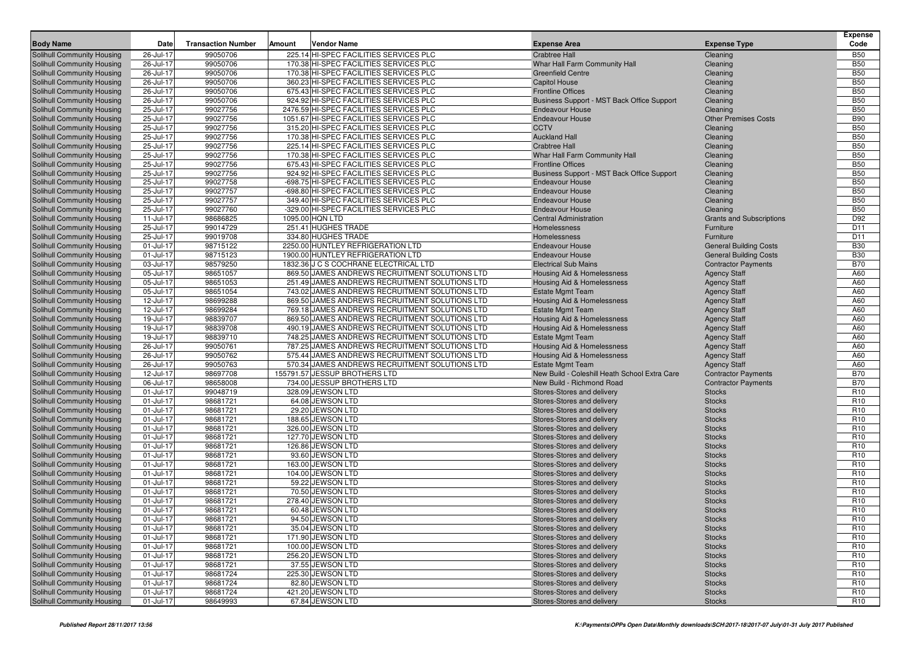| <b>Body Name</b>                  | Date      | <b>Transaction Number</b> | Amount | <b>Vendor Name</b>                             | <b>Expense Area</b>                           | <b>Expense Type</b>             | <b>Expense</b><br>Code |
|-----------------------------------|-----------|---------------------------|--------|------------------------------------------------|-----------------------------------------------|---------------------------------|------------------------|
| <b>Solihull Community Housing</b> | 26-Jul-17 | 99050706                  |        | 225.14 HI-SPEC FACILITIES SERVICES PLC         | <b>Crabtree Hall</b>                          | Cleaning                        | <b>B50</b>             |
| <b>Solihull Community Housing</b> | 26-Jul-17 | 99050706                  |        | 170.38 HI-SPEC FACILITIES SERVICES PLC         | Whar Hall Farm Community Hall                 | Cleaning                        | <b>B50</b>             |
| <b>Solihull Community Housing</b> | 26-Jul-17 | 99050706                  |        | 170.38 HI-SPEC FACILITIES SERVICES PLC         | <b>Greenfield Centre</b>                      | Cleaning                        | <b>B50</b>             |
| <b>Solihull Community Housing</b> | 26-Jul-17 | 99050706                  |        | 360.23 HI-SPEC FACILITIES SERVICES PLC         | Capitol House                                 | Cleaning                        | <b>B50</b>             |
| <b>Solihull Community Housing</b> | 26-Jul-17 | 99050706                  |        | 675.43 HI-SPEC FACILITIES SERVICES PLC         | <b>Frontline Offices</b>                      | Cleaning                        | <b>B50</b>             |
| <b>Solihull Community Housing</b> | 26-Jul-17 | 99050706                  |        | 924.92 HI-SPEC FACILITIES SERVICES PLC         | Business Support - MST Back Office Support    | Cleaning                        | <b>B50</b>             |
| Solihull Community Housing        | 25-Jul-17 | 99027756                  |        | 2476.59 HI-SPEC FACILITIES SERVICES PLC        | <b>Endeavour House</b>                        | Cleaning                        | <b>B50</b>             |
| <b>Solihull Community Housing</b> | 25-Jul-17 | 99027756                  |        | 1051.67 HI-SPEC FACILITIES SERVICES PLC        | <b>Endeavour House</b>                        | <b>Other Premises Costs</b>     | <b>B90</b>             |
| <b>Solihull Community Housing</b> | 25-Jul-17 | 99027756                  |        | 315.20 HI-SPEC FACILITIES SERVICES PLC         | <b>CCTV</b>                                   | Cleaning                        | <b>B50</b>             |
| <b>Solihull Community Housing</b> | 25-Jul-17 | 99027756                  |        | 170.38 HI-SPEC FACILITIES SERVICES PLC         | <b>Auckland Hall</b>                          | Cleaning                        | <b>B50</b>             |
| Solihull Community Housing        | 25-Jul-17 | 99027756                  |        | 225.14 HI-SPEC FACILITIES SERVICES PLC         | <b>Crabtree Hall</b>                          | Cleaning                        | <b>B50</b>             |
| <b>Solihull Community Housing</b> | 25-Jul-17 | 99027756                  |        | 170.38 HI-SPEC FACILITIES SERVICES PLC         | Whar Hall Farm Community Hall                 | Cleaning                        | <b>B50</b>             |
| Solihull Community Housing        | 25-Jul-17 | 99027756                  |        | 675.43 HI-SPEC FACILITIES SERVICES PLC         | <b>Frontline Offices</b>                      | Cleaning                        | <b>B50</b>             |
| <b>Solihull Community Housing</b> | 25-Jul-17 | 99027756                  |        | 924.92 HI-SPEC FACILITIES SERVICES PLC         | Business Support - MST Back Office Support    | Cleaning                        | <b>B50</b>             |
| <b>Solihull Community Housing</b> | 25-Jul-17 | 99027758                  |        | -698.75 HI-SPEC FACILITIES SERVICES PLC        | <b>Endeavour House</b>                        | Cleaning                        | <b>B50</b>             |
| <b>Solihull Community Housing</b> | 25-Jul-17 | 99027757                  |        | -698.80 HI-SPEC FACILITIES SERVICES PLC        | <b>Endeavour House</b>                        | Cleaning                        | <b>B50</b>             |
| Solihull Community Housing        | 25-Jul-17 | 99027757                  |        | 349.40 HI-SPEC FACILITIES SERVICES PLC         | <b>Endeavour House</b>                        | Cleaning                        | <b>B50</b>             |
| Solihull Community Housing        | 25-Jul-17 | 99027760                  |        | -329.00 HI-SPEC FACILITIES SERVICES PLC        | <b>Endeavour House</b>                        | Cleaning                        | <b>B50</b>             |
| <b>Solihull Community Housing</b> | 11-Jul-17 | 98686825                  |        | 1095.00 HQN LTD                                | <b>Central Administration</b>                 | <b>Grants and Subscriptions</b> | D92                    |
| <b>Solihull Community Housing</b> | 25-Jul-17 | 99014729                  |        | 251.41 HUGHES TRADE                            | Homelessness                                  | Furniture                       | D <sub>11</sub>        |
| <b>Solihull Community Housing</b> | 25-Jul-17 | 99019708                  |        | 334.80 HUGHES TRADE                            | Homelessness                                  | Furniture                       | D <sub>11</sub>        |
| <b>Solihull Community Housing</b> | 01-Jul-17 | 98715122                  |        | 2250.00 HUNTLEY REFRIGERATION LTD              | <b>Endeavour House</b>                        | <b>General Building Costs</b>   | <b>B30</b>             |
| <b>Solihull Community Housing</b> | 01-Jul-17 | 98715123                  |        | 1900.00 HUNTLEY REFRIGERATION LTD              | <b>Endeavour House</b>                        | <b>General Building Costs</b>   | <b>B30</b>             |
| <b>Solihull Community Housing</b> | 03-Jul-17 | 98579250                  |        | 1832.36 J C S COCHRANE ELECTRICAL LTD          | <b>Electrical Sub Mains</b>                   | <b>Contractor Payments</b>      | <b>B70</b>             |
| <b>Solihull Community Housing</b> | 05-Jul-17 | 98651057                  |        | 869.50 JAMES ANDREWS RECRUITMENT SOLUTIONS LTD | <b>Housing Aid &amp; Homelessness</b>         | <b>Agency Staff</b>             | A60                    |
| <b>Solihull Community Housing</b> | 05-Jul-17 | 98651053                  |        | 251.49 JAMES ANDREWS RECRUITMENT SOLUTIONS LTD | <b>Housing Aid &amp; Homelessness</b>         | <b>Agency Staff</b>             | A60                    |
| Solihull Community Housing        | 05-Jul-17 | 98651054                  |        | 743.02 JAMES ANDREWS RECRUITMENT SOLUTIONS LTD | <b>Estate Mgmt Team</b>                       | <b>Agency Staff</b>             | A60                    |
| <b>Solihull Community Housing</b> | 12-Jul-17 | 98699288                  |        | 869.50 JAMES ANDREWS RECRUITMENT SOLUTIONS LTD | <b>Housing Aid &amp; Homelessness</b>         | <b>Agency Staff</b>             | A60                    |
| <b>Solihull Community Housing</b> | 12-Jul-17 | 98699284                  |        | 769.18 JAMES ANDREWS RECRUITMENT SOLUTIONS LTD | <b>Estate Mgmt Team</b>                       | <b>Agency Staff</b>             | A60                    |
| <b>Solihull Community Housing</b> | 19-Jul-17 | 98839707                  |        | 869.50 JAMES ANDREWS RECRUITMENT SOLUTIONS LTD | <b>Housing Aid &amp; Homelessness</b>         | <b>Agency Staff</b>             | A60                    |
| <b>Solihull Community Housing</b> | 19-Jul-17 | 98839708                  |        | 490.19 JAMES ANDREWS RECRUITMENT SOLUTIONS LTD | <b>Housing Aid &amp; Homelessness</b>         | <b>Agency Staff</b>             | A60                    |
| <b>Solihull Community Housing</b> | 19-Jul-17 | 98839710                  |        | 748.25 JAMES ANDREWS RECRUITMENT SOLUTIONS LTD | <b>Estate Mgmt Team</b>                       | <b>Agency Staff</b>             | A60                    |
| <b>Solihull Community Housing</b> | 26-Jul-17 | 99050761                  |        | 787.25 JAMES ANDREWS RECRUITMENT SOLUTIONS LTD | <b>Housing Aid &amp; Homelessness</b>         | <b>Agency Staff</b>             | A60                    |
| <b>Solihull Community Housing</b> | 26-Jul-17 | 99050762                  |        | 575.44 JAMES ANDREWS RECRUITMENT SOLUTIONS LTD | <b>Housing Aid &amp; Homelessness</b>         | <b>Agency Staff</b>             | A60                    |
| <b>Solihull Community Housing</b> | 26-Jul-17 | 99050763                  |        | 570.34 JAMES ANDREWS RECRUITMENT SOLUTIONS LTD | <b>Estate Mgmt Team</b>                       | <b>Agency Staff</b>             | A60                    |
| <b>Solihull Community Housing</b> | 12-Jul-17 | 98697708                  |        | 155791.57 JESSUP BROTHERS LTD                  | New Build - Coleshill Heath School Extra Care | <b>Contractor Payments</b>      | <b>B70</b>             |
| <b>Solihull Community Housing</b> | 06-Jul-17 | 98658008                  |        | 734.00 JESSUP BROTHERS LTD                     | New Build - Richmond Road                     | <b>Contractor Payments</b>      | <b>B70</b>             |
| <b>Solihull Community Housing</b> | 01-Jul-17 | 99048719                  |        | 328.09 JEWSON LTD                              | Stores-Stores and delivery                    | <b>Stocks</b>                   | R <sub>10</sub>        |
| <b>Solihull Community Housing</b> | 01-Jul-17 | 98681721                  |        | 64.08 JEWSON LTD                               | Stores-Stores and delivery                    | <b>Stocks</b>                   | R <sub>10</sub>        |
| <b>Solihull Community Housing</b> | 01-Jul-17 | 98681721                  |        | 29.20 JEWSON LTD                               | Stores-Stores and delivery                    | <b>Stocks</b>                   | R <sub>10</sub>        |
| <b>Solihull Community Housing</b> | 01-Jul-17 | 98681721                  |        | 188.65 JEWSON LTD                              | Stores-Stores and delivery                    | <b>Stocks</b>                   | R <sub>10</sub>        |
| <b>Solihull Community Housing</b> | 01-Jul-17 | 98681721                  |        | 326.00 JEWSON LTD                              | Stores-Stores and delivery                    | <b>Stocks</b>                   | R <sub>10</sub>        |
| <b>Solihull Community Housing</b> | 01-Jul-17 | 98681721                  |        | 127.70 JEWSON LTD                              | Stores-Stores and delivery                    | <b>Stocks</b>                   | R <sub>10</sub>        |
| Solihull Community Housing        | 01-Jul-17 | 98681721                  |        | 126.86 JEWSON LTD                              | Stores-Stores and delivery                    | <b>Stocks</b>                   | R <sub>10</sub>        |
| Solihull Community Housing        | 01-Jul-17 | 98681721                  |        | 93.60 JEWSON LTD                               | Stores-Stores and delivery                    | <b>Stocks</b>                   | R <sub>10</sub>        |
| Solihull Community Housing        | 01-Jul-17 | 98681721                  |        | 163.00 JEWSON LTD                              | Stores-Stores and delivery                    | <b>Stocks</b>                   | R <sub>10</sub>        |
| Solihull Community Housing        | 01-Jul-17 | 98681721                  |        | 104.00 JEWSON LTD                              | Stores-Stores and delivery                    | <b>Stocks</b>                   | R <sub>10</sub>        |
| Solihull Community Housing        | 01-Jul-17 | 98681721                  |        | 59.22 JEWSON LTD                               | Stores-Stores and delivery                    | <b>Stocks</b>                   | R <sub>10</sub>        |
| Solihull Community Housing        | 01-Jul-17 | 98681721                  |        | 70.50 JEWSON LTD                               | Stores-Stores and delivery                    | <b>Stocks</b>                   | R <sub>10</sub>        |
| Solihull Community Housing        | 01-Jul-17 | 98681721                  |        | 278.40 JEWSON LTD                              | Stores-Stores and delivery                    | <b>Stocks</b>                   | R <sub>10</sub>        |
| <b>Solihull Community Housing</b> | 01-Jul-17 | 98681721                  |        | 60.48 JEWSON LTD                               | Stores-Stores and delivery                    | <b>Stocks</b>                   | R <sub>10</sub>        |
| <b>Solihull Community Housing</b> | 01-Jul-17 | 98681721                  |        | 94.50 JEWSON LTD                               | Stores-Stores and delivery                    | <b>Stocks</b>                   | R <sub>10</sub>        |
| <b>Solihull Community Housing</b> | 01-Jul-17 | 98681721                  |        | 35.04 JEWSON LTD                               | Stores-Stores and delivery                    | <b>Stocks</b>                   | R <sub>10</sub>        |
| <b>Solihull Community Housing</b> | 01-Jul-17 | 98681721                  |        | 171.90 JEWSON LTD                              | Stores-Stores and delivery                    | <b>Stocks</b>                   | R <sub>10</sub>        |
| <b>Solihull Community Housing</b> | 01-Jul-17 | 98681721                  |        | 100.00 JEWSON LTD                              | Stores-Stores and delivery                    | <b>Stocks</b>                   | R <sub>10</sub>        |
| Solihull Community Housing        | 01-Jul-17 | 98681721                  |        | 256.20 JEWSON LTD                              | Stores-Stores and delivery                    | <b>Stocks</b>                   | R <sub>10</sub>        |
| Solihull Community Housing        | 01-Jul-17 | 98681721                  |        | 37.55 JEWSON LTD                               | Stores-Stores and delivery                    | <b>Stocks</b>                   | R <sub>10</sub>        |
| Solihull Community Housing        | 01-Jul-17 | 98681724                  |        | 225.30 JEWSON LTD                              | Stores-Stores and delivery                    | <b>Stocks</b>                   | R <sub>10</sub>        |
| Solihull Community Housing        | 01-Jul-17 | 98681724                  |        | 82.80 JEWSON LTD                               | Stores-Stores and delivery                    | <b>Stocks</b>                   | R <sub>10</sub>        |
| Solihull Community Housing        | 01-Jul-17 | 98681724                  |        | 421.20 JEWSON LTD                              | Stores-Stores and delivery                    | <b>Stocks</b>                   | R <sub>10</sub>        |
| Solihull Community Housing        | 01-Jul-17 | 98649993                  |        | 67.84 JEWSON LTD                               | Stores-Stores and delivery                    | Stocks                          | R <sub>10</sub>        |
|                                   |           |                           |        |                                                |                                               |                                 |                        |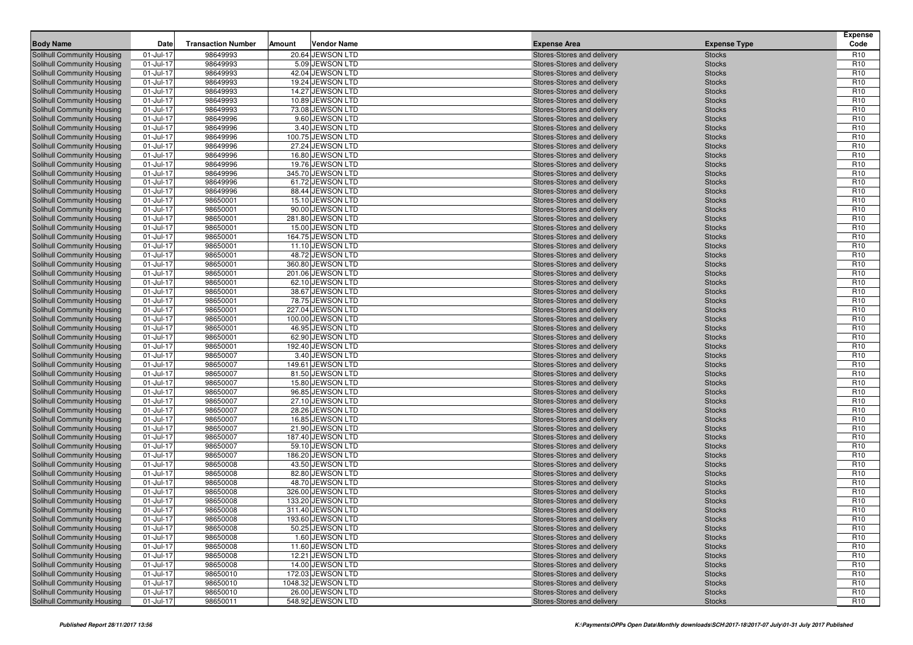| <b>Body Name</b>                                         | Date                   | <b>Transaction Number</b> | Amount | <b>Vendor Name</b>                   | <b>Expense Area</b>                                      | <b>Expense Type</b>            | <b>Expense</b><br>Code             |
|----------------------------------------------------------|------------------------|---------------------------|--------|--------------------------------------|----------------------------------------------------------|--------------------------------|------------------------------------|
| Solihull Community Housing                               | 01-Jul-17              | 98649993                  |        | 20.64 JEWSON LTD                     | Stores-Stores and delivery                               | <b>Stocks</b>                  | R <sub>10</sub>                    |
| Solihull Community Housing                               | 01-Jul-17              | 98649993                  |        | 5.09 JEWSON LTD                      | Stores-Stores and delivery                               | <b>Stocks</b>                  | R <sub>10</sub>                    |
| Solihull Community Housing                               | 01-Jul-17              | 98649993                  |        | 42.04 JEWSON LTD                     | Stores-Stores and delivery                               | <b>Stocks</b>                  | R <sub>10</sub>                    |
| Solihull Community Housing                               | 01-Jul-17              | 98649993                  |        | 19.24 JEWSON LTD                     | Stores-Stores and delivery                               | <b>Stocks</b>                  | R <sub>10</sub>                    |
| Solihull Community Housing                               | 01-Jul-17              | 98649993                  |        | 14.27 JEWSON LTD                     | Stores-Stores and delivery                               | <b>Stocks</b>                  | R <sub>10</sub>                    |
| Solihull Community Housing                               | 01-Jul-17              | 98649993                  |        | 10.89 JEWSON LTD                     | Stores-Stores and delivery                               | <b>Stocks</b>                  | R <sub>10</sub>                    |
| <b>Solihull Community Housing</b>                        | 01-Jul-17              | 98649993                  |        | 73.08 JEWSON LTD                     | Stores-Stores and delivery                               | <b>Stocks</b>                  | R <sub>10</sub>                    |
| Solihull Community Housing                               | 01-Jul-17              | 98649996                  |        | 9.60 JEWSON LTD                      | Stores-Stores and delivery                               | <b>Stocks</b>                  | R <sub>10</sub>                    |
| Solihull Community Housing                               | 01-Jul-17              | 98649996                  |        | 3.40 JEWSON LTD                      | Stores-Stores and delivery                               | <b>Stocks</b>                  | R <sub>10</sub>                    |
| Solihull Community Housing                               | 01-Jul-17              | 98649996                  |        | 100.75 JEWSON LTD                    | Stores-Stores and delivery                               | <b>Stocks</b>                  | R <sub>10</sub>                    |
| <b>Solihull Community Housing</b>                        | 01-Jul-17              | 98649996                  |        | 27.24 JEWSON LTD                     | Stores-Stores and delivery                               | <b>Stocks</b>                  | R <sub>10</sub>                    |
| <b>Solihull Community Housing</b>                        | 01-Jul-17              | 98649996                  |        | 16.80 JEWSON LTD                     | Stores-Stores and delivery                               | <b>Stocks</b>                  | R <sub>10</sub>                    |
| Solihull Community Housing                               | 01-Jul-17              | 98649996                  |        | 19.76 JEWSON LTD                     | Stores-Stores and delivery                               | <b>Stocks</b>                  | R <sub>10</sub>                    |
| Solihull Community Housing                               | 01-Jul-17              | 98649996                  |        | 345.70 JEWSON LTD                    | Stores-Stores and delivery                               | <b>Stocks</b>                  | R <sub>10</sub>                    |
| Solihull Community Housing                               | 01-Jul-17              | 98649996                  |        | 61.72 JEWSON LTD                     | Stores-Stores and delivery                               | <b>Stocks</b>                  | R <sub>10</sub>                    |
| <b>Solihull Community Housing</b>                        | 01-Jul-17              | 98649996                  |        | 88.44 JEWSON LTD                     | Stores-Stores and delivery                               | <b>Stocks</b>                  | R <sub>10</sub>                    |
| <b>Solihull Community Housing</b>                        | 01-Jul-17              | 98650001                  |        | 15.10 JEWSON LTD                     | Stores-Stores and delivery                               | <b>Stocks</b>                  | R <sub>10</sub>                    |
| Solihull Community Housing                               | 01-Jul-17              | 98650001                  |        | 90.00 JEWSON LTD                     | Stores-Stores and delivery                               | <b>Stocks</b>                  | R <sub>10</sub>                    |
| Solihull Community Housing                               | 01-Jul-17              | 98650001                  |        | 281.80 JEWSON LTD                    | Stores-Stores and delivery                               | <b>Stocks</b>                  | R <sub>10</sub>                    |
| Solihull Community Housing                               | 01-Jul-17              | 98650001                  |        | 15.00 JEWSON LTD                     | Stores-Stores and delivery                               | <b>Stocks</b>                  | R <sub>10</sub>                    |
| <b>Solihull Community Housing</b>                        | 01-Jul-17              | 98650001                  |        | 164.75 JEWSON LTD                    | Stores-Stores and delivery                               | <b>Stocks</b>                  | R <sub>10</sub>                    |
| <b>Solihull Community Housing</b>                        | 01-Jul-17              | 98650001                  |        | 11.10 JEWSON LTD                     | Stores-Stores and delivery                               | <b>Stocks</b>                  | R <sub>10</sub>                    |
| Solihull Community Housing                               | 01-Jul-17              | 98650001                  |        | 48.72 JEWSON LTD                     | Stores-Stores and delivery                               | <b>Stocks</b>                  | R <sub>10</sub>                    |
| Solihull Community Housing                               | 01-Jul-17              | 98650001                  |        | 360.80 JEWSON LTD                    | Stores-Stores and delivery                               | <b>Stocks</b>                  | R <sub>10</sub>                    |
| Solihull Community Housing                               | 01-Jul-17              | 98650001                  |        | 201.06 JEWSON LTD                    | Stores-Stores and delivery                               | <b>Stocks</b>                  | R <sub>10</sub>                    |
| <b>Solihull Community Housing</b>                        | 01-Jul-17              | 98650001                  |        | 62.10 JEWSON LTD                     | Stores-Stores and delivery                               | <b>Stocks</b>                  | R <sub>10</sub>                    |
| <b>Solihull Community Housing</b>                        | 01-Jul-17              | 98650001                  |        | 38.67 JEWSON LTD                     | Stores-Stores and delivery                               | <b>Stocks</b>                  | R <sub>10</sub>                    |
| Solihull Community Housing                               | 01-Jul-17              | 98650001                  |        | 78.75 JEWSON LTD                     | Stores-Stores and delivery                               | <b>Stocks</b>                  | R <sub>10</sub>                    |
| Solihull Community Housing                               | 01-Jul-17              | 98650001                  |        | 227.04 JEWSON LTD                    | Stores-Stores and delivery                               | <b>Stocks</b>                  | R <sub>10</sub>                    |
| Solihull Community Housing                               | 01-Jul-17              | 98650001                  |        | 100.00 JEWSON LTD                    | Stores-Stores and delivery                               | <b>Stocks</b>                  | R <sub>10</sub>                    |
| <b>Solihull Community Housing</b>                        | 01-Jul-17              | 98650001                  |        | 46.95 JEWSON LTD                     | Stores-Stores and delivery                               | <b>Stocks</b>                  | R <sub>10</sub>                    |
| <b>Solihull Community Housing</b>                        | 01-Jul-17              | 98650001                  |        | 62.90 JEWSON LTD                     | Stores-Stores and delivery                               | <b>Stocks</b>                  | R <sub>10</sub>                    |
| Solihull Community Housing                               | 01-Jul-17              | 98650001                  |        | 192.40 JEWSON LTD                    | Stores-Stores and delivery                               | <b>Stocks</b>                  | R <sub>10</sub>                    |
| <b>Solihull Community Housing</b>                        | 01-Jul-17              | 98650007                  |        | 3.40 JEWSON LTD                      | Stores-Stores and delivery                               | <b>Stocks</b>                  | R <sub>10</sub>                    |
| Solihull Community Housing                               | 01-Jul-17              | 98650007                  |        | 149.61 JEWSON LTD                    | Stores-Stores and delivery                               | <b>Stocks</b>                  | R <sub>10</sub><br>R <sub>10</sub> |
| <b>Solihull Community Housing</b>                        | 01-Jul-17              | 98650007<br>98650007      |        | 81.50 JEWSON LTD<br>15.80 JEWSON LTD | Stores-Stores and delivery                               | <b>Stocks</b>                  | R <sub>10</sub>                    |
| Solihull Community Housing<br>Solihull Community Housing | 01-Jul-17<br>01-Jul-17 | 98650007                  |        | 96.85 JEWSON LTD                     | Stores-Stores and delivery<br>Stores-Stores and delivery | <b>Stocks</b><br><b>Stocks</b> | R <sub>10</sub>                    |
| <b>Solihull Community Housing</b>                        | 01-Jul-17              | 98650007                  |        | 27.10 JEWSON LTD                     | Stores-Stores and delivery                               | <b>Stocks</b>                  | R <sub>10</sub>                    |
| Solihull Community Housing                               | 01-Jul-17              | 98650007                  |        | 28.26 JEWSON LTD                     | Stores-Stores and delivery                               | <b>Stocks</b>                  | R <sub>10</sub>                    |
| <b>Solihull Community Housing</b>                        | 01-Jul-17              | 98650007                  |        | 16.85 JEWSON LTD                     | Stores-Stores and delivery                               | <b>Stocks</b>                  | R <sub>10</sub>                    |
| <b>Solihull Community Housing</b>                        | 01-Jul-17              | 98650007                  |        | 21.90 JEWSON LTD                     | Stores-Stores and delivery                               | <b>Stocks</b>                  | R <sub>10</sub>                    |
| Solihull Community Housing                               | 01-Jul-17              | 98650007                  |        | 187.40 JEWSON LTD                    | Stores-Stores and delivery                               | <b>Stocks</b>                  | R <sub>10</sub>                    |
| Solihull Community Housing                               | 01-Jul-17              | 98650007                  |        | 59.10 JEWSON LTD                     | Stores-Stores and delivery                               | <b>Stocks</b>                  | R <sub>10</sub>                    |
| Solihull Community Housing                               | 01-Jul-17              | 98650007                  |        | 186.20 JEWSON LTD                    | Stores-Stores and delivery                               | <b>Stocks</b>                  | R <sub>10</sub>                    |
| <b>Solihull Community Housing</b>                        | 01-Jul-17              | 98650008                  |        | 43.50 JEWSON LTD                     | Stores-Stores and delivery                               | <b>Stocks</b>                  | R <sub>10</sub>                    |
| Solihull Community Housing                               | 01-Jul-17              | 98650008                  |        | 82.80 JEWSON LTD                     | Stores-Stores and delivery                               | <b>Stocks</b>                  | R <sub>10</sub>                    |
| Solihull Community Housing                               | 01-Jul-17              | 98650008                  |        | 48.70 JEWSON LTD                     | Stores-Stores and delivery                               | <b>Stocks</b>                  | R <sub>10</sub>                    |
| Solihull Community Housing                               | 01-Jul-17              | 98650008                  |        | 326.00 JEWSON LTD                    | Stores-Stores and delivery                               | <b>Stocks</b>                  | R <sub>10</sub>                    |
| Solihull Community Housing                               | 01-Jul-17              | 98650008                  |        | 133.20 JEWSON LTD                    | Stores-Stores and delivery                               | <b>Stocks</b>                  | R <sub>10</sub>                    |
| Solihull Community Housing                               | 01-Jul-17              | 98650008                  |        | 311.40 JEWSON LTD                    | Stores-Stores and delivery                               | <b>Stocks</b>                  | R <sub>10</sub>                    |
| Solihull Community Housing                               | $01 -$ Jul-17          | 98650008                  |        | 193.60 JEWSON LTD                    | Stores-Stores and delivery                               | <b>Stocks</b>                  | R <sub>10</sub>                    |
| Solihull Community Housing                               | 01-Jul-17              | 98650008                  |        | 50.25 JEWSON LTD                     | Stores-Stores and delivery                               | <b>Stocks</b>                  | R <sub>10</sub>                    |
| Solihull Community Housing                               | 01-Jul-17              | 98650008                  |        | 1.60 JEWSON LTD                      | Stores-Stores and delivery                               | <b>Stocks</b>                  | R <sub>10</sub>                    |
| Solihull Community Housing                               | $01 -$ Jul-17          | 98650008                  |        | 11.60 JEWSON LTD                     | Stores-Stores and delivery                               | <b>Stocks</b>                  | <b>R10</b>                         |
| Solihull Community Housing                               | 01-Jul-17              | 98650008                  |        | 12.21 JEWSON LTD                     | Stores-Stores and delivery                               | <b>Stocks</b>                  | R <sub>10</sub>                    |
| Solihull Community Housing                               | $01 -$ Jul-17          | 98650008                  |        | 14.00 JEWSON LTD                     | Stores-Stores and delivery                               | <b>Stocks</b>                  | R <sub>10</sub>                    |
| Solihull Community Housing                               | 01-Jul-17              | 98650010                  |        | 172.03 JEWSON LTD                    | Stores-Stores and delivery                               | <b>Stocks</b>                  | R <sub>10</sub>                    |
| Solihull Community Housing                               | $01 -$ Jul-17          | 98650010                  |        | 1048.32 JEWSON LTD                   | Stores-Stores and delivery                               | <b>Stocks</b>                  | R <sub>10</sub>                    |
| Solihull Community Housing                               | $01 -$ Jul-17          | 98650010                  |        | 26.00 JEWSON LTD                     | Stores-Stores and delivery                               | <b>Stocks</b>                  | R <sub>10</sub>                    |
| Solihull Community Housing                               | 01-Jul-17              | 98650011                  |        | 548.92 JEWSON LTD                    | Stores-Stores and delivery                               | <b>Stocks</b>                  | R <sub>10</sub>                    |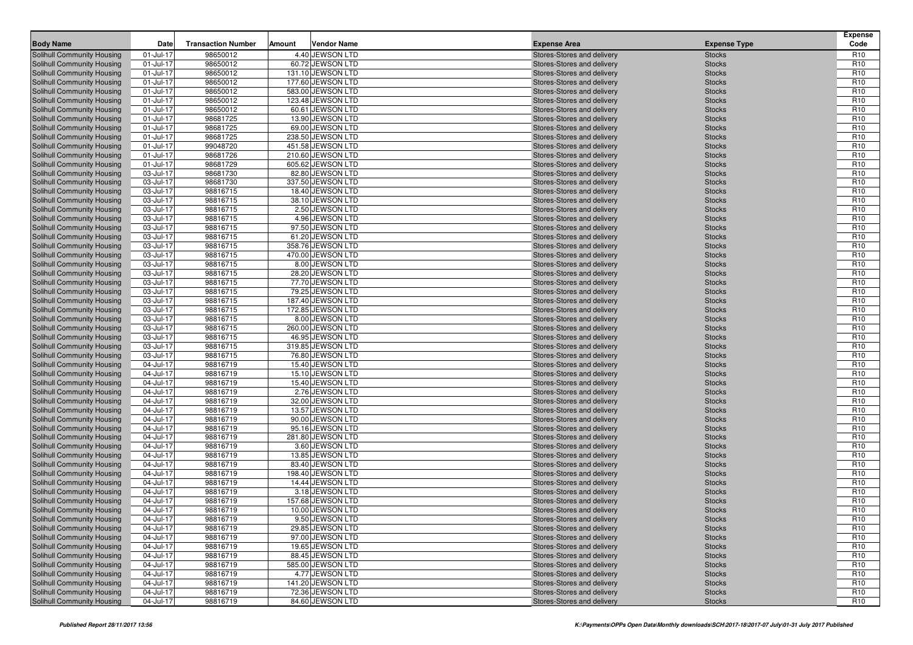| 4.40 JEWSON LTD<br>Solihull Community Housing<br>01-Jul-17<br>98650012<br>Stores-Stores and delivery<br>R <sub>10</sub><br><b>Stocks</b><br>01-Jul-17<br>98650012<br>60.72 JEWSON LTD<br>R <sub>10</sub><br>Solihull Community Housing<br><b>Stocks</b><br>Stores-Stores and delivery<br>R <sub>10</sub><br>Solihull Community Housing<br>01-Jul-17<br>98650012<br>131.10 JEWSON LTD<br>Stores-Stores and delivery<br><b>Stocks</b><br>R <sub>10</sub><br>98650012<br>177.60 JEWSON LTD<br>Solihull Community Housing<br>01-Jul-17<br><b>Stocks</b><br>Stores-Stores and delivery<br>R <sub>10</sub><br>Solihull Community Housing<br>01-Jul-17<br>98650012<br>583.00 JEWSON LTD<br>Stores-Stores and delivery<br><b>Stocks</b><br>98650012<br>R <sub>10</sub><br>01-Jul-17<br>123.48 JEWSON LTD<br><b>Solihull Community Housing</b><br>Stores-Stores and delivery<br><b>Stocks</b><br>01-Jul-17<br>98650012<br>60.61 JEWSON LTD<br>R <sub>10</sub><br><b>Solihull Community Housing</b><br>Stores-Stores and delivery<br><b>Stocks</b><br>R <sub>10</sub><br>01-Jul-17<br>98681725<br>13.90 JEWSON LTD<br>Solihull Community Housing<br>Stores-Stores and delivery<br><b>Stocks</b><br>R <sub>10</sub><br>98681725<br>69.00 JEWSON LTD<br>Solihull Community Housing<br>01-Jul-17<br><b>Stocks</b><br>Stores-Stores and delivery<br>98681725<br>238.50 JEWSON LTD<br>R <sub>10</sub><br>Solihull Community Housing<br>01-Jul-17<br>Stores-Stores and delivery<br><b>Stocks</b><br>R <sub>10</sub><br>99048720<br>451.58 JEWSON LTD<br><b>Solihull Community Housing</b><br>01-Jul-17<br>Stores-Stores and delivery<br><b>Stocks</b><br>01-Jul-17<br>98681726<br>210.60 JEWSON LTD<br>R <sub>10</sub><br><b>Solihull Community Housing</b><br><b>Stocks</b><br>Stores-Stores and delivery<br>R <sub>10</sub><br>01-Jul-17<br>98681729<br>605.62 JEWSON LTD<br>Solihull Community Housing<br>Stores-Stores and delivery<br><b>Stocks</b><br>R <sub>10</sub><br>98681730<br>82.80 JEWSON LTD<br>Solihull Community Housing<br>03-Jul-17<br><b>Stocks</b><br>Stores-Stores and delivery<br>R <sub>10</sub><br>Solihull Community Housing<br>03-Jul-17<br>98681730<br>337.50 JEWSON LTD<br>Stores-Stores and delivery<br><b>Stocks</b><br>R <sub>10</sub><br>98816715<br><b>Solihull Community Housing</b><br>03-Jul-17<br>18.40 JEWSON LTD<br>Stores-Stores and delivery<br><b>Stocks</b><br>98816715<br>38.10 JEWSON LTD<br>R <sub>10</sub><br><b>Solihull Community Housing</b><br>03-Jul-17<br><b>Stocks</b><br>Stores-Stores and delivery<br>R <sub>10</sub><br>03-Jul-17<br>98816715<br>2.50 JEWSON LTD<br>Solihull Community Housing<br>Stores-Stores and delivery<br><b>Stocks</b><br>R <sub>10</sub><br>98816715<br>4.96 JEWSON LTD<br><b>Solihull Community Housing</b><br>03-Jul-17<br><b>Stocks</b><br>Stores-Stores and delivery<br>98816715<br>97.50 JEWSON LTD<br>R <sub>10</sub><br>Solihull Community Housing<br>03-Jul-17<br>Stores-Stores and delivery<br><b>Stocks</b><br>R <sub>10</sub><br>98816715<br>61.20 JEWSON LTD<br><b>Solihull Community Housing</b><br>03-Jul-17<br>Stores-Stores and delivery<br><b>Stocks</b><br>98816715<br>358.76 JEWSON LTD<br>R <sub>10</sub><br><b>Solihull Community Housing</b><br>03-Jul-17<br><b>Stocks</b><br>Stores-Stores and delivery<br>R <sub>10</sub><br>03-Jul-17<br>98816715<br>470.00 JEWSON LTD<br>Solihull Community Housing<br>Stores-Stores and delivery<br><b>Stocks</b><br>R <sub>10</sub><br>98816715<br>8.00 JEWSON LTD<br>Solihull Community Housing<br>03-Jul-17<br><b>Stocks</b><br>Stores-Stores and delivery<br>98816715<br>28.20 JEWSON LTD<br>R <sub>10</sub><br>Solihull Community Housing<br>03-Jul-17<br>Stores-Stores and delivery<br><b>Stocks</b><br>R <sub>10</sub><br>98816715<br>77.70 JEWSON LTD<br><b>Solihull Community Housing</b><br>03-Jul-17<br>Stores-Stores and delivery<br><b>Stocks</b><br>98816715<br>79.25 JEWSON LTD<br>R <sub>10</sub><br>03-Jul-17<br><b>Stocks</b><br>Solihull Community Housing<br>Stores-Stores and delivery<br>R <sub>10</sub><br>98816715<br>03-Jul-17<br>187.40 JEWSON LTD<br>Solihull Community Housing<br>Stores-Stores and delivery<br><b>Stocks</b><br>R <sub>10</sub><br>03-Jul-17<br>98816715<br>Solihull Community Housing<br>172.85 JEWSON LTD<br><b>Stocks</b><br>Stores-Stores and delivery<br>98816715<br>8.00 JEWSON LTD<br>R <sub>10</sub><br>Solihull Community Housing<br>03-Jul-17<br>Stores-Stores and delivery<br><b>Stocks</b><br>R <sub>10</sub><br>98816715<br>260.00 JEWSON LTD<br><b>Solihull Community Housing</b><br>03-Jul-17<br>Stores-Stores and delivery<br><b>Stocks</b><br>98816715<br>46.95 JEWSON LTD<br>R <sub>10</sub><br><b>Solihull Community Housing</b><br>03-Jul-17<br><b>Stocks</b><br>Stores-Stores and delivery<br>R <sub>10</sub><br>98816715<br>03-Jul-17<br>319.85 JEWSON LTD<br>Solihull Community Housing<br>Stores-Stores and delivery<br><b>Stocks</b><br>R <sub>10</sub><br>98816715<br>76.80 JEWSON LTD<br>Solihull Community Housing<br>03-Jul-17<br><b>Stocks</b><br>Stores-Stores and delivery<br>98816719<br>15.40 JEWSON LTD<br>R <sub>10</sub><br>Solihull Community Housing<br>04-Jul-17<br>Stores-Stores and delivery<br><b>Stocks</b><br>R <sub>10</sub><br>98816719<br>15.10 JEWSON LTD<br><b>Solihull Community Housing</b><br>04-Jul-17<br>Stores-Stores and delivery<br><b>Stocks</b><br>98816719<br>15.40 JEWSON LTD<br>R <sub>10</sub><br>04-Jul-17<br><b>Stocks</b><br><b>Solihull Community Housing</b><br>Stores-Stores and delivery<br>R <sub>10</sub><br>98816719<br>04-Jul-17<br>2.76 JEWSON LTD<br>Solihull Community Housing<br>Stores-Stores and delivery<br><b>Stocks</b><br>R <sub>10</sub><br>04-Jul-17<br>98816719<br>32.00 JEWSON LTD<br>Solihull Community Housing<br><b>Stocks</b><br>Stores-Stores and delivery<br>98816719<br>13.57 JEWSON LTD<br>R <sub>10</sub><br>Solihull Community Housing<br>04-Jul-17<br>Stores-Stores and delivery<br><b>Stocks</b><br>R <sub>10</sub><br>98816719<br>90.00 JEWSON LTD<br><b>Solihull Community Housing</b><br>04-Jul-17<br>Stores-Stores and delivery<br><b>Stocks</b><br>98816719<br>95.16 JEWSON LTD<br>R <sub>10</sub><br><b>Solihull Community Housing</b><br>04-Jul-17<br>Stores-Stores and delivery<br><b>Stocks</b><br>R <sub>10</sub><br>98816719<br>04-Jul-17<br>281.80 JEWSON LTD<br>Solihull Community Housing<br>Stores-Stores and delivery<br><b>Stocks</b><br>R <sub>10</sub><br>98816719<br>3.60 JEWSON LTD<br>Solihull Community Housing<br>04-Jul-17<br><b>Stocks</b><br>Stores-Stores and delivery<br>98816719<br>13.85 JEWSON LTD<br>R <sub>10</sub><br>Solihull Community Housing<br>04-Jul-17<br>Stores-Stores and delivery<br><b>Stocks</b><br>R <sub>10</sub><br>98816719<br>83.40 JEWSON LTD<br><b>Solihull Community Housing</b><br>04-Jul-17<br>Stores-Stores and delivery<br><b>Stocks</b><br>98816719<br>198.40 JEWSON LTD<br>R <sub>10</sub><br>04-Jul-17<br><b>Stocks</b><br>Solihull Community Housing<br>Stores-Stores and delivery<br>R <sub>10</sub><br>Solihull Community Housing<br>04-Jul-17<br>98816719<br>14.44 JEWSON LTD<br>Stores-Stores and delivery<br><b>Stocks</b><br>R <sub>10</sub><br>98816719<br>3.18 JEWSON LTD<br>Solihull Community Housing<br>04-Jul-17<br><b>Stocks</b><br>Stores-Stores and delivery<br>157.68 JEWSON LTD<br>R <sub>10</sub><br>04-Jul-17<br>98816719<br>Stores-Stores and delivery<br>Solihull Community Housing<br><b>Stocks</b><br>98816719<br>R <sub>10</sub><br>Solihull Community Housing<br>04-Jul-17<br>10.00 JEWSON LTD<br>Stores-Stores and delivery<br><b>Stocks</b><br>04-Jul-17<br>98816719<br>9.50 JEWSON LTD<br><b>Stocks</b><br>R <sub>10</sub><br>Solihull Community Housing<br>Stores-Stores and delivery<br>98816719<br>29.85 JEWSON LTD<br>R <sub>10</sub><br>Solihull Community Housing<br>04-Jul-17<br>Stores-Stores and delivery<br><b>Stocks</b><br>R <sub>10</sub><br>98816719<br>97.00 JEWSON LTD<br>Solihull Community Housing<br>04-Jul-17<br>Stores-Stores and delivery<br><b>Stocks</b><br>19.65 JEWSON LTD<br><b>R10</b><br>Solihull Community Housing<br>04-Jul-17<br>98816719<br>Stores-Stores and delivery<br><b>Stocks</b><br>98816719<br>88.45 JEWSON LTD<br>R <sub>10</sub><br>Solihull Community Housing<br>04-Jul-17<br>Stores-Stores and delivery<br><b>Stocks</b><br>98816719<br>585.00 JEWSON LTD<br>R <sub>10</sub><br>Solihull Community Housing<br>04-Jul-17<br>Stores-Stores and delivery<br><b>Stocks</b> | <b>Body Name</b> | Date | <b>Transaction Number</b> | Amount | <b>Vendor Name</b> | <b>Expense Area</b> | <b>Expense Type</b> | <b>Expense</b><br>Code |
|-----------------------------------------------------------------------------------------------------------------------------------------------------------------------------------------------------------------------------------------------------------------------------------------------------------------------------------------------------------------------------------------------------------------------------------------------------------------------------------------------------------------------------------------------------------------------------------------------------------------------------------------------------------------------------------------------------------------------------------------------------------------------------------------------------------------------------------------------------------------------------------------------------------------------------------------------------------------------------------------------------------------------------------------------------------------------------------------------------------------------------------------------------------------------------------------------------------------------------------------------------------------------------------------------------------------------------------------------------------------------------------------------------------------------------------------------------------------------------------------------------------------------------------------------------------------------------------------------------------------------------------------------------------------------------------------------------------------------------------------------------------------------------------------------------------------------------------------------------------------------------------------------------------------------------------------------------------------------------------------------------------------------------------------------------------------------------------------------------------------------------------------------------------------------------------------------------------------------------------------------------------------------------------------------------------------------------------------------------------------------------------------------------------------------------------------------------------------------------------------------------------------------------------------------------------------------------------------------------------------------------------------------------------------------------------------------------------------------------------------------------------------------------------------------------------------------------------------------------------------------------------------------------------------------------------------------------------------------------------------------------------------------------------------------------------------------------------------------------------------------------------------------------------------------------------------------------------------------------------------------------------------------------------------------------------------------------------------------------------------------------------------------------------------------------------------------------------------------------------------------------------------------------------------------------------------------------------------------------------------------------------------------------------------------------------------------------------------------------------------------------------------------------------------------------------------------------------------------------------------------------------------------------------------------------------------------------------------------------------------------------------------------------------------------------------------------------------------------------------------------------------------------------------------------------------------------------------------------------------------------------------------------------------------------------------------------------------------------------------------------------------------------------------------------------------------------------------------------------------------------------------------------------------------------------------------------------------------------------------------------------------------------------------------------------------------------------------------------------------------------------------------------------------------------------------------------------------------------------------------------------------------------------------------------------------------------------------------------------------------------------------------------------------------------------------------------------------------------------------------------------------------------------------------------------------------------------------------------------------------------------------------------------------------------------------------------------------------------------------------------------------------------------------------------------------------------------------------------------------------------------------------------------------------------------------------------------------------------------------------------------------------------------------------------------------------------------------------------------------------------------------------------------------------------------------------------------------------------------------------------------------------------------------------------------------------------------------------------------------------------------------------------------------------------------------------------------------------------------------------------------------------------------------------------------------------------------------------------------------------------------------------------------------------------------------------------------------------------------------------------------------------------------------------------------------------------------------------------------------------------------------------------------------------------------------------------------------------------------------------------------------------------------------------------------------------------------------------------------------------------------------------------------------------------------------------------------------------------------------------------------------------------------------------------------------------------------------------------------------------------------------------------------------------------------------------------------------------------------------------------------------------------------------------------------------------------------------------------------------------------------------------------------------------------------------------------------------------------------------------------------------------------------------------------------------------------------------------------------------------------------------------------------------------------------------------------------------------------------------------------------------------------------------------------------------------------------------------------------------------------------------------------------------------------------------------------------------------------------------------------------------------------------------------------------------------------------------------------------------------------------------------------------------------------------------------------------------------------------------------------------------------------------------------------------------------------------------------------------------------------------------------------------------------------------------------------------------------------------------------------------------------------------------------------------------------------------------------------------------------------|------------------|------|---------------------------|--------|--------------------|---------------------|---------------------|------------------------|
|                                                                                                                                                                                                                                                                                                                                                                                                                                                                                                                                                                                                                                                                                                                                                                                                                                                                                                                                                                                                                                                                                                                                                                                                                                                                                                                                                                                                                                                                                                                                                                                                                                                                                                                                                                                                                                                                                                                                                                                                                                                                                                                                                                                                                                                                                                                                                                                                                                                                                                                                                                                                                                                                                                                                                                                                                                                                                                                                                                                                                                                                                                                                                                                                                                                                                                                                                                                                                                                                                                                                                                                                                                                                                                                                                                                                                                                                                                                                                                                                                                                                                                                                                                                                                                                                                                                                                                                                                                                                                                                                                                                                                                                                                                                                                                                                                                                                                                                                                                                                                                                                                                                                                                                                                                                                                                                                                                                                                                                                                                                                                                                                                                                                                                                                                                                                                                                                                                                                                                                                                                                                                                                                                                                                                                                                                                                                                                                                                                                                                                                                                                                                                                                                                                                                                                                                                                                                                                                                                                                                                                                                                                                                                                                                                                                                                                                                                                                                                                                                                                                                                                                                                                                                                                                                                                                                                                                                                                                                                                                                                                                                                                                                                                                                                                                                                                                                                                                                                                                                                               |                  |      |                           |        |                    |                     |                     |                        |
|                                                                                                                                                                                                                                                                                                                                                                                                                                                                                                                                                                                                                                                                                                                                                                                                                                                                                                                                                                                                                                                                                                                                                                                                                                                                                                                                                                                                                                                                                                                                                                                                                                                                                                                                                                                                                                                                                                                                                                                                                                                                                                                                                                                                                                                                                                                                                                                                                                                                                                                                                                                                                                                                                                                                                                                                                                                                                                                                                                                                                                                                                                                                                                                                                                                                                                                                                                                                                                                                                                                                                                                                                                                                                                                                                                                                                                                                                                                                                                                                                                                                                                                                                                                                                                                                                                                                                                                                                                                                                                                                                                                                                                                                                                                                                                                                                                                                                                                                                                                                                                                                                                                                                                                                                                                                                                                                                                                                                                                                                                                                                                                                                                                                                                                                                                                                                                                                                                                                                                                                                                                                                                                                                                                                                                                                                                                                                                                                                                                                                                                                                                                                                                                                                                                                                                                                                                                                                                                                                                                                                                                                                                                                                                                                                                                                                                                                                                                                                                                                                                                                                                                                                                                                                                                                                                                                                                                                                                                                                                                                                                                                                                                                                                                                                                                                                                                                                                                                                                                                                               |                  |      |                           |        |                    |                     |                     |                        |
|                                                                                                                                                                                                                                                                                                                                                                                                                                                                                                                                                                                                                                                                                                                                                                                                                                                                                                                                                                                                                                                                                                                                                                                                                                                                                                                                                                                                                                                                                                                                                                                                                                                                                                                                                                                                                                                                                                                                                                                                                                                                                                                                                                                                                                                                                                                                                                                                                                                                                                                                                                                                                                                                                                                                                                                                                                                                                                                                                                                                                                                                                                                                                                                                                                                                                                                                                                                                                                                                                                                                                                                                                                                                                                                                                                                                                                                                                                                                                                                                                                                                                                                                                                                                                                                                                                                                                                                                                                                                                                                                                                                                                                                                                                                                                                                                                                                                                                                                                                                                                                                                                                                                                                                                                                                                                                                                                                                                                                                                                                                                                                                                                                                                                                                                                                                                                                                                                                                                                                                                                                                                                                                                                                                                                                                                                                                                                                                                                                                                                                                                                                                                                                                                                                                                                                                                                                                                                                                                                                                                                                                                                                                                                                                                                                                                                                                                                                                                                                                                                                                                                                                                                                                                                                                                                                                                                                                                                                                                                                                                                                                                                                                                                                                                                                                                                                                                                                                                                                                                                               |                  |      |                           |        |                    |                     |                     |                        |
|                                                                                                                                                                                                                                                                                                                                                                                                                                                                                                                                                                                                                                                                                                                                                                                                                                                                                                                                                                                                                                                                                                                                                                                                                                                                                                                                                                                                                                                                                                                                                                                                                                                                                                                                                                                                                                                                                                                                                                                                                                                                                                                                                                                                                                                                                                                                                                                                                                                                                                                                                                                                                                                                                                                                                                                                                                                                                                                                                                                                                                                                                                                                                                                                                                                                                                                                                                                                                                                                                                                                                                                                                                                                                                                                                                                                                                                                                                                                                                                                                                                                                                                                                                                                                                                                                                                                                                                                                                                                                                                                                                                                                                                                                                                                                                                                                                                                                                                                                                                                                                                                                                                                                                                                                                                                                                                                                                                                                                                                                                                                                                                                                                                                                                                                                                                                                                                                                                                                                                                                                                                                                                                                                                                                                                                                                                                                                                                                                                                                                                                                                                                                                                                                                                                                                                                                                                                                                                                                                                                                                                                                                                                                                                                                                                                                                                                                                                                                                                                                                                                                                                                                                                                                                                                                                                                                                                                                                                                                                                                                                                                                                                                                                                                                                                                                                                                                                                                                                                                                                               |                  |      |                           |        |                    |                     |                     |                        |
|                                                                                                                                                                                                                                                                                                                                                                                                                                                                                                                                                                                                                                                                                                                                                                                                                                                                                                                                                                                                                                                                                                                                                                                                                                                                                                                                                                                                                                                                                                                                                                                                                                                                                                                                                                                                                                                                                                                                                                                                                                                                                                                                                                                                                                                                                                                                                                                                                                                                                                                                                                                                                                                                                                                                                                                                                                                                                                                                                                                                                                                                                                                                                                                                                                                                                                                                                                                                                                                                                                                                                                                                                                                                                                                                                                                                                                                                                                                                                                                                                                                                                                                                                                                                                                                                                                                                                                                                                                                                                                                                                                                                                                                                                                                                                                                                                                                                                                                                                                                                                                                                                                                                                                                                                                                                                                                                                                                                                                                                                                                                                                                                                                                                                                                                                                                                                                                                                                                                                                                                                                                                                                                                                                                                                                                                                                                                                                                                                                                                                                                                                                                                                                                                                                                                                                                                                                                                                                                                                                                                                                                                                                                                                                                                                                                                                                                                                                                                                                                                                                                                                                                                                                                                                                                                                                                                                                                                                                                                                                                                                                                                                                                                                                                                                                                                                                                                                                                                                                                                                               |                  |      |                           |        |                    |                     |                     |                        |
|                                                                                                                                                                                                                                                                                                                                                                                                                                                                                                                                                                                                                                                                                                                                                                                                                                                                                                                                                                                                                                                                                                                                                                                                                                                                                                                                                                                                                                                                                                                                                                                                                                                                                                                                                                                                                                                                                                                                                                                                                                                                                                                                                                                                                                                                                                                                                                                                                                                                                                                                                                                                                                                                                                                                                                                                                                                                                                                                                                                                                                                                                                                                                                                                                                                                                                                                                                                                                                                                                                                                                                                                                                                                                                                                                                                                                                                                                                                                                                                                                                                                                                                                                                                                                                                                                                                                                                                                                                                                                                                                                                                                                                                                                                                                                                                                                                                                                                                                                                                                                                                                                                                                                                                                                                                                                                                                                                                                                                                                                                                                                                                                                                                                                                                                                                                                                                                                                                                                                                                                                                                                                                                                                                                                                                                                                                                                                                                                                                                                                                                                                                                                                                                                                                                                                                                                                                                                                                                                                                                                                                                                                                                                                                                                                                                                                                                                                                                                                                                                                                                                                                                                                                                                                                                                                                                                                                                                                                                                                                                                                                                                                                                                                                                                                                                                                                                                                                                                                                                                                               |                  |      |                           |        |                    |                     |                     |                        |
|                                                                                                                                                                                                                                                                                                                                                                                                                                                                                                                                                                                                                                                                                                                                                                                                                                                                                                                                                                                                                                                                                                                                                                                                                                                                                                                                                                                                                                                                                                                                                                                                                                                                                                                                                                                                                                                                                                                                                                                                                                                                                                                                                                                                                                                                                                                                                                                                                                                                                                                                                                                                                                                                                                                                                                                                                                                                                                                                                                                                                                                                                                                                                                                                                                                                                                                                                                                                                                                                                                                                                                                                                                                                                                                                                                                                                                                                                                                                                                                                                                                                                                                                                                                                                                                                                                                                                                                                                                                                                                                                                                                                                                                                                                                                                                                                                                                                                                                                                                                                                                                                                                                                                                                                                                                                                                                                                                                                                                                                                                                                                                                                                                                                                                                                                                                                                                                                                                                                                                                                                                                                                                                                                                                                                                                                                                                                                                                                                                                                                                                                                                                                                                                                                                                                                                                                                                                                                                                                                                                                                                                                                                                                                                                                                                                                                                                                                                                                                                                                                                                                                                                                                                                                                                                                                                                                                                                                                                                                                                                                                                                                                                                                                                                                                                                                                                                                                                                                                                                                                               |                  |      |                           |        |                    |                     |                     |                        |
|                                                                                                                                                                                                                                                                                                                                                                                                                                                                                                                                                                                                                                                                                                                                                                                                                                                                                                                                                                                                                                                                                                                                                                                                                                                                                                                                                                                                                                                                                                                                                                                                                                                                                                                                                                                                                                                                                                                                                                                                                                                                                                                                                                                                                                                                                                                                                                                                                                                                                                                                                                                                                                                                                                                                                                                                                                                                                                                                                                                                                                                                                                                                                                                                                                                                                                                                                                                                                                                                                                                                                                                                                                                                                                                                                                                                                                                                                                                                                                                                                                                                                                                                                                                                                                                                                                                                                                                                                                                                                                                                                                                                                                                                                                                                                                                                                                                                                                                                                                                                                                                                                                                                                                                                                                                                                                                                                                                                                                                                                                                                                                                                                                                                                                                                                                                                                                                                                                                                                                                                                                                                                                                                                                                                                                                                                                                                                                                                                                                                                                                                                                                                                                                                                                                                                                                                                                                                                                                                                                                                                                                                                                                                                                                                                                                                                                                                                                                                                                                                                                                                                                                                                                                                                                                                                                                                                                                                                                                                                                                                                                                                                                                                                                                                                                                                                                                                                                                                                                                                                               |                  |      |                           |        |                    |                     |                     |                        |
|                                                                                                                                                                                                                                                                                                                                                                                                                                                                                                                                                                                                                                                                                                                                                                                                                                                                                                                                                                                                                                                                                                                                                                                                                                                                                                                                                                                                                                                                                                                                                                                                                                                                                                                                                                                                                                                                                                                                                                                                                                                                                                                                                                                                                                                                                                                                                                                                                                                                                                                                                                                                                                                                                                                                                                                                                                                                                                                                                                                                                                                                                                                                                                                                                                                                                                                                                                                                                                                                                                                                                                                                                                                                                                                                                                                                                                                                                                                                                                                                                                                                                                                                                                                                                                                                                                                                                                                                                                                                                                                                                                                                                                                                                                                                                                                                                                                                                                                                                                                                                                                                                                                                                                                                                                                                                                                                                                                                                                                                                                                                                                                                                                                                                                                                                                                                                                                                                                                                                                                                                                                                                                                                                                                                                                                                                                                                                                                                                                                                                                                                                                                                                                                                                                                                                                                                                                                                                                                                                                                                                                                                                                                                                                                                                                                                                                                                                                                                                                                                                                                                                                                                                                                                                                                                                                                                                                                                                                                                                                                                                                                                                                                                                                                                                                                                                                                                                                                                                                                                                               |                  |      |                           |        |                    |                     |                     |                        |
|                                                                                                                                                                                                                                                                                                                                                                                                                                                                                                                                                                                                                                                                                                                                                                                                                                                                                                                                                                                                                                                                                                                                                                                                                                                                                                                                                                                                                                                                                                                                                                                                                                                                                                                                                                                                                                                                                                                                                                                                                                                                                                                                                                                                                                                                                                                                                                                                                                                                                                                                                                                                                                                                                                                                                                                                                                                                                                                                                                                                                                                                                                                                                                                                                                                                                                                                                                                                                                                                                                                                                                                                                                                                                                                                                                                                                                                                                                                                                                                                                                                                                                                                                                                                                                                                                                                                                                                                                                                                                                                                                                                                                                                                                                                                                                                                                                                                                                                                                                                                                                                                                                                                                                                                                                                                                                                                                                                                                                                                                                                                                                                                                                                                                                                                                                                                                                                                                                                                                                                                                                                                                                                                                                                                                                                                                                                                                                                                                                                                                                                                                                                                                                                                                                                                                                                                                                                                                                                                                                                                                                                                                                                                                                                                                                                                                                                                                                                                                                                                                                                                                                                                                                                                                                                                                                                                                                                                                                                                                                                                                                                                                                                                                                                                                                                                                                                                                                                                                                                                                               |                  |      |                           |        |                    |                     |                     |                        |
|                                                                                                                                                                                                                                                                                                                                                                                                                                                                                                                                                                                                                                                                                                                                                                                                                                                                                                                                                                                                                                                                                                                                                                                                                                                                                                                                                                                                                                                                                                                                                                                                                                                                                                                                                                                                                                                                                                                                                                                                                                                                                                                                                                                                                                                                                                                                                                                                                                                                                                                                                                                                                                                                                                                                                                                                                                                                                                                                                                                                                                                                                                                                                                                                                                                                                                                                                                                                                                                                                                                                                                                                                                                                                                                                                                                                                                                                                                                                                                                                                                                                                                                                                                                                                                                                                                                                                                                                                                                                                                                                                                                                                                                                                                                                                                                                                                                                                                                                                                                                                                                                                                                                                                                                                                                                                                                                                                                                                                                                                                                                                                                                                                                                                                                                                                                                                                                                                                                                                                                                                                                                                                                                                                                                                                                                                                                                                                                                                                                                                                                                                                                                                                                                                                                                                                                                                                                                                                                                                                                                                                                                                                                                                                                                                                                                                                                                                                                                                                                                                                                                                                                                                                                                                                                                                                                                                                                                                                                                                                                                                                                                                                                                                                                                                                                                                                                                                                                                                                                                                               |                  |      |                           |        |                    |                     |                     |                        |
|                                                                                                                                                                                                                                                                                                                                                                                                                                                                                                                                                                                                                                                                                                                                                                                                                                                                                                                                                                                                                                                                                                                                                                                                                                                                                                                                                                                                                                                                                                                                                                                                                                                                                                                                                                                                                                                                                                                                                                                                                                                                                                                                                                                                                                                                                                                                                                                                                                                                                                                                                                                                                                                                                                                                                                                                                                                                                                                                                                                                                                                                                                                                                                                                                                                                                                                                                                                                                                                                                                                                                                                                                                                                                                                                                                                                                                                                                                                                                                                                                                                                                                                                                                                                                                                                                                                                                                                                                                                                                                                                                                                                                                                                                                                                                                                                                                                                                                                                                                                                                                                                                                                                                                                                                                                                                                                                                                                                                                                                                                                                                                                                                                                                                                                                                                                                                                                                                                                                                                                                                                                                                                                                                                                                                                                                                                                                                                                                                                                                                                                                                                                                                                                                                                                                                                                                                                                                                                                                                                                                                                                                                                                                                                                                                                                                                                                                                                                                                                                                                                                                                                                                                                                                                                                                                                                                                                                                                                                                                                                                                                                                                                                                                                                                                                                                                                                                                                                                                                                                                               |                  |      |                           |        |                    |                     |                     |                        |
|                                                                                                                                                                                                                                                                                                                                                                                                                                                                                                                                                                                                                                                                                                                                                                                                                                                                                                                                                                                                                                                                                                                                                                                                                                                                                                                                                                                                                                                                                                                                                                                                                                                                                                                                                                                                                                                                                                                                                                                                                                                                                                                                                                                                                                                                                                                                                                                                                                                                                                                                                                                                                                                                                                                                                                                                                                                                                                                                                                                                                                                                                                                                                                                                                                                                                                                                                                                                                                                                                                                                                                                                                                                                                                                                                                                                                                                                                                                                                                                                                                                                                                                                                                                                                                                                                                                                                                                                                                                                                                                                                                                                                                                                                                                                                                                                                                                                                                                                                                                                                                                                                                                                                                                                                                                                                                                                                                                                                                                                                                                                                                                                                                                                                                                                                                                                                                                                                                                                                                                                                                                                                                                                                                                                                                                                                                                                                                                                                                                                                                                                                                                                                                                                                                                                                                                                                                                                                                                                                                                                                                                                                                                                                                                                                                                                                                                                                                                                                                                                                                                                                                                                                                                                                                                                                                                                                                                                                                                                                                                                                                                                                                                                                                                                                                                                                                                                                                                                                                                                                               |                  |      |                           |        |                    |                     |                     |                        |
|                                                                                                                                                                                                                                                                                                                                                                                                                                                                                                                                                                                                                                                                                                                                                                                                                                                                                                                                                                                                                                                                                                                                                                                                                                                                                                                                                                                                                                                                                                                                                                                                                                                                                                                                                                                                                                                                                                                                                                                                                                                                                                                                                                                                                                                                                                                                                                                                                                                                                                                                                                                                                                                                                                                                                                                                                                                                                                                                                                                                                                                                                                                                                                                                                                                                                                                                                                                                                                                                                                                                                                                                                                                                                                                                                                                                                                                                                                                                                                                                                                                                                                                                                                                                                                                                                                                                                                                                                                                                                                                                                                                                                                                                                                                                                                                                                                                                                                                                                                                                                                                                                                                                                                                                                                                                                                                                                                                                                                                                                                                                                                                                                                                                                                                                                                                                                                                                                                                                                                                                                                                                                                                                                                                                                                                                                                                                                                                                                                                                                                                                                                                                                                                                                                                                                                                                                                                                                                                                                                                                                                                                                                                                                                                                                                                                                                                                                                                                                                                                                                                                                                                                                                                                                                                                                                                                                                                                                                                                                                                                                                                                                                                                                                                                                                                                                                                                                                                                                                                                                               |                  |      |                           |        |                    |                     |                     |                        |
|                                                                                                                                                                                                                                                                                                                                                                                                                                                                                                                                                                                                                                                                                                                                                                                                                                                                                                                                                                                                                                                                                                                                                                                                                                                                                                                                                                                                                                                                                                                                                                                                                                                                                                                                                                                                                                                                                                                                                                                                                                                                                                                                                                                                                                                                                                                                                                                                                                                                                                                                                                                                                                                                                                                                                                                                                                                                                                                                                                                                                                                                                                                                                                                                                                                                                                                                                                                                                                                                                                                                                                                                                                                                                                                                                                                                                                                                                                                                                                                                                                                                                                                                                                                                                                                                                                                                                                                                                                                                                                                                                                                                                                                                                                                                                                                                                                                                                                                                                                                                                                                                                                                                                                                                                                                                                                                                                                                                                                                                                                                                                                                                                                                                                                                                                                                                                                                                                                                                                                                                                                                                                                                                                                                                                                                                                                                                                                                                                                                                                                                                                                                                                                                                                                                                                                                                                                                                                                                                                                                                                                                                                                                                                                                                                                                                                                                                                                                                                                                                                                                                                                                                                                                                                                                                                                                                                                                                                                                                                                                                                                                                                                                                                                                                                                                                                                                                                                                                                                                                                               |                  |      |                           |        |                    |                     |                     |                        |
|                                                                                                                                                                                                                                                                                                                                                                                                                                                                                                                                                                                                                                                                                                                                                                                                                                                                                                                                                                                                                                                                                                                                                                                                                                                                                                                                                                                                                                                                                                                                                                                                                                                                                                                                                                                                                                                                                                                                                                                                                                                                                                                                                                                                                                                                                                                                                                                                                                                                                                                                                                                                                                                                                                                                                                                                                                                                                                                                                                                                                                                                                                                                                                                                                                                                                                                                                                                                                                                                                                                                                                                                                                                                                                                                                                                                                                                                                                                                                                                                                                                                                                                                                                                                                                                                                                                                                                                                                                                                                                                                                                                                                                                                                                                                                                                                                                                                                                                                                                                                                                                                                                                                                                                                                                                                                                                                                                                                                                                                                                                                                                                                                                                                                                                                                                                                                                                                                                                                                                                                                                                                                                                                                                                                                                                                                                                                                                                                                                                                                                                                                                                                                                                                                                                                                                                                                                                                                                                                                                                                                                                                                                                                                                                                                                                                                                                                                                                                                                                                                                                                                                                                                                                                                                                                                                                                                                                                                                                                                                                                                                                                                                                                                                                                                                                                                                                                                                                                                                                                                               |                  |      |                           |        |                    |                     |                     |                        |
|                                                                                                                                                                                                                                                                                                                                                                                                                                                                                                                                                                                                                                                                                                                                                                                                                                                                                                                                                                                                                                                                                                                                                                                                                                                                                                                                                                                                                                                                                                                                                                                                                                                                                                                                                                                                                                                                                                                                                                                                                                                                                                                                                                                                                                                                                                                                                                                                                                                                                                                                                                                                                                                                                                                                                                                                                                                                                                                                                                                                                                                                                                                                                                                                                                                                                                                                                                                                                                                                                                                                                                                                                                                                                                                                                                                                                                                                                                                                                                                                                                                                                                                                                                                                                                                                                                                                                                                                                                                                                                                                                                                                                                                                                                                                                                                                                                                                                                                                                                                                                                                                                                                                                                                                                                                                                                                                                                                                                                                                                                                                                                                                                                                                                                                                                                                                                                                                                                                                                                                                                                                                                                                                                                                                                                                                                                                                                                                                                                                                                                                                                                                                                                                                                                                                                                                                                                                                                                                                                                                                                                                                                                                                                                                                                                                                                                                                                                                                                                                                                                                                                                                                                                                                                                                                                                                                                                                                                                                                                                                                                                                                                                                                                                                                                                                                                                                                                                                                                                                                                               |                  |      |                           |        |                    |                     |                     |                        |
|                                                                                                                                                                                                                                                                                                                                                                                                                                                                                                                                                                                                                                                                                                                                                                                                                                                                                                                                                                                                                                                                                                                                                                                                                                                                                                                                                                                                                                                                                                                                                                                                                                                                                                                                                                                                                                                                                                                                                                                                                                                                                                                                                                                                                                                                                                                                                                                                                                                                                                                                                                                                                                                                                                                                                                                                                                                                                                                                                                                                                                                                                                                                                                                                                                                                                                                                                                                                                                                                                                                                                                                                                                                                                                                                                                                                                                                                                                                                                                                                                                                                                                                                                                                                                                                                                                                                                                                                                                                                                                                                                                                                                                                                                                                                                                                                                                                                                                                                                                                                                                                                                                                                                                                                                                                                                                                                                                                                                                                                                                                                                                                                                                                                                                                                                                                                                                                                                                                                                                                                                                                                                                                                                                                                                                                                                                                                                                                                                                                                                                                                                                                                                                                                                                                                                                                                                                                                                                                                                                                                                                                                                                                                                                                                                                                                                                                                                                                                                                                                                                                                                                                                                                                                                                                                                                                                                                                                                                                                                                                                                                                                                                                                                                                                                                                                                                                                                                                                                                                                                               |                  |      |                           |        |                    |                     |                     |                        |
|                                                                                                                                                                                                                                                                                                                                                                                                                                                                                                                                                                                                                                                                                                                                                                                                                                                                                                                                                                                                                                                                                                                                                                                                                                                                                                                                                                                                                                                                                                                                                                                                                                                                                                                                                                                                                                                                                                                                                                                                                                                                                                                                                                                                                                                                                                                                                                                                                                                                                                                                                                                                                                                                                                                                                                                                                                                                                                                                                                                                                                                                                                                                                                                                                                                                                                                                                                                                                                                                                                                                                                                                                                                                                                                                                                                                                                                                                                                                                                                                                                                                                                                                                                                                                                                                                                                                                                                                                                                                                                                                                                                                                                                                                                                                                                                                                                                                                                                                                                                                                                                                                                                                                                                                                                                                                                                                                                                                                                                                                                                                                                                                                                                                                                                                                                                                                                                                                                                                                                                                                                                                                                                                                                                                                                                                                                                                                                                                                                                                                                                                                                                                                                                                                                                                                                                                                                                                                                                                                                                                                                                                                                                                                                                                                                                                                                                                                                                                                                                                                                                                                                                                                                                                                                                                                                                                                                                                                                                                                                                                                                                                                                                                                                                                                                                                                                                                                                                                                                                                                               |                  |      |                           |        |                    |                     |                     |                        |
|                                                                                                                                                                                                                                                                                                                                                                                                                                                                                                                                                                                                                                                                                                                                                                                                                                                                                                                                                                                                                                                                                                                                                                                                                                                                                                                                                                                                                                                                                                                                                                                                                                                                                                                                                                                                                                                                                                                                                                                                                                                                                                                                                                                                                                                                                                                                                                                                                                                                                                                                                                                                                                                                                                                                                                                                                                                                                                                                                                                                                                                                                                                                                                                                                                                                                                                                                                                                                                                                                                                                                                                                                                                                                                                                                                                                                                                                                                                                                                                                                                                                                                                                                                                                                                                                                                                                                                                                                                                                                                                                                                                                                                                                                                                                                                                                                                                                                                                                                                                                                                                                                                                                                                                                                                                                                                                                                                                                                                                                                                                                                                                                                                                                                                                                                                                                                                                                                                                                                                                                                                                                                                                                                                                                                                                                                                                                                                                                                                                                                                                                                                                                                                                                                                                                                                                                                                                                                                                                                                                                                                                                                                                                                                                                                                                                                                                                                                                                                                                                                                                                                                                                                                                                                                                                                                                                                                                                                                                                                                                                                                                                                                                                                                                                                                                                                                                                                                                                                                                                                               |                  |      |                           |        |                    |                     |                     |                        |
|                                                                                                                                                                                                                                                                                                                                                                                                                                                                                                                                                                                                                                                                                                                                                                                                                                                                                                                                                                                                                                                                                                                                                                                                                                                                                                                                                                                                                                                                                                                                                                                                                                                                                                                                                                                                                                                                                                                                                                                                                                                                                                                                                                                                                                                                                                                                                                                                                                                                                                                                                                                                                                                                                                                                                                                                                                                                                                                                                                                                                                                                                                                                                                                                                                                                                                                                                                                                                                                                                                                                                                                                                                                                                                                                                                                                                                                                                                                                                                                                                                                                                                                                                                                                                                                                                                                                                                                                                                                                                                                                                                                                                                                                                                                                                                                                                                                                                                                                                                                                                                                                                                                                                                                                                                                                                                                                                                                                                                                                                                                                                                                                                                                                                                                                                                                                                                                                                                                                                                                                                                                                                                                                                                                                                                                                                                                                                                                                                                                                                                                                                                                                                                                                                                                                                                                                                                                                                                                                                                                                                                                                                                                                                                                                                                                                                                                                                                                                                                                                                                                                                                                                                                                                                                                                                                                                                                                                                                                                                                                                                                                                                                                                                                                                                                                                                                                                                                                                                                                                                               |                  |      |                           |        |                    |                     |                     |                        |
|                                                                                                                                                                                                                                                                                                                                                                                                                                                                                                                                                                                                                                                                                                                                                                                                                                                                                                                                                                                                                                                                                                                                                                                                                                                                                                                                                                                                                                                                                                                                                                                                                                                                                                                                                                                                                                                                                                                                                                                                                                                                                                                                                                                                                                                                                                                                                                                                                                                                                                                                                                                                                                                                                                                                                                                                                                                                                                                                                                                                                                                                                                                                                                                                                                                                                                                                                                                                                                                                                                                                                                                                                                                                                                                                                                                                                                                                                                                                                                                                                                                                                                                                                                                                                                                                                                                                                                                                                                                                                                                                                                                                                                                                                                                                                                                                                                                                                                                                                                                                                                                                                                                                                                                                                                                                                                                                                                                                                                                                                                                                                                                                                                                                                                                                                                                                                                                                                                                                                                                                                                                                                                                                                                                                                                                                                                                                                                                                                                                                                                                                                                                                                                                                                                                                                                                                                                                                                                                                                                                                                                                                                                                                                                                                                                                                                                                                                                                                                                                                                                                                                                                                                                                                                                                                                                                                                                                                                                                                                                                                                                                                                                                                                                                                                                                                                                                                                                                                                                                                                               |                  |      |                           |        |                    |                     |                     |                        |
|                                                                                                                                                                                                                                                                                                                                                                                                                                                                                                                                                                                                                                                                                                                                                                                                                                                                                                                                                                                                                                                                                                                                                                                                                                                                                                                                                                                                                                                                                                                                                                                                                                                                                                                                                                                                                                                                                                                                                                                                                                                                                                                                                                                                                                                                                                                                                                                                                                                                                                                                                                                                                                                                                                                                                                                                                                                                                                                                                                                                                                                                                                                                                                                                                                                                                                                                                                                                                                                                                                                                                                                                                                                                                                                                                                                                                                                                                                                                                                                                                                                                                                                                                                                                                                                                                                                                                                                                                                                                                                                                                                                                                                                                                                                                                                                                                                                                                                                                                                                                                                                                                                                                                                                                                                                                                                                                                                                                                                                                                                                                                                                                                                                                                                                                                                                                                                                                                                                                                                                                                                                                                                                                                                                                                                                                                                                                                                                                                                                                                                                                                                                                                                                                                                                                                                                                                                                                                                                                                                                                                                                                                                                                                                                                                                                                                                                                                                                                                                                                                                                                                                                                                                                                                                                                                                                                                                                                                                                                                                                                                                                                                                                                                                                                                                                                                                                                                                                                                                                                                               |                  |      |                           |        |                    |                     |                     |                        |
|                                                                                                                                                                                                                                                                                                                                                                                                                                                                                                                                                                                                                                                                                                                                                                                                                                                                                                                                                                                                                                                                                                                                                                                                                                                                                                                                                                                                                                                                                                                                                                                                                                                                                                                                                                                                                                                                                                                                                                                                                                                                                                                                                                                                                                                                                                                                                                                                                                                                                                                                                                                                                                                                                                                                                                                                                                                                                                                                                                                                                                                                                                                                                                                                                                                                                                                                                                                                                                                                                                                                                                                                                                                                                                                                                                                                                                                                                                                                                                                                                                                                                                                                                                                                                                                                                                                                                                                                                                                                                                                                                                                                                                                                                                                                                                                                                                                                                                                                                                                                                                                                                                                                                                                                                                                                                                                                                                                                                                                                                                                                                                                                                                                                                                                                                                                                                                                                                                                                                                                                                                                                                                                                                                                                                                                                                                                                                                                                                                                                                                                                                                                                                                                                                                                                                                                                                                                                                                                                                                                                                                                                                                                                                                                                                                                                                                                                                                                                                                                                                                                                                                                                                                                                                                                                                                                                                                                                                                                                                                                                                                                                                                                                                                                                                                                                                                                                                                                                                                                                                               |                  |      |                           |        |                    |                     |                     |                        |
|                                                                                                                                                                                                                                                                                                                                                                                                                                                                                                                                                                                                                                                                                                                                                                                                                                                                                                                                                                                                                                                                                                                                                                                                                                                                                                                                                                                                                                                                                                                                                                                                                                                                                                                                                                                                                                                                                                                                                                                                                                                                                                                                                                                                                                                                                                                                                                                                                                                                                                                                                                                                                                                                                                                                                                                                                                                                                                                                                                                                                                                                                                                                                                                                                                                                                                                                                                                                                                                                                                                                                                                                                                                                                                                                                                                                                                                                                                                                                                                                                                                                                                                                                                                                                                                                                                                                                                                                                                                                                                                                                                                                                                                                                                                                                                                                                                                                                                                                                                                                                                                                                                                                                                                                                                                                                                                                                                                                                                                                                                                                                                                                                                                                                                                                                                                                                                                                                                                                                                                                                                                                                                                                                                                                                                                                                                                                                                                                                                                                                                                                                                                                                                                                                                                                                                                                                                                                                                                                                                                                                                                                                                                                                                                                                                                                                                                                                                                                                                                                                                                                                                                                                                                                                                                                                                                                                                                                                                                                                                                                                                                                                                                                                                                                                                                                                                                                                                                                                                                                                               |                  |      |                           |        |                    |                     |                     |                        |
|                                                                                                                                                                                                                                                                                                                                                                                                                                                                                                                                                                                                                                                                                                                                                                                                                                                                                                                                                                                                                                                                                                                                                                                                                                                                                                                                                                                                                                                                                                                                                                                                                                                                                                                                                                                                                                                                                                                                                                                                                                                                                                                                                                                                                                                                                                                                                                                                                                                                                                                                                                                                                                                                                                                                                                                                                                                                                                                                                                                                                                                                                                                                                                                                                                                                                                                                                                                                                                                                                                                                                                                                                                                                                                                                                                                                                                                                                                                                                                                                                                                                                                                                                                                                                                                                                                                                                                                                                                                                                                                                                                                                                                                                                                                                                                                                                                                                                                                                                                                                                                                                                                                                                                                                                                                                                                                                                                                                                                                                                                                                                                                                                                                                                                                                                                                                                                                                                                                                                                                                                                                                                                                                                                                                                                                                                                                                                                                                                                                                                                                                                                                                                                                                                                                                                                                                                                                                                                                                                                                                                                                                                                                                                                                                                                                                                                                                                                                                                                                                                                                                                                                                                                                                                                                                                                                                                                                                                                                                                                                                                                                                                                                                                                                                                                                                                                                                                                                                                                                                                               |                  |      |                           |        |                    |                     |                     |                        |
|                                                                                                                                                                                                                                                                                                                                                                                                                                                                                                                                                                                                                                                                                                                                                                                                                                                                                                                                                                                                                                                                                                                                                                                                                                                                                                                                                                                                                                                                                                                                                                                                                                                                                                                                                                                                                                                                                                                                                                                                                                                                                                                                                                                                                                                                                                                                                                                                                                                                                                                                                                                                                                                                                                                                                                                                                                                                                                                                                                                                                                                                                                                                                                                                                                                                                                                                                                                                                                                                                                                                                                                                                                                                                                                                                                                                                                                                                                                                                                                                                                                                                                                                                                                                                                                                                                                                                                                                                                                                                                                                                                                                                                                                                                                                                                                                                                                                                                                                                                                                                                                                                                                                                                                                                                                                                                                                                                                                                                                                                                                                                                                                                                                                                                                                                                                                                                                                                                                                                                                                                                                                                                                                                                                                                                                                                                                                                                                                                                                                                                                                                                                                                                                                                                                                                                                                                                                                                                                                                                                                                                                                                                                                                                                                                                                                                                                                                                                                                                                                                                                                                                                                                                                                                                                                                                                                                                                                                                                                                                                                                                                                                                                                                                                                                                                                                                                                                                                                                                                                                               |                  |      |                           |        |                    |                     |                     |                        |
|                                                                                                                                                                                                                                                                                                                                                                                                                                                                                                                                                                                                                                                                                                                                                                                                                                                                                                                                                                                                                                                                                                                                                                                                                                                                                                                                                                                                                                                                                                                                                                                                                                                                                                                                                                                                                                                                                                                                                                                                                                                                                                                                                                                                                                                                                                                                                                                                                                                                                                                                                                                                                                                                                                                                                                                                                                                                                                                                                                                                                                                                                                                                                                                                                                                                                                                                                                                                                                                                                                                                                                                                                                                                                                                                                                                                                                                                                                                                                                                                                                                                                                                                                                                                                                                                                                                                                                                                                                                                                                                                                                                                                                                                                                                                                                                                                                                                                                                                                                                                                                                                                                                                                                                                                                                                                                                                                                                                                                                                                                                                                                                                                                                                                                                                                                                                                                                                                                                                                                                                                                                                                                                                                                                                                                                                                                                                                                                                                                                                                                                                                                                                                                                                                                                                                                                                                                                                                                                                                                                                                                                                                                                                                                                                                                                                                                                                                                                                                                                                                                                                                                                                                                                                                                                                                                                                                                                                                                                                                                                                                                                                                                                                                                                                                                                                                                                                                                                                                                                                                               |                  |      |                           |        |                    |                     |                     |                        |
|                                                                                                                                                                                                                                                                                                                                                                                                                                                                                                                                                                                                                                                                                                                                                                                                                                                                                                                                                                                                                                                                                                                                                                                                                                                                                                                                                                                                                                                                                                                                                                                                                                                                                                                                                                                                                                                                                                                                                                                                                                                                                                                                                                                                                                                                                                                                                                                                                                                                                                                                                                                                                                                                                                                                                                                                                                                                                                                                                                                                                                                                                                                                                                                                                                                                                                                                                                                                                                                                                                                                                                                                                                                                                                                                                                                                                                                                                                                                                                                                                                                                                                                                                                                                                                                                                                                                                                                                                                                                                                                                                                                                                                                                                                                                                                                                                                                                                                                                                                                                                                                                                                                                                                                                                                                                                                                                                                                                                                                                                                                                                                                                                                                                                                                                                                                                                                                                                                                                                                                                                                                                                                                                                                                                                                                                                                                                                                                                                                                                                                                                                                                                                                                                                                                                                                                                                                                                                                                                                                                                                                                                                                                                                                                                                                                                                                                                                                                                                                                                                                                                                                                                                                                                                                                                                                                                                                                                                                                                                                                                                                                                                                                                                                                                                                                                                                                                                                                                                                                                                               |                  |      |                           |        |                    |                     |                     |                        |
|                                                                                                                                                                                                                                                                                                                                                                                                                                                                                                                                                                                                                                                                                                                                                                                                                                                                                                                                                                                                                                                                                                                                                                                                                                                                                                                                                                                                                                                                                                                                                                                                                                                                                                                                                                                                                                                                                                                                                                                                                                                                                                                                                                                                                                                                                                                                                                                                                                                                                                                                                                                                                                                                                                                                                                                                                                                                                                                                                                                                                                                                                                                                                                                                                                                                                                                                                                                                                                                                                                                                                                                                                                                                                                                                                                                                                                                                                                                                                                                                                                                                                                                                                                                                                                                                                                                                                                                                                                                                                                                                                                                                                                                                                                                                                                                                                                                                                                                                                                                                                                                                                                                                                                                                                                                                                                                                                                                                                                                                                                                                                                                                                                                                                                                                                                                                                                                                                                                                                                                                                                                                                                                                                                                                                                                                                                                                                                                                                                                                                                                                                                                                                                                                                                                                                                                                                                                                                                                                                                                                                                                                                                                                                                                                                                                                                                                                                                                                                                                                                                                                                                                                                                                                                                                                                                                                                                                                                                                                                                                                                                                                                                                                                                                                                                                                                                                                                                                                                                                                                               |                  |      |                           |        |                    |                     |                     |                        |
|                                                                                                                                                                                                                                                                                                                                                                                                                                                                                                                                                                                                                                                                                                                                                                                                                                                                                                                                                                                                                                                                                                                                                                                                                                                                                                                                                                                                                                                                                                                                                                                                                                                                                                                                                                                                                                                                                                                                                                                                                                                                                                                                                                                                                                                                                                                                                                                                                                                                                                                                                                                                                                                                                                                                                                                                                                                                                                                                                                                                                                                                                                                                                                                                                                                                                                                                                                                                                                                                                                                                                                                                                                                                                                                                                                                                                                                                                                                                                                                                                                                                                                                                                                                                                                                                                                                                                                                                                                                                                                                                                                                                                                                                                                                                                                                                                                                                                                                                                                                                                                                                                                                                                                                                                                                                                                                                                                                                                                                                                                                                                                                                                                                                                                                                                                                                                                                                                                                                                                                                                                                                                                                                                                                                                                                                                                                                                                                                                                                                                                                                                                                                                                                                                                                                                                                                                                                                                                                                                                                                                                                                                                                                                                                                                                                                                                                                                                                                                                                                                                                                                                                                                                                                                                                                                                                                                                                                                                                                                                                                                                                                                                                                                                                                                                                                                                                                                                                                                                                                                               |                  |      |                           |        |                    |                     |                     |                        |
|                                                                                                                                                                                                                                                                                                                                                                                                                                                                                                                                                                                                                                                                                                                                                                                                                                                                                                                                                                                                                                                                                                                                                                                                                                                                                                                                                                                                                                                                                                                                                                                                                                                                                                                                                                                                                                                                                                                                                                                                                                                                                                                                                                                                                                                                                                                                                                                                                                                                                                                                                                                                                                                                                                                                                                                                                                                                                                                                                                                                                                                                                                                                                                                                                                                                                                                                                                                                                                                                                                                                                                                                                                                                                                                                                                                                                                                                                                                                                                                                                                                                                                                                                                                                                                                                                                                                                                                                                                                                                                                                                                                                                                                                                                                                                                                                                                                                                                                                                                                                                                                                                                                                                                                                                                                                                                                                                                                                                                                                                                                                                                                                                                                                                                                                                                                                                                                                                                                                                                                                                                                                                                                                                                                                                                                                                                                                                                                                                                                                                                                                                                                                                                                                                                                                                                                                                                                                                                                                                                                                                                                                                                                                                                                                                                                                                                                                                                                                                                                                                                                                                                                                                                                                                                                                                                                                                                                                                                                                                                                                                                                                                                                                                                                                                                                                                                                                                                                                                                                                                               |                  |      |                           |        |                    |                     |                     |                        |
|                                                                                                                                                                                                                                                                                                                                                                                                                                                                                                                                                                                                                                                                                                                                                                                                                                                                                                                                                                                                                                                                                                                                                                                                                                                                                                                                                                                                                                                                                                                                                                                                                                                                                                                                                                                                                                                                                                                                                                                                                                                                                                                                                                                                                                                                                                                                                                                                                                                                                                                                                                                                                                                                                                                                                                                                                                                                                                                                                                                                                                                                                                                                                                                                                                                                                                                                                                                                                                                                                                                                                                                                                                                                                                                                                                                                                                                                                                                                                                                                                                                                                                                                                                                                                                                                                                                                                                                                                                                                                                                                                                                                                                                                                                                                                                                                                                                                                                                                                                                                                                                                                                                                                                                                                                                                                                                                                                                                                                                                                                                                                                                                                                                                                                                                                                                                                                                                                                                                                                                                                                                                                                                                                                                                                                                                                                                                                                                                                                                                                                                                                                                                                                                                                                                                                                                                                                                                                                                                                                                                                                                                                                                                                                                                                                                                                                                                                                                                                                                                                                                                                                                                                                                                                                                                                                                                                                                                                                                                                                                                                                                                                                                                                                                                                                                                                                                                                                                                                                                                                               |                  |      |                           |        |                    |                     |                     |                        |
|                                                                                                                                                                                                                                                                                                                                                                                                                                                                                                                                                                                                                                                                                                                                                                                                                                                                                                                                                                                                                                                                                                                                                                                                                                                                                                                                                                                                                                                                                                                                                                                                                                                                                                                                                                                                                                                                                                                                                                                                                                                                                                                                                                                                                                                                                                                                                                                                                                                                                                                                                                                                                                                                                                                                                                                                                                                                                                                                                                                                                                                                                                                                                                                                                                                                                                                                                                                                                                                                                                                                                                                                                                                                                                                                                                                                                                                                                                                                                                                                                                                                                                                                                                                                                                                                                                                                                                                                                                                                                                                                                                                                                                                                                                                                                                                                                                                                                                                                                                                                                                                                                                                                                                                                                                                                                                                                                                                                                                                                                                                                                                                                                                                                                                                                                                                                                                                                                                                                                                                                                                                                                                                                                                                                                                                                                                                                                                                                                                                                                                                                                                                                                                                                                                                                                                                                                                                                                                                                                                                                                                                                                                                                                                                                                                                                                                                                                                                                                                                                                                                                                                                                                                                                                                                                                                                                                                                                                                                                                                                                                                                                                                                                                                                                                                                                                                                                                                                                                                                                                               |                  |      |                           |        |                    |                     |                     |                        |
|                                                                                                                                                                                                                                                                                                                                                                                                                                                                                                                                                                                                                                                                                                                                                                                                                                                                                                                                                                                                                                                                                                                                                                                                                                                                                                                                                                                                                                                                                                                                                                                                                                                                                                                                                                                                                                                                                                                                                                                                                                                                                                                                                                                                                                                                                                                                                                                                                                                                                                                                                                                                                                                                                                                                                                                                                                                                                                                                                                                                                                                                                                                                                                                                                                                                                                                                                                                                                                                                                                                                                                                                                                                                                                                                                                                                                                                                                                                                                                                                                                                                                                                                                                                                                                                                                                                                                                                                                                                                                                                                                                                                                                                                                                                                                                                                                                                                                                                                                                                                                                                                                                                                                                                                                                                                                                                                                                                                                                                                                                                                                                                                                                                                                                                                                                                                                                                                                                                                                                                                                                                                                                                                                                                                                                                                                                                                                                                                                                                                                                                                                                                                                                                                                                                                                                                                                                                                                                                                                                                                                                                                                                                                                                                                                                                                                                                                                                                                                                                                                                                                                                                                                                                                                                                                                                                                                                                                                                                                                                                                                                                                                                                                                                                                                                                                                                                                                                                                                                                                                               |                  |      |                           |        |                    |                     |                     |                        |
|                                                                                                                                                                                                                                                                                                                                                                                                                                                                                                                                                                                                                                                                                                                                                                                                                                                                                                                                                                                                                                                                                                                                                                                                                                                                                                                                                                                                                                                                                                                                                                                                                                                                                                                                                                                                                                                                                                                                                                                                                                                                                                                                                                                                                                                                                                                                                                                                                                                                                                                                                                                                                                                                                                                                                                                                                                                                                                                                                                                                                                                                                                                                                                                                                                                                                                                                                                                                                                                                                                                                                                                                                                                                                                                                                                                                                                                                                                                                                                                                                                                                                                                                                                                                                                                                                                                                                                                                                                                                                                                                                                                                                                                                                                                                                                                                                                                                                                                                                                                                                                                                                                                                                                                                                                                                                                                                                                                                                                                                                                                                                                                                                                                                                                                                                                                                                                                                                                                                                                                                                                                                                                                                                                                                                                                                                                                                                                                                                                                                                                                                                                                                                                                                                                                                                                                                                                                                                                                                                                                                                                                                                                                                                                                                                                                                                                                                                                                                                                                                                                                                                                                                                                                                                                                                                                                                                                                                                                                                                                                                                                                                                                                                                                                                                                                                                                                                                                                                                                                                                               |                  |      |                           |        |                    |                     |                     |                        |
|                                                                                                                                                                                                                                                                                                                                                                                                                                                                                                                                                                                                                                                                                                                                                                                                                                                                                                                                                                                                                                                                                                                                                                                                                                                                                                                                                                                                                                                                                                                                                                                                                                                                                                                                                                                                                                                                                                                                                                                                                                                                                                                                                                                                                                                                                                                                                                                                                                                                                                                                                                                                                                                                                                                                                                                                                                                                                                                                                                                                                                                                                                                                                                                                                                                                                                                                                                                                                                                                                                                                                                                                                                                                                                                                                                                                                                                                                                                                                                                                                                                                                                                                                                                                                                                                                                                                                                                                                                                                                                                                                                                                                                                                                                                                                                                                                                                                                                                                                                                                                                                                                                                                                                                                                                                                                                                                                                                                                                                                                                                                                                                                                                                                                                                                                                                                                                                                                                                                                                                                                                                                                                                                                                                                                                                                                                                                                                                                                                                                                                                                                                                                                                                                                                                                                                                                                                                                                                                                                                                                                                                                                                                                                                                                                                                                                                                                                                                                                                                                                                                                                                                                                                                                                                                                                                                                                                                                                                                                                                                                                                                                                                                                                                                                                                                                                                                                                                                                                                                                                               |                  |      |                           |        |                    |                     |                     |                        |
|                                                                                                                                                                                                                                                                                                                                                                                                                                                                                                                                                                                                                                                                                                                                                                                                                                                                                                                                                                                                                                                                                                                                                                                                                                                                                                                                                                                                                                                                                                                                                                                                                                                                                                                                                                                                                                                                                                                                                                                                                                                                                                                                                                                                                                                                                                                                                                                                                                                                                                                                                                                                                                                                                                                                                                                                                                                                                                                                                                                                                                                                                                                                                                                                                                                                                                                                                                                                                                                                                                                                                                                                                                                                                                                                                                                                                                                                                                                                                                                                                                                                                                                                                                                                                                                                                                                                                                                                                                                                                                                                                                                                                                                                                                                                                                                                                                                                                                                                                                                                                                                                                                                                                                                                                                                                                                                                                                                                                                                                                                                                                                                                                                                                                                                                                                                                                                                                                                                                                                                                                                                                                                                                                                                                                                                                                                                                                                                                                                                                                                                                                                                                                                                                                                                                                                                                                                                                                                                                                                                                                                                                                                                                                                                                                                                                                                                                                                                                                                                                                                                                                                                                                                                                                                                                                                                                                                                                                                                                                                                                                                                                                                                                                                                                                                                                                                                                                                                                                                                                                               |                  |      |                           |        |                    |                     |                     |                        |
|                                                                                                                                                                                                                                                                                                                                                                                                                                                                                                                                                                                                                                                                                                                                                                                                                                                                                                                                                                                                                                                                                                                                                                                                                                                                                                                                                                                                                                                                                                                                                                                                                                                                                                                                                                                                                                                                                                                                                                                                                                                                                                                                                                                                                                                                                                                                                                                                                                                                                                                                                                                                                                                                                                                                                                                                                                                                                                                                                                                                                                                                                                                                                                                                                                                                                                                                                                                                                                                                                                                                                                                                                                                                                                                                                                                                                                                                                                                                                                                                                                                                                                                                                                                                                                                                                                                                                                                                                                                                                                                                                                                                                                                                                                                                                                                                                                                                                                                                                                                                                                                                                                                                                                                                                                                                                                                                                                                                                                                                                                                                                                                                                                                                                                                                                                                                                                                                                                                                                                                                                                                                                                                                                                                                                                                                                                                                                                                                                                                                                                                                                                                                                                                                                                                                                                                                                                                                                                                                                                                                                                                                                                                                                                                                                                                                                                                                                                                                                                                                                                                                                                                                                                                                                                                                                                                                                                                                                                                                                                                                                                                                                                                                                                                                                                                                                                                                                                                                                                                                                               |                  |      |                           |        |                    |                     |                     |                        |
|                                                                                                                                                                                                                                                                                                                                                                                                                                                                                                                                                                                                                                                                                                                                                                                                                                                                                                                                                                                                                                                                                                                                                                                                                                                                                                                                                                                                                                                                                                                                                                                                                                                                                                                                                                                                                                                                                                                                                                                                                                                                                                                                                                                                                                                                                                                                                                                                                                                                                                                                                                                                                                                                                                                                                                                                                                                                                                                                                                                                                                                                                                                                                                                                                                                                                                                                                                                                                                                                                                                                                                                                                                                                                                                                                                                                                                                                                                                                                                                                                                                                                                                                                                                                                                                                                                                                                                                                                                                                                                                                                                                                                                                                                                                                                                                                                                                                                                                                                                                                                                                                                                                                                                                                                                                                                                                                                                                                                                                                                                                                                                                                                                                                                                                                                                                                                                                                                                                                                                                                                                                                                                                                                                                                                                                                                                                                                                                                                                                                                                                                                                                                                                                                                                                                                                                                                                                                                                                                                                                                                                                                                                                                                                                                                                                                                                                                                                                                                                                                                                                                                                                                                                                                                                                                                                                                                                                                                                                                                                                                                                                                                                                                                                                                                                                                                                                                                                                                                                                                                               |                  |      |                           |        |                    |                     |                     |                        |
|                                                                                                                                                                                                                                                                                                                                                                                                                                                                                                                                                                                                                                                                                                                                                                                                                                                                                                                                                                                                                                                                                                                                                                                                                                                                                                                                                                                                                                                                                                                                                                                                                                                                                                                                                                                                                                                                                                                                                                                                                                                                                                                                                                                                                                                                                                                                                                                                                                                                                                                                                                                                                                                                                                                                                                                                                                                                                                                                                                                                                                                                                                                                                                                                                                                                                                                                                                                                                                                                                                                                                                                                                                                                                                                                                                                                                                                                                                                                                                                                                                                                                                                                                                                                                                                                                                                                                                                                                                                                                                                                                                                                                                                                                                                                                                                                                                                                                                                                                                                                                                                                                                                                                                                                                                                                                                                                                                                                                                                                                                                                                                                                                                                                                                                                                                                                                                                                                                                                                                                                                                                                                                                                                                                                                                                                                                                                                                                                                                                                                                                                                                                                                                                                                                                                                                                                                                                                                                                                                                                                                                                                                                                                                                                                                                                                                                                                                                                                                                                                                                                                                                                                                                                                                                                                                                                                                                                                                                                                                                                                                                                                                                                                                                                                                                                                                                                                                                                                                                                                                               |                  |      |                           |        |                    |                     |                     |                        |
|                                                                                                                                                                                                                                                                                                                                                                                                                                                                                                                                                                                                                                                                                                                                                                                                                                                                                                                                                                                                                                                                                                                                                                                                                                                                                                                                                                                                                                                                                                                                                                                                                                                                                                                                                                                                                                                                                                                                                                                                                                                                                                                                                                                                                                                                                                                                                                                                                                                                                                                                                                                                                                                                                                                                                                                                                                                                                                                                                                                                                                                                                                                                                                                                                                                                                                                                                                                                                                                                                                                                                                                                                                                                                                                                                                                                                                                                                                                                                                                                                                                                                                                                                                                                                                                                                                                                                                                                                                                                                                                                                                                                                                                                                                                                                                                                                                                                                                                                                                                                                                                                                                                                                                                                                                                                                                                                                                                                                                                                                                                                                                                                                                                                                                                                                                                                                                                                                                                                                                                                                                                                                                                                                                                                                                                                                                                                                                                                                                                                                                                                                                                                                                                                                                                                                                                                                                                                                                                                                                                                                                                                                                                                                                                                                                                                                                                                                                                                                                                                                                                                                                                                                                                                                                                                                                                                                                                                                                                                                                                                                                                                                                                                                                                                                                                                                                                                                                                                                                                                                               |                  |      |                           |        |                    |                     |                     |                        |
|                                                                                                                                                                                                                                                                                                                                                                                                                                                                                                                                                                                                                                                                                                                                                                                                                                                                                                                                                                                                                                                                                                                                                                                                                                                                                                                                                                                                                                                                                                                                                                                                                                                                                                                                                                                                                                                                                                                                                                                                                                                                                                                                                                                                                                                                                                                                                                                                                                                                                                                                                                                                                                                                                                                                                                                                                                                                                                                                                                                                                                                                                                                                                                                                                                                                                                                                                                                                                                                                                                                                                                                                                                                                                                                                                                                                                                                                                                                                                                                                                                                                                                                                                                                                                                                                                                                                                                                                                                                                                                                                                                                                                                                                                                                                                                                                                                                                                                                                                                                                                                                                                                                                                                                                                                                                                                                                                                                                                                                                                                                                                                                                                                                                                                                                                                                                                                                                                                                                                                                                                                                                                                                                                                                                                                                                                                                                                                                                                                                                                                                                                                                                                                                                                                                                                                                                                                                                                                                                                                                                                                                                                                                                                                                                                                                                                                                                                                                                                                                                                                                                                                                                                                                                                                                                                                                                                                                                                                                                                                                                                                                                                                                                                                                                                                                                                                                                                                                                                                                                                               |                  |      |                           |        |                    |                     |                     |                        |
|                                                                                                                                                                                                                                                                                                                                                                                                                                                                                                                                                                                                                                                                                                                                                                                                                                                                                                                                                                                                                                                                                                                                                                                                                                                                                                                                                                                                                                                                                                                                                                                                                                                                                                                                                                                                                                                                                                                                                                                                                                                                                                                                                                                                                                                                                                                                                                                                                                                                                                                                                                                                                                                                                                                                                                                                                                                                                                                                                                                                                                                                                                                                                                                                                                                                                                                                                                                                                                                                                                                                                                                                                                                                                                                                                                                                                                                                                                                                                                                                                                                                                                                                                                                                                                                                                                                                                                                                                                                                                                                                                                                                                                                                                                                                                                                                                                                                                                                                                                                                                                                                                                                                                                                                                                                                                                                                                                                                                                                                                                                                                                                                                                                                                                                                                                                                                                                                                                                                                                                                                                                                                                                                                                                                                                                                                                                                                                                                                                                                                                                                                                                                                                                                                                                                                                                                                                                                                                                                                                                                                                                                                                                                                                                                                                                                                                                                                                                                                                                                                                                                                                                                                                                                                                                                                                                                                                                                                                                                                                                                                                                                                                                                                                                                                                                                                                                                                                                                                                                                                               |                  |      |                           |        |                    |                     |                     |                        |
|                                                                                                                                                                                                                                                                                                                                                                                                                                                                                                                                                                                                                                                                                                                                                                                                                                                                                                                                                                                                                                                                                                                                                                                                                                                                                                                                                                                                                                                                                                                                                                                                                                                                                                                                                                                                                                                                                                                                                                                                                                                                                                                                                                                                                                                                                                                                                                                                                                                                                                                                                                                                                                                                                                                                                                                                                                                                                                                                                                                                                                                                                                                                                                                                                                                                                                                                                                                                                                                                                                                                                                                                                                                                                                                                                                                                                                                                                                                                                                                                                                                                                                                                                                                                                                                                                                                                                                                                                                                                                                                                                                                                                                                                                                                                                                                                                                                                                                                                                                                                                                                                                                                                                                                                                                                                                                                                                                                                                                                                                                                                                                                                                                                                                                                                                                                                                                                                                                                                                                                                                                                                                                                                                                                                                                                                                                                                                                                                                                                                                                                                                                                                                                                                                                                                                                                                                                                                                                                                                                                                                                                                                                                                                                                                                                                                                                                                                                                                                                                                                                                                                                                                                                                                                                                                                                                                                                                                                                                                                                                                                                                                                                                                                                                                                                                                                                                                                                                                                                                                                               |                  |      |                           |        |                    |                     |                     |                        |
|                                                                                                                                                                                                                                                                                                                                                                                                                                                                                                                                                                                                                                                                                                                                                                                                                                                                                                                                                                                                                                                                                                                                                                                                                                                                                                                                                                                                                                                                                                                                                                                                                                                                                                                                                                                                                                                                                                                                                                                                                                                                                                                                                                                                                                                                                                                                                                                                                                                                                                                                                                                                                                                                                                                                                                                                                                                                                                                                                                                                                                                                                                                                                                                                                                                                                                                                                                                                                                                                                                                                                                                                                                                                                                                                                                                                                                                                                                                                                                                                                                                                                                                                                                                                                                                                                                                                                                                                                                                                                                                                                                                                                                                                                                                                                                                                                                                                                                                                                                                                                                                                                                                                                                                                                                                                                                                                                                                                                                                                                                                                                                                                                                                                                                                                                                                                                                                                                                                                                                                                                                                                                                                                                                                                                                                                                                                                                                                                                                                                                                                                                                                                                                                                                                                                                                                                                                                                                                                                                                                                                                                                                                                                                                                                                                                                                                                                                                                                                                                                                                                                                                                                                                                                                                                                                                                                                                                                                                                                                                                                                                                                                                                                                                                                                                                                                                                                                                                                                                                                                               |                  |      |                           |        |                    |                     |                     |                        |
|                                                                                                                                                                                                                                                                                                                                                                                                                                                                                                                                                                                                                                                                                                                                                                                                                                                                                                                                                                                                                                                                                                                                                                                                                                                                                                                                                                                                                                                                                                                                                                                                                                                                                                                                                                                                                                                                                                                                                                                                                                                                                                                                                                                                                                                                                                                                                                                                                                                                                                                                                                                                                                                                                                                                                                                                                                                                                                                                                                                                                                                                                                                                                                                                                                                                                                                                                                                                                                                                                                                                                                                                                                                                                                                                                                                                                                                                                                                                                                                                                                                                                                                                                                                                                                                                                                                                                                                                                                                                                                                                                                                                                                                                                                                                                                                                                                                                                                                                                                                                                                                                                                                                                                                                                                                                                                                                                                                                                                                                                                                                                                                                                                                                                                                                                                                                                                                                                                                                                                                                                                                                                                                                                                                                                                                                                                                                                                                                                                                                                                                                                                                                                                                                                                                                                                                                                                                                                                                                                                                                                                                                                                                                                                                                                                                                                                                                                                                                                                                                                                                                                                                                                                                                                                                                                                                                                                                                                                                                                                                                                                                                                                                                                                                                                                                                                                                                                                                                                                                                                               |                  |      |                           |        |                    |                     |                     |                        |
|                                                                                                                                                                                                                                                                                                                                                                                                                                                                                                                                                                                                                                                                                                                                                                                                                                                                                                                                                                                                                                                                                                                                                                                                                                                                                                                                                                                                                                                                                                                                                                                                                                                                                                                                                                                                                                                                                                                                                                                                                                                                                                                                                                                                                                                                                                                                                                                                                                                                                                                                                                                                                                                                                                                                                                                                                                                                                                                                                                                                                                                                                                                                                                                                                                                                                                                                                                                                                                                                                                                                                                                                                                                                                                                                                                                                                                                                                                                                                                                                                                                                                                                                                                                                                                                                                                                                                                                                                                                                                                                                                                                                                                                                                                                                                                                                                                                                                                                                                                                                                                                                                                                                                                                                                                                                                                                                                                                                                                                                                                                                                                                                                                                                                                                                                                                                                                                                                                                                                                                                                                                                                                                                                                                                                                                                                                                                                                                                                                                                                                                                                                                                                                                                                                                                                                                                                                                                                                                                                                                                                                                                                                                                                                                                                                                                                                                                                                                                                                                                                                                                                                                                                                                                                                                                                                                                                                                                                                                                                                                                                                                                                                                                                                                                                                                                                                                                                                                                                                                                                               |                  |      |                           |        |                    |                     |                     |                        |
|                                                                                                                                                                                                                                                                                                                                                                                                                                                                                                                                                                                                                                                                                                                                                                                                                                                                                                                                                                                                                                                                                                                                                                                                                                                                                                                                                                                                                                                                                                                                                                                                                                                                                                                                                                                                                                                                                                                                                                                                                                                                                                                                                                                                                                                                                                                                                                                                                                                                                                                                                                                                                                                                                                                                                                                                                                                                                                                                                                                                                                                                                                                                                                                                                                                                                                                                                                                                                                                                                                                                                                                                                                                                                                                                                                                                                                                                                                                                                                                                                                                                                                                                                                                                                                                                                                                                                                                                                                                                                                                                                                                                                                                                                                                                                                                                                                                                                                                                                                                                                                                                                                                                                                                                                                                                                                                                                                                                                                                                                                                                                                                                                                                                                                                                                                                                                                                                                                                                                                                                                                                                                                                                                                                                                                                                                                                                                                                                                                                                                                                                                                                                                                                                                                                                                                                                                                                                                                                                                                                                                                                                                                                                                                                                                                                                                                                                                                                                                                                                                                                                                                                                                                                                                                                                                                                                                                                                                                                                                                                                                                                                                                                                                                                                                                                                                                                                                                                                                                                                                               |                  |      |                           |        |                    |                     |                     |                        |
|                                                                                                                                                                                                                                                                                                                                                                                                                                                                                                                                                                                                                                                                                                                                                                                                                                                                                                                                                                                                                                                                                                                                                                                                                                                                                                                                                                                                                                                                                                                                                                                                                                                                                                                                                                                                                                                                                                                                                                                                                                                                                                                                                                                                                                                                                                                                                                                                                                                                                                                                                                                                                                                                                                                                                                                                                                                                                                                                                                                                                                                                                                                                                                                                                                                                                                                                                                                                                                                                                                                                                                                                                                                                                                                                                                                                                                                                                                                                                                                                                                                                                                                                                                                                                                                                                                                                                                                                                                                                                                                                                                                                                                                                                                                                                                                                                                                                                                                                                                                                                                                                                                                                                                                                                                                                                                                                                                                                                                                                                                                                                                                                                                                                                                                                                                                                                                                                                                                                                                                                                                                                                                                                                                                                                                                                                                                                                                                                                                                                                                                                                                                                                                                                                                                                                                                                                                                                                                                                                                                                                                                                                                                                                                                                                                                                                                                                                                                                                                                                                                                                                                                                                                                                                                                                                                                                                                                                                                                                                                                                                                                                                                                                                                                                                                                                                                                                                                                                                                                                                               |                  |      |                           |        |                    |                     |                     |                        |
|                                                                                                                                                                                                                                                                                                                                                                                                                                                                                                                                                                                                                                                                                                                                                                                                                                                                                                                                                                                                                                                                                                                                                                                                                                                                                                                                                                                                                                                                                                                                                                                                                                                                                                                                                                                                                                                                                                                                                                                                                                                                                                                                                                                                                                                                                                                                                                                                                                                                                                                                                                                                                                                                                                                                                                                                                                                                                                                                                                                                                                                                                                                                                                                                                                                                                                                                                                                                                                                                                                                                                                                                                                                                                                                                                                                                                                                                                                                                                                                                                                                                                                                                                                                                                                                                                                                                                                                                                                                                                                                                                                                                                                                                                                                                                                                                                                                                                                                                                                                                                                                                                                                                                                                                                                                                                                                                                                                                                                                                                                                                                                                                                                                                                                                                                                                                                                                                                                                                                                                                                                                                                                                                                                                                                                                                                                                                                                                                                                                                                                                                                                                                                                                                                                                                                                                                                                                                                                                                                                                                                                                                                                                                                                                                                                                                                                                                                                                                                                                                                                                                                                                                                                                                                                                                                                                                                                                                                                                                                                                                                                                                                                                                                                                                                                                                                                                                                                                                                                                                                               |                  |      |                           |        |                    |                     |                     |                        |
|                                                                                                                                                                                                                                                                                                                                                                                                                                                                                                                                                                                                                                                                                                                                                                                                                                                                                                                                                                                                                                                                                                                                                                                                                                                                                                                                                                                                                                                                                                                                                                                                                                                                                                                                                                                                                                                                                                                                                                                                                                                                                                                                                                                                                                                                                                                                                                                                                                                                                                                                                                                                                                                                                                                                                                                                                                                                                                                                                                                                                                                                                                                                                                                                                                                                                                                                                                                                                                                                                                                                                                                                                                                                                                                                                                                                                                                                                                                                                                                                                                                                                                                                                                                                                                                                                                                                                                                                                                                                                                                                                                                                                                                                                                                                                                                                                                                                                                                                                                                                                                                                                                                                                                                                                                                                                                                                                                                                                                                                                                                                                                                                                                                                                                                                                                                                                                                                                                                                                                                                                                                                                                                                                                                                                                                                                                                                                                                                                                                                                                                                                                                                                                                                                                                                                                                                                                                                                                                                                                                                                                                                                                                                                                                                                                                                                                                                                                                                                                                                                                                                                                                                                                                                                                                                                                                                                                                                                                                                                                                                                                                                                                                                                                                                                                                                                                                                                                                                                                                                                               |                  |      |                           |        |                    |                     |                     |                        |
|                                                                                                                                                                                                                                                                                                                                                                                                                                                                                                                                                                                                                                                                                                                                                                                                                                                                                                                                                                                                                                                                                                                                                                                                                                                                                                                                                                                                                                                                                                                                                                                                                                                                                                                                                                                                                                                                                                                                                                                                                                                                                                                                                                                                                                                                                                                                                                                                                                                                                                                                                                                                                                                                                                                                                                                                                                                                                                                                                                                                                                                                                                                                                                                                                                                                                                                                                                                                                                                                                                                                                                                                                                                                                                                                                                                                                                                                                                                                                                                                                                                                                                                                                                                                                                                                                                                                                                                                                                                                                                                                                                                                                                                                                                                                                                                                                                                                                                                                                                                                                                                                                                                                                                                                                                                                                                                                                                                                                                                                                                                                                                                                                                                                                                                                                                                                                                                                                                                                                                                                                                                                                                                                                                                                                                                                                                                                                                                                                                                                                                                                                                                                                                                                                                                                                                                                                                                                                                                                                                                                                                                                                                                                                                                                                                                                                                                                                                                                                                                                                                                                                                                                                                                                                                                                                                                                                                                                                                                                                                                                                                                                                                                                                                                                                                                                                                                                                                                                                                                                                               |                  |      |                           |        |                    |                     |                     |                        |
|                                                                                                                                                                                                                                                                                                                                                                                                                                                                                                                                                                                                                                                                                                                                                                                                                                                                                                                                                                                                                                                                                                                                                                                                                                                                                                                                                                                                                                                                                                                                                                                                                                                                                                                                                                                                                                                                                                                                                                                                                                                                                                                                                                                                                                                                                                                                                                                                                                                                                                                                                                                                                                                                                                                                                                                                                                                                                                                                                                                                                                                                                                                                                                                                                                                                                                                                                                                                                                                                                                                                                                                                                                                                                                                                                                                                                                                                                                                                                                                                                                                                                                                                                                                                                                                                                                                                                                                                                                                                                                                                                                                                                                                                                                                                                                                                                                                                                                                                                                                                                                                                                                                                                                                                                                                                                                                                                                                                                                                                                                                                                                                                                                                                                                                                                                                                                                                                                                                                                                                                                                                                                                                                                                                                                                                                                                                                                                                                                                                                                                                                                                                                                                                                                                                                                                                                                                                                                                                                                                                                                                                                                                                                                                                                                                                                                                                                                                                                                                                                                                                                                                                                                                                                                                                                                                                                                                                                                                                                                                                                                                                                                                                                                                                                                                                                                                                                                                                                                                                                                               |                  |      |                           |        |                    |                     |                     |                        |
|                                                                                                                                                                                                                                                                                                                                                                                                                                                                                                                                                                                                                                                                                                                                                                                                                                                                                                                                                                                                                                                                                                                                                                                                                                                                                                                                                                                                                                                                                                                                                                                                                                                                                                                                                                                                                                                                                                                                                                                                                                                                                                                                                                                                                                                                                                                                                                                                                                                                                                                                                                                                                                                                                                                                                                                                                                                                                                                                                                                                                                                                                                                                                                                                                                                                                                                                                                                                                                                                                                                                                                                                                                                                                                                                                                                                                                                                                                                                                                                                                                                                                                                                                                                                                                                                                                                                                                                                                                                                                                                                                                                                                                                                                                                                                                                                                                                                                                                                                                                                                                                                                                                                                                                                                                                                                                                                                                                                                                                                                                                                                                                                                                                                                                                                                                                                                                                                                                                                                                                                                                                                                                                                                                                                                                                                                                                                                                                                                                                                                                                                                                                                                                                                                                                                                                                                                                                                                                                                                                                                                                                                                                                                                                                                                                                                                                                                                                                                                                                                                                                                                                                                                                                                                                                                                                                                                                                                                                                                                                                                                                                                                                                                                                                                                                                                                                                                                                                                                                                                                               |                  |      |                           |        |                    |                     |                     |                        |
|                                                                                                                                                                                                                                                                                                                                                                                                                                                                                                                                                                                                                                                                                                                                                                                                                                                                                                                                                                                                                                                                                                                                                                                                                                                                                                                                                                                                                                                                                                                                                                                                                                                                                                                                                                                                                                                                                                                                                                                                                                                                                                                                                                                                                                                                                                                                                                                                                                                                                                                                                                                                                                                                                                                                                                                                                                                                                                                                                                                                                                                                                                                                                                                                                                                                                                                                                                                                                                                                                                                                                                                                                                                                                                                                                                                                                                                                                                                                                                                                                                                                                                                                                                                                                                                                                                                                                                                                                                                                                                                                                                                                                                                                                                                                                                                                                                                                                                                                                                                                                                                                                                                                                                                                                                                                                                                                                                                                                                                                                                                                                                                                                                                                                                                                                                                                                                                                                                                                                                                                                                                                                                                                                                                                                                                                                                                                                                                                                                                                                                                                                                                                                                                                                                                                                                                                                                                                                                                                                                                                                                                                                                                                                                                                                                                                                                                                                                                                                                                                                                                                                                                                                                                                                                                                                                                                                                                                                                                                                                                                                                                                                                                                                                                                                                                                                                                                                                                                                                                                                               |                  |      |                           |        |                    |                     |                     |                        |
| 98816719<br>4.77 JEWSON LTD<br>R <sub>10</sub><br>Solihull Community Housing<br>04-Jul-17<br>Stores-Stores and delivery<br><b>Stocks</b>                                                                                                                                                                                                                                                                                                                                                                                                                                                                                                                                                                                                                                                                                                                                                                                                                                                                                                                                                                                                                                                                                                                                                                                                                                                                                                                                                                                                                                                                                                                                                                                                                                                                                                                                                                                                                                                                                                                                                                                                                                                                                                                                                                                                                                                                                                                                                                                                                                                                                                                                                                                                                                                                                                                                                                                                                                                                                                                                                                                                                                                                                                                                                                                                                                                                                                                                                                                                                                                                                                                                                                                                                                                                                                                                                                                                                                                                                                                                                                                                                                                                                                                                                                                                                                                                                                                                                                                                                                                                                                                                                                                                                                                                                                                                                                                                                                                                                                                                                                                                                                                                                                                                                                                                                                                                                                                                                                                                                                                                                                                                                                                                                                                                                                                                                                                                                                                                                                                                                                                                                                                                                                                                                                                                                                                                                                                                                                                                                                                                                                                                                                                                                                                                                                                                                                                                                                                                                                                                                                                                                                                                                                                                                                                                                                                                                                                                                                                                                                                                                                                                                                                                                                                                                                                                                                                                                                                                                                                                                                                                                                                                                                                                                                                                                                                                                                                                                      |                  |      |                           |        |                    |                     |                     |                        |
| R <sub>10</sub><br>98816719<br>141.20 JEWSON LTD<br>Solihull Community Housing<br>04-Jul-17<br>Stores-Stores and delivery<br><b>Stocks</b>                                                                                                                                                                                                                                                                                                                                                                                                                                                                                                                                                                                                                                                                                                                                                                                                                                                                                                                                                                                                                                                                                                                                                                                                                                                                                                                                                                                                                                                                                                                                                                                                                                                                                                                                                                                                                                                                                                                                                                                                                                                                                                                                                                                                                                                                                                                                                                                                                                                                                                                                                                                                                                                                                                                                                                                                                                                                                                                                                                                                                                                                                                                                                                                                                                                                                                                                                                                                                                                                                                                                                                                                                                                                                                                                                                                                                                                                                                                                                                                                                                                                                                                                                                                                                                                                                                                                                                                                                                                                                                                                                                                                                                                                                                                                                                                                                                                                                                                                                                                                                                                                                                                                                                                                                                                                                                                                                                                                                                                                                                                                                                                                                                                                                                                                                                                                                                                                                                                                                                                                                                                                                                                                                                                                                                                                                                                                                                                                                                                                                                                                                                                                                                                                                                                                                                                                                                                                                                                                                                                                                                                                                                                                                                                                                                                                                                                                                                                                                                                                                                                                                                                                                                                                                                                                                                                                                                                                                                                                                                                                                                                                                                                                                                                                                                                                                                                                                    |                  |      |                           |        |                    |                     |                     |                        |
| Solihull Community Housing<br>04-Jul-17<br>98816719<br>72.36 JEWSON LTD<br>Stores-Stores and delivery<br>R <sub>10</sub><br><b>Stocks</b>                                                                                                                                                                                                                                                                                                                                                                                                                                                                                                                                                                                                                                                                                                                                                                                                                                                                                                                                                                                                                                                                                                                                                                                                                                                                                                                                                                                                                                                                                                                                                                                                                                                                                                                                                                                                                                                                                                                                                                                                                                                                                                                                                                                                                                                                                                                                                                                                                                                                                                                                                                                                                                                                                                                                                                                                                                                                                                                                                                                                                                                                                                                                                                                                                                                                                                                                                                                                                                                                                                                                                                                                                                                                                                                                                                                                                                                                                                                                                                                                                                                                                                                                                                                                                                                                                                                                                                                                                                                                                                                                                                                                                                                                                                                                                                                                                                                                                                                                                                                                                                                                                                                                                                                                                                                                                                                                                                                                                                                                                                                                                                                                                                                                                                                                                                                                                                                                                                                                                                                                                                                                                                                                                                                                                                                                                                                                                                                                                                                                                                                                                                                                                                                                                                                                                                                                                                                                                                                                                                                                                                                                                                                                                                                                                                                                                                                                                                                                                                                                                                                                                                                                                                                                                                                                                                                                                                                                                                                                                                                                                                                                                                                                                                                                                                                                                                                                                     |                  |      |                           |        |                    |                     |                     |                        |
| 98816719<br>84.60 JEWSON LTD<br>R <sub>10</sub><br>Solihull Community Housing<br>04-Jul-17<br>Stores-Stores and delivery<br><b>Stocks</b>                                                                                                                                                                                                                                                                                                                                                                                                                                                                                                                                                                                                                                                                                                                                                                                                                                                                                                                                                                                                                                                                                                                                                                                                                                                                                                                                                                                                                                                                                                                                                                                                                                                                                                                                                                                                                                                                                                                                                                                                                                                                                                                                                                                                                                                                                                                                                                                                                                                                                                                                                                                                                                                                                                                                                                                                                                                                                                                                                                                                                                                                                                                                                                                                                                                                                                                                                                                                                                                                                                                                                                                                                                                                                                                                                                                                                                                                                                                                                                                                                                                                                                                                                                                                                                                                                                                                                                                                                                                                                                                                                                                                                                                                                                                                                                                                                                                                                                                                                                                                                                                                                                                                                                                                                                                                                                                                                                                                                                                                                                                                                                                                                                                                                                                                                                                                                                                                                                                                                                                                                                                                                                                                                                                                                                                                                                                                                                                                                                                                                                                                                                                                                                                                                                                                                                                                                                                                                                                                                                                                                                                                                                                                                                                                                                                                                                                                                                                                                                                                                                                                                                                                                                                                                                                                                                                                                                                                                                                                                                                                                                                                                                                                                                                                                                                                                                                                                     |                  |      |                           |        |                    |                     |                     |                        |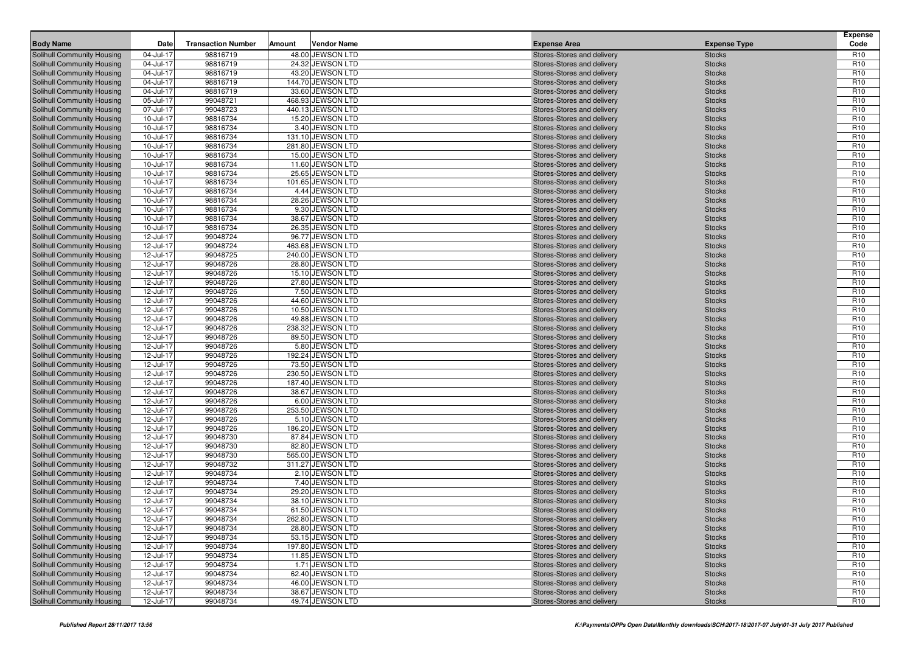| <b>Body Name</b>                                         | Date                   | <b>Transaction Number</b> | Amount | <b>Vendor Name</b>                     | <b>Expense Area</b>                                      | <b>Expense Type</b>            | <b>Expense</b><br>Code             |
|----------------------------------------------------------|------------------------|---------------------------|--------|----------------------------------------|----------------------------------------------------------|--------------------------------|------------------------------------|
| Solihull Community Housing                               | 04-Jul-17              | 98816719                  |        | 48.00 JEWSON LTD                       | Stores-Stores and delivery                               | <b>Stocks</b>                  | R <sub>10</sub>                    |
| Solihull Community Housing                               | 04-Jul-17              | 98816719                  |        | 24.32 JEWSON LTD                       | Stores-Stores and delivery                               | <b>Stocks</b>                  | R <sub>10</sub>                    |
| Solihull Community Housing                               | 04-Jul-17              | 98816719                  |        | 43.20 JEWSON LTD                       | Stores-Stores and delivery                               | <b>Stocks</b>                  | R <sub>10</sub>                    |
| Solihull Community Housing                               | 04-Jul-17              | 98816719                  |        | 144.70 JEWSON LTD                      | Stores-Stores and delivery                               | <b>Stocks</b>                  | R <sub>10</sub>                    |
| Solihull Community Housing                               | 04-Jul-17              | 98816719                  |        | 33.60 JEWSON LTD                       | Stores-Stores and delivery                               | <b>Stocks</b>                  | R <sub>10</sub>                    |
| Solihull Community Housing                               | 05-Jul-17              | 99048721                  |        | 468.93 JEWSON LTD                      | Stores-Stores and delivery                               | <b>Stocks</b>                  | R <sub>10</sub>                    |
| <b>Solihull Community Housing</b>                        | 07-Jul-17              | 99048723                  |        | 440.13 JEWSON LTD                      | Stores-Stores and delivery                               | <b>Stocks</b>                  | R <sub>10</sub>                    |
| <b>Solihull Community Housing</b>                        | 10-Jul-17              | 98816734                  |        | 15.20 JEWSON LTD                       | Stores-Stores and delivery                               | <b>Stocks</b>                  | R <sub>10</sub>                    |
| Solihull Community Housing                               | 10-Jul-17              | 98816734                  |        | 3.40 JEWSON LTD                        | Stores-Stores and delivery                               | <b>Stocks</b>                  | R <sub>10</sub>                    |
| Solihull Community Housing                               | 10-Jul-17              | 98816734                  |        | 131.10 JEWSON LTD                      | Stores-Stores and delivery                               | <b>Stocks</b>                  | R <sub>10</sub>                    |
| <b>Solihull Community Housing</b>                        | 10-Jul-17              | 98816734                  |        | 281.80 JEWSON LTD                      | Stores-Stores and delivery                               | <b>Stocks</b>                  | R <sub>10</sub>                    |
| <b>Solihull Community Housing</b>                        | 10-Jul-17              | 98816734                  |        | 15.00 JEWSON LTD                       | Stores-Stores and delivery                               | <b>Stocks</b>                  | R <sub>10</sub>                    |
| Solihull Community Housing                               | 10-Jul-17              | 98816734                  |        | 11.60 JEWSON LTD                       | Stores-Stores and delivery                               | <b>Stocks</b>                  | R <sub>10</sub>                    |
| Solihull Community Housing                               | 10-Jul-17              | 98816734                  |        | 25.65 JEWSON LTD                       | Stores-Stores and delivery                               | <b>Stocks</b>                  | R <sub>10</sub>                    |
| Solihull Community Housing                               | 10-Jul-17              | 98816734                  |        | 101.65 JEWSON LTD                      | Stores-Stores and delivery                               | <b>Stocks</b>                  | R <sub>10</sub>                    |
| <b>Solihull Community Housing</b>                        | 10-Jul-17              | 98816734                  |        | 4.44 JEWSON LTD                        | Stores-Stores and delivery                               | <b>Stocks</b>                  | R <sub>10</sub>                    |
| <b>Solihull Community Housing</b>                        | 10-Jul-17              | 98816734                  |        | 28.26 JEWSON LTD                       | Stores-Stores and delivery                               | <b>Stocks</b>                  | R <sub>10</sub>                    |
| Solihull Community Housing                               | 10-Jul-17              | 98816734                  |        | 9.30 JEWSON LTD                        | Stores-Stores and delivery                               | <b>Stocks</b>                  | R <sub>10</sub>                    |
| <b>Solihull Community Housing</b>                        | 10-Jul-17              | 98816734                  |        | 38.67 JEWSON LTD                       | Stores-Stores and delivery                               | <b>Stocks</b>                  | R <sub>10</sub>                    |
| Solihull Community Housing                               | 10-Jul-17              | 98816734                  |        | 26.35 JEWSON LTD                       | Stores-Stores and delivery                               | <b>Stocks</b>                  | R <sub>10</sub>                    |
| <b>Solihull Community Housing</b>                        | 12-Jul-17              | 99048724                  |        | 96.77 JEWSON LTD                       | Stores-Stores and delivery                               | <b>Stocks</b>                  | R <sub>10</sub>                    |
| <b>Solihull Community Housing</b>                        | 12-Jul-17              | 99048724                  |        | 463.68 JEWSON LTD                      | Stores-Stores and delivery                               | <b>Stocks</b>                  | R <sub>10</sub>                    |
| Solihull Community Housing                               | 12-Jul-17              | 99048725                  |        | 240.00 JEWSON LTD                      | Stores-Stores and delivery                               | <b>Stocks</b>                  | R <sub>10</sub>                    |
| Solihull Community Housing                               | 12-Jul-17              | 99048726                  |        | 28.80 JEWSON LTD                       | Stores-Stores and delivery                               | <b>Stocks</b>                  | R <sub>10</sub>                    |
| Solihull Community Housing                               | 12-Jul-17              | 99048726                  |        | 15.10 JEWSON LTD                       | Stores-Stores and delivery                               | <b>Stocks</b>                  | R <sub>10</sub>                    |
| <b>Solihull Community Housing</b>                        | 12-Jul-17              | 99048726                  |        | 27.80 JEWSON LTD                       | Stores-Stores and delivery                               | <b>Stocks</b>                  | R <sub>10</sub>                    |
| <b>Solihull Community Housing</b>                        | 12-Jul-17              | 99048726                  |        | 7.50 JEWSON LTD                        | Stores-Stores and delivery                               | <b>Stocks</b>                  | R <sub>10</sub>                    |
| Solihull Community Housing                               | 12-Jul-17              | 99048726                  |        | 44.60 JEWSON LTD                       | Stores-Stores and delivery                               | <b>Stocks</b>                  | R <sub>10</sub>                    |
| Solihull Community Housing                               | 12-Jul-17              | 99048726                  |        | 10.50 JEWSON LTD                       | Stores-Stores and delivery                               | <b>Stocks</b>                  | R <sub>10</sub>                    |
| Solihull Community Housing                               | 12-Jul-17              | 99048726                  |        | 49.88 JEWSON LTD                       | Stores-Stores and delivery                               | <b>Stocks</b>                  | R <sub>10</sub>                    |
| <b>Solihull Community Housing</b>                        | 12-Jul-17              | 99048726                  |        | 238.32 JEWSON LTD                      | Stores-Stores and delivery                               | <b>Stocks</b>                  | R <sub>10</sub>                    |
| <b>Solihull Community Housing</b>                        | 12-Jul-17              | 99048726                  |        | 89.50 JEWSON LTD                       | Stores-Stores and delivery                               | <b>Stocks</b>                  | R <sub>10</sub>                    |
| Solihull Community Housing                               | 12-Jul-17              | 99048726                  |        | 5.80 JEWSON LTD                        | Stores-Stores and delivery                               | <b>Stocks</b>                  | R <sub>10</sub>                    |
| <b>Solihull Community Housing</b>                        | 12-Jul-17              | 99048726                  |        | 192.24 JEWSON LTD                      | Stores-Stores and delivery                               | <b>Stocks</b>                  | R <sub>10</sub>                    |
| Solihull Community Housing                               | 12-Jul-17              | 99048726                  |        | 73.50 JEWSON LTD                       | Stores-Stores and delivery                               | <b>Stocks</b>                  | R <sub>10</sub><br>R <sub>10</sub> |
| <b>Solihull Community Housing</b>                        | 12-Jul-17              | 99048726<br>99048726      |        | 230.50 JEWSON LTD<br>187.40 JEWSON LTD | Stores-Stores and delivery                               | <b>Stocks</b>                  | R <sub>10</sub>                    |
| Solihull Community Housing<br>Solihull Community Housing | 12-Jul-17<br>12-Jul-17 | 99048726                  |        | 38.67 JEWSON LTD                       | Stores-Stores and delivery<br>Stores-Stores and delivery | <b>Stocks</b><br><b>Stocks</b> | R <sub>10</sub>                    |
| Solihull Community Housing                               | 12-Jul-17              | 99048726                  |        | 6.00 JEWSON LTD                        | Stores-Stores and delivery                               | <b>Stocks</b>                  | R <sub>10</sub>                    |
| Solihull Community Housing                               | 12-Jul-17              | 99048726                  |        | 253.50 JEWSON LTD                      | Stores-Stores and delivery                               | <b>Stocks</b>                  | R <sub>10</sub>                    |
| <b>Solihull Community Housing</b>                        | 12-Jul-17              | 99048726                  |        | 5.10 JEWSON LTD                        | Stores-Stores and delivery                               | <b>Stocks</b>                  | R <sub>10</sub>                    |
| <b>Solihull Community Housing</b>                        | 12-Jul-17              | 99048726                  |        | 186.20 JEWSON LTD                      | Stores-Stores and delivery                               | <b>Stocks</b>                  | R <sub>10</sub>                    |
| Solihull Community Housing                               | 12-Jul-17              | 99048730                  |        | 87.84 JEWSON LTD                       | Stores-Stores and delivery                               | <b>Stocks</b>                  | R <sub>10</sub>                    |
| Solihull Community Housing                               | 12-Jul-17              | 99048730                  |        | 82.80 JEWSON LTD                       | Stores-Stores and delivery                               | <b>Stocks</b>                  | R <sub>10</sub>                    |
| Solihull Community Housing                               | 12-Jul-17              | 99048730                  |        | 565.00 JEWSON LTD                      | Stores-Stores and delivery                               | <b>Stocks</b>                  | R <sub>10</sub>                    |
| <b>Solihull Community Housing</b>                        | 12-Jul-17              | 99048732                  |        | 311.27 JEWSON LTD                      | Stores-Stores and delivery                               | <b>Stocks</b>                  | R <sub>10</sub>                    |
| Solihull Community Housing                               | 12-Jul-17              | 99048734                  |        | 2.10 JEWSON LTD                        | Stores-Stores and delivery                               | <b>Stocks</b>                  | R <sub>10</sub>                    |
| Solihull Community Housing                               | 12-Jul-17              | 99048734                  |        | 7.40 JEWSON LTD                        | Stores-Stores and delivery                               | <b>Stocks</b>                  | R <sub>10</sub>                    |
| Solihull Community Housing                               | 12-Jul-17              | 99048734                  |        | 29.20 JEWSON LTD                       | Stores-Stores and delivery                               | <b>Stocks</b>                  | R <sub>10</sub>                    |
| Solihull Community Housing                               | 12-Jul-17              | 99048734                  |        | 38.10 JEWSON LTD                       | Stores-Stores and delivery                               | <b>Stocks</b>                  | R <sub>10</sub>                    |
| Solihull Community Housing                               | 12-Jul-17              | 99048734                  |        | 61.50 JEWSON LTD                       | Stores-Stores and delivery                               | <b>Stocks</b>                  | R <sub>10</sub>                    |
| Solihull Community Housing                               | 12-Jul-17              | 99048734                  |        | 262.80 JEWSON LTD                      | Stores-Stores and delivery                               | <b>Stocks</b>                  | R <sub>10</sub>                    |
| Solihull Community Housing                               | 12-Jul-17              | 99048734                  |        | 28.80 JEWSON LTD                       | Stores-Stores and delivery                               | <b>Stocks</b>                  | R <sub>10</sub>                    |
| Solihull Community Housing                               | 12-Jul-17              | 99048734                  |        | 53.15 JEWSON LTD                       | Stores-Stores and delivery                               | <b>Stocks</b>                  | R <sub>10</sub>                    |
| Solihull Community Housing                               | 12-Jul-17              | 99048734                  |        | 197.80 JEWSON LTD                      | Stores-Stores and delivery                               | <b>Stocks</b>                  | R <sub>10</sub>                    |
| Solihull Community Housing                               | 12-Jul-17              | 99048734                  |        | 11.85 JEWSON LTD                       | Stores-Stores and delivery                               | <b>Stocks</b>                  | R <sub>10</sub>                    |
| Solihull Community Housing                               | 12-Jul-17              | 99048734                  |        | 1.71 JEWSON LTD                        | Stores-Stores and delivery                               | <b>Stocks</b>                  | R <sub>10</sub>                    |
| Solihull Community Housing                               | 12-Jul-17              | 99048734                  |        | 62.40 JEWSON LTD                       | Stores-Stores and delivery                               | <b>Stocks</b>                  | R <sub>10</sub>                    |
| Solihull Community Housing                               | 12-Jul-17              | 99048734                  |        | 46.00 JEWSON LTD                       | Stores-Stores and delivery                               | <b>Stocks</b>                  | R <sub>10</sub>                    |
| Solihull Community Housing                               | 12-Jul-17              | 99048734                  |        | 38.67 JEWSON LTD                       | Stores-Stores and delivery                               | <b>Stocks</b>                  | R <sub>10</sub>                    |
| Solihull Community Housing                               | 12-Jul-17              | 99048734                  |        | 49.74 JEWSON LTD                       | Stores-Stores and delivery                               | <b>Stocks</b>                  | R <sub>10</sub>                    |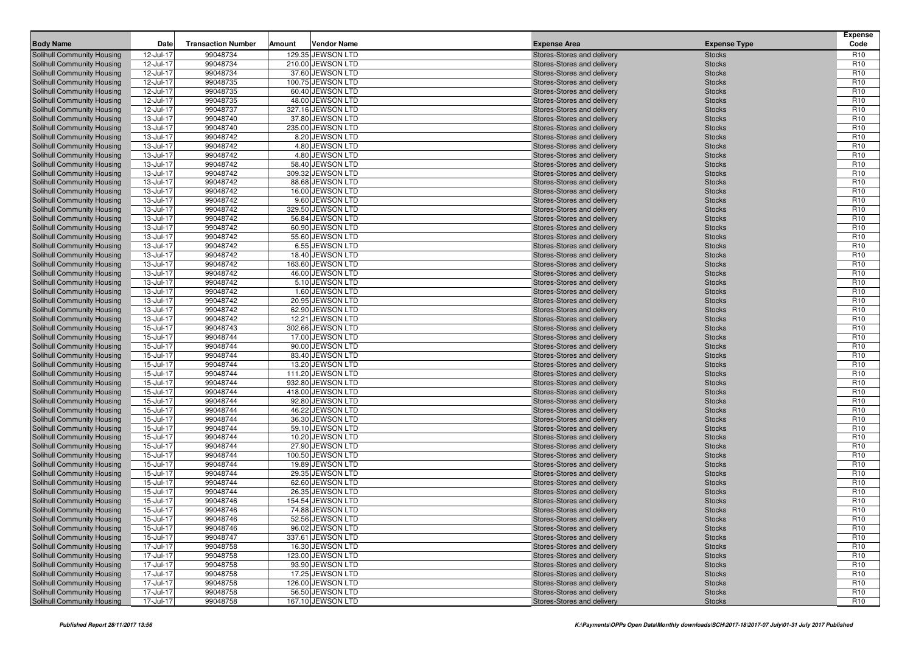| <b>Body Name</b>                                         | Date                   | <b>Transaction Number</b> | Amount | <b>Vendor Name</b>                     | <b>Expense Area</b>                                      | <b>Expense Type</b>            | <b>Expense</b><br>Code             |
|----------------------------------------------------------|------------------------|---------------------------|--------|----------------------------------------|----------------------------------------------------------|--------------------------------|------------------------------------|
| Solihull Community Housing                               | 12-Jul-17              | 99048734                  |        | 129.35 JEWSON LTD                      | Stores-Stores and delivery                               | <b>Stocks</b>                  | R <sub>10</sub>                    |
| Solihull Community Housing                               | 12-Jul-17              | 99048734                  |        | 210.00 JEWSON LTD                      | Stores-Stores and delivery                               | <b>Stocks</b>                  | R <sub>10</sub>                    |
| Solihull Community Housing                               | 12-Jul-17              | 99048734                  |        | 37.60 JEWSON LTD                       | Stores-Stores and delivery                               | <b>Stocks</b>                  | R <sub>10</sub>                    |
| Solihull Community Housing                               | 12-Jul-17              | 99048735                  |        | 100.75 JEWSON LTD                      | Stores-Stores and delivery                               | <b>Stocks</b>                  | R <sub>10</sub>                    |
| Solihull Community Housing                               | 12-Jul-17              | 99048735                  |        | 60.40 JEWSON LTD                       | Stores-Stores and delivery                               | <b>Stocks</b>                  | R <sub>10</sub>                    |
| <b>Solihull Community Housing</b>                        | 12-Jul-17              | 99048735                  |        | 48.00 JEWSON LTD                       | Stores-Stores and delivery                               | <b>Stocks</b>                  | R <sub>10</sub>                    |
| <b>Solihull Community Housing</b>                        | 12-Jul-17              | 99048737                  |        | 327.16 JEWSON LTD                      | Stores-Stores and delivery                               | <b>Stocks</b>                  | R <sub>10</sub>                    |
| Solihull Community Housing                               | 13-Jul-17              | 99048740                  |        | 37.80 JEWSON LTD                       | Stores-Stores and delivery                               | <b>Stocks</b>                  | R <sub>10</sub>                    |
| Solihull Community Housing                               | 13-Jul-17              | 99048740                  |        | 235.00 JEWSON LTD                      | Stores-Stores and delivery                               | <b>Stocks</b>                  | R <sub>10</sub>                    |
| Solihull Community Housing                               | 13-Jul-17              | 99048742                  |        | 8.20 JEWSON LTD                        | Stores-Stores and delivery                               | <b>Stocks</b>                  | R <sub>10</sub>                    |
| <b>Solihull Community Housing</b>                        | 13-Jul-17              | 99048742                  |        | 4.80 JEWSON LTD                        | Stores-Stores and delivery                               | <b>Stocks</b>                  | R <sub>10</sub>                    |
| <b>Solihull Community Housing</b>                        | 13-Jul-17              | 99048742                  |        | 4.80 JEWSON LTD                        | Stores-Stores and delivery                               | <b>Stocks</b>                  | R <sub>10</sub>                    |
| Solihull Community Housing                               | 13-Jul-17              | 99048742                  |        | 58.40 JEWSON LTD                       | Stores-Stores and delivery                               | <b>Stocks</b>                  | R <sub>10</sub>                    |
| Solihull Community Housing                               | 13-Jul-17              | 99048742                  |        | 309.32 JEWSON LTD                      | Stores-Stores and delivery                               | <b>Stocks</b>                  | R <sub>10</sub>                    |
| Solihull Community Housing                               | 13-Jul-17              | 99048742                  |        | 88.68 JEWSON LTD                       | Stores-Stores and delivery                               | <b>Stocks</b>                  | R <sub>10</sub>                    |
| <b>Solihull Community Housing</b>                        | 13-Jul-17              | 99048742                  |        | 16.00 JEWSON LTD                       | Stores-Stores and delivery                               | <b>Stocks</b>                  | R <sub>10</sub>                    |
| <b>Solihull Community Housing</b>                        | 13-Jul-17              | 99048742                  |        | 9.60 JEWSON LTD                        | Stores-Stores and delivery                               | <b>Stocks</b>                  | R <sub>10</sub>                    |
| Solihull Community Housing                               | 13-Jul-17              | 99048742                  |        | 329.50 JEWSON LTD                      | Stores-Stores and delivery                               | <b>Stocks</b>                  | R <sub>10</sub>                    |
| <b>Solihull Community Housing</b>                        | 13-Jul-17              | 99048742                  |        | 56.84 JEWSON LTD                       | Stores-Stores and delivery                               | <b>Stocks</b>                  | R <sub>10</sub>                    |
| Solihull Community Housing                               | 13-Jul-17              | 99048742                  |        | 60.90 JEWSON LTD                       | Stores-Stores and delivery                               | <b>Stocks</b>                  | R <sub>10</sub>                    |
| <b>Solihull Community Housing</b>                        | 13-Jul-17              | 99048742                  |        | 55.60 JEWSON LTD                       | Stores-Stores and delivery                               | <b>Stocks</b>                  | R <sub>10</sub>                    |
| <b>Solihull Community Housing</b>                        | 13-Jul-17              | 99048742                  |        | 6.55 JEWSON LTD                        | Stores-Stores and delivery                               | <b>Stocks</b>                  | R <sub>10</sub>                    |
| Solihull Community Housing                               | 13-Jul-17              | 99048742                  |        | 18.40 JEWSON LTD                       | Stores-Stores and delivery                               | <b>Stocks</b>                  | R <sub>10</sub>                    |
| Solihull Community Housing                               | 13-Jul-17              | 99048742                  |        | 163.60 JEWSON LTD                      | Stores-Stores and delivery                               | <b>Stocks</b>                  | R <sub>10</sub>                    |
| Solihull Community Housing                               | 13-Jul-17              | 99048742                  |        | 46.00 JEWSON LTD                       | Stores-Stores and delivery                               | <b>Stocks</b>                  | R <sub>10</sub>                    |
| <b>Solihull Community Housing</b>                        | 13-Jul-17              | 99048742                  |        | 5.10 JEWSON LTD                        | Stores-Stores and delivery                               | <b>Stocks</b>                  | R <sub>10</sub>                    |
| <b>Solihull Community Housing</b>                        | 13-Jul-17              | 99048742                  |        | 1.60 JEWSON LTD                        | Stores-Stores and delivery                               | <b>Stocks</b>                  | R <sub>10</sub>                    |
| Solihull Community Housing                               | 13-Jul-17              | 99048742                  |        | 20.95 JEWSON LTD                       | Stores-Stores and delivery                               | <b>Stocks</b>                  | R <sub>10</sub>                    |
| Solihull Community Housing                               | 13-Jul-17              | 99048742                  |        | 62.90 JEWSON LTD                       | Stores-Stores and delivery                               | <b>Stocks</b>                  | R <sub>10</sub>                    |
| Solihull Community Housing                               | 13-Jul-17              | 99048742                  |        | 12.21 JEWSON LTD                       | Stores-Stores and delivery                               | <b>Stocks</b>                  | R <sub>10</sub>                    |
| <b>Solihull Community Housing</b>                        | 15-Jul-17              | 99048743                  |        | 302.66 JEWSON LTD                      | Stores-Stores and delivery                               | <b>Stocks</b>                  | R <sub>10</sub>                    |
| <b>Solihull Community Housing</b>                        | 15-Jul-17              | 99048744                  |        | 17.00 JEWSON LTD                       | Stores-Stores and delivery                               | <b>Stocks</b>                  | R <sub>10</sub>                    |
| Solihull Community Housing                               | 15-Jul-17              | 99048744                  |        | 90.00 JEWSON LTD                       | Stores-Stores and delivery                               | <b>Stocks</b>                  | R <sub>10</sub>                    |
| Solihull Community Housing                               | 15-Jul-17              | 99048744                  |        | 83.40 JEWSON LTD                       | Stores-Stores and delivery                               | <b>Stocks</b>                  | R <sub>10</sub>                    |
| Solihull Community Housing                               | 15-Jul-17              | 99048744                  |        | 13.20 JEWSON LTD                       | Stores-Stores and delivery                               | <b>Stocks</b>                  | R <sub>10</sub>                    |
| <b>Solihull Community Housing</b>                        | 15-Jul-17              | 99048744                  |        | 111.20 JEWSON LTD                      | Stores-Stores and delivery                               | <b>Stocks</b>                  | R <sub>10</sub><br>R <sub>10</sub> |
| Solihull Community Housing                               | 15-Jul-17<br>15-Jul-17 | 99048744<br>99048744      |        | 932.80 JEWSON LTD<br>418.00 JEWSON LTD | Stores-Stores and delivery                               | <b>Stocks</b>                  | R <sub>10</sub>                    |
| Solihull Community Housing<br>Solihull Community Housing | 15-Jul-17              | 99048744                  |        | 92.80 JEWSON LTD                       | Stores-Stores and delivery                               | <b>Stocks</b><br><b>Stocks</b> | R <sub>10</sub>                    |
| Solihull Community Housing                               | 15-Jul-17              | 99048744                  |        | 46.22 JEWSON LTD                       | Stores-Stores and delivery<br>Stores-Stores and delivery | <b>Stocks</b>                  | R <sub>10</sub>                    |
| <b>Solihull Community Housing</b>                        | 15-Jul-17              | 99048744                  |        | 36.30 JEWSON LTD                       | Stores-Stores and delivery                               | <b>Stocks</b>                  | R <sub>10</sub>                    |
| <b>Solihull Community Housing</b>                        | 15-Jul-17              | 99048744                  |        | 59.10 JEWSON LTD                       | Stores-Stores and delivery                               | <b>Stocks</b>                  | R <sub>10</sub>                    |
| Solihull Community Housing                               | 15-Jul-17              | 99048744                  |        | 10.20 JEWSON LTD                       | Stores-Stores and delivery                               | <b>Stocks</b>                  | R <sub>10</sub>                    |
| Solihull Community Housing                               | 15-Jul-17              | 99048744                  |        | 27.90 JEWSON LTD                       | Stores-Stores and delivery                               | <b>Stocks</b>                  | R <sub>10</sub>                    |
| Solihull Community Housing                               | 15-Jul-17              | 99048744                  |        | 100.50 JEWSON LTD                      | Stores-Stores and delivery                               | <b>Stocks</b>                  | R <sub>10</sub>                    |
| <b>Solihull Community Housing</b>                        | 15-Jul-17              | 99048744                  |        | 19.89 JEWSON LTD                       | Stores-Stores and delivery                               | <b>Stocks</b>                  | R <sub>10</sub>                    |
| Solihull Community Housing                               | 15-Jul-17              | 99048744                  |        | 29.35 JEWSON LTD                       | Stores-Stores and delivery                               | <b>Stocks</b>                  | R <sub>10</sub>                    |
| Solihull Community Housing                               | 15-Jul-17              | 99048744                  |        | 62.60 JEWSON LTD                       | Stores-Stores and delivery                               | <b>Stocks</b>                  | R <sub>10</sub>                    |
| Solihull Community Housing                               | 15-Jul-17              | 99048744                  |        | 26.35 JEWSON LTD                       | Stores-Stores and delivery                               | <b>Stocks</b>                  | R <sub>10</sub>                    |
| Solihull Community Housing                               | 15-Jul-17              | 99048746                  |        | 154.54 JEWSON LTD                      | Stores-Stores and delivery                               | <b>Stocks</b>                  | R <sub>10</sub>                    |
| Solihull Community Housing                               | 15-Jul-17              | 99048746                  |        | 74.88 JEWSON LTD                       | Stores-Stores and delivery                               | <b>Stocks</b>                  | R <sub>10</sub>                    |
| Solihull Community Housing                               | $15$ -Jul-17           | 99048746                  |        | 52.56 JEWSON LTD                       | Stores-Stores and delivery                               | <b>Stocks</b>                  | R <sub>10</sub>                    |
| Solihull Community Housing                               | 15-Jul-17              | 99048746                  |        | 96.02 JEWSON LTD                       | Stores-Stores and delivery                               | <b>Stocks</b>                  | R <sub>10</sub>                    |
| Solihull Community Housing                               | 15-Jul-17              | 99048747                  |        | 337.61 JEWSON LTD                      | Stores-Stores and delivery                               | <b>Stocks</b>                  | R <sub>10</sub>                    |
| Solihull Community Housing                               | 17-Jul-17              | 99048758                  |        | 16.30 JEWSON LTD                       | Stores-Stores and delivery                               | <b>Stocks</b>                  | R <sub>10</sub>                    |
| Solihull Community Housing                               | 17-Jul-17              | 99048758                  |        | 123.00 JEWSON LTD                      | Stores-Stores and delivery                               | <b>Stocks</b>                  | R <sub>10</sub>                    |
| Solihull Community Housing                               | 17-Jul-17              | 99048758                  |        | 93.90 JEWSON LTD                       | Stores-Stores and delivery                               | <b>Stocks</b>                  | R <sub>10</sub>                    |
| Solihull Community Housing                               | 17-Jul-17              | 99048758                  |        | 17.25 JEWSON LTD                       | Stores-Stores and delivery                               | <b>Stocks</b>                  | R <sub>10</sub>                    |
| Solihull Community Housing                               | 17-Jul-17              | 99048758                  |        | 126.00 JEWSON LTD                      | Stores-Stores and delivery                               | <b>Stocks</b>                  | R <sub>10</sub>                    |
| Solihull Community Housing                               | 17-Jul-17              | 99048758                  |        | 56.50 JEWSON LTD                       | Stores-Stores and delivery                               | <b>Stocks</b>                  | R <sub>10</sub>                    |
| Solihull Community Housing                               | 17-Jul-17              | 99048758                  |        | 167.10 JEWSON LTD                      | Stores-Stores and delivery                               | <b>Stocks</b>                  | R <sub>10</sub>                    |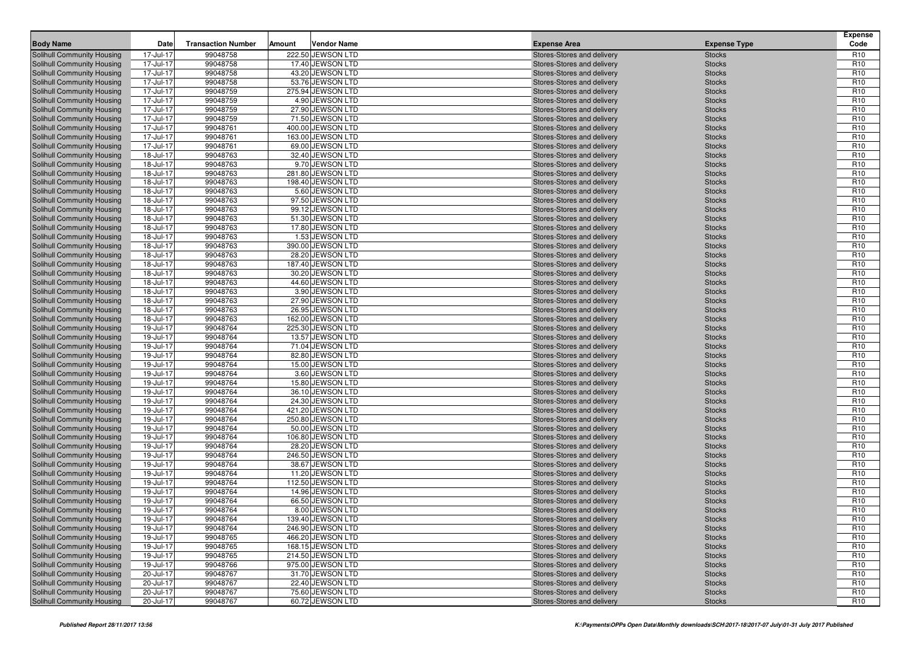|                                                                 | Date                   | <b>Transaction Number</b> | Amount | <b>Vendor Name</b>                   |                                                          |                                | <b>Expense</b><br>Code             |
|-----------------------------------------------------------------|------------------------|---------------------------|--------|--------------------------------------|----------------------------------------------------------|--------------------------------|------------------------------------|
| <b>Body Name</b>                                                |                        |                           |        |                                      | <b>Expense Area</b>                                      | <b>Expense Type</b>            |                                    |
| Solihull Community Housing                                      | 17-Jul-17              | 99048758                  |        | 222.50 JEWSON LTD                    | Stores-Stores and delivery                               | <b>Stocks</b>                  | R <sub>10</sub>                    |
| Solihull Community Housing                                      | 17-Jul-17<br>17-Jul-17 | 99048758<br>99048758      |        | 17.40 JEWSON LTD                     | Stores-Stores and delivery                               | <b>Stocks</b>                  | R <sub>10</sub><br>R <sub>10</sub> |
| Solihull Community Housing<br>Solihull Community Housing        | 17-Jul-17              | 99048758                  |        | 43.20 JEWSON LTD<br>53.76 JEWSON LTD | Stores-Stores and delivery<br>Stores-Stores and delivery | <b>Stocks</b><br><b>Stocks</b> | R <sub>10</sub>                    |
| Solihull Community Housing                                      | 17-Jul-17              | 99048759                  |        | 275.94 JEWSON LTD                    | Stores-Stores and delivery                               | <b>Stocks</b>                  | R <sub>10</sub>                    |
| Solihull Community Housing                                      | 17-Jul-17              | 99048759                  |        | 4.90 JEWSON LTD                      | Stores-Stores and delivery                               | <b>Stocks</b>                  | R <sub>10</sub>                    |
| Solihull Community Housing                                      | 17-Jul-17              | 99048759                  |        | 27.90 JEWSON LTD                     | Stores-Stores and delivery                               | <b>Stocks</b>                  | R <sub>10</sub>                    |
| Solihull Community Housing                                      | 17-Jul-17              | 99048759                  |        | 71.50 JEWSON LTD                     | Stores-Stores and delivery                               | <b>Stocks</b>                  | R <sub>10</sub>                    |
| Solihull Community Housing                                      | 17-Jul-17              | 99048761                  |        | 400.00 JEWSON LTD                    | Stores-Stores and delivery                               | <b>Stocks</b>                  | R <sub>10</sub>                    |
| Solihull Community Housing                                      | 17-Jul-17              | 99048761                  |        | 163.00 JEWSON LTD                    | Stores-Stores and delivery                               | <b>Stocks</b>                  | R <sub>10</sub>                    |
| <b>Solihull Community Housing</b>                               | 17-Jul-17              | 99048761                  |        | 69.00 JEWSON LTD                     | Stores-Stores and delivery                               | <b>Stocks</b>                  | R <sub>10</sub>                    |
| Solihull Community Housing                                      | 18-Jul-17              | 99048763                  |        | 32.40 JEWSON LTD                     | Stores-Stores and delivery                               | <b>Stocks</b>                  | R <sub>10</sub>                    |
| Solihull Community Housing                                      | 18-Jul-17              | 99048763                  |        | 9.70 JEWSON LTD                      | Stores-Stores and delivery                               | <b>Stocks</b>                  | R <sub>10</sub>                    |
| Solihull Community Housing                                      | 18-Jul-17              | 99048763                  |        | 281.80 JEWSON LTD                    | Stores-Stores and delivery                               | <b>Stocks</b>                  | R <sub>10</sub>                    |
| Solihull Community Housing                                      | 18-Jul-17              | 99048763                  |        | 198.40 JEWSON LTD                    | Stores-Stores and delivery                               | <b>Stocks</b>                  | R <sub>10</sub>                    |
| <b>Solihull Community Housing</b>                               | 18-Jul-17              | 99048763                  |        | 5.60 JEWSON LTD                      | Stores-Stores and delivery                               | <b>Stocks</b>                  | R <sub>10</sub>                    |
| Solihull Community Housing                                      | 18-Jul-17              | 99048763                  |        | 97.50 JEWSON LTD                     | Stores-Stores and delivery                               | <b>Stocks</b>                  | R <sub>10</sub>                    |
| Solihull Community Housing                                      | 18-Jul-17              | 99048763                  |        | 99.12 JEWSON LTD                     | Stores-Stores and delivery                               | <b>Stocks</b>                  | R <sub>10</sub>                    |
| <b>Solihull Community Housing</b>                               | 18-Jul-17              | 99048763                  |        | 51.30 JEWSON LTD                     | Stores-Stores and delivery                               | <b>Stocks</b>                  | R <sub>10</sub>                    |
| Solihull Community Housing                                      | 18-Jul-17              | 99048763                  |        | 17.80 JEWSON LTD                     | Stores-Stores and delivery                               | <b>Stocks</b>                  | R <sub>10</sub>                    |
| <b>Solihull Community Housing</b>                               | 18-Jul-17              | 99048763                  |        | 1.53 JEWSON LTD                      | Stores-Stores and delivery                               | <b>Stocks</b>                  | R <sub>10</sub>                    |
| Solihull Community Housing                                      | 18-Jul-17              | 99048763                  |        | 390.00 JEWSON LTD                    | Stores-Stores and delivery                               | <b>Stocks</b>                  | R <sub>10</sub>                    |
| Solihull Community Housing                                      | 18-Jul-17              | 99048763                  |        | 28.20 JEWSON LTD                     | Stores-Stores and delivery                               | <b>Stocks</b>                  | R <sub>10</sub>                    |
| Solihull Community Housing                                      | 18-Jul-17              | 99048763                  |        | 187.40 JEWSON LTD                    | Stores-Stores and delivery                               | <b>Stocks</b>                  | R <sub>10</sub>                    |
| Solihull Community Housing                                      | 18-Jul-17              | 99048763                  |        | 30.20 JEWSON LTD                     | Stores-Stores and delivery                               | <b>Stocks</b>                  | R <sub>10</sub>                    |
| <b>Solihull Community Housing</b>                               | 18-Jul-17              | 99048763                  |        | 44.60 JEWSON LTD                     | Stores-Stores and delivery                               | <b>Stocks</b>                  | R <sub>10</sub>                    |
| <b>Solihull Community Housing</b>                               | 18-Jul-17              | 99048763                  |        | 3.90 JEWSON LTD                      | Stores-Stores and delivery                               | <b>Stocks</b>                  | R <sub>10</sub>                    |
| Solihull Community Housing                                      | 18-Jul-17              | 99048763                  |        | 27.90 JEWSON LTD                     | Stores-Stores and delivery                               | <b>Stocks</b>                  | R <sub>10</sub>                    |
| <b>Solihull Community Housing</b>                               | 18-Jul-17              | 99048763                  |        | 26.95 JEWSON LTD                     | Stores-Stores and delivery                               | <b>Stocks</b>                  | R <sub>10</sub>                    |
| Solihull Community Housing                                      | 18-Jul-17              | 99048763                  |        | 162.00 JEWSON LTD                    | Stores-Stores and delivery                               | <b>Stocks</b>                  | R <sub>10</sub>                    |
| <b>Solihull Community Housing</b>                               | 19-Jul-17              | 99048764                  |        | 225.30 JEWSON LTD                    | Stores-Stores and delivery                               | <b>Stocks</b>                  | R <sub>10</sub>                    |
| Solihull Community Housing                                      | 19-Jul-17              | 99048764                  |        | 13.57 JEWSON LTD                     | Stores-Stores and delivery                               | <b>Stocks</b>                  | R <sub>10</sub>                    |
| Solihull Community Housing                                      | 19-Jul-17              | 99048764                  |        | 71.04 JEWSON LTD                     | Stores-Stores and delivery                               | <b>Stocks</b>                  | R <sub>10</sub>                    |
| Solihull Community Housing                                      | 19-Jul-17              | 99048764                  |        | 82.80 JEWSON LTD<br>15.00 JEWSON LTD | Stores-Stores and delivery                               | <b>Stocks</b>                  | R <sub>10</sub><br>R <sub>10</sub> |
| Solihull Community Housing                                      | 19-Jul-17              | 99048764<br>99048764      |        | 3.60 JEWSON LTD                      | Stores-Stores and delivery                               | <b>Stocks</b>                  | R <sub>10</sub>                    |
| <b>Solihull Community Housing</b><br>Solihull Community Housing | 19-Jul-17<br>19-Jul-17 | 99048764                  |        | 15.80 JEWSON LTD                     | Stores-Stores and delivery<br>Stores-Stores and delivery | <b>Stocks</b><br><b>Stocks</b> | R <sub>10</sub>                    |
| Solihull Community Housing                                      | 19-Jul-17              | 99048764                  |        | 36.10 JEWSON LTD                     | Stores-Stores and delivery                               | <b>Stocks</b>                  | R <sub>10</sub>                    |
| Solihull Community Housing                                      | 19-Jul-17              | 99048764                  |        | 24.30 JEWSON LTD                     | Stores-Stores and delivery                               | <b>Stocks</b>                  | R <sub>10</sub>                    |
| Solihull Community Housing                                      | 19-Jul-17              | 99048764                  |        | 421.20 JEWSON LTD                    | Stores-Stores and delivery                               | <b>Stocks</b>                  | R <sub>10</sub>                    |
| <b>Solihull Community Housing</b>                               | 19-Jul-17              | 99048764                  |        | 250.80 JEWSON LTD                    | Stores-Stores and delivery                               | <b>Stocks</b>                  | R <sub>10</sub>                    |
| Solihull Community Housing                                      | 19-Jul-17              | 99048764                  |        | 50.00 JEWSON LTD                     | Stores-Stores and delivery                               | <b>Stocks</b>                  | R <sub>10</sub>                    |
| Solihull Community Housing                                      | 19-Jul-17              | 99048764                  |        | 106.80 JEWSON LTD                    | Stores-Stores and delivery                               | <b>Stocks</b>                  | R <sub>10</sub>                    |
| Solihull Community Housing                                      | 19-Jul-17              | 99048764                  |        | 28.20 JEWSON LTD                     | Stores-Stores and delivery                               | <b>Stocks</b>                  | R <sub>10</sub>                    |
| Solihull Community Housing                                      | 19-Jul-17              | 99048764                  |        | 246.50 JEWSON LTD                    | Stores-Stores and delivery                               | <b>Stocks</b>                  | R <sub>10</sub>                    |
| <b>Solihull Community Housing</b>                               | 19-Jul-17              | 99048764                  |        | 38.67 JEWSON LTD                     | Stores-Stores and delivery                               | <b>Stocks</b>                  | R <sub>10</sub>                    |
| <b>Solihull Community Housing</b>                               | 19-Jul-17              | 99048764                  |        | 11.20 JEWSON LTD                     | Stores-Stores and delivery                               | <b>Stocks</b>                  | R <sub>10</sub>                    |
| Solihull Community Housing                                      | 19-Jul-17              | 99048764                  |        | 112.50 JEWSON LTD                    | Stores-Stores and delivery                               | <b>Stocks</b>                  | R <sub>10</sub>                    |
| Solihull Community Housing                                      | 19-Jul-17              | 99048764                  |        | 14.96 JEWSON LTD                     | Stores-Stores and delivery                               | <b>Stocks</b>                  | R <sub>10</sub>                    |
| Solihull Community Housing                                      | 19-Jul-17              | 99048764                  |        | 66.50 JEWSON LTD                     | Stores-Stores and delivery                               | <b>Stocks</b>                  | R <sub>10</sub>                    |
| Solihull Community Housing                                      | 19-Jul-17              | 99048764                  |        | 8.00 JEWSON LTD                      | Stores-Stores and delivery                               | <b>Stocks</b>                  | R <sub>10</sub>                    |
| Solihull Community Housing                                      | 19-Jul-17              | 99048764                  |        | 139.40 JEWSON LTD                    | Stores-Stores and delivery                               | <b>Stocks</b>                  | R <sub>10</sub>                    |
| Solihull Community Housing                                      | 19-Jul-17              | 99048764                  |        | 246.90 JEWSON LTD                    | Stores-Stores and delivery                               | <b>Stocks</b>                  | R <sub>10</sub>                    |
| Solihull Community Housing                                      | 19-Jul-17              | 99048765                  |        | 466.20 JEWSON LTD                    | Stores-Stores and delivery                               | <b>Stocks</b>                  | R <sub>10</sub>                    |
| Solihull Community Housing                                      | 19-Jul-17              | 99048765                  |        | 168.15 JEWSON LTD                    | Stores-Stores and delivery                               | <b>Stocks</b>                  | R <sub>10</sub>                    |
| Solihull Community Housing                                      | 19-Jul-17              | 99048765                  |        | 214.50 JEWSON LTD                    | Stores-Stores and delivery                               | <b>Stocks</b>                  | R <sub>10</sub>                    |
| Solihull Community Housing                                      | 19-Jul-17              | 99048766                  |        | 975.00 JEWSON LTD                    | Stores-Stores and delivery                               | <b>Stocks</b>                  | R <sub>10</sub>                    |
| Solihull Community Housing                                      | 20-Jul-17              | 99048767                  |        | 31.70 JEWSON LTD                     | Stores-Stores and delivery                               | <b>Stocks</b>                  | R <sub>10</sub>                    |
| Solihull Community Housing                                      | 20-Jul-17              | 99048767                  |        | 22.40 JEWSON LTD                     | Stores-Stores and delivery                               | <b>Stocks</b>                  | R <sub>10</sub>                    |
| Solihull Community Housing                                      | 20-Jul-17              | 99048767                  |        | 75.60 JEWSON LTD                     | Stores-Stores and delivery                               | <b>Stocks</b>                  | R <sub>10</sub>                    |
| Solihull Community Housing                                      | 20-Jul-17              | 99048767                  |        | 60.72 JEWSON LTD                     | Stores-Stores and delivery                               | <b>Stocks</b>                  | R <sub>10</sub>                    |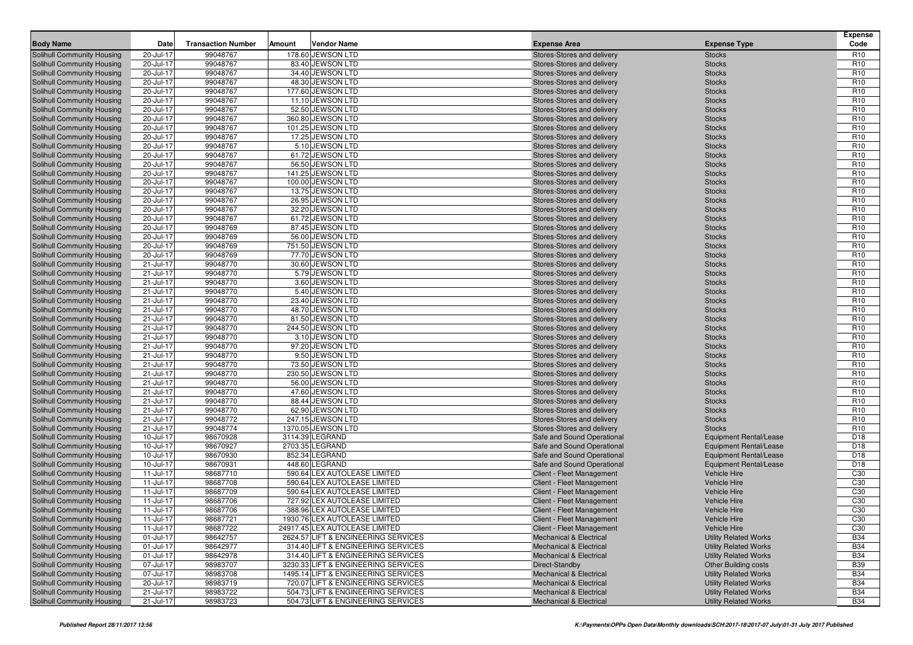| Solihull Community Housing<br>99048767<br>178.60 JEWSON LTD<br>20-Jul-17<br>Stores-Stores and delivery<br><b>Stocks</b><br>R <sub>10</sub><br>99048767<br>83.40 JEWSON LTD<br>R <sub>10</sub><br>Solihull Community Housing<br>20-Jul-17<br>Stores-Stores and delivery<br><b>Stocks</b><br>R <sub>10</sub><br>99048767<br>Solihull Community Housing<br>20-Jul-17<br>34.40 JEWSON LTD<br><b>Stocks</b><br>Stores-Stores and delivery<br>99048767<br>48.30 JEWSON LTD<br>R <sub>10</sub><br>Solihull Community Housing<br>20-Jul-17<br>Stores-Stores and delivery<br><b>Stocks</b><br>99048767<br>177.60 JEWSON LTD<br>R <sub>10</sub><br><b>Solihull Community Housing</b><br>20-Jul-17<br>Stores-Stores and delivery<br><b>Stocks</b><br>99048767<br>11.10 JEWSON LTD<br>R <sub>10</sub><br>20-Jul-17<br>Solihull Community Housing<br>Stores-Stores and delivery<br><b>Stocks</b><br>99048767<br>52.50 JEWSON LTD<br>R <sub>10</sub><br>Solihull Community Housing<br>20-Jul-17<br>Stores-Stores and delivery<br><b>Stocks</b><br>R <sub>10</sub><br>99048767<br>360.80 JEWSON LTD<br>20-Jul-17<br>Solihull Community Housing<br>Stores-Stores and delivery<br><b>Stocks</b><br>99048767<br>101.25 JEWSON LTD<br>R <sub>10</sub><br>Solihull Community Housing<br>20-Jul-17<br>Stores-Stores and delivery<br><b>Stocks</b><br>99048767<br>17.25 JEWSON LTD<br>R <sub>10</sub><br>Solihull Community Housing<br>20-Jul-17<br>Stores-Stores and delivery<br><b>Stocks</b><br>99048767<br>5.10 JEWSON LTD<br>R <sub>10</sub><br><b>Solihull Community Housing</b><br>20-Jul-17<br>Stores-Stores and delivery<br><b>Stocks</b><br>61.72 JEWSON LTD<br>R <sub>10</sub><br>Solihull Community Housing<br>20-Jul-17<br>99048767<br>Stores-Stores and delivery<br><b>Stocks</b><br>R <sub>10</sub><br>99048767<br>20-Jul-17<br>56.50 JEWSON LTD<br>Solihull Community Housing<br>Stores-Stores and delivery<br><b>Stocks</b><br>99048767<br>141.25 JEWSON LTD<br>R <sub>10</sub><br>Solihull Community Housing<br>20-Jul-17<br>Stores-Stores and delivery<br><b>Stocks</b><br>99048767<br>R <sub>10</sub><br>Solihull Community Housing<br>20-Jul-17<br>100.00 JEWSON LTD<br>Stores-Stores and delivery<br><b>Stocks</b><br>99048767<br>13.75 JEWSON LTD<br>R <sub>10</sub><br><b>Solihull Community Housing</b><br>20-Jul-17<br>Stores-Stores and delivery<br><b>Stocks</b><br>26.95 JEWSON LTD<br><b>Solihull Community Housing</b><br>20-Jul-17<br>99048767<br>R <sub>10</sub><br>Stores-Stores and delivery<br><b>Stocks</b><br>R <sub>10</sub><br>99048767<br>20-Jul-17<br>32.20 JEWSON LTD<br>Solihull Community Housing<br>Stores-Stores and delivery<br><b>Stocks</b><br>99048767<br>61.72 JEWSON LTD<br>R <sub>10</sub><br>Solihull Community Housing<br>20-Jul-17<br>Stores-Stores and delivery<br><b>Stocks</b><br>87.45 JEWSON LTD<br>R <sub>10</sub><br>Solihull Community Housing<br>20-Jul-17<br>99048769<br>Stores-Stores and delivery<br><b>Stocks</b><br>99048769<br>56.00 JEWSON LTD<br>R <sub>10</sub><br><b>Solihull Community Housing</b><br>20-Jul-17<br>Stores-Stores and delivery<br><b>Stocks</b><br>751.50 JEWSON LTD<br>Solihull Community Housing<br>20-Jul-17<br>99048769<br>R <sub>10</sub><br>Stores-Stores and delivery<br><b>Stocks</b><br>R <sub>10</sub><br>20-Jul-17<br>99048769<br>77.70 JEWSON LTD<br>Solihull Community Housing<br>Stores-Stores and delivery<br><b>Stocks</b><br>99048770<br>30.60 JEWSON LTD<br>R <sub>10</sub><br>Solihull Community Housing<br>21-Jul-17<br>Stores-Stores and delivery<br><b>Stocks</b><br>5.79 JEWSON LTD<br>Solihull Community Housing<br>21-Jul-17<br>99048770<br>R <sub>10</sub><br>Stores-Stores and delivery<br><b>Stocks</b><br>21-Jul-17<br>99048770<br>3.60 JEWSON LTD<br>R <sub>10</sub><br><b>Solihull Community Housing</b><br>Stores-Stores and delivery<br><b>Stocks</b><br>5.40 JEWSON LTD<br>Solihull Community Housing<br>21-Jul-17<br>99048770<br>R <sub>10</sub><br>Stores-Stores and delivery<br><b>Stocks</b><br>R <sub>10</sub><br>21-Jul-17<br>99048770<br>23.40 JEWSON LTD<br>Solihull Community Housing<br>Stores-Stores and delivery<br><b>Stocks</b><br>99048770<br>48.70 JEWSON LTD<br>R <sub>10</sub><br>Solihull Community Housing<br>21-Jul-17<br>Stores-Stores and delivery<br><b>Stocks</b><br>81.50 JEWSON LTD<br>Solihull Community Housing<br>21-Jul-17<br>99048770<br>Stores-Stores and delivery<br>R <sub>10</sub><br><b>Stocks</b><br>99048770<br>244.50 JEWSON LTD<br>R <sub>10</sub><br><b>Solihull Community Housing</b><br>21-Jul-17<br>Stores-Stores and delivery<br><b>Stocks</b><br>3.10 JEWSON LTD<br>Solihull Community Housing<br>21-Jul-17<br>99048770<br>R <sub>10</sub><br>Stores-Stores and delivery<br><b>Stocks</b><br>R <sub>10</sub><br>21-Jul-17<br>99048770<br>97.20 JEWSON LTD<br>Solihull Community Housing<br>Stores-Stores and delivery<br><b>Stocks</b><br>99048770<br>9.50 JEWSON LTD<br>R <sub>10</sub><br><b>Solihull Community Housing</b><br>21-Jul-17<br>Stores-Stores and delivery<br><b>Stocks</b><br>73.50 JEWSON LTD<br>R <sub>10</sub><br>Solihull Community Housing<br>21-Jul-17<br>99048770<br>Stores-Stores and delivery<br><b>Stocks</b><br>99048770<br>230.50 JEWSON LTD<br>R <sub>10</sub><br><b>Solihull Community Housing</b><br>21-Jul-17<br>Stores-Stores and delivery<br><b>Stocks</b><br>56.00 JEWSON LTD<br>Solihull Community Housing<br>21-Jul-17<br>99048770<br>R <sub>10</sub><br>Stores-Stores and delivery<br><b>Stocks</b><br>R <sub>10</sub><br>21-Jul-17<br>99048770<br>47.60 JEWSON LTD<br>Solihull Community Housing<br>Stores-Stores and delivery<br><b>Stocks</b><br>99048770<br>88.44 JEWSON LTD<br>R <sub>10</sub><br>Solihull Community Housing<br>21-Jul-17<br>Stores-Stores and delivery<br><b>Stocks</b><br>62.90 JEWSON LTD<br>R <sub>10</sub><br>Solihull Community Housing<br>21-Jul-17<br>99048770<br>Stores-Stores and delivery<br><b>Stocks</b><br>99048772<br>247.15 JEWSON LTD<br>R <sub>10</sub><br><b>Solihull Community Housing</b><br>21-Jul-17<br>Stores-Stores and delivery<br><b>Stocks</b><br>Solihull Community Housing<br>21-Jul-17<br>99048774<br>1370.05 JEWSON LTD<br>R <sub>10</sub><br>Stores-Stores and delivery<br><b>Stocks</b><br>D <sub>18</sub><br>98670928<br>3114.39 LEGRAND<br>10-Jul-17<br>Solihull Community Housing<br>Safe and Sound Operational<br><b>Equipment Rental/Lease</b><br>98670927<br>2703.35 LEGRAND<br>D <sub>18</sub><br>Solihull Community Housing<br>10-Jul-17<br>Safe and Sound Operational<br><b>Equipment Rental/Lease</b><br>98670930<br>852.34 LEGRAND<br>D <sub>18</sub><br>Solihull Community Housing<br>10-Jul-17<br>Safe and Sound Operational<br><b>Equipment Rental/Lease</b><br>98670931<br>448.60 LEGRAND<br>D <sub>18</sub><br><b>Solihull Community Housing</b><br>10-Jul-17<br>Safe and Sound Operational<br><b>Equipment Rental/Lease</b><br>C <sub>30</sub><br>Solihull Community Housing<br>11-Jul-17<br>98687710<br>590.64 LEX AUTOLEASE LIMITED<br>Client - Fleet Management<br><b>Vehicle Hire</b><br>C30<br>11-Jul-17<br>98687708<br>590.64 LEX AUTOLEASE LIMITED<br><b>Vehicle Hire</b><br>Solihull Community Housing<br>Client - Fleet Management<br>98687709<br>590.64 LEX AUTOLEASE LIMITED<br>C30<br>Solihull Community Housing<br>11-Jul-17<br><b>Vehicle Hire</b><br>Client - Fleet Management<br>C30<br>727.92 LEX AUTOLEASE LIMITED<br>Solihull Community Housing<br>11-Jul-17<br>98687706<br><b>Vehicle Hire</b><br><b>Client - Fleet Management</b><br>98687706<br>C30<br>Solihull Community Housing<br>11-Jul-17<br>-388.96 LEX AUTOLEASE LIMITED<br><b>Vehicle Hire</b><br>Client - Fleet Management<br>Solihull Community Housing<br>11-Jul-17<br>98687721<br>1930.76 LEX AUTOLEASE LIMITED<br>Client - Fleet Management<br>Vehicle Hire<br>C <sub>30</sub><br>98687722<br>C <sub>30</sub><br>Solihull Community Housing<br>11-Jul-17<br>24917.45 LEX AUTOLEASE LIMITED<br><b>Client - Fleet Management</b><br>Vehicle Hire<br>98642757<br><b>B34</b><br>Solihull Community Housing<br>01-Jul-17<br>2624.57 LIFT & ENGINEERING SERVICES<br><b>Mechanical &amp; Electrical</b><br><b>Utility Related Works</b><br>98642977<br><b>B34</b><br>Solihull Community Housing<br>01-Jul-17<br>314.40 LIFT & ENGINEERING SERVICES<br><b>Mechanical &amp; Electrical</b><br><b>Utility Related Works</b><br>98642978<br><b>B34</b><br>Solihull Community Housing<br>01-Jul-17<br>314.40 LIFT & ENGINEERING SERVICES<br><b>Mechanical &amp; Electrical</b><br><b>Utility Related Works</b><br>98983707<br><b>B39</b><br>Solihull Community Housing<br>07-Jul-17<br>3230.33 LIFT & ENGINEERING SERVICES<br>Direct-Standby<br><b>Other Building costs</b><br><b>B34</b><br>07-Jul-17<br>98983708<br>Solihull Community Housing<br>1495.14 LIFT & ENGINEERING SERVICES<br><b>Mechanical &amp; Electrical</b><br><b>Utility Related Works</b><br>Solihull Community Housing<br>20-Jul-17<br>98983719<br>720.07 LIFT & ENGINEERING SERVICES<br><b>Mechanical &amp; Electrical</b><br><b>Utility Related Works</b><br><b>B34</b><br>98983722<br><b>B34</b><br>Solihull Community Housing<br>21-Jul-17<br>504.73 LIFT & ENGINEERING SERVICES<br><b>Mechanical &amp; Electrical</b><br><b>Utility Related Works</b><br>98983723<br>504.73 LIFT & ENGINEERING SERVICES<br><b>B34</b><br>Solihull Community Housing<br>21-Jul-17<br><b>Mechanical &amp; Electrical</b><br><b>Utility Related Works</b> |                  |      |                           |        |                    |                     |                     | <b>Expense</b> |
|-------------------------------------------------------------------------------------------------------------------------------------------------------------------------------------------------------------------------------------------------------------------------------------------------------------------------------------------------------------------------------------------------------------------------------------------------------------------------------------------------------------------------------------------------------------------------------------------------------------------------------------------------------------------------------------------------------------------------------------------------------------------------------------------------------------------------------------------------------------------------------------------------------------------------------------------------------------------------------------------------------------------------------------------------------------------------------------------------------------------------------------------------------------------------------------------------------------------------------------------------------------------------------------------------------------------------------------------------------------------------------------------------------------------------------------------------------------------------------------------------------------------------------------------------------------------------------------------------------------------------------------------------------------------------------------------------------------------------------------------------------------------------------------------------------------------------------------------------------------------------------------------------------------------------------------------------------------------------------------------------------------------------------------------------------------------------------------------------------------------------------------------------------------------------------------------------------------------------------------------------------------------------------------------------------------------------------------------------------------------------------------------------------------------------------------------------------------------------------------------------------------------------------------------------------------------------------------------------------------------------------------------------------------------------------------------------------------------------------------------------------------------------------------------------------------------------------------------------------------------------------------------------------------------------------------------------------------------------------------------------------------------------------------------------------------------------------------------------------------------------------------------------------------------------------------------------------------------------------------------------------------------------------------------------------------------------------------------------------------------------------------------------------------------------------------------------------------------------------------------------------------------------------------------------------------------------------------------------------------------------------------------------------------------------------------------------------------------------------------------------------------------------------------------------------------------------------------------------------------------------------------------------------------------------------------------------------------------------------------------------------------------------------------------------------------------------------------------------------------------------------------------------------------------------------------------------------------------------------------------------------------------------------------------------------------------------------------------------------------------------------------------------------------------------------------------------------------------------------------------------------------------------------------------------------------------------------------------------------------------------------------------------------------------------------------------------------------------------------------------------------------------------------------------------------------------------------------------------------------------------------------------------------------------------------------------------------------------------------------------------------------------------------------------------------------------------------------------------------------------------------------------------------------------------------------------------------------------------------------------------------------------------------------------------------------------------------------------------------------------------------------------------------------------------------------------------------------------------------------------------------------------------------------------------------------------------------------------------------------------------------------------------------------------------------------------------------------------------------------------------------------------------------------------------------------------------------------------------------------------------------------------------------------------------------------------------------------------------------------------------------------------------------------------------------------------------------------------------------------------------------------------------------------------------------------------------------------------------------------------------------------------------------------------------------------------------------------------------------------------------------------------------------------------------------------------------------------------------------------------------------------------------------------------------------------------------------------------------------------------------------------------------------------------------------------------------------------------------------------------------------------------------------------------------------------------------------------------------------------------------------------------------------------------------------------------------------------------------------------------------------------------------------------------------------------------------------------------------------------------------------------------------------------------------------------------------------------------------------------------------------------------------------------------------------------------------------------------------------------------------------------------------------------------------------------------------------------------------------------------------------------------------------------------------------------------------------------------------------------------------------------------------------------------------------------------------------------------------------------------------------------------------------------------------------------------------------------------------------------------------------------------------------------------------------------------------------------------------------------------------------------------------------------------------------------------------------------------------------------------------------------------------------------------------------------------------------------------------------------------------------------------------------------------------------------------------------------------------------------------------------------------------------------------------------------------------------------------------------------------------------------------------------------------------------------------------------------------------------------------------------------------------------------------------------------------------------------------------------------------------------------------------------------------------------------------------------------------------------------------------------------------------------------------------------------------------------------------------------------------------------------------------------------------------------------------------------------------------------------------------------------------------------------------------------------------------------------------------------------------------------------------------------------------------------------------------------------------------------------------------------------------------------------------------------------------------------------|------------------|------|---------------------------|--------|--------------------|---------------------|---------------------|----------------|
|                                                                                                                                                                                                                                                                                                                                                                                                                                                                                                                                                                                                                                                                                                                                                                                                                                                                                                                                                                                                                                                                                                                                                                                                                                                                                                                                                                                                                                                                                                                                                                                                                                                                                                                                                                                                                                                                                                                                                                                                                                                                                                                                                                                                                                                                                                                                                                                                                                                                                                                                                                                                                                                                                                                                                                                                                                                                                                                                                                                                                                                                                                                                                                                                                                                                                                                                                                                                                                                                                                                                                                                                                                                                                                                                                                                                                                                                                                                                                                                                                                                                                                                                                                                                                                                                                                                                                                                                                                                                                                                                                                                                                                                                                                                                                                                                                                                                                                                                                                                                                                                                                                                                                                                                                                                                                                                                                                                                                                                                                                                                                                                                                                                                                                                                                                                                                                                                                                                                                                                                                                                                                                                                                                                                                                                                                                                                                                                                                                                                                                                                                                                                                                                                                                                                                                                                                                                                                                                                                                                                                                                                                                                                                                                                                                                                                                                                                                                                                                                                                                                                                                                                                                                                                                                                                                                                                                                                                                                                                                                                                                                                                                                                                                                                                                                                                                                                                                                                                                                                                                                                                                                                                                                                                                                                                                                                                                                                                                                                                                                                                                                                                                                                                                                                                                                                                                                                                                                                                                                             | <b>Body Name</b> | Date | <b>Transaction Number</b> | Amount | <b>Vendor Name</b> | <b>Expense Area</b> | <b>Expense Type</b> | Code           |
|                                                                                                                                                                                                                                                                                                                                                                                                                                                                                                                                                                                                                                                                                                                                                                                                                                                                                                                                                                                                                                                                                                                                                                                                                                                                                                                                                                                                                                                                                                                                                                                                                                                                                                                                                                                                                                                                                                                                                                                                                                                                                                                                                                                                                                                                                                                                                                                                                                                                                                                                                                                                                                                                                                                                                                                                                                                                                                                                                                                                                                                                                                                                                                                                                                                                                                                                                                                                                                                                                                                                                                                                                                                                                                                                                                                                                                                                                                                                                                                                                                                                                                                                                                                                                                                                                                                                                                                                                                                                                                                                                                                                                                                                                                                                                                                                                                                                                                                                                                                                                                                                                                                                                                                                                                                                                                                                                                                                                                                                                                                                                                                                                                                                                                                                                                                                                                                                                                                                                                                                                                                                                                                                                                                                                                                                                                                                                                                                                                                                                                                                                                                                                                                                                                                                                                                                                                                                                                                                                                                                                                                                                                                                                                                                                                                                                                                                                                                                                                                                                                                                                                                                                                                                                                                                                                                                                                                                                                                                                                                                                                                                                                                                                                                                                                                                                                                                                                                                                                                                                                                                                                                                                                                                                                                                                                                                                                                                                                                                                                                                                                                                                                                                                                                                                                                                                                                                                                                                                                                             |                  |      |                           |        |                    |                     |                     |                |
|                                                                                                                                                                                                                                                                                                                                                                                                                                                                                                                                                                                                                                                                                                                                                                                                                                                                                                                                                                                                                                                                                                                                                                                                                                                                                                                                                                                                                                                                                                                                                                                                                                                                                                                                                                                                                                                                                                                                                                                                                                                                                                                                                                                                                                                                                                                                                                                                                                                                                                                                                                                                                                                                                                                                                                                                                                                                                                                                                                                                                                                                                                                                                                                                                                                                                                                                                                                                                                                                                                                                                                                                                                                                                                                                                                                                                                                                                                                                                                                                                                                                                                                                                                                                                                                                                                                                                                                                                                                                                                                                                                                                                                                                                                                                                                                                                                                                                                                                                                                                                                                                                                                                                                                                                                                                                                                                                                                                                                                                                                                                                                                                                                                                                                                                                                                                                                                                                                                                                                                                                                                                                                                                                                                                                                                                                                                                                                                                                                                                                                                                                                                                                                                                                                                                                                                                                                                                                                                                                                                                                                                                                                                                                                                                                                                                                                                                                                                                                                                                                                                                                                                                                                                                                                                                                                                                                                                                                                                                                                                                                                                                                                                                                                                                                                                                                                                                                                                                                                                                                                                                                                                                                                                                                                                                                                                                                                                                                                                                                                                                                                                                                                                                                                                                                                                                                                                                                                                                                                                             |                  |      |                           |        |                    |                     |                     |                |
|                                                                                                                                                                                                                                                                                                                                                                                                                                                                                                                                                                                                                                                                                                                                                                                                                                                                                                                                                                                                                                                                                                                                                                                                                                                                                                                                                                                                                                                                                                                                                                                                                                                                                                                                                                                                                                                                                                                                                                                                                                                                                                                                                                                                                                                                                                                                                                                                                                                                                                                                                                                                                                                                                                                                                                                                                                                                                                                                                                                                                                                                                                                                                                                                                                                                                                                                                                                                                                                                                                                                                                                                                                                                                                                                                                                                                                                                                                                                                                                                                                                                                                                                                                                                                                                                                                                                                                                                                                                                                                                                                                                                                                                                                                                                                                                                                                                                                                                                                                                                                                                                                                                                                                                                                                                                                                                                                                                                                                                                                                                                                                                                                                                                                                                                                                                                                                                                                                                                                                                                                                                                                                                                                                                                                                                                                                                                                                                                                                                                                                                                                                                                                                                                                                                                                                                                                                                                                                                                                                                                                                                                                                                                                                                                                                                                                                                                                                                                                                                                                                                                                                                                                                                                                                                                                                                                                                                                                                                                                                                                                                                                                                                                                                                                                                                                                                                                                                                                                                                                                                                                                                                                                                                                                                                                                                                                                                                                                                                                                                                                                                                                                                                                                                                                                                                                                                                                                                                                                                                             |                  |      |                           |        |                    |                     |                     |                |
|                                                                                                                                                                                                                                                                                                                                                                                                                                                                                                                                                                                                                                                                                                                                                                                                                                                                                                                                                                                                                                                                                                                                                                                                                                                                                                                                                                                                                                                                                                                                                                                                                                                                                                                                                                                                                                                                                                                                                                                                                                                                                                                                                                                                                                                                                                                                                                                                                                                                                                                                                                                                                                                                                                                                                                                                                                                                                                                                                                                                                                                                                                                                                                                                                                                                                                                                                                                                                                                                                                                                                                                                                                                                                                                                                                                                                                                                                                                                                                                                                                                                                                                                                                                                                                                                                                                                                                                                                                                                                                                                                                                                                                                                                                                                                                                                                                                                                                                                                                                                                                                                                                                                                                                                                                                                                                                                                                                                                                                                                                                                                                                                                                                                                                                                                                                                                                                                                                                                                                                                                                                                                                                                                                                                                                                                                                                                                                                                                                                                                                                                                                                                                                                                                                                                                                                                                                                                                                                                                                                                                                                                                                                                                                                                                                                                                                                                                                                                                                                                                                                                                                                                                                                                                                                                                                                                                                                                                                                                                                                                                                                                                                                                                                                                                                                                                                                                                                                                                                                                                                                                                                                                                                                                                                                                                                                                                                                                                                                                                                                                                                                                                                                                                                                                                                                                                                                                                                                                                                                             |                  |      |                           |        |                    |                     |                     |                |
|                                                                                                                                                                                                                                                                                                                                                                                                                                                                                                                                                                                                                                                                                                                                                                                                                                                                                                                                                                                                                                                                                                                                                                                                                                                                                                                                                                                                                                                                                                                                                                                                                                                                                                                                                                                                                                                                                                                                                                                                                                                                                                                                                                                                                                                                                                                                                                                                                                                                                                                                                                                                                                                                                                                                                                                                                                                                                                                                                                                                                                                                                                                                                                                                                                                                                                                                                                                                                                                                                                                                                                                                                                                                                                                                                                                                                                                                                                                                                                                                                                                                                                                                                                                                                                                                                                                                                                                                                                                                                                                                                                                                                                                                                                                                                                                                                                                                                                                                                                                                                                                                                                                                                                                                                                                                                                                                                                                                                                                                                                                                                                                                                                                                                                                                                                                                                                                                                                                                                                                                                                                                                                                                                                                                                                                                                                                                                                                                                                                                                                                                                                                                                                                                                                                                                                                                                                                                                                                                                                                                                                                                                                                                                                                                                                                                                                                                                                                                                                                                                                                                                                                                                                                                                                                                                                                                                                                                                                                                                                                                                                                                                                                                                                                                                                                                                                                                                                                                                                                                                                                                                                                                                                                                                                                                                                                                                                                                                                                                                                                                                                                                                                                                                                                                                                                                                                                                                                                                                                                             |                  |      |                           |        |                    |                     |                     |                |
|                                                                                                                                                                                                                                                                                                                                                                                                                                                                                                                                                                                                                                                                                                                                                                                                                                                                                                                                                                                                                                                                                                                                                                                                                                                                                                                                                                                                                                                                                                                                                                                                                                                                                                                                                                                                                                                                                                                                                                                                                                                                                                                                                                                                                                                                                                                                                                                                                                                                                                                                                                                                                                                                                                                                                                                                                                                                                                                                                                                                                                                                                                                                                                                                                                                                                                                                                                                                                                                                                                                                                                                                                                                                                                                                                                                                                                                                                                                                                                                                                                                                                                                                                                                                                                                                                                                                                                                                                                                                                                                                                                                                                                                                                                                                                                                                                                                                                                                                                                                                                                                                                                                                                                                                                                                                                                                                                                                                                                                                                                                                                                                                                                                                                                                                                                                                                                                                                                                                                                                                                                                                                                                                                                                                                                                                                                                                                                                                                                                                                                                                                                                                                                                                                                                                                                                                                                                                                                                                                                                                                                                                                                                                                                                                                                                                                                                                                                                                                                                                                                                                                                                                                                                                                                                                                                                                                                                                                                                                                                                                                                                                                                                                                                                                                                                                                                                                                                                                                                                                                                                                                                                                                                                                                                                                                                                                                                                                                                                                                                                                                                                                                                                                                                                                                                                                                                                                                                                                                                                             |                  |      |                           |        |                    |                     |                     |                |
|                                                                                                                                                                                                                                                                                                                                                                                                                                                                                                                                                                                                                                                                                                                                                                                                                                                                                                                                                                                                                                                                                                                                                                                                                                                                                                                                                                                                                                                                                                                                                                                                                                                                                                                                                                                                                                                                                                                                                                                                                                                                                                                                                                                                                                                                                                                                                                                                                                                                                                                                                                                                                                                                                                                                                                                                                                                                                                                                                                                                                                                                                                                                                                                                                                                                                                                                                                                                                                                                                                                                                                                                                                                                                                                                                                                                                                                                                                                                                                                                                                                                                                                                                                                                                                                                                                                                                                                                                                                                                                                                                                                                                                                                                                                                                                                                                                                                                                                                                                                                                                                                                                                                                                                                                                                                                                                                                                                                                                                                                                                                                                                                                                                                                                                                                                                                                                                                                                                                                                                                                                                                                                                                                                                                                                                                                                                                                                                                                                                                                                                                                                                                                                                                                                                                                                                                                                                                                                                                                                                                                                                                                                                                                                                                                                                                                                                                                                                                                                                                                                                                                                                                                                                                                                                                                                                                                                                                                                                                                                                                                                                                                                                                                                                                                                                                                                                                                                                                                                                                                                                                                                                                                                                                                                                                                                                                                                                                                                                                                                                                                                                                                                                                                                                                                                                                                                                                                                                                                                                             |                  |      |                           |        |                    |                     |                     |                |
|                                                                                                                                                                                                                                                                                                                                                                                                                                                                                                                                                                                                                                                                                                                                                                                                                                                                                                                                                                                                                                                                                                                                                                                                                                                                                                                                                                                                                                                                                                                                                                                                                                                                                                                                                                                                                                                                                                                                                                                                                                                                                                                                                                                                                                                                                                                                                                                                                                                                                                                                                                                                                                                                                                                                                                                                                                                                                                                                                                                                                                                                                                                                                                                                                                                                                                                                                                                                                                                                                                                                                                                                                                                                                                                                                                                                                                                                                                                                                                                                                                                                                                                                                                                                                                                                                                                                                                                                                                                                                                                                                                                                                                                                                                                                                                                                                                                                                                                                                                                                                                                                                                                                                                                                                                                                                                                                                                                                                                                                                                                                                                                                                                                                                                                                                                                                                                                                                                                                                                                                                                                                                                                                                                                                                                                                                                                                                                                                                                                                                                                                                                                                                                                                                                                                                                                                                                                                                                                                                                                                                                                                                                                                                                                                                                                                                                                                                                                                                                                                                                                                                                                                                                                                                                                                                                                                                                                                                                                                                                                                                                                                                                                                                                                                                                                                                                                                                                                                                                                                                                                                                                                                                                                                                                                                                                                                                                                                                                                                                                                                                                                                                                                                                                                                                                                                                                                                                                                                                                                             |                  |      |                           |        |                    |                     |                     |                |
|                                                                                                                                                                                                                                                                                                                                                                                                                                                                                                                                                                                                                                                                                                                                                                                                                                                                                                                                                                                                                                                                                                                                                                                                                                                                                                                                                                                                                                                                                                                                                                                                                                                                                                                                                                                                                                                                                                                                                                                                                                                                                                                                                                                                                                                                                                                                                                                                                                                                                                                                                                                                                                                                                                                                                                                                                                                                                                                                                                                                                                                                                                                                                                                                                                                                                                                                                                                                                                                                                                                                                                                                                                                                                                                                                                                                                                                                                                                                                                                                                                                                                                                                                                                                                                                                                                                                                                                                                                                                                                                                                                                                                                                                                                                                                                                                                                                                                                                                                                                                                                                                                                                                                                                                                                                                                                                                                                                                                                                                                                                                                                                                                                                                                                                                                                                                                                                                                                                                                                                                                                                                                                                                                                                                                                                                                                                                                                                                                                                                                                                                                                                                                                                                                                                                                                                                                                                                                                                                                                                                                                                                                                                                                                                                                                                                                                                                                                                                                                                                                                                                                                                                                                                                                                                                                                                                                                                                                                                                                                                                                                                                                                                                                                                                                                                                                                                                                                                                                                                                                                                                                                                                                                                                                                                                                                                                                                                                                                                                                                                                                                                                                                                                                                                                                                                                                                                                                                                                                                                             |                  |      |                           |        |                    |                     |                     |                |
|                                                                                                                                                                                                                                                                                                                                                                                                                                                                                                                                                                                                                                                                                                                                                                                                                                                                                                                                                                                                                                                                                                                                                                                                                                                                                                                                                                                                                                                                                                                                                                                                                                                                                                                                                                                                                                                                                                                                                                                                                                                                                                                                                                                                                                                                                                                                                                                                                                                                                                                                                                                                                                                                                                                                                                                                                                                                                                                                                                                                                                                                                                                                                                                                                                                                                                                                                                                                                                                                                                                                                                                                                                                                                                                                                                                                                                                                                                                                                                                                                                                                                                                                                                                                                                                                                                                                                                                                                                                                                                                                                                                                                                                                                                                                                                                                                                                                                                                                                                                                                                                                                                                                                                                                                                                                                                                                                                                                                                                                                                                                                                                                                                                                                                                                                                                                                                                                                                                                                                                                                                                                                                                                                                                                                                                                                                                                                                                                                                                                                                                                                                                                                                                                                                                                                                                                                                                                                                                                                                                                                                                                                                                                                                                                                                                                                                                                                                                                                                                                                                                                                                                                                                                                                                                                                                                                                                                                                                                                                                                                                                                                                                                                                                                                                                                                                                                                                                                                                                                                                                                                                                                                                                                                                                                                                                                                                                                                                                                                                                                                                                                                                                                                                                                                                                                                                                                                                                                                                                                             |                  |      |                           |        |                    |                     |                     |                |
|                                                                                                                                                                                                                                                                                                                                                                                                                                                                                                                                                                                                                                                                                                                                                                                                                                                                                                                                                                                                                                                                                                                                                                                                                                                                                                                                                                                                                                                                                                                                                                                                                                                                                                                                                                                                                                                                                                                                                                                                                                                                                                                                                                                                                                                                                                                                                                                                                                                                                                                                                                                                                                                                                                                                                                                                                                                                                                                                                                                                                                                                                                                                                                                                                                                                                                                                                                                                                                                                                                                                                                                                                                                                                                                                                                                                                                                                                                                                                                                                                                                                                                                                                                                                                                                                                                                                                                                                                                                                                                                                                                                                                                                                                                                                                                                                                                                                                                                                                                                                                                                                                                                                                                                                                                                                                                                                                                                                                                                                                                                                                                                                                                                                                                                                                                                                                                                                                                                                                                                                                                                                                                                                                                                                                                                                                                                                                                                                                                                                                                                                                                                                                                                                                                                                                                                                                                                                                                                                                                                                                                                                                                                                                                                                                                                                                                                                                                                                                                                                                                                                                                                                                                                                                                                                                                                                                                                                                                                                                                                                                                                                                                                                                                                                                                                                                                                                                                                                                                                                                                                                                                                                                                                                                                                                                                                                                                                                                                                                                                                                                                                                                                                                                                                                                                                                                                                                                                                                                                                             |                  |      |                           |        |                    |                     |                     |                |
|                                                                                                                                                                                                                                                                                                                                                                                                                                                                                                                                                                                                                                                                                                                                                                                                                                                                                                                                                                                                                                                                                                                                                                                                                                                                                                                                                                                                                                                                                                                                                                                                                                                                                                                                                                                                                                                                                                                                                                                                                                                                                                                                                                                                                                                                                                                                                                                                                                                                                                                                                                                                                                                                                                                                                                                                                                                                                                                                                                                                                                                                                                                                                                                                                                                                                                                                                                                                                                                                                                                                                                                                                                                                                                                                                                                                                                                                                                                                                                                                                                                                                                                                                                                                                                                                                                                                                                                                                                                                                                                                                                                                                                                                                                                                                                                                                                                                                                                                                                                                                                                                                                                                                                                                                                                                                                                                                                                                                                                                                                                                                                                                                                                                                                                                                                                                                                                                                                                                                                                                                                                                                                                                                                                                                                                                                                                                                                                                                                                                                                                                                                                                                                                                                                                                                                                                                                                                                                                                                                                                                                                                                                                                                                                                                                                                                                                                                                                                                                                                                                                                                                                                                                                                                                                                                                                                                                                                                                                                                                                                                                                                                                                                                                                                                                                                                                                                                                                                                                                                                                                                                                                                                                                                                                                                                                                                                                                                                                                                                                                                                                                                                                                                                                                                                                                                                                                                                                                                                                                             |                  |      |                           |        |                    |                     |                     |                |
|                                                                                                                                                                                                                                                                                                                                                                                                                                                                                                                                                                                                                                                                                                                                                                                                                                                                                                                                                                                                                                                                                                                                                                                                                                                                                                                                                                                                                                                                                                                                                                                                                                                                                                                                                                                                                                                                                                                                                                                                                                                                                                                                                                                                                                                                                                                                                                                                                                                                                                                                                                                                                                                                                                                                                                                                                                                                                                                                                                                                                                                                                                                                                                                                                                                                                                                                                                                                                                                                                                                                                                                                                                                                                                                                                                                                                                                                                                                                                                                                                                                                                                                                                                                                                                                                                                                                                                                                                                                                                                                                                                                                                                                                                                                                                                                                                                                                                                                                                                                                                                                                                                                                                                                                                                                                                                                                                                                                                                                                                                                                                                                                                                                                                                                                                                                                                                                                                                                                                                                                                                                                                                                                                                                                                                                                                                                                                                                                                                                                                                                                                                                                                                                                                                                                                                                                                                                                                                                                                                                                                                                                                                                                                                                                                                                                                                                                                                                                                                                                                                                                                                                                                                                                                                                                                                                                                                                                                                                                                                                                                                                                                                                                                                                                                                                                                                                                                                                                                                                                                                                                                                                                                                                                                                                                                                                                                                                                                                                                                                                                                                                                                                                                                                                                                                                                                                                                                                                                                                                             |                  |      |                           |        |                    |                     |                     |                |
|                                                                                                                                                                                                                                                                                                                                                                                                                                                                                                                                                                                                                                                                                                                                                                                                                                                                                                                                                                                                                                                                                                                                                                                                                                                                                                                                                                                                                                                                                                                                                                                                                                                                                                                                                                                                                                                                                                                                                                                                                                                                                                                                                                                                                                                                                                                                                                                                                                                                                                                                                                                                                                                                                                                                                                                                                                                                                                                                                                                                                                                                                                                                                                                                                                                                                                                                                                                                                                                                                                                                                                                                                                                                                                                                                                                                                                                                                                                                                                                                                                                                                                                                                                                                                                                                                                                                                                                                                                                                                                                                                                                                                                                                                                                                                                                                                                                                                                                                                                                                                                                                                                                                                                                                                                                                                                                                                                                                                                                                                                                                                                                                                                                                                                                                                                                                                                                                                                                                                                                                                                                                                                                                                                                                                                                                                                                                                                                                                                                                                                                                                                                                                                                                                                                                                                                                                                                                                                                                                                                                                                                                                                                                                                                                                                                                                                                                                                                                                                                                                                                                                                                                                                                                                                                                                                                                                                                                                                                                                                                                                                                                                                                                                                                                                                                                                                                                                                                                                                                                                                                                                                                                                                                                                                                                                                                                                                                                                                                                                                                                                                                                                                                                                                                                                                                                                                                                                                                                                                                             |                  |      |                           |        |                    |                     |                     |                |
|                                                                                                                                                                                                                                                                                                                                                                                                                                                                                                                                                                                                                                                                                                                                                                                                                                                                                                                                                                                                                                                                                                                                                                                                                                                                                                                                                                                                                                                                                                                                                                                                                                                                                                                                                                                                                                                                                                                                                                                                                                                                                                                                                                                                                                                                                                                                                                                                                                                                                                                                                                                                                                                                                                                                                                                                                                                                                                                                                                                                                                                                                                                                                                                                                                                                                                                                                                                                                                                                                                                                                                                                                                                                                                                                                                                                                                                                                                                                                                                                                                                                                                                                                                                                                                                                                                                                                                                                                                                                                                                                                                                                                                                                                                                                                                                                                                                                                                                                                                                                                                                                                                                                                                                                                                                                                                                                                                                                                                                                                                                                                                                                                                                                                                                                                                                                                                                                                                                                                                                                                                                                                                                                                                                                                                                                                                                                                                                                                                                                                                                                                                                                                                                                                                                                                                                                                                                                                                                                                                                                                                                                                                                                                                                                                                                                                                                                                                                                                                                                                                                                                                                                                                                                                                                                                                                                                                                                                                                                                                                                                                                                                                                                                                                                                                                                                                                                                                                                                                                                                                                                                                                                                                                                                                                                                                                                                                                                                                                                                                                                                                                                                                                                                                                                                                                                                                                                                                                                                                                             |                  |      |                           |        |                    |                     |                     |                |
|                                                                                                                                                                                                                                                                                                                                                                                                                                                                                                                                                                                                                                                                                                                                                                                                                                                                                                                                                                                                                                                                                                                                                                                                                                                                                                                                                                                                                                                                                                                                                                                                                                                                                                                                                                                                                                                                                                                                                                                                                                                                                                                                                                                                                                                                                                                                                                                                                                                                                                                                                                                                                                                                                                                                                                                                                                                                                                                                                                                                                                                                                                                                                                                                                                                                                                                                                                                                                                                                                                                                                                                                                                                                                                                                                                                                                                                                                                                                                                                                                                                                                                                                                                                                                                                                                                                                                                                                                                                                                                                                                                                                                                                                                                                                                                                                                                                                                                                                                                                                                                                                                                                                                                                                                                                                                                                                                                                                                                                                                                                                                                                                                                                                                                                                                                                                                                                                                                                                                                                                                                                                                                                                                                                                                                                                                                                                                                                                                                                                                                                                                                                                                                                                                                                                                                                                                                                                                                                                                                                                                                                                                                                                                                                                                                                                                                                                                                                                                                                                                                                                                                                                                                                                                                                                                                                                                                                                                                                                                                                                                                                                                                                                                                                                                                                                                                                                                                                                                                                                                                                                                                                                                                                                                                                                                                                                                                                                                                                                                                                                                                                                                                                                                                                                                                                                                                                                                                                                                                                             |                  |      |                           |        |                    |                     |                     |                |
|                                                                                                                                                                                                                                                                                                                                                                                                                                                                                                                                                                                                                                                                                                                                                                                                                                                                                                                                                                                                                                                                                                                                                                                                                                                                                                                                                                                                                                                                                                                                                                                                                                                                                                                                                                                                                                                                                                                                                                                                                                                                                                                                                                                                                                                                                                                                                                                                                                                                                                                                                                                                                                                                                                                                                                                                                                                                                                                                                                                                                                                                                                                                                                                                                                                                                                                                                                                                                                                                                                                                                                                                                                                                                                                                                                                                                                                                                                                                                                                                                                                                                                                                                                                                                                                                                                                                                                                                                                                                                                                                                                                                                                                                                                                                                                                                                                                                                                                                                                                                                                                                                                                                                                                                                                                                                                                                                                                                                                                                                                                                                                                                                                                                                                                                                                                                                                                                                                                                                                                                                                                                                                                                                                                                                                                                                                                                                                                                                                                                                                                                                                                                                                                                                                                                                                                                                                                                                                                                                                                                                                                                                                                                                                                                                                                                                                                                                                                                                                                                                                                                                                                                                                                                                                                                                                                                                                                                                                                                                                                                                                                                                                                                                                                                                                                                                                                                                                                                                                                                                                                                                                                                                                                                                                                                                                                                                                                                                                                                                                                                                                                                                                                                                                                                                                                                                                                                                                                                                                                             |                  |      |                           |        |                    |                     |                     |                |
|                                                                                                                                                                                                                                                                                                                                                                                                                                                                                                                                                                                                                                                                                                                                                                                                                                                                                                                                                                                                                                                                                                                                                                                                                                                                                                                                                                                                                                                                                                                                                                                                                                                                                                                                                                                                                                                                                                                                                                                                                                                                                                                                                                                                                                                                                                                                                                                                                                                                                                                                                                                                                                                                                                                                                                                                                                                                                                                                                                                                                                                                                                                                                                                                                                                                                                                                                                                                                                                                                                                                                                                                                                                                                                                                                                                                                                                                                                                                                                                                                                                                                                                                                                                                                                                                                                                                                                                                                                                                                                                                                                                                                                                                                                                                                                                                                                                                                                                                                                                                                                                                                                                                                                                                                                                                                                                                                                                                                                                                                                                                                                                                                                                                                                                                                                                                                                                                                                                                                                                                                                                                                                                                                                                                                                                                                                                                                                                                                                                                                                                                                                                                                                                                                                                                                                                                                                                                                                                                                                                                                                                                                                                                                                                                                                                                                                                                                                                                                                                                                                                                                                                                                                                                                                                                                                                                                                                                                                                                                                                                                                                                                                                                                                                                                                                                                                                                                                                                                                                                                                                                                                                                                                                                                                                                                                                                                                                                                                                                                                                                                                                                                                                                                                                                                                                                                                                                                                                                                                                             |                  |      |                           |        |                    |                     |                     |                |
|                                                                                                                                                                                                                                                                                                                                                                                                                                                                                                                                                                                                                                                                                                                                                                                                                                                                                                                                                                                                                                                                                                                                                                                                                                                                                                                                                                                                                                                                                                                                                                                                                                                                                                                                                                                                                                                                                                                                                                                                                                                                                                                                                                                                                                                                                                                                                                                                                                                                                                                                                                                                                                                                                                                                                                                                                                                                                                                                                                                                                                                                                                                                                                                                                                                                                                                                                                                                                                                                                                                                                                                                                                                                                                                                                                                                                                                                                                                                                                                                                                                                                                                                                                                                                                                                                                                                                                                                                                                                                                                                                                                                                                                                                                                                                                                                                                                                                                                                                                                                                                                                                                                                                                                                                                                                                                                                                                                                                                                                                                                                                                                                                                                                                                                                                                                                                                                                                                                                                                                                                                                                                                                                                                                                                                                                                                                                                                                                                                                                                                                                                                                                                                                                                                                                                                                                                                                                                                                                                                                                                                                                                                                                                                                                                                                                                                                                                                                                                                                                                                                                                                                                                                                                                                                                                                                                                                                                                                                                                                                                                                                                                                                                                                                                                                                                                                                                                                                                                                                                                                                                                                                                                                                                                                                                                                                                                                                                                                                                                                                                                                                                                                                                                                                                                                                                                                                                                                                                                                                             |                  |      |                           |        |                    |                     |                     |                |
|                                                                                                                                                                                                                                                                                                                                                                                                                                                                                                                                                                                                                                                                                                                                                                                                                                                                                                                                                                                                                                                                                                                                                                                                                                                                                                                                                                                                                                                                                                                                                                                                                                                                                                                                                                                                                                                                                                                                                                                                                                                                                                                                                                                                                                                                                                                                                                                                                                                                                                                                                                                                                                                                                                                                                                                                                                                                                                                                                                                                                                                                                                                                                                                                                                                                                                                                                                                                                                                                                                                                                                                                                                                                                                                                                                                                                                                                                                                                                                                                                                                                                                                                                                                                                                                                                                                                                                                                                                                                                                                                                                                                                                                                                                                                                                                                                                                                                                                                                                                                                                                                                                                                                                                                                                                                                                                                                                                                                                                                                                                                                                                                                                                                                                                                                                                                                                                                                                                                                                                                                                                                                                                                                                                                                                                                                                                                                                                                                                                                                                                                                                                                                                                                                                                                                                                                                                                                                                                                                                                                                                                                                                                                                                                                                                                                                                                                                                                                                                                                                                                                                                                                                                                                                                                                                                                                                                                                                                                                                                                                                                                                                                                                                                                                                                                                                                                                                                                                                                                                                                                                                                                                                                                                                                                                                                                                                                                                                                                                                                                                                                                                                                                                                                                                                                                                                                                                                                                                                                                             |                  |      |                           |        |                    |                     |                     |                |
|                                                                                                                                                                                                                                                                                                                                                                                                                                                                                                                                                                                                                                                                                                                                                                                                                                                                                                                                                                                                                                                                                                                                                                                                                                                                                                                                                                                                                                                                                                                                                                                                                                                                                                                                                                                                                                                                                                                                                                                                                                                                                                                                                                                                                                                                                                                                                                                                                                                                                                                                                                                                                                                                                                                                                                                                                                                                                                                                                                                                                                                                                                                                                                                                                                                                                                                                                                                                                                                                                                                                                                                                                                                                                                                                                                                                                                                                                                                                                                                                                                                                                                                                                                                                                                                                                                                                                                                                                                                                                                                                                                                                                                                                                                                                                                                                                                                                                                                                                                                                                                                                                                                                                                                                                                                                                                                                                                                                                                                                                                                                                                                                                                                                                                                                                                                                                                                                                                                                                                                                                                                                                                                                                                                                                                                                                                                                                                                                                                                                                                                                                                                                                                                                                                                                                                                                                                                                                                                                                                                                                                                                                                                                                                                                                                                                                                                                                                                                                                                                                                                                                                                                                                                                                                                                                                                                                                                                                                                                                                                                                                                                                                                                                                                                                                                                                                                                                                                                                                                                                                                                                                                                                                                                                                                                                                                                                                                                                                                                                                                                                                                                                                                                                                                                                                                                                                                                                                                                                                                             |                  |      |                           |        |                    |                     |                     |                |
|                                                                                                                                                                                                                                                                                                                                                                                                                                                                                                                                                                                                                                                                                                                                                                                                                                                                                                                                                                                                                                                                                                                                                                                                                                                                                                                                                                                                                                                                                                                                                                                                                                                                                                                                                                                                                                                                                                                                                                                                                                                                                                                                                                                                                                                                                                                                                                                                                                                                                                                                                                                                                                                                                                                                                                                                                                                                                                                                                                                                                                                                                                                                                                                                                                                                                                                                                                                                                                                                                                                                                                                                                                                                                                                                                                                                                                                                                                                                                                                                                                                                                                                                                                                                                                                                                                                                                                                                                                                                                                                                                                                                                                                                                                                                                                                                                                                                                                                                                                                                                                                                                                                                                                                                                                                                                                                                                                                                                                                                                                                                                                                                                                                                                                                                                                                                                                                                                                                                                                                                                                                                                                                                                                                                                                                                                                                                                                                                                                                                                                                                                                                                                                                                                                                                                                                                                                                                                                                                                                                                                                                                                                                                                                                                                                                                                                                                                                                                                                                                                                                                                                                                                                                                                                                                                                                                                                                                                                                                                                                                                                                                                                                                                                                                                                                                                                                                                                                                                                                                                                                                                                                                                                                                                                                                                                                                                                                                                                                                                                                                                                                                                                                                                                                                                                                                                                                                                                                                                                                             |                  |      |                           |        |                    |                     |                     |                |
|                                                                                                                                                                                                                                                                                                                                                                                                                                                                                                                                                                                                                                                                                                                                                                                                                                                                                                                                                                                                                                                                                                                                                                                                                                                                                                                                                                                                                                                                                                                                                                                                                                                                                                                                                                                                                                                                                                                                                                                                                                                                                                                                                                                                                                                                                                                                                                                                                                                                                                                                                                                                                                                                                                                                                                                                                                                                                                                                                                                                                                                                                                                                                                                                                                                                                                                                                                                                                                                                                                                                                                                                                                                                                                                                                                                                                                                                                                                                                                                                                                                                                                                                                                                                                                                                                                                                                                                                                                                                                                                                                                                                                                                                                                                                                                                                                                                                                                                                                                                                                                                                                                                                                                                                                                                                                                                                                                                                                                                                                                                                                                                                                                                                                                                                                                                                                                                                                                                                                                                                                                                                                                                                                                                                                                                                                                                                                                                                                                                                                                                                                                                                                                                                                                                                                                                                                                                                                                                                                                                                                                                                                                                                                                                                                                                                                                                                                                                                                                                                                                                                                                                                                                                                                                                                                                                                                                                                                                                                                                                                                                                                                                                                                                                                                                                                                                                                                                                                                                                                                                                                                                                                                                                                                                                                                                                                                                                                                                                                                                                                                                                                                                                                                                                                                                                                                                                                                                                                                                                             |                  |      |                           |        |                    |                     |                     |                |
|                                                                                                                                                                                                                                                                                                                                                                                                                                                                                                                                                                                                                                                                                                                                                                                                                                                                                                                                                                                                                                                                                                                                                                                                                                                                                                                                                                                                                                                                                                                                                                                                                                                                                                                                                                                                                                                                                                                                                                                                                                                                                                                                                                                                                                                                                                                                                                                                                                                                                                                                                                                                                                                                                                                                                                                                                                                                                                                                                                                                                                                                                                                                                                                                                                                                                                                                                                                                                                                                                                                                                                                                                                                                                                                                                                                                                                                                                                                                                                                                                                                                                                                                                                                                                                                                                                                                                                                                                                                                                                                                                                                                                                                                                                                                                                                                                                                                                                                                                                                                                                                                                                                                                                                                                                                                                                                                                                                                                                                                                                                                                                                                                                                                                                                                                                                                                                                                                                                                                                                                                                                                                                                                                                                                                                                                                                                                                                                                                                                                                                                                                                                                                                                                                                                                                                                                                                                                                                                                                                                                                                                                                                                                                                                                                                                                                                                                                                                                                                                                                                                                                                                                                                                                                                                                                                                                                                                                                                                                                                                                                                                                                                                                                                                                                                                                                                                                                                                                                                                                                                                                                                                                                                                                                                                                                                                                                                                                                                                                                                                                                                                                                                                                                                                                                                                                                                                                                                                                                                                             |                  |      |                           |        |                    |                     |                     |                |
|                                                                                                                                                                                                                                                                                                                                                                                                                                                                                                                                                                                                                                                                                                                                                                                                                                                                                                                                                                                                                                                                                                                                                                                                                                                                                                                                                                                                                                                                                                                                                                                                                                                                                                                                                                                                                                                                                                                                                                                                                                                                                                                                                                                                                                                                                                                                                                                                                                                                                                                                                                                                                                                                                                                                                                                                                                                                                                                                                                                                                                                                                                                                                                                                                                                                                                                                                                                                                                                                                                                                                                                                                                                                                                                                                                                                                                                                                                                                                                                                                                                                                                                                                                                                                                                                                                                                                                                                                                                                                                                                                                                                                                                                                                                                                                                                                                                                                                                                                                                                                                                                                                                                                                                                                                                                                                                                                                                                                                                                                                                                                                                                                                                                                                                                                                                                                                                                                                                                                                                                                                                                                                                                                                                                                                                                                                                                                                                                                                                                                                                                                                                                                                                                                                                                                                                                                                                                                                                                                                                                                                                                                                                                                                                                                                                                                                                                                                                                                                                                                                                                                                                                                                                                                                                                                                                                                                                                                                                                                                                                                                                                                                                                                                                                                                                                                                                                                                                                                                                                                                                                                                                                                                                                                                                                                                                                                                                                                                                                                                                                                                                                                                                                                                                                                                                                                                                                                                                                                                                             |                  |      |                           |        |                    |                     |                     |                |
|                                                                                                                                                                                                                                                                                                                                                                                                                                                                                                                                                                                                                                                                                                                                                                                                                                                                                                                                                                                                                                                                                                                                                                                                                                                                                                                                                                                                                                                                                                                                                                                                                                                                                                                                                                                                                                                                                                                                                                                                                                                                                                                                                                                                                                                                                                                                                                                                                                                                                                                                                                                                                                                                                                                                                                                                                                                                                                                                                                                                                                                                                                                                                                                                                                                                                                                                                                                                                                                                                                                                                                                                                                                                                                                                                                                                                                                                                                                                                                                                                                                                                                                                                                                                                                                                                                                                                                                                                                                                                                                                                                                                                                                                                                                                                                                                                                                                                                                                                                                                                                                                                                                                                                                                                                                                                                                                                                                                                                                                                                                                                                                                                                                                                                                                                                                                                                                                                                                                                                                                                                                                                                                                                                                                                                                                                                                                                                                                                                                                                                                                                                                                                                                                                                                                                                                                                                                                                                                                                                                                                                                                                                                                                                                                                                                                                                                                                                                                                                                                                                                                                                                                                                                                                                                                                                                                                                                                                                                                                                                                                                                                                                                                                                                                                                                                                                                                                                                                                                                                                                                                                                                                                                                                                                                                                                                                                                                                                                                                                                                                                                                                                                                                                                                                                                                                                                                                                                                                                                                             |                  |      |                           |        |                    |                     |                     |                |
|                                                                                                                                                                                                                                                                                                                                                                                                                                                                                                                                                                                                                                                                                                                                                                                                                                                                                                                                                                                                                                                                                                                                                                                                                                                                                                                                                                                                                                                                                                                                                                                                                                                                                                                                                                                                                                                                                                                                                                                                                                                                                                                                                                                                                                                                                                                                                                                                                                                                                                                                                                                                                                                                                                                                                                                                                                                                                                                                                                                                                                                                                                                                                                                                                                                                                                                                                                                                                                                                                                                                                                                                                                                                                                                                                                                                                                                                                                                                                                                                                                                                                                                                                                                                                                                                                                                                                                                                                                                                                                                                                                                                                                                                                                                                                                                                                                                                                                                                                                                                                                                                                                                                                                                                                                                                                                                                                                                                                                                                                                                                                                                                                                                                                                                                                                                                                                                                                                                                                                                                                                                                                                                                                                                                                                                                                                                                                                                                                                                                                                                                                                                                                                                                                                                                                                                                                                                                                                                                                                                                                                                                                                                                                                                                                                                                                                                                                                                                                                                                                                                                                                                                                                                                                                                                                                                                                                                                                                                                                                                                                                                                                                                                                                                                                                                                                                                                                                                                                                                                                                                                                                                                                                                                                                                                                                                                                                                                                                                                                                                                                                                                                                                                                                                                                                                                                                                                                                                                                                                             |                  |      |                           |        |                    |                     |                     |                |
|                                                                                                                                                                                                                                                                                                                                                                                                                                                                                                                                                                                                                                                                                                                                                                                                                                                                                                                                                                                                                                                                                                                                                                                                                                                                                                                                                                                                                                                                                                                                                                                                                                                                                                                                                                                                                                                                                                                                                                                                                                                                                                                                                                                                                                                                                                                                                                                                                                                                                                                                                                                                                                                                                                                                                                                                                                                                                                                                                                                                                                                                                                                                                                                                                                                                                                                                                                                                                                                                                                                                                                                                                                                                                                                                                                                                                                                                                                                                                                                                                                                                                                                                                                                                                                                                                                                                                                                                                                                                                                                                                                                                                                                                                                                                                                                                                                                                                                                                                                                                                                                                                                                                                                                                                                                                                                                                                                                                                                                                                                                                                                                                                                                                                                                                                                                                                                                                                                                                                                                                                                                                                                                                                                                                                                                                                                                                                                                                                                                                                                                                                                                                                                                                                                                                                                                                                                                                                                                                                                                                                                                                                                                                                                                                                                                                                                                                                                                                                                                                                                                                                                                                                                                                                                                                                                                                                                                                                                                                                                                                                                                                                                                                                                                                                                                                                                                                                                                                                                                                                                                                                                                                                                                                                                                                                                                                                                                                                                                                                                                                                                                                                                                                                                                                                                                                                                                                                                                                                                                             |                  |      |                           |        |                    |                     |                     |                |
|                                                                                                                                                                                                                                                                                                                                                                                                                                                                                                                                                                                                                                                                                                                                                                                                                                                                                                                                                                                                                                                                                                                                                                                                                                                                                                                                                                                                                                                                                                                                                                                                                                                                                                                                                                                                                                                                                                                                                                                                                                                                                                                                                                                                                                                                                                                                                                                                                                                                                                                                                                                                                                                                                                                                                                                                                                                                                                                                                                                                                                                                                                                                                                                                                                                                                                                                                                                                                                                                                                                                                                                                                                                                                                                                                                                                                                                                                                                                                                                                                                                                                                                                                                                                                                                                                                                                                                                                                                                                                                                                                                                                                                                                                                                                                                                                                                                                                                                                                                                                                                                                                                                                                                                                                                                                                                                                                                                                                                                                                                                                                                                                                                                                                                                                                                                                                                                                                                                                                                                                                                                                                                                                                                                                                                                                                                                                                                                                                                                                                                                                                                                                                                                                                                                                                                                                                                                                                                                                                                                                                                                                                                                                                                                                                                                                                                                                                                                                                                                                                                                                                                                                                                                                                                                                                                                                                                                                                                                                                                                                                                                                                                                                                                                                                                                                                                                                                                                                                                                                                                                                                                                                                                                                                                                                                                                                                                                                                                                                                                                                                                                                                                                                                                                                                                                                                                                                                                                                                                                             |                  |      |                           |        |                    |                     |                     |                |
|                                                                                                                                                                                                                                                                                                                                                                                                                                                                                                                                                                                                                                                                                                                                                                                                                                                                                                                                                                                                                                                                                                                                                                                                                                                                                                                                                                                                                                                                                                                                                                                                                                                                                                                                                                                                                                                                                                                                                                                                                                                                                                                                                                                                                                                                                                                                                                                                                                                                                                                                                                                                                                                                                                                                                                                                                                                                                                                                                                                                                                                                                                                                                                                                                                                                                                                                                                                                                                                                                                                                                                                                                                                                                                                                                                                                                                                                                                                                                                                                                                                                                                                                                                                                                                                                                                                                                                                                                                                                                                                                                                                                                                                                                                                                                                                                                                                                                                                                                                                                                                                                                                                                                                                                                                                                                                                                                                                                                                                                                                                                                                                                                                                                                                                                                                                                                                                                                                                                                                                                                                                                                                                                                                                                                                                                                                                                                                                                                                                                                                                                                                                                                                                                                                                                                                                                                                                                                                                                                                                                                                                                                                                                                                                                                                                                                                                                                                                                                                                                                                                                                                                                                                                                                                                                                                                                                                                                                                                                                                                                                                                                                                                                                                                                                                                                                                                                                                                                                                                                                                                                                                                                                                                                                                                                                                                                                                                                                                                                                                                                                                                                                                                                                                                                                                                                                                                                                                                                                                                             |                  |      |                           |        |                    |                     |                     |                |
|                                                                                                                                                                                                                                                                                                                                                                                                                                                                                                                                                                                                                                                                                                                                                                                                                                                                                                                                                                                                                                                                                                                                                                                                                                                                                                                                                                                                                                                                                                                                                                                                                                                                                                                                                                                                                                                                                                                                                                                                                                                                                                                                                                                                                                                                                                                                                                                                                                                                                                                                                                                                                                                                                                                                                                                                                                                                                                                                                                                                                                                                                                                                                                                                                                                                                                                                                                                                                                                                                                                                                                                                                                                                                                                                                                                                                                                                                                                                                                                                                                                                                                                                                                                                                                                                                                                                                                                                                                                                                                                                                                                                                                                                                                                                                                                                                                                                                                                                                                                                                                                                                                                                                                                                                                                                                                                                                                                                                                                                                                                                                                                                                                                                                                                                                                                                                                                                                                                                                                                                                                                                                                                                                                                                                                                                                                                                                                                                                                                                                                                                                                                                                                                                                                                                                                                                                                                                                                                                                                                                                                                                                                                                                                                                                                                                                                                                                                                                                                                                                                                                                                                                                                                                                                                                                                                                                                                                                                                                                                                                                                                                                                                                                                                                                                                                                                                                                                                                                                                                                                                                                                                                                                                                                                                                                                                                                                                                                                                                                                                                                                                                                                                                                                                                                                                                                                                                                                                                                                                             |                  |      |                           |        |                    |                     |                     |                |
|                                                                                                                                                                                                                                                                                                                                                                                                                                                                                                                                                                                                                                                                                                                                                                                                                                                                                                                                                                                                                                                                                                                                                                                                                                                                                                                                                                                                                                                                                                                                                                                                                                                                                                                                                                                                                                                                                                                                                                                                                                                                                                                                                                                                                                                                                                                                                                                                                                                                                                                                                                                                                                                                                                                                                                                                                                                                                                                                                                                                                                                                                                                                                                                                                                                                                                                                                                                                                                                                                                                                                                                                                                                                                                                                                                                                                                                                                                                                                                                                                                                                                                                                                                                                                                                                                                                                                                                                                                                                                                                                                                                                                                                                                                                                                                                                                                                                                                                                                                                                                                                                                                                                                                                                                                                                                                                                                                                                                                                                                                                                                                                                                                                                                                                                                                                                                                                                                                                                                                                                                                                                                                                                                                                                                                                                                                                                                                                                                                                                                                                                                                                                                                                                                                                                                                                                                                                                                                                                                                                                                                                                                                                                                                                                                                                                                                                                                                                                                                                                                                                                                                                                                                                                                                                                                                                                                                                                                                                                                                                                                                                                                                                                                                                                                                                                                                                                                                                                                                                                                                                                                                                                                                                                                                                                                                                                                                                                                                                                                                                                                                                                                                                                                                                                                                                                                                                                                                                                                                                             |                  |      |                           |        |                    |                     |                     |                |
|                                                                                                                                                                                                                                                                                                                                                                                                                                                                                                                                                                                                                                                                                                                                                                                                                                                                                                                                                                                                                                                                                                                                                                                                                                                                                                                                                                                                                                                                                                                                                                                                                                                                                                                                                                                                                                                                                                                                                                                                                                                                                                                                                                                                                                                                                                                                                                                                                                                                                                                                                                                                                                                                                                                                                                                                                                                                                                                                                                                                                                                                                                                                                                                                                                                                                                                                                                                                                                                                                                                                                                                                                                                                                                                                                                                                                                                                                                                                                                                                                                                                                                                                                                                                                                                                                                                                                                                                                                                                                                                                                                                                                                                                                                                                                                                                                                                                                                                                                                                                                                                                                                                                                                                                                                                                                                                                                                                                                                                                                                                                                                                                                                                                                                                                                                                                                                                                                                                                                                                                                                                                                                                                                                                                                                                                                                                                                                                                                                                                                                                                                                                                                                                                                                                                                                                                                                                                                                                                                                                                                                                                                                                                                                                                                                                                                                                                                                                                                                                                                                                                                                                                                                                                                                                                                                                                                                                                                                                                                                                                                                                                                                                                                                                                                                                                                                                                                                                                                                                                                                                                                                                                                                                                                                                                                                                                                                                                                                                                                                                                                                                                                                                                                                                                                                                                                                                                                                                                                                                             |                  |      |                           |        |                    |                     |                     |                |
|                                                                                                                                                                                                                                                                                                                                                                                                                                                                                                                                                                                                                                                                                                                                                                                                                                                                                                                                                                                                                                                                                                                                                                                                                                                                                                                                                                                                                                                                                                                                                                                                                                                                                                                                                                                                                                                                                                                                                                                                                                                                                                                                                                                                                                                                                                                                                                                                                                                                                                                                                                                                                                                                                                                                                                                                                                                                                                                                                                                                                                                                                                                                                                                                                                                                                                                                                                                                                                                                                                                                                                                                                                                                                                                                                                                                                                                                                                                                                                                                                                                                                                                                                                                                                                                                                                                                                                                                                                                                                                                                                                                                                                                                                                                                                                                                                                                                                                                                                                                                                                                                                                                                                                                                                                                                                                                                                                                                                                                                                                                                                                                                                                                                                                                                                                                                                                                                                                                                                                                                                                                                                                                                                                                                                                                                                                                                                                                                                                                                                                                                                                                                                                                                                                                                                                                                                                                                                                                                                                                                                                                                                                                                                                                                                                                                                                                                                                                                                                                                                                                                                                                                                                                                                                                                                                                                                                                                                                                                                                                                                                                                                                                                                                                                                                                                                                                                                                                                                                                                                                                                                                                                                                                                                                                                                                                                                                                                                                                                                                                                                                                                                                                                                                                                                                                                                                                                                                                                                                                             |                  |      |                           |        |                    |                     |                     |                |
|                                                                                                                                                                                                                                                                                                                                                                                                                                                                                                                                                                                                                                                                                                                                                                                                                                                                                                                                                                                                                                                                                                                                                                                                                                                                                                                                                                                                                                                                                                                                                                                                                                                                                                                                                                                                                                                                                                                                                                                                                                                                                                                                                                                                                                                                                                                                                                                                                                                                                                                                                                                                                                                                                                                                                                                                                                                                                                                                                                                                                                                                                                                                                                                                                                                                                                                                                                                                                                                                                                                                                                                                                                                                                                                                                                                                                                                                                                                                                                                                                                                                                                                                                                                                                                                                                                                                                                                                                                                                                                                                                                                                                                                                                                                                                                                                                                                                                                                                                                                                                                                                                                                                                                                                                                                                                                                                                                                                                                                                                                                                                                                                                                                                                                                                                                                                                                                                                                                                                                                                                                                                                                                                                                                                                                                                                                                                                                                                                                                                                                                                                                                                                                                                                                                                                                                                                                                                                                                                                                                                                                                                                                                                                                                                                                                                                                                                                                                                                                                                                                                                                                                                                                                                                                                                                                                                                                                                                                                                                                                                                                                                                                                                                                                                                                                                                                                                                                                                                                                                                                                                                                                                                                                                                                                                                                                                                                                                                                                                                                                                                                                                                                                                                                                                                                                                                                                                                                                                                                                             |                  |      |                           |        |                    |                     |                     |                |
|                                                                                                                                                                                                                                                                                                                                                                                                                                                                                                                                                                                                                                                                                                                                                                                                                                                                                                                                                                                                                                                                                                                                                                                                                                                                                                                                                                                                                                                                                                                                                                                                                                                                                                                                                                                                                                                                                                                                                                                                                                                                                                                                                                                                                                                                                                                                                                                                                                                                                                                                                                                                                                                                                                                                                                                                                                                                                                                                                                                                                                                                                                                                                                                                                                                                                                                                                                                                                                                                                                                                                                                                                                                                                                                                                                                                                                                                                                                                                                                                                                                                                                                                                                                                                                                                                                                                                                                                                                                                                                                                                                                                                                                                                                                                                                                                                                                                                                                                                                                                                                                                                                                                                                                                                                                                                                                                                                                                                                                                                                                                                                                                                                                                                                                                                                                                                                                                                                                                                                                                                                                                                                                                                                                                                                                                                                                                                                                                                                                                                                                                                                                                                                                                                                                                                                                                                                                                                                                                                                                                                                                                                                                                                                                                                                                                                                                                                                                                                                                                                                                                                                                                                                                                                                                                                                                                                                                                                                                                                                                                                                                                                                                                                                                                                                                                                                                                                                                                                                                                                                                                                                                                                                                                                                                                                                                                                                                                                                                                                                                                                                                                                                                                                                                                                                                                                                                                                                                                                                                             |                  |      |                           |        |                    |                     |                     |                |
|                                                                                                                                                                                                                                                                                                                                                                                                                                                                                                                                                                                                                                                                                                                                                                                                                                                                                                                                                                                                                                                                                                                                                                                                                                                                                                                                                                                                                                                                                                                                                                                                                                                                                                                                                                                                                                                                                                                                                                                                                                                                                                                                                                                                                                                                                                                                                                                                                                                                                                                                                                                                                                                                                                                                                                                                                                                                                                                                                                                                                                                                                                                                                                                                                                                                                                                                                                                                                                                                                                                                                                                                                                                                                                                                                                                                                                                                                                                                                                                                                                                                                                                                                                                                                                                                                                                                                                                                                                                                                                                                                                                                                                                                                                                                                                                                                                                                                                                                                                                                                                                                                                                                                                                                                                                                                                                                                                                                                                                                                                                                                                                                                                                                                                                                                                                                                                                                                                                                                                                                                                                                                                                                                                                                                                                                                                                                                                                                                                                                                                                                                                                                                                                                                                                                                                                                                                                                                                                                                                                                                                                                                                                                                                                                                                                                                                                                                                                                                                                                                                                                                                                                                                                                                                                                                                                                                                                                                                                                                                                                                                                                                                                                                                                                                                                                                                                                                                                                                                                                                                                                                                                                                                                                                                                                                                                                                                                                                                                                                                                                                                                                                                                                                                                                                                                                                                                                                                                                                                                             |                  |      |                           |        |                    |                     |                     |                |
|                                                                                                                                                                                                                                                                                                                                                                                                                                                                                                                                                                                                                                                                                                                                                                                                                                                                                                                                                                                                                                                                                                                                                                                                                                                                                                                                                                                                                                                                                                                                                                                                                                                                                                                                                                                                                                                                                                                                                                                                                                                                                                                                                                                                                                                                                                                                                                                                                                                                                                                                                                                                                                                                                                                                                                                                                                                                                                                                                                                                                                                                                                                                                                                                                                                                                                                                                                                                                                                                                                                                                                                                                                                                                                                                                                                                                                                                                                                                                                                                                                                                                                                                                                                                                                                                                                                                                                                                                                                                                                                                                                                                                                                                                                                                                                                                                                                                                                                                                                                                                                                                                                                                                                                                                                                                                                                                                                                                                                                                                                                                                                                                                                                                                                                                                                                                                                                                                                                                                                                                                                                                                                                                                                                                                                                                                                                                                                                                                                                                                                                                                                                                                                                                                                                                                                                                                                                                                                                                                                                                                                                                                                                                                                                                                                                                                                                                                                                                                                                                                                                                                                                                                                                                                                                                                                                                                                                                                                                                                                                                                                                                                                                                                                                                                                                                                                                                                                                                                                                                                                                                                                                                                                                                                                                                                                                                                                                                                                                                                                                                                                                                                                                                                                                                                                                                                                                                                                                                                                                             |                  |      |                           |        |                    |                     |                     |                |
|                                                                                                                                                                                                                                                                                                                                                                                                                                                                                                                                                                                                                                                                                                                                                                                                                                                                                                                                                                                                                                                                                                                                                                                                                                                                                                                                                                                                                                                                                                                                                                                                                                                                                                                                                                                                                                                                                                                                                                                                                                                                                                                                                                                                                                                                                                                                                                                                                                                                                                                                                                                                                                                                                                                                                                                                                                                                                                                                                                                                                                                                                                                                                                                                                                                                                                                                                                                                                                                                                                                                                                                                                                                                                                                                                                                                                                                                                                                                                                                                                                                                                                                                                                                                                                                                                                                                                                                                                                                                                                                                                                                                                                                                                                                                                                                                                                                                                                                                                                                                                                                                                                                                                                                                                                                                                                                                                                                                                                                                                                                                                                                                                                                                                                                                                                                                                                                                                                                                                                                                                                                                                                                                                                                                                                                                                                                                                                                                                                                                                                                                                                                                                                                                                                                                                                                                                                                                                                                                                                                                                                                                                                                                                                                                                                                                                                                                                                                                                                                                                                                                                                                                                                                                                                                                                                                                                                                                                                                                                                                                                                                                                                                                                                                                                                                                                                                                                                                                                                                                                                                                                                                                                                                                                                                                                                                                                                                                                                                                                                                                                                                                                                                                                                                                                                                                                                                                                                                                                                                             |                  |      |                           |        |                    |                     |                     |                |
|                                                                                                                                                                                                                                                                                                                                                                                                                                                                                                                                                                                                                                                                                                                                                                                                                                                                                                                                                                                                                                                                                                                                                                                                                                                                                                                                                                                                                                                                                                                                                                                                                                                                                                                                                                                                                                                                                                                                                                                                                                                                                                                                                                                                                                                                                                                                                                                                                                                                                                                                                                                                                                                                                                                                                                                                                                                                                                                                                                                                                                                                                                                                                                                                                                                                                                                                                                                                                                                                                                                                                                                                                                                                                                                                                                                                                                                                                                                                                                                                                                                                                                                                                                                                                                                                                                                                                                                                                                                                                                                                                                                                                                                                                                                                                                                                                                                                                                                                                                                                                                                                                                                                                                                                                                                                                                                                                                                                                                                                                                                                                                                                                                                                                                                                                                                                                                                                                                                                                                                                                                                                                                                                                                                                                                                                                                                                                                                                                                                                                                                                                                                                                                                                                                                                                                                                                                                                                                                                                                                                                                                                                                                                                                                                                                                                                                                                                                                                                                                                                                                                                                                                                                                                                                                                                                                                                                                                                                                                                                                                                                                                                                                                                                                                                                                                                                                                                                                                                                                                                                                                                                                                                                                                                                                                                                                                                                                                                                                                                                                                                                                                                                                                                                                                                                                                                                                                                                                                                                                             |                  |      |                           |        |                    |                     |                     |                |
|                                                                                                                                                                                                                                                                                                                                                                                                                                                                                                                                                                                                                                                                                                                                                                                                                                                                                                                                                                                                                                                                                                                                                                                                                                                                                                                                                                                                                                                                                                                                                                                                                                                                                                                                                                                                                                                                                                                                                                                                                                                                                                                                                                                                                                                                                                                                                                                                                                                                                                                                                                                                                                                                                                                                                                                                                                                                                                                                                                                                                                                                                                                                                                                                                                                                                                                                                                                                                                                                                                                                                                                                                                                                                                                                                                                                                                                                                                                                                                                                                                                                                                                                                                                                                                                                                                                                                                                                                                                                                                                                                                                                                                                                                                                                                                                                                                                                                                                                                                                                                                                                                                                                                                                                                                                                                                                                                                                                                                                                                                                                                                                                                                                                                                                                                                                                                                                                                                                                                                                                                                                                                                                                                                                                                                                                                                                                                                                                                                                                                                                                                                                                                                                                                                                                                                                                                                                                                                                                                                                                                                                                                                                                                                                                                                                                                                                                                                                                                                                                                                                                                                                                                                                                                                                                                                                                                                                                                                                                                                                                                                                                                                                                                                                                                                                                                                                                                                                                                                                                                                                                                                                                                                                                                                                                                                                                                                                                                                                                                                                                                                                                                                                                                                                                                                                                                                                                                                                                                                                             |                  |      |                           |        |                    |                     |                     |                |
|                                                                                                                                                                                                                                                                                                                                                                                                                                                                                                                                                                                                                                                                                                                                                                                                                                                                                                                                                                                                                                                                                                                                                                                                                                                                                                                                                                                                                                                                                                                                                                                                                                                                                                                                                                                                                                                                                                                                                                                                                                                                                                                                                                                                                                                                                                                                                                                                                                                                                                                                                                                                                                                                                                                                                                                                                                                                                                                                                                                                                                                                                                                                                                                                                                                                                                                                                                                                                                                                                                                                                                                                                                                                                                                                                                                                                                                                                                                                                                                                                                                                                                                                                                                                                                                                                                                                                                                                                                                                                                                                                                                                                                                                                                                                                                                                                                                                                                                                                                                                                                                                                                                                                                                                                                                                                                                                                                                                                                                                                                                                                                                                                                                                                                                                                                                                                                                                                                                                                                                                                                                                                                                                                                                                                                                                                                                                                                                                                                                                                                                                                                                                                                                                                                                                                                                                                                                                                                                                                                                                                                                                                                                                                                                                                                                                                                                                                                                                                                                                                                                                                                                                                                                                                                                                                                                                                                                                                                                                                                                                                                                                                                                                                                                                                                                                                                                                                                                                                                                                                                                                                                                                                                                                                                                                                                                                                                                                                                                                                                                                                                                                                                                                                                                                                                                                                                                                                                                                                                                             |                  |      |                           |        |                    |                     |                     |                |
|                                                                                                                                                                                                                                                                                                                                                                                                                                                                                                                                                                                                                                                                                                                                                                                                                                                                                                                                                                                                                                                                                                                                                                                                                                                                                                                                                                                                                                                                                                                                                                                                                                                                                                                                                                                                                                                                                                                                                                                                                                                                                                                                                                                                                                                                                                                                                                                                                                                                                                                                                                                                                                                                                                                                                                                                                                                                                                                                                                                                                                                                                                                                                                                                                                                                                                                                                                                                                                                                                                                                                                                                                                                                                                                                                                                                                                                                                                                                                                                                                                                                                                                                                                                                                                                                                                                                                                                                                                                                                                                                                                                                                                                                                                                                                                                                                                                                                                                                                                                                                                                                                                                                                                                                                                                                                                                                                                                                                                                                                                                                                                                                                                                                                                                                                                                                                                                                                                                                                                                                                                                                                                                                                                                                                                                                                                                                                                                                                                                                                                                                                                                                                                                                                                                                                                                                                                                                                                                                                                                                                                                                                                                                                                                                                                                                                                                                                                                                                                                                                                                                                                                                                                                                                                                                                                                                                                                                                                                                                                                                                                                                                                                                                                                                                                                                                                                                                                                                                                                                                                                                                                                                                                                                                                                                                                                                                                                                                                                                                                                                                                                                                                                                                                                                                                                                                                                                                                                                                                                             |                  |      |                           |        |                    |                     |                     |                |
|                                                                                                                                                                                                                                                                                                                                                                                                                                                                                                                                                                                                                                                                                                                                                                                                                                                                                                                                                                                                                                                                                                                                                                                                                                                                                                                                                                                                                                                                                                                                                                                                                                                                                                                                                                                                                                                                                                                                                                                                                                                                                                                                                                                                                                                                                                                                                                                                                                                                                                                                                                                                                                                                                                                                                                                                                                                                                                                                                                                                                                                                                                                                                                                                                                                                                                                                                                                                                                                                                                                                                                                                                                                                                                                                                                                                                                                                                                                                                                                                                                                                                                                                                                                                                                                                                                                                                                                                                                                                                                                                                                                                                                                                                                                                                                                                                                                                                                                                                                                                                                                                                                                                                                                                                                                                                                                                                                                                                                                                                                                                                                                                                                                                                                                                                                                                                                                                                                                                                                                                                                                                                                                                                                                                                                                                                                                                                                                                                                                                                                                                                                                                                                                                                                                                                                                                                                                                                                                                                                                                                                                                                                                                                                                                                                                                                                                                                                                                                                                                                                                                                                                                                                                                                                                                                                                                                                                                                                                                                                                                                                                                                                                                                                                                                                                                                                                                                                                                                                                                                                                                                                                                                                                                                                                                                                                                                                                                                                                                                                                                                                                                                                                                                                                                                                                                                                                                                                                                                                                             |                  |      |                           |        |                    |                     |                     |                |
|                                                                                                                                                                                                                                                                                                                                                                                                                                                                                                                                                                                                                                                                                                                                                                                                                                                                                                                                                                                                                                                                                                                                                                                                                                                                                                                                                                                                                                                                                                                                                                                                                                                                                                                                                                                                                                                                                                                                                                                                                                                                                                                                                                                                                                                                                                                                                                                                                                                                                                                                                                                                                                                                                                                                                                                                                                                                                                                                                                                                                                                                                                                                                                                                                                                                                                                                                                                                                                                                                                                                                                                                                                                                                                                                                                                                                                                                                                                                                                                                                                                                                                                                                                                                                                                                                                                                                                                                                                                                                                                                                                                                                                                                                                                                                                                                                                                                                                                                                                                                                                                                                                                                                                                                                                                                                                                                                                                                                                                                                                                                                                                                                                                                                                                                                                                                                                                                                                                                                                                                                                                                                                                                                                                                                                                                                                                                                                                                                                                                                                                                                                                                                                                                                                                                                                                                                                                                                                                                                                                                                                                                                                                                                                                                                                                                                                                                                                                                                                                                                                                                                                                                                                                                                                                                                                                                                                                                                                                                                                                                                                                                                                                                                                                                                                                                                                                                                                                                                                                                                                                                                                                                                                                                                                                                                                                                                                                                                                                                                                                                                                                                                                                                                                                                                                                                                                                                                                                                                                                             |                  |      |                           |        |                    |                     |                     |                |
|                                                                                                                                                                                                                                                                                                                                                                                                                                                                                                                                                                                                                                                                                                                                                                                                                                                                                                                                                                                                                                                                                                                                                                                                                                                                                                                                                                                                                                                                                                                                                                                                                                                                                                                                                                                                                                                                                                                                                                                                                                                                                                                                                                                                                                                                                                                                                                                                                                                                                                                                                                                                                                                                                                                                                                                                                                                                                                                                                                                                                                                                                                                                                                                                                                                                                                                                                                                                                                                                                                                                                                                                                                                                                                                                                                                                                                                                                                                                                                                                                                                                                                                                                                                                                                                                                                                                                                                                                                                                                                                                                                                                                                                                                                                                                                                                                                                                                                                                                                                                                                                                                                                                                                                                                                                                                                                                                                                                                                                                                                                                                                                                                                                                                                                                                                                                                                                                                                                                                                                                                                                                                                                                                                                                                                                                                                                                                                                                                                                                                                                                                                                                                                                                                                                                                                                                                                                                                                                                                                                                                                                                                                                                                                                                                                                                                                                                                                                                                                                                                                                                                                                                                                                                                                                                                                                                                                                                                                                                                                                                                                                                                                                                                                                                                                                                                                                                                                                                                                                                                                                                                                                                                                                                                                                                                                                                                                                                                                                                                                                                                                                                                                                                                                                                                                                                                                                                                                                                                                                             |                  |      |                           |        |                    |                     |                     |                |
|                                                                                                                                                                                                                                                                                                                                                                                                                                                                                                                                                                                                                                                                                                                                                                                                                                                                                                                                                                                                                                                                                                                                                                                                                                                                                                                                                                                                                                                                                                                                                                                                                                                                                                                                                                                                                                                                                                                                                                                                                                                                                                                                                                                                                                                                                                                                                                                                                                                                                                                                                                                                                                                                                                                                                                                                                                                                                                                                                                                                                                                                                                                                                                                                                                                                                                                                                                                                                                                                                                                                                                                                                                                                                                                                                                                                                                                                                                                                                                                                                                                                                                                                                                                                                                                                                                                                                                                                                                                                                                                                                                                                                                                                                                                                                                                                                                                                                                                                                                                                                                                                                                                                                                                                                                                                                                                                                                                                                                                                                                                                                                                                                                                                                                                                                                                                                                                                                                                                                                                                                                                                                                                                                                                                                                                                                                                                                                                                                                                                                                                                                                                                                                                                                                                                                                                                                                                                                                                                                                                                                                                                                                                                                                                                                                                                                                                                                                                                                                                                                                                                                                                                                                                                                                                                                                                                                                                                                                                                                                                                                                                                                                                                                                                                                                                                                                                                                                                                                                                                                                                                                                                                                                                                                                                                                                                                                                                                                                                                                                                                                                                                                                                                                                                                                                                                                                                                                                                                                                                             |                  |      |                           |        |                    |                     |                     |                |
|                                                                                                                                                                                                                                                                                                                                                                                                                                                                                                                                                                                                                                                                                                                                                                                                                                                                                                                                                                                                                                                                                                                                                                                                                                                                                                                                                                                                                                                                                                                                                                                                                                                                                                                                                                                                                                                                                                                                                                                                                                                                                                                                                                                                                                                                                                                                                                                                                                                                                                                                                                                                                                                                                                                                                                                                                                                                                                                                                                                                                                                                                                                                                                                                                                                                                                                                                                                                                                                                                                                                                                                                                                                                                                                                                                                                                                                                                                                                                                                                                                                                                                                                                                                                                                                                                                                                                                                                                                                                                                                                                                                                                                                                                                                                                                                                                                                                                                                                                                                                                                                                                                                                                                                                                                                                                                                                                                                                                                                                                                                                                                                                                                                                                                                                                                                                                                                                                                                                                                                                                                                                                                                                                                                                                                                                                                                                                                                                                                                                                                                                                                                                                                                                                                                                                                                                                                                                                                                                                                                                                                                                                                                                                                                                                                                                                                                                                                                                                                                                                                                                                                                                                                                                                                                                                                                                                                                                                                                                                                                                                                                                                                                                                                                                                                                                                                                                                                                                                                                                                                                                                                                                                                                                                                                                                                                                                                                                                                                                                                                                                                                                                                                                                                                                                                                                                                                                                                                                                                                             |                  |      |                           |        |                    |                     |                     |                |
|                                                                                                                                                                                                                                                                                                                                                                                                                                                                                                                                                                                                                                                                                                                                                                                                                                                                                                                                                                                                                                                                                                                                                                                                                                                                                                                                                                                                                                                                                                                                                                                                                                                                                                                                                                                                                                                                                                                                                                                                                                                                                                                                                                                                                                                                                                                                                                                                                                                                                                                                                                                                                                                                                                                                                                                                                                                                                                                                                                                                                                                                                                                                                                                                                                                                                                                                                                                                                                                                                                                                                                                                                                                                                                                                                                                                                                                                                                                                                                                                                                                                                                                                                                                                                                                                                                                                                                                                                                                                                                                                                                                                                                                                                                                                                                                                                                                                                                                                                                                                                                                                                                                                                                                                                                                                                                                                                                                                                                                                                                                                                                                                                                                                                                                                                                                                                                                                                                                                                                                                                                                                                                                                                                                                                                                                                                                                                                                                                                                                                                                                                                                                                                                                                                                                                                                                                                                                                                                                                                                                                                                                                                                                                                                                                                                                                                                                                                                                                                                                                                                                                                                                                                                                                                                                                                                                                                                                                                                                                                                                                                                                                                                                                                                                                                                                                                                                                                                                                                                                                                                                                                                                                                                                                                                                                                                                                                                                                                                                                                                                                                                                                                                                                                                                                                                                                                                                                                                                                                                             |                  |      |                           |        |                    |                     |                     |                |
|                                                                                                                                                                                                                                                                                                                                                                                                                                                                                                                                                                                                                                                                                                                                                                                                                                                                                                                                                                                                                                                                                                                                                                                                                                                                                                                                                                                                                                                                                                                                                                                                                                                                                                                                                                                                                                                                                                                                                                                                                                                                                                                                                                                                                                                                                                                                                                                                                                                                                                                                                                                                                                                                                                                                                                                                                                                                                                                                                                                                                                                                                                                                                                                                                                                                                                                                                                                                                                                                                                                                                                                                                                                                                                                                                                                                                                                                                                                                                                                                                                                                                                                                                                                                                                                                                                                                                                                                                                                                                                                                                                                                                                                                                                                                                                                                                                                                                                                                                                                                                                                                                                                                                                                                                                                                                                                                                                                                                                                                                                                                                                                                                                                                                                                                                                                                                                                                                                                                                                                                                                                                                                                                                                                                                                                                                                                                                                                                                                                                                                                                                                                                                                                                                                                                                                                                                                                                                                                                                                                                                                                                                                                                                                                                                                                                                                                                                                                                                                                                                                                                                                                                                                                                                                                                                                                                                                                                                                                                                                                                                                                                                                                                                                                                                                                                                                                                                                                                                                                                                                                                                                                                                                                                                                                                                                                                                                                                                                                                                                                                                                                                                                                                                                                                                                                                                                                                                                                                                                                             |                  |      |                           |        |                    |                     |                     |                |
|                                                                                                                                                                                                                                                                                                                                                                                                                                                                                                                                                                                                                                                                                                                                                                                                                                                                                                                                                                                                                                                                                                                                                                                                                                                                                                                                                                                                                                                                                                                                                                                                                                                                                                                                                                                                                                                                                                                                                                                                                                                                                                                                                                                                                                                                                                                                                                                                                                                                                                                                                                                                                                                                                                                                                                                                                                                                                                                                                                                                                                                                                                                                                                                                                                                                                                                                                                                                                                                                                                                                                                                                                                                                                                                                                                                                                                                                                                                                                                                                                                                                                                                                                                                                                                                                                                                                                                                                                                                                                                                                                                                                                                                                                                                                                                                                                                                                                                                                                                                                                                                                                                                                                                                                                                                                                                                                                                                                                                                                                                                                                                                                                                                                                                                                                                                                                                                                                                                                                                                                                                                                                                                                                                                                                                                                                                                                                                                                                                                                                                                                                                                                                                                                                                                                                                                                                                                                                                                                                                                                                                                                                                                                                                                                                                                                                                                                                                                                                                                                                                                                                                                                                                                                                                                                                                                                                                                                                                                                                                                                                                                                                                                                                                                                                                                                                                                                                                                                                                                                                                                                                                                                                                                                                                                                                                                                                                                                                                                                                                                                                                                                                                                                                                                                                                                                                                                                                                                                                                                             |                  |      |                           |        |                    |                     |                     |                |
|                                                                                                                                                                                                                                                                                                                                                                                                                                                                                                                                                                                                                                                                                                                                                                                                                                                                                                                                                                                                                                                                                                                                                                                                                                                                                                                                                                                                                                                                                                                                                                                                                                                                                                                                                                                                                                                                                                                                                                                                                                                                                                                                                                                                                                                                                                                                                                                                                                                                                                                                                                                                                                                                                                                                                                                                                                                                                                                                                                                                                                                                                                                                                                                                                                                                                                                                                                                                                                                                                                                                                                                                                                                                                                                                                                                                                                                                                                                                                                                                                                                                                                                                                                                                                                                                                                                                                                                                                                                                                                                                                                                                                                                                                                                                                                                                                                                                                                                                                                                                                                                                                                                                                                                                                                                                                                                                                                                                                                                                                                                                                                                                                                                                                                                                                                                                                                                                                                                                                                                                                                                                                                                                                                                                                                                                                                                                                                                                                                                                                                                                                                                                                                                                                                                                                                                                                                                                                                                                                                                                                                                                                                                                                                                                                                                                                                                                                                                                                                                                                                                                                                                                                                                                                                                                                                                                                                                                                                                                                                                                                                                                                                                                                                                                                                                                                                                                                                                                                                                                                                                                                                                                                                                                                                                                                                                                                                                                                                                                                                                                                                                                                                                                                                                                                                                                                                                                                                                                                                                             |                  |      |                           |        |                    |                     |                     |                |
|                                                                                                                                                                                                                                                                                                                                                                                                                                                                                                                                                                                                                                                                                                                                                                                                                                                                                                                                                                                                                                                                                                                                                                                                                                                                                                                                                                                                                                                                                                                                                                                                                                                                                                                                                                                                                                                                                                                                                                                                                                                                                                                                                                                                                                                                                                                                                                                                                                                                                                                                                                                                                                                                                                                                                                                                                                                                                                                                                                                                                                                                                                                                                                                                                                                                                                                                                                                                                                                                                                                                                                                                                                                                                                                                                                                                                                                                                                                                                                                                                                                                                                                                                                                                                                                                                                                                                                                                                                                                                                                                                                                                                                                                                                                                                                                                                                                                                                                                                                                                                                                                                                                                                                                                                                                                                                                                                                                                                                                                                                                                                                                                                                                                                                                                                                                                                                                                                                                                                                                                                                                                                                                                                                                                                                                                                                                                                                                                                                                                                                                                                                                                                                                                                                                                                                                                                                                                                                                                                                                                                                                                                                                                                                                                                                                                                                                                                                                                                                                                                                                                                                                                                                                                                                                                                                                                                                                                                                                                                                                                                                                                                                                                                                                                                                                                                                                                                                                                                                                                                                                                                                                                                                                                                                                                                                                                                                                                                                                                                                                                                                                                                                                                                                                                                                                                                                                                                                                                                                                             |                  |      |                           |        |                    |                     |                     |                |
|                                                                                                                                                                                                                                                                                                                                                                                                                                                                                                                                                                                                                                                                                                                                                                                                                                                                                                                                                                                                                                                                                                                                                                                                                                                                                                                                                                                                                                                                                                                                                                                                                                                                                                                                                                                                                                                                                                                                                                                                                                                                                                                                                                                                                                                                                                                                                                                                                                                                                                                                                                                                                                                                                                                                                                                                                                                                                                                                                                                                                                                                                                                                                                                                                                                                                                                                                                                                                                                                                                                                                                                                                                                                                                                                                                                                                                                                                                                                                                                                                                                                                                                                                                                                                                                                                                                                                                                                                                                                                                                                                                                                                                                                                                                                                                                                                                                                                                                                                                                                                                                                                                                                                                                                                                                                                                                                                                                                                                                                                                                                                                                                                                                                                                                                                                                                                                                                                                                                                                                                                                                                                                                                                                                                                                                                                                                                                                                                                                                                                                                                                                                                                                                                                                                                                                                                                                                                                                                                                                                                                                                                                                                                                                                                                                                                                                                                                                                                                                                                                                                                                                                                                                                                                                                                                                                                                                                                                                                                                                                                                                                                                                                                                                                                                                                                                                                                                                                                                                                                                                                                                                                                                                                                                                                                                                                                                                                                                                                                                                                                                                                                                                                                                                                                                                                                                                                                                                                                                                                             |                  |      |                           |        |                    |                     |                     |                |
|                                                                                                                                                                                                                                                                                                                                                                                                                                                                                                                                                                                                                                                                                                                                                                                                                                                                                                                                                                                                                                                                                                                                                                                                                                                                                                                                                                                                                                                                                                                                                                                                                                                                                                                                                                                                                                                                                                                                                                                                                                                                                                                                                                                                                                                                                                                                                                                                                                                                                                                                                                                                                                                                                                                                                                                                                                                                                                                                                                                                                                                                                                                                                                                                                                                                                                                                                                                                                                                                                                                                                                                                                                                                                                                                                                                                                                                                                                                                                                                                                                                                                                                                                                                                                                                                                                                                                                                                                                                                                                                                                                                                                                                                                                                                                                                                                                                                                                                                                                                                                                                                                                                                                                                                                                                                                                                                                                                                                                                                                                                                                                                                                                                                                                                                                                                                                                                                                                                                                                                                                                                                                                                                                                                                                                                                                                                                                                                                                                                                                                                                                                                                                                                                                                                                                                                                                                                                                                                                                                                                                                                                                                                                                                                                                                                                                                                                                                                                                                                                                                                                                                                                                                                                                                                                                                                                                                                                                                                                                                                                                                                                                                                                                                                                                                                                                                                                                                                                                                                                                                                                                                                                                                                                                                                                                                                                                                                                                                                                                                                                                                                                                                                                                                                                                                                                                                                                                                                                                                                             |                  |      |                           |        |                    |                     |                     |                |
|                                                                                                                                                                                                                                                                                                                                                                                                                                                                                                                                                                                                                                                                                                                                                                                                                                                                                                                                                                                                                                                                                                                                                                                                                                                                                                                                                                                                                                                                                                                                                                                                                                                                                                                                                                                                                                                                                                                                                                                                                                                                                                                                                                                                                                                                                                                                                                                                                                                                                                                                                                                                                                                                                                                                                                                                                                                                                                                                                                                                                                                                                                                                                                                                                                                                                                                                                                                                                                                                                                                                                                                                                                                                                                                                                                                                                                                                                                                                                                                                                                                                                                                                                                                                                                                                                                                                                                                                                                                                                                                                                                                                                                                                                                                                                                                                                                                                                                                                                                                                                                                                                                                                                                                                                                                                                                                                                                                                                                                                                                                                                                                                                                                                                                                                                                                                                                                                                                                                                                                                                                                                                                                                                                                                                                                                                                                                                                                                                                                                                                                                                                                                                                                                                                                                                                                                                                                                                                                                                                                                                                                                                                                                                                                                                                                                                                                                                                                                                                                                                                                                                                                                                                                                                                                                                                                                                                                                                                                                                                                                                                                                                                                                                                                                                                                                                                                                                                                                                                                                                                                                                                                                                                                                                                                                                                                                                                                                                                                                                                                                                                                                                                                                                                                                                                                                                                                                                                                                                                                             |                  |      |                           |        |                    |                     |                     |                |
|                                                                                                                                                                                                                                                                                                                                                                                                                                                                                                                                                                                                                                                                                                                                                                                                                                                                                                                                                                                                                                                                                                                                                                                                                                                                                                                                                                                                                                                                                                                                                                                                                                                                                                                                                                                                                                                                                                                                                                                                                                                                                                                                                                                                                                                                                                                                                                                                                                                                                                                                                                                                                                                                                                                                                                                                                                                                                                                                                                                                                                                                                                                                                                                                                                                                                                                                                                                                                                                                                                                                                                                                                                                                                                                                                                                                                                                                                                                                                                                                                                                                                                                                                                                                                                                                                                                                                                                                                                                                                                                                                                                                                                                                                                                                                                                                                                                                                                                                                                                                                                                                                                                                                                                                                                                                                                                                                                                                                                                                                                                                                                                                                                                                                                                                                                                                                                                                                                                                                                                                                                                                                                                                                                                                                                                                                                                                                                                                                                                                                                                                                                                                                                                                                                                                                                                                                                                                                                                                                                                                                                                                                                                                                                                                                                                                                                                                                                                                                                                                                                                                                                                                                                                                                                                                                                                                                                                                                                                                                                                                                                                                                                                                                                                                                                                                                                                                                                                                                                                                                                                                                                                                                                                                                                                                                                                                                                                                                                                                                                                                                                                                                                                                                                                                                                                                                                                                                                                                                                                             |                  |      |                           |        |                    |                     |                     |                |
|                                                                                                                                                                                                                                                                                                                                                                                                                                                                                                                                                                                                                                                                                                                                                                                                                                                                                                                                                                                                                                                                                                                                                                                                                                                                                                                                                                                                                                                                                                                                                                                                                                                                                                                                                                                                                                                                                                                                                                                                                                                                                                                                                                                                                                                                                                                                                                                                                                                                                                                                                                                                                                                                                                                                                                                                                                                                                                                                                                                                                                                                                                                                                                                                                                                                                                                                                                                                                                                                                                                                                                                                                                                                                                                                                                                                                                                                                                                                                                                                                                                                                                                                                                                                                                                                                                                                                                                                                                                                                                                                                                                                                                                                                                                                                                                                                                                                                                                                                                                                                                                                                                                                                                                                                                                                                                                                                                                                                                                                                                                                                                                                                                                                                                                                                                                                                                                                                                                                                                                                                                                                                                                                                                                                                                                                                                                                                                                                                                                                                                                                                                                                                                                                                                                                                                                                                                                                                                                                                                                                                                                                                                                                                                                                                                                                                                                                                                                                                                                                                                                                                                                                                                                                                                                                                                                                                                                                                                                                                                                                                                                                                                                                                                                                                                                                                                                                                                                                                                                                                                                                                                                                                                                                                                                                                                                                                                                                                                                                                                                                                                                                                                                                                                                                                                                                                                                                                                                                                                                             |                  |      |                           |        |                    |                     |                     |                |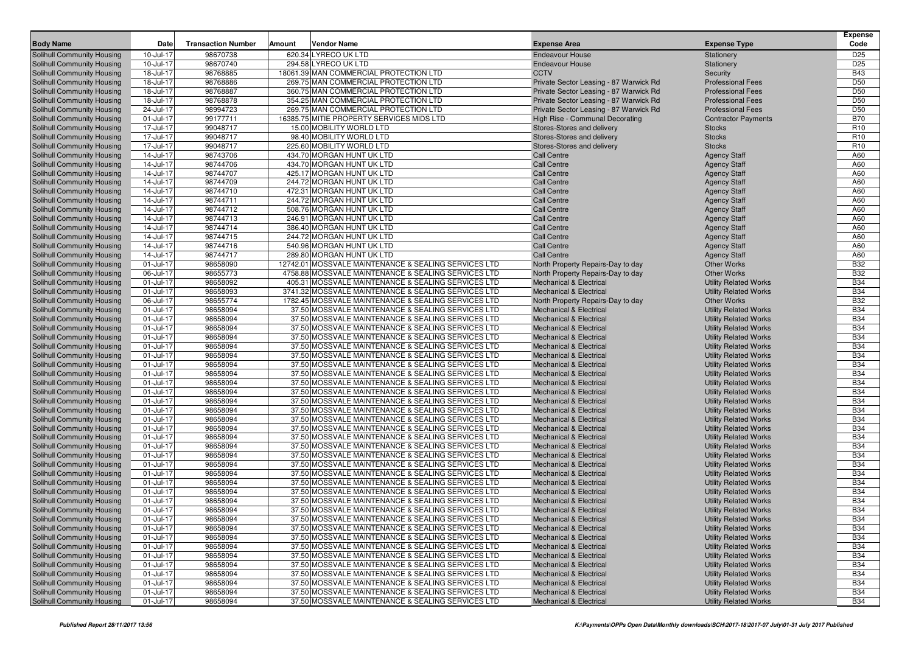| Code<br><b>Body Name</b><br><b>Transaction Number</b><br><b>Vendor Name</b><br><b>Expense Area</b><br><b>Expense Type</b><br>Date<br>Amount<br>98670738<br>620.34 LYRECO UK LTD<br>D <sub>25</sub><br>Solihull Community Housing<br>10-Jul-17<br><b>Endeavour House</b><br>Stationery<br>D <sub>25</sub><br>Solihull Community Housing<br>10-Jul-17<br>98670740<br>294.58 LYRECO UK LTD<br><b>Endeavour House</b><br>Stationery<br>18061.39 MAN COMMERCIAL PROTECTION LTD<br><b>B43</b><br>18-Jul-17<br>98768885<br><b>CCTV</b><br>Solihull Community Housing<br>Security<br>98768886<br>D <sub>50</sub><br>Solihull Community Housing<br>18-Jul-17<br>269.75 MAN COMMERCIAL PROTECTION LTD<br>Private Sector Leasing - 87 Warwick Rd<br><b>Professional Fees</b><br>D <sub>50</sub><br>18-Jul-17<br>98768887<br>360.75 MAN COMMERCIAL PROTECTION LTD<br><b>Professional Fees</b><br>Solihull Community Housing<br>Private Sector Leasing - 87 Warwick Rd<br>18-Jul-17<br>98768878<br>354.25 MAN COMMERCIAL PROTECTION LTD<br><b>Professional Fees</b><br>D <sub>50</sub><br>Solihull Community Housing<br>Private Sector Leasing - 87 Warwick Rd<br>98994723<br>D <sub>50</sub><br>Solihull Community Housing<br>24-Jul-17<br>269.75 MAN COMMERCIAL PROTECTION LTD<br>Private Sector Leasing - 87 Warwick Rd<br><b>Professional Fees</b><br><b>B70</b><br>01-Jul-17<br>99177711<br>16385.75 MITIE PROPERTY SERVICES MIDS LTD<br>High Rise - Communal Decorating<br><b>Contractor Payments</b><br>Solihull Community Housing<br>99048717<br>R <sub>10</sub><br>Solihull Community Housing<br>17-Jul-17<br>15.00 MOBILITY WORLD LTD<br>Stores-Stores and delivery<br><b>Stocks</b><br>R <sub>10</sub><br>17-Jul-17<br>99048717<br>98.40 MOBILITY WORLD LTD<br><b>Stocks</b><br>Solihull Community Housing<br>Stores-Stores and delivery<br>17-Jul-17<br>99048717<br>225.60 MOBILITY WORLD LTD<br>R <sub>10</sub><br>Solihull Community Housing<br>Stores-Stores and delivery<br><b>Stocks</b><br>Solihull Community Housing<br>14-Jul-17<br>98743706<br>434.70 MORGAN HUNT UK LTD<br><b>Call Centre</b><br><b>Agency Staff</b><br>A60<br>98744706<br>14-Jul-17<br>434.70 MORGAN HUNT UK LTD<br><b>Call Centre</b><br><b>Agency Staff</b><br>A60<br>Solihull Community Housing<br>98744707<br>A60<br>Solihull Community Housing<br>14-Jul-17<br>425.17 MORGAN HUNT UK LTD<br><b>Call Centre</b><br><b>Agency Staff</b><br>98744709<br>A60<br>14-Jul-17<br>244.72 MORGAN HUNT UK LTD<br><b>Agency Staff</b><br>Solihull Community Housing<br><b>Call Centre</b><br>98744710<br>472.31 MORGAN HUNT UK LTD<br>A60<br>Solihull Community Housing<br>14-Jul-17<br><b>Call Centre</b><br><b>Agency Staff</b><br>Solihull Community Housing<br>14-Jul-17<br>98744711<br>244.72 MORGAN HUNT UK LTD<br><b>Call Centre</b><br><b>Agency Staff</b><br>A60<br>98744712<br>A60<br>14-Jul-17<br>508.76 MORGAN HUNT UK LTD<br><b>Call Centre</b><br><b>Agency Staff</b><br>Solihull Community Housing<br>98744713<br>A60<br>Solihull Community Housing<br>14-Jul-17<br>246.91 MORGAN HUNT UK LTD<br><b>Call Centre</b><br><b>Agency Staff</b><br>14-Jul-17<br>98744714<br>386.40 MORGAN HUNT UK LTD<br>A60<br>Solihull Community Housing<br><b>Call Centre</b><br><b>Agency Staff</b><br>98744715<br>A60<br>Solihull Community Housing<br>14-Jul-17<br>244.72 MORGAN HUNT UK LTD<br><b>Call Centre</b><br><b>Agency Staff</b><br>98744716<br>Solihull Community Housing<br>14-Jul-17<br>540.96 MORGAN HUNT UK LTD<br><b>Call Centre</b><br><b>Agency Staff</b><br>A60<br>14-Jul-17<br>98744717<br>289.80 MORGAN HUNT UK LTD<br><b>Call Centre</b><br>A60<br>Solihull Community Housing<br><b>Agency Staff</b><br>98658090<br><b>B32</b><br>Solihull Community Housing<br>01-Jul-17<br>12742.01 MOSSVALE MAINTENANCE & SEALING SERVICES LTD<br><b>Other Works</b><br>North Property Repairs-Day to day<br><b>B32</b><br>06-Jul-17<br>98655773<br>4758.88 MOSSVALE MAINTENANCE & SEALING SERVICES LTD<br><b>Other Works</b><br>Solihull Community Housing<br>North Property Repairs-Day to day<br>98658092<br><b>B34</b><br>Solihull Community Housing<br>01-Jul-17<br>405.31 MOSSVALE MAINTENANCE & SEALING SERVICES LTD<br><b>Mechanical &amp; Electrical</b><br><b>Utility Related Works</b><br><b>B34</b><br>Solihull Community Housing<br>01-Jul-17<br>98658093<br>3741.32 MOSSVALE MAINTENANCE & SEALING SERVICES LTD<br><b>Utility Related Works</b><br><b>Mechanical &amp; Electrical</b><br><b>B32</b><br>06-Jul-17<br>98655774<br>1782.45 MOSSVALE MAINTENANCE & SEALING SERVICES LTD<br><b>Other Works</b><br>Solihull Community Housing<br>North Property Repairs-Day to day<br>98658094<br><b>B34</b><br>Solihull Community Housing<br>01-Jul-17<br>37.50 MOSSVALE MAINTENANCE & SEALING SERVICES LTD<br><b>Mechanical &amp; Electrical</b><br><b>Utility Related Works</b><br><b>B34</b><br>01-Jul-17<br>98658094<br>37.50 MOSSVALE MAINTENANCE & SEALING SERVICES LTD<br><b>Mechanical &amp; Electrical</b><br><b>Utility Related Works</b><br>Solihull Community Housing<br><b>B34</b><br>Solihull Community Housing<br>01-Jul-17<br>98658094<br>37.50 MOSSVALE MAINTENANCE & SEALING SERVICES LTD<br><b>Utility Related Works</b><br><b>Mechanical &amp; Electrical</b><br><b>B34</b><br>Solihull Community Housing<br>01-Jul-17<br>98658094<br>37.50 MOSSVALE MAINTENANCE & SEALING SERVICES LTD<br><b>Utility Related Works</b><br><b>Mechanical &amp; Electrical</b><br><b>B34</b><br>01-Jul-17<br>98658094<br>37.50 MOSSVALE MAINTENANCE & SEALING SERVICES LTD<br>Solihull Community Housing<br><b>Mechanical &amp; Electrical</b><br><b>Utility Related Works</b><br>98658094<br><b>B34</b><br>Solihull Community Housing<br>01-Jul-17<br>37.50 MOSSVALE MAINTENANCE & SEALING SERVICES LTD<br><b>Utility Related Works</b><br><b>Mechanical &amp; Electrical</b><br><b>B34</b><br>01-Jul-17<br>98658094<br>37.50 MOSSVALE MAINTENANCE & SEALING SERVICES LTD<br><b>Utility Related Works</b><br>Solihull Community Housing<br><b>Mechanical &amp; Electrical</b><br>98658094<br>37.50 MOSSVALE MAINTENANCE & SEALING SERVICES LTD<br><b>B34</b><br>Solihull Community Housing<br>01-Jul-17<br><b>Utility Related Works</b><br><b>Mechanical &amp; Electrical</b><br><b>B34</b><br>Solihull Community Housing<br>01-Jul-17<br>98658094<br>37.50 MOSSVALE MAINTENANCE & SEALING SERVICES LTD<br><b>Utility Related Works</b><br><b>Mechanical &amp; Electrical</b><br><b>B34</b><br>01-Jul-17<br>98658094<br>37.50 MOSSVALE MAINTENANCE & SEALING SERVICES LTD<br><b>Utility Related Works</b><br>Solihull Community Housing<br><b>Mechanical &amp; Electrical</b><br>98658094<br><b>B34</b><br>Solihull Community Housing<br>01-Jul-17<br>37.50 MOSSVALE MAINTENANCE & SEALING SERVICES LTD<br><b>Utility Related Works</b><br><b>Mechanical &amp; Electrical</b><br><b>B34</b><br>01-Jul-17<br>98658094<br>37.50 MOSSVALE MAINTENANCE & SEALING SERVICES LTD<br>Solihull Community Housing<br><b>Mechanical &amp; Electrical</b><br><b>Utility Related Works</b><br>98658094<br>37.50 MOSSVALE MAINTENANCE & SEALING SERVICES LTD<br><b>B34</b><br>Solihull Community Housing<br>01-Jul-17<br><b>Utility Related Works</b><br><b>Mechanical &amp; Electrical</b><br><b>B34</b><br>Solihull Community Housing<br>01-Jul-17<br>98658094<br>37.50 MOSSVALE MAINTENANCE & SEALING SERVICES LTD<br><b>Utility Related Works</b><br><b>Mechanical &amp; Electrical</b><br><b>B34</b><br>01-Jul-17<br>98658094<br>37.50 MOSSVALE MAINTENANCE & SEALING SERVICES LTD<br>Solihull Community Housing<br><b>Mechanical &amp; Electrical</b><br><b>Utility Related Works</b><br>98658094<br><b>B34</b><br>Solihull Community Housing<br>01-Jul-17<br>37.50 MOSSVALE MAINTENANCE & SEALING SERVICES LTD<br><b>Utility Related Works</b><br><b>Mechanical &amp; Electrical</b><br><b>B34</b><br>01-Jul-17<br>98658094<br>37.50 MOSSVALE MAINTENANCE & SEALING SERVICES LTD<br><b>Utility Related Works</b><br>Solihull Community Housing<br><b>Mechanical &amp; Electrical</b><br>98658094<br>37.50 MOSSVALE MAINTENANCE & SEALING SERVICES LTD<br><b>B34</b><br>Solihull Community Housing<br>01-Jul-17<br><b>Utility Related Works</b><br><b>Mechanical &amp; Electrical</b><br><b>B34</b><br>Solihull Community Housing<br>98658094<br>37.50 MOSSVALE MAINTENANCE & SEALING SERVICES LTD<br><b>Utility Related Works</b><br>01-Jul-17<br><b>Mechanical &amp; Electrical</b><br><b>B34</b><br>Solihull Community Housing<br>01-Jul-17<br>98658094<br>37.50 MOSSVALE MAINTENANCE & SEALING SERVICES LTD<br><b>Utility Related Works</b><br><b>Mechanical &amp; Electrical</b><br>98658094<br><b>B34</b><br>Solihull Community Housing<br>01-Jul-17<br>37.50 MOSSVALE MAINTENANCE & SEALING SERVICES LTD<br><b>Utility Related Works</b><br><b>Mechanical &amp; Electrical</b><br><b>B34</b><br>01-Jul-17<br>98658094<br>37.50 MOSSVALE MAINTENANCE & SEALING SERVICES LTD<br><b>Utility Related Works</b><br>Solihull Community Housing<br><b>Mechanical &amp; Electrical</b><br><b>B34</b><br>Solihull Community Housing<br>01-Jul-17<br>98658094<br>37.50 MOSSVALE MAINTENANCE & SEALING SERVICES LTD<br><b>Utility Related Works</b><br><b>Mechanical &amp; Electrical</b><br>Solihull Community Housing<br>01-Jul-17<br>98658094<br>37.50 MOSSVALE MAINTENANCE & SEALING SERVICES LTD<br><b>Mechanical &amp; Electrical</b><br><b>Utility Related Works</b><br><b>B34</b><br><b>B34</b><br>Solihull Community Housing<br>01-Jul-17<br>98658094<br><b>Utility Related Works</b><br>37.50 MOSSVALE MAINTENANCE & SEALING SERVICES LTD<br><b>Mechanical &amp; Electrical</b><br>Solihull Community Housing<br>98658094<br>37.50 MOSSVALE MAINTENANCE & SEALING SERVICES LTD<br><b>Utility Related Works</b><br><b>B34</b><br>01-Jul-17<br><b>Mechanical &amp; Electrical</b><br><b>B34</b><br>Solihull Community Housing<br>01-Jul-17<br>98658094<br>37.50 MOSSVALE MAINTENANCE & SEALING SERVICES LTD<br><b>Utility Related Works</b><br><b>Mechanical &amp; Electrical</b><br>Solihull Community Housing<br>01-Jul-17<br>98658094<br>37.50 MOSSVALE MAINTENANCE & SEALING SERVICES LTD<br><b>Utility Related Works</b><br><b>B34</b><br><b>Mechanical &amp; Electrical</b><br><b>B34</b><br>Solihull Community Housing<br>01-Jul-17<br>98658094<br>37.50 MOSSVALE MAINTENANCE & SEALING SERVICES LTD<br><b>Utility Related Works</b><br><b>Mechanical &amp; Electrical</b><br><b>B34</b><br>Solihull Community Housing<br>01-Jul-17<br>98658094<br>37.50 MOSSVALE MAINTENANCE & SEALING SERVICES LTD<br><b>Utility Related Works</b><br><b>Mechanical &amp; Electrical</b><br>Solihull Community Housing<br>98658094<br>37.50 MOSSVALE MAINTENANCE & SEALING SERVICES LTD<br><b>Utility Related Works</b><br><b>B34</b><br>01-Jul-17<br><b>Mechanical &amp; Electrical</b><br><b>B34</b><br>Solihull Community Housing<br>98658094<br>37.50 MOSSVALE MAINTENANCE & SEALING SERVICES LTD<br>01-Jul-17<br><b>Mechanical &amp; Electrical</b><br><b>Utility Related Works</b><br>Solihull Community Housing<br>01-Jul-17<br>98658094<br>37.50 MOSSVALE MAINTENANCE & SEALING SERVICES LTD<br><b>Utility Related Works</b><br><b>B34</b><br><b>Mechanical &amp; Electrical</b> |  |  |  | <b>Expense</b> |
|-----------------------------------------------------------------------------------------------------------------------------------------------------------------------------------------------------------------------------------------------------------------------------------------------------------------------------------------------------------------------------------------------------------------------------------------------------------------------------------------------------------------------------------------------------------------------------------------------------------------------------------------------------------------------------------------------------------------------------------------------------------------------------------------------------------------------------------------------------------------------------------------------------------------------------------------------------------------------------------------------------------------------------------------------------------------------------------------------------------------------------------------------------------------------------------------------------------------------------------------------------------------------------------------------------------------------------------------------------------------------------------------------------------------------------------------------------------------------------------------------------------------------------------------------------------------------------------------------------------------------------------------------------------------------------------------------------------------------------------------------------------------------------------------------------------------------------------------------------------------------------------------------------------------------------------------------------------------------------------------------------------------------------------------------------------------------------------------------------------------------------------------------------------------------------------------------------------------------------------------------------------------------------------------------------------------------------------------------------------------------------------------------------------------------------------------------------------------------------------------------------------------------------------------------------------------------------------------------------------------------------------------------------------------------------------------------------------------------------------------------------------------------------------------------------------------------------------------------------------------------------------------------------------------------------------------------------------------------------------------------------------------------------------------------------------------------------------------------------------------------------------------------------------------------------------------------------------------------------------------------------------------------------------------------------------------------------------------------------------------------------------------------------------------------------------------------------------------------------------------------------------------------------------------------------------------------------------------------------------------------------------------------------------------------------------------------------------------------------------------------------------------------------------------------------------------------------------------------------------------------------------------------------------------------------------------------------------------------------------------------------------------------------------------------------------------------------------------------------------------------------------------------------------------------------------------------------------------------------------------------------------------------------------------------------------------------------------------------------------------------------------------------------------------------------------------------------------------------------------------------------------------------------------------------------------------------------------------------------------------------------------------------------------------------------------------------------------------------------------------------------------------------------------------------------------------------------------------------------------------------------------------------------------------------------------------------------------------------------------------------------------------------------------------------------------------------------------------------------------------------------------------------------------------------------------------------------------------------------------------------------------------------------------------------------------------------------------------------------------------------------------------------------------------------------------------------------------------------------------------------------------------------------------------------------------------------------------------------------------------------------------------------------------------------------------------------------------------------------------------------------------------------------------------------------------------------------------------------------------------------------------------------------------------------------------------------------------------------------------------------------------------------------------------------------------------------------------------------------------------------------------------------------------------------------------------------------------------------------------------------------------------------------------------------------------------------------------------------------------------------------------------------------------------------------------------------------------------------------------------------------------------------------------------------------------------------------------------------------------------------------------------------------------------------------------------------------------------------------------------------------------------------------------------------------------------------------------------------------------------------------------------------------------------------------------------------------------------------------------------------------------------------------------------------------------------------------------------------------------------------------------------------------------------------------------------------------------------------------------------------------------------------------------------------------------------------------------------------------------------------------------------------------------------------------------------------------------------------------------------------------------------------------------------------------------------------------------------------------------------------------------------------------------------------------------------------------------------------------------------------------------------------------------------------------------------------------------------------------------------------------------------------------------------------------------------------------------------------------------------------------------------------------------------------------------------------------------------------------------------------------------------------------------------------------------------------------------------------------------------------------------------------------------------------------------------------------------------------------------------------------------------------------------------------------------------------------------------------------------------------------------------------------------------------------------------------------------------------------------------------------------------------------------------------------------------------------------------------------------------------------------------------------------------------------------------------------------------------------------------------------------------------------------------------------------------------------------------------------------------------------------------------------------------------------------------------------------------------------------------------------------------------------------------------------------------------------------------------------------------------------------------------------------------------------------------------------------------------------------------------------------------------------------------------------------------------------------------------------------------------------------------------------------------------------------------------------------------------------------------------------------------------------------------------------------------------------------------------------------------------------------------------------------------------------------------------------------------------------------------------------------------------------------------------------------------------------------------------------------------------------------------------------------------------------------------------------------------------------------------------------------------------------------------------------------------------------------------------------------------------------------------------------------------------------------------------------------------------------------------------------------------------------------------------------------------------------------------------------------------------------------------------------------------------------------------------------------------------------------------------------------------------------------------------------------------------------------------------------------------------------------------------------------------------------------------------------------------------------------------------------------------------------------------------------------------------------------------------------------------------------------------------------------------------------------------------------------------------------------------------------------------------------------------------------------------------------------------------------------------------------------------------|--|--|--|----------------|
|                                                                                                                                                                                                                                                                                                                                                                                                                                                                                                                                                                                                                                                                                                                                                                                                                                                                                                                                                                                                                                                                                                                                                                                                                                                                                                                                                                                                                                                                                                                                                                                                                                                                                                                                                                                                                                                                                                                                                                                                                                                                                                                                                                                                                                                                                                                                                                                                                                                                                                                                                                                                                                                                                                                                                                                                                                                                                                                                                                                                                                                                                                                                                                                                                                                                                                                                                                                                                                                                                                                                                                                                                                                                                                                                                                                                                                                                                                                                                                                                                                                                                                                                                                                                                                                                                                                                                                                                                                                                                                                                                                                                                                                                                                                                                                                                                                                                                                                                                                                                                                                                                                                                                                                                                                                                                                                                                                                                                                                                                                                                                                                                                                                                                                                                                                                                                                                                                                                                                                                                                                                                                                                                                                                                                                                                                                                                                                                                                                                                                                                                                                                                                                                                                                                                                                                                                                                                                                                                                                                                                                                                                                                                                                                                                                                                                                                                                                                                                                                                                                                                                                                                                                                                                                                                                                                                                                                                                                                                                                                                                                                                                                                                                                                                                                                                                                                                                                                                                                                                                                                                                                                                                                                                                                                                                                                                                                                                                                                                                                                                                                                                                                                                                                                                                                                                                                                                                                                                                                                                                                                                                                                                                                                                                                                                                                                                                                                                                                                                                                                                                                                                                                                                                                                                                                                                                                                                                                                                                                                                                                                                                                                                                                                                                                                                                                                                                                                                                                                                                                                                                                                                                                                                                                                                                                                                       |  |  |  |                |
|                                                                                                                                                                                                                                                                                                                                                                                                                                                                                                                                                                                                                                                                                                                                                                                                                                                                                                                                                                                                                                                                                                                                                                                                                                                                                                                                                                                                                                                                                                                                                                                                                                                                                                                                                                                                                                                                                                                                                                                                                                                                                                                                                                                                                                                                                                                                                                                                                                                                                                                                                                                                                                                                                                                                                                                                                                                                                                                                                                                                                                                                                                                                                                                                                                                                                                                                                                                                                                                                                                                                                                                                                                                                                                                                                                                                                                                                                                                                                                                                                                                                                                                                                                                                                                                                                                                                                                                                                                                                                                                                                                                                                                                                                                                                                                                                                                                                                                                                                                                                                                                                                                                                                                                                                                                                                                                                                                                                                                                                                                                                                                                                                                                                                                                                                                                                                                                                                                                                                                                                                                                                                                                                                                                                                                                                                                                                                                                                                                                                                                                                                                                                                                                                                                                                                                                                                                                                                                                                                                                                                                                                                                                                                                                                                                                                                                                                                                                                                                                                                                                                                                                                                                                                                                                                                                                                                                                                                                                                                                                                                                                                                                                                                                                                                                                                                                                                                                                                                                                                                                                                                                                                                                                                                                                                                                                                                                                                                                                                                                                                                                                                                                                                                                                                                                                                                                                                                                                                                                                                                                                                                                                                                                                                                                                                                                                                                                                                                                                                                                                                                                                                                                                                                                                                                                                                                                                                                                                                                                                                                                                                                                                                                                                                                                                                                                                                                                                                                                                                                                                                                                                                                                                                                                                                                                                                       |  |  |  |                |
|                                                                                                                                                                                                                                                                                                                                                                                                                                                                                                                                                                                                                                                                                                                                                                                                                                                                                                                                                                                                                                                                                                                                                                                                                                                                                                                                                                                                                                                                                                                                                                                                                                                                                                                                                                                                                                                                                                                                                                                                                                                                                                                                                                                                                                                                                                                                                                                                                                                                                                                                                                                                                                                                                                                                                                                                                                                                                                                                                                                                                                                                                                                                                                                                                                                                                                                                                                                                                                                                                                                                                                                                                                                                                                                                                                                                                                                                                                                                                                                                                                                                                                                                                                                                                                                                                                                                                                                                                                                                                                                                                                                                                                                                                                                                                                                                                                                                                                                                                                                                                                                                                                                                                                                                                                                                                                                                                                                                                                                                                                                                                                                                                                                                                                                                                                                                                                                                                                                                                                                                                                                                                                                                                                                                                                                                                                                                                                                                                                                                                                                                                                                                                                                                                                                                                                                                                                                                                                                                                                                                                                                                                                                                                                                                                                                                                                                                                                                                                                                                                                                                                                                                                                                                                                                                                                                                                                                                                                                                                                                                                                                                                                                                                                                                                                                                                                                                                                                                                                                                                                                                                                                                                                                                                                                                                                                                                                                                                                                                                                                                                                                                                                                                                                                                                                                                                                                                                                                                                                                                                                                                                                                                                                                                                                                                                                                                                                                                                                                                                                                                                                                                                                                                                                                                                                                                                                                                                                                                                                                                                                                                                                                                                                                                                                                                                                                                                                                                                                                                                                                                                                                                                                                                                                                                                                                                       |  |  |  |                |
|                                                                                                                                                                                                                                                                                                                                                                                                                                                                                                                                                                                                                                                                                                                                                                                                                                                                                                                                                                                                                                                                                                                                                                                                                                                                                                                                                                                                                                                                                                                                                                                                                                                                                                                                                                                                                                                                                                                                                                                                                                                                                                                                                                                                                                                                                                                                                                                                                                                                                                                                                                                                                                                                                                                                                                                                                                                                                                                                                                                                                                                                                                                                                                                                                                                                                                                                                                                                                                                                                                                                                                                                                                                                                                                                                                                                                                                                                                                                                                                                                                                                                                                                                                                                                                                                                                                                                                                                                                                                                                                                                                                                                                                                                                                                                                                                                                                                                                                                                                                                                                                                                                                                                                                                                                                                                                                                                                                                                                                                                                                                                                                                                                                                                                                                                                                                                                                                                                                                                                                                                                                                                                                                                                                                                                                                                                                                                                                                                                                                                                                                                                                                                                                                                                                                                                                                                                                                                                                                                                                                                                                                                                                                                                                                                                                                                                                                                                                                                                                                                                                                                                                                                                                                                                                                                                                                                                                                                                                                                                                                                                                                                                                                                                                                                                                                                                                                                                                                                                                                                                                                                                                                                                                                                                                                                                                                                                                                                                                                                                                                                                                                                                                                                                                                                                                                                                                                                                                                                                                                                                                                                                                                                                                                                                                                                                                                                                                                                                                                                                                                                                                                                                                                                                                                                                                                                                                                                                                                                                                                                                                                                                                                                                                                                                                                                                                                                                                                                                                                                                                                                                                                                                                                                                                                                                                                       |  |  |  |                |
|                                                                                                                                                                                                                                                                                                                                                                                                                                                                                                                                                                                                                                                                                                                                                                                                                                                                                                                                                                                                                                                                                                                                                                                                                                                                                                                                                                                                                                                                                                                                                                                                                                                                                                                                                                                                                                                                                                                                                                                                                                                                                                                                                                                                                                                                                                                                                                                                                                                                                                                                                                                                                                                                                                                                                                                                                                                                                                                                                                                                                                                                                                                                                                                                                                                                                                                                                                                                                                                                                                                                                                                                                                                                                                                                                                                                                                                                                                                                                                                                                                                                                                                                                                                                                                                                                                                                                                                                                                                                                                                                                                                                                                                                                                                                                                                                                                                                                                                                                                                                                                                                                                                                                                                                                                                                                                                                                                                                                                                                                                                                                                                                                                                                                                                                                                                                                                                                                                                                                                                                                                                                                                                                                                                                                                                                                                                                                                                                                                                                                                                                                                                                                                                                                                                                                                                                                                                                                                                                                                                                                                                                                                                                                                                                                                                                                                                                                                                                                                                                                                                                                                                                                                                                                                                                                                                                                                                                                                                                                                                                                                                                                                                                                                                                                                                                                                                                                                                                                                                                                                                                                                                                                                                                                                                                                                                                                                                                                                                                                                                                                                                                                                                                                                                                                                                                                                                                                                                                                                                                                                                                                                                                                                                                                                                                                                                                                                                                                                                                                                                                                                                                                                                                                                                                                                                                                                                                                                                                                                                                                                                                                                                                                                                                                                                                                                                                                                                                                                                                                                                                                                                                                                                                                                                                                                                                       |  |  |  |                |
|                                                                                                                                                                                                                                                                                                                                                                                                                                                                                                                                                                                                                                                                                                                                                                                                                                                                                                                                                                                                                                                                                                                                                                                                                                                                                                                                                                                                                                                                                                                                                                                                                                                                                                                                                                                                                                                                                                                                                                                                                                                                                                                                                                                                                                                                                                                                                                                                                                                                                                                                                                                                                                                                                                                                                                                                                                                                                                                                                                                                                                                                                                                                                                                                                                                                                                                                                                                                                                                                                                                                                                                                                                                                                                                                                                                                                                                                                                                                                                                                                                                                                                                                                                                                                                                                                                                                                                                                                                                                                                                                                                                                                                                                                                                                                                                                                                                                                                                                                                                                                                                                                                                                                                                                                                                                                                                                                                                                                                                                                                                                                                                                                                                                                                                                                                                                                                                                                                                                                                                                                                                                                                                                                                                                                                                                                                                                                                                                                                                                                                                                                                                                                                                                                                                                                                                                                                                                                                                                                                                                                                                                                                                                                                                                                                                                                                                                                                                                                                                                                                                                                                                                                                                                                                                                                                                                                                                                                                                                                                                                                                                                                                                                                                                                                                                                                                                                                                                                                                                                                                                                                                                                                                                                                                                                                                                                                                                                                                                                                                                                                                                                                                                                                                                                                                                                                                                                                                                                                                                                                                                                                                                                                                                                                                                                                                                                                                                                                                                                                                                                                                                                                                                                                                                                                                                                                                                                                                                                                                                                                                                                                                                                                                                                                                                                                                                                                                                                                                                                                                                                                                                                                                                                                                                                                                                                       |  |  |  |                |
|                                                                                                                                                                                                                                                                                                                                                                                                                                                                                                                                                                                                                                                                                                                                                                                                                                                                                                                                                                                                                                                                                                                                                                                                                                                                                                                                                                                                                                                                                                                                                                                                                                                                                                                                                                                                                                                                                                                                                                                                                                                                                                                                                                                                                                                                                                                                                                                                                                                                                                                                                                                                                                                                                                                                                                                                                                                                                                                                                                                                                                                                                                                                                                                                                                                                                                                                                                                                                                                                                                                                                                                                                                                                                                                                                                                                                                                                                                                                                                                                                                                                                                                                                                                                                                                                                                                                                                                                                                                                                                                                                                                                                                                                                                                                                                                                                                                                                                                                                                                                                                                                                                                                                                                                                                                                                                                                                                                                                                                                                                                                                                                                                                                                                                                                                                                                                                                                                                                                                                                                                                                                                                                                                                                                                                                                                                                                                                                                                                                                                                                                                                                                                                                                                                                                                                                                                                                                                                                                                                                                                                                                                                                                                                                                                                                                                                                                                                                                                                                                                                                                                                                                                                                                                                                                                                                                                                                                                                                                                                                                                                                                                                                                                                                                                                                                                                                                                                                                                                                                                                                                                                                                                                                                                                                                                                                                                                                                                                                                                                                                                                                                                                                                                                                                                                                                                                                                                                                                                                                                                                                                                                                                                                                                                                                                                                                                                                                                                                                                                                                                                                                                                                                                                                                                                                                                                                                                                                                                                                                                                                                                                                                                                                                                                                                                                                                                                                                                                                                                                                                                                                                                                                                                                                                                                                                                       |  |  |  |                |
|                                                                                                                                                                                                                                                                                                                                                                                                                                                                                                                                                                                                                                                                                                                                                                                                                                                                                                                                                                                                                                                                                                                                                                                                                                                                                                                                                                                                                                                                                                                                                                                                                                                                                                                                                                                                                                                                                                                                                                                                                                                                                                                                                                                                                                                                                                                                                                                                                                                                                                                                                                                                                                                                                                                                                                                                                                                                                                                                                                                                                                                                                                                                                                                                                                                                                                                                                                                                                                                                                                                                                                                                                                                                                                                                                                                                                                                                                                                                                                                                                                                                                                                                                                                                                                                                                                                                                                                                                                                                                                                                                                                                                                                                                                                                                                                                                                                                                                                                                                                                                                                                                                                                                                                                                                                                                                                                                                                                                                                                                                                                                                                                                                                                                                                                                                                                                                                                                                                                                                                                                                                                                                                                                                                                                                                                                                                                                                                                                                                                                                                                                                                                                                                                                                                                                                                                                                                                                                                                                                                                                                                                                                                                                                                                                                                                                                                                                                                                                                                                                                                                                                                                                                                                                                                                                                                                                                                                                                                                                                                                                                                                                                                                                                                                                                                                                                                                                                                                                                                                                                                                                                                                                                                                                                                                                                                                                                                                                                                                                                                                                                                                                                                                                                                                                                                                                                                                                                                                                                                                                                                                                                                                                                                                                                                                                                                                                                                                                                                                                                                                                                                                                                                                                                                                                                                                                                                                                                                                                                                                                                                                                                                                                                                                                                                                                                                                                                                                                                                                                                                                                                                                                                                                                                                                                                                                       |  |  |  |                |
|                                                                                                                                                                                                                                                                                                                                                                                                                                                                                                                                                                                                                                                                                                                                                                                                                                                                                                                                                                                                                                                                                                                                                                                                                                                                                                                                                                                                                                                                                                                                                                                                                                                                                                                                                                                                                                                                                                                                                                                                                                                                                                                                                                                                                                                                                                                                                                                                                                                                                                                                                                                                                                                                                                                                                                                                                                                                                                                                                                                                                                                                                                                                                                                                                                                                                                                                                                                                                                                                                                                                                                                                                                                                                                                                                                                                                                                                                                                                                                                                                                                                                                                                                                                                                                                                                                                                                                                                                                                                                                                                                                                                                                                                                                                                                                                                                                                                                                                                                                                                                                                                                                                                                                                                                                                                                                                                                                                                                                                                                                                                                                                                                                                                                                                                                                                                                                                                                                                                                                                                                                                                                                                                                                                                                                                                                                                                                                                                                                                                                                                                                                                                                                                                                                                                                                                                                                                                                                                                                                                                                                                                                                                                                                                                                                                                                                                                                                                                                                                                                                                                                                                                                                                                                                                                                                                                                                                                                                                                                                                                                                                                                                                                                                                                                                                                                                                                                                                                                                                                                                                                                                                                                                                                                                                                                                                                                                                                                                                                                                                                                                                                                                                                                                                                                                                                                                                                                                                                                                                                                                                                                                                                                                                                                                                                                                                                                                                                                                                                                                                                                                                                                                                                                                                                                                                                                                                                                                                                                                                                                                                                                                                                                                                                                                                                                                                                                                                                                                                                                                                                                                                                                                                                                                                                                                                                       |  |  |  |                |
|                                                                                                                                                                                                                                                                                                                                                                                                                                                                                                                                                                                                                                                                                                                                                                                                                                                                                                                                                                                                                                                                                                                                                                                                                                                                                                                                                                                                                                                                                                                                                                                                                                                                                                                                                                                                                                                                                                                                                                                                                                                                                                                                                                                                                                                                                                                                                                                                                                                                                                                                                                                                                                                                                                                                                                                                                                                                                                                                                                                                                                                                                                                                                                                                                                                                                                                                                                                                                                                                                                                                                                                                                                                                                                                                                                                                                                                                                                                                                                                                                                                                                                                                                                                                                                                                                                                                                                                                                                                                                                                                                                                                                                                                                                                                                                                                                                                                                                                                                                                                                                                                                                                                                                                                                                                                                                                                                                                                                                                                                                                                                                                                                                                                                                                                                                                                                                                                                                                                                                                                                                                                                                                                                                                                                                                                                                                                                                                                                                                                                                                                                                                                                                                                                                                                                                                                                                                                                                                                                                                                                                                                                                                                                                                                                                                                                                                                                                                                                                                                                                                                                                                                                                                                                                                                                                                                                                                                                                                                                                                                                                                                                                                                                                                                                                                                                                                                                                                                                                                                                                                                                                                                                                                                                                                                                                                                                                                                                                                                                                                                                                                                                                                                                                                                                                                                                                                                                                                                                                                                                                                                                                                                                                                                                                                                                                                                                                                                                                                                                                                                                                                                                                                                                                                                                                                                                                                                                                                                                                                                                                                                                                                                                                                                                                                                                                                                                                                                                                                                                                                                                                                                                                                                                                                                                                                                       |  |  |  |                |
|                                                                                                                                                                                                                                                                                                                                                                                                                                                                                                                                                                                                                                                                                                                                                                                                                                                                                                                                                                                                                                                                                                                                                                                                                                                                                                                                                                                                                                                                                                                                                                                                                                                                                                                                                                                                                                                                                                                                                                                                                                                                                                                                                                                                                                                                                                                                                                                                                                                                                                                                                                                                                                                                                                                                                                                                                                                                                                                                                                                                                                                                                                                                                                                                                                                                                                                                                                                                                                                                                                                                                                                                                                                                                                                                                                                                                                                                                                                                                                                                                                                                                                                                                                                                                                                                                                                                                                                                                                                                                                                                                                                                                                                                                                                                                                                                                                                                                                                                                                                                                                                                                                                                                                                                                                                                                                                                                                                                                                                                                                                                                                                                                                                                                                                                                                                                                                                                                                                                                                                                                                                                                                                                                                                                                                                                                                                                                                                                                                                                                                                                                                                                                                                                                                                                                                                                                                                                                                                                                                                                                                                                                                                                                                                                                                                                                                                                                                                                                                                                                                                                                                                                                                                                                                                                                                                                                                                                                                                                                                                                                                                                                                                                                                                                                                                                                                                                                                                                                                                                                                                                                                                                                                                                                                                                                                                                                                                                                                                                                                                                                                                                                                                                                                                                                                                                                                                                                                                                                                                                                                                                                                                                                                                                                                                                                                                                                                                                                                                                                                                                                                                                                                                                                                                                                                                                                                                                                                                                                                                                                                                                                                                                                                                                                                                                                                                                                                                                                                                                                                                                                                                                                                                                                                                                                                                                       |  |  |  |                |
|                                                                                                                                                                                                                                                                                                                                                                                                                                                                                                                                                                                                                                                                                                                                                                                                                                                                                                                                                                                                                                                                                                                                                                                                                                                                                                                                                                                                                                                                                                                                                                                                                                                                                                                                                                                                                                                                                                                                                                                                                                                                                                                                                                                                                                                                                                                                                                                                                                                                                                                                                                                                                                                                                                                                                                                                                                                                                                                                                                                                                                                                                                                                                                                                                                                                                                                                                                                                                                                                                                                                                                                                                                                                                                                                                                                                                                                                                                                                                                                                                                                                                                                                                                                                                                                                                                                                                                                                                                                                                                                                                                                                                                                                                                                                                                                                                                                                                                                                                                                                                                                                                                                                                                                                                                                                                                                                                                                                                                                                                                                                                                                                                                                                                                                                                                                                                                                                                                                                                                                                                                                                                                                                                                                                                                                                                                                                                                                                                                                                                                                                                                                                                                                                                                                                                                                                                                                                                                                                                                                                                                                                                                                                                                                                                                                                                                                                                                                                                                                                                                                                                                                                                                                                                                                                                                                                                                                                                                                                                                                                                                                                                                                                                                                                                                                                                                                                                                                                                                                                                                                                                                                                                                                                                                                                                                                                                                                                                                                                                                                                                                                                                                                                                                                                                                                                                                                                                                                                                                                                                                                                                                                                                                                                                                                                                                                                                                                                                                                                                                                                                                                                                                                                                                                                                                                                                                                                                                                                                                                                                                                                                                                                                                                                                                                                                                                                                                                                                                                                                                                                                                                                                                                                                                                                                                                                       |  |  |  |                |
|                                                                                                                                                                                                                                                                                                                                                                                                                                                                                                                                                                                                                                                                                                                                                                                                                                                                                                                                                                                                                                                                                                                                                                                                                                                                                                                                                                                                                                                                                                                                                                                                                                                                                                                                                                                                                                                                                                                                                                                                                                                                                                                                                                                                                                                                                                                                                                                                                                                                                                                                                                                                                                                                                                                                                                                                                                                                                                                                                                                                                                                                                                                                                                                                                                                                                                                                                                                                                                                                                                                                                                                                                                                                                                                                                                                                                                                                                                                                                                                                                                                                                                                                                                                                                                                                                                                                                                                                                                                                                                                                                                                                                                                                                                                                                                                                                                                                                                                                                                                                                                                                                                                                                                                                                                                                                                                                                                                                                                                                                                                                                                                                                                                                                                                                                                                                                                                                                                                                                                                                                                                                                                                                                                                                                                                                                                                                                                                                                                                                                                                                                                                                                                                                                                                                                                                                                                                                                                                                                                                                                                                                                                                                                                                                                                                                                                                                                                                                                                                                                                                                                                                                                                                                                                                                                                                                                                                                                                                                                                                                                                                                                                                                                                                                                                                                                                                                                                                                                                                                                                                                                                                                                                                                                                                                                                                                                                                                                                                                                                                                                                                                                                                                                                                                                                                                                                                                                                                                                                                                                                                                                                                                                                                                                                                                                                                                                                                                                                                                                                                                                                                                                                                                                                                                                                                                                                                                                                                                                                                                                                                                                                                                                                                                                                                                                                                                                                                                                                                                                                                                                                                                                                                                                                                                                                                                       |  |  |  |                |
|                                                                                                                                                                                                                                                                                                                                                                                                                                                                                                                                                                                                                                                                                                                                                                                                                                                                                                                                                                                                                                                                                                                                                                                                                                                                                                                                                                                                                                                                                                                                                                                                                                                                                                                                                                                                                                                                                                                                                                                                                                                                                                                                                                                                                                                                                                                                                                                                                                                                                                                                                                                                                                                                                                                                                                                                                                                                                                                                                                                                                                                                                                                                                                                                                                                                                                                                                                                                                                                                                                                                                                                                                                                                                                                                                                                                                                                                                                                                                                                                                                                                                                                                                                                                                                                                                                                                                                                                                                                                                                                                                                                                                                                                                                                                                                                                                                                                                                                                                                                                                                                                                                                                                                                                                                                                                                                                                                                                                                                                                                                                                                                                                                                                                                                                                                                                                                                                                                                                                                                                                                                                                                                                                                                                                                                                                                                                                                                                                                                                                                                                                                                                                                                                                                                                                                                                                                                                                                                                                                                                                                                                                                                                                                                                                                                                                                                                                                                                                                                                                                                                                                                                                                                                                                                                                                                                                                                                                                                                                                                                                                                                                                                                                                                                                                                                                                                                                                                                                                                                                                                                                                                                                                                                                                                                                                                                                                                                                                                                                                                                                                                                                                                                                                                                                                                                                                                                                                                                                                                                                                                                                                                                                                                                                                                                                                                                                                                                                                                                                                                                                                                                                                                                                                                                                                                                                                                                                                                                                                                                                                                                                                                                                                                                                                                                                                                                                                                                                                                                                                                                                                                                                                                                                                                                                                                                       |  |  |  |                |
|                                                                                                                                                                                                                                                                                                                                                                                                                                                                                                                                                                                                                                                                                                                                                                                                                                                                                                                                                                                                                                                                                                                                                                                                                                                                                                                                                                                                                                                                                                                                                                                                                                                                                                                                                                                                                                                                                                                                                                                                                                                                                                                                                                                                                                                                                                                                                                                                                                                                                                                                                                                                                                                                                                                                                                                                                                                                                                                                                                                                                                                                                                                                                                                                                                                                                                                                                                                                                                                                                                                                                                                                                                                                                                                                                                                                                                                                                                                                                                                                                                                                                                                                                                                                                                                                                                                                                                                                                                                                                                                                                                                                                                                                                                                                                                                                                                                                                                                                                                                                                                                                                                                                                                                                                                                                                                                                                                                                                                                                                                                                                                                                                                                                                                                                                                                                                                                                                                                                                                                                                                                                                                                                                                                                                                                                                                                                                                                                                                                                                                                                                                                                                                                                                                                                                                                                                                                                                                                                                                                                                                                                                                                                                                                                                                                                                                                                                                                                                                                                                                                                                                                                                                                                                                                                                                                                                                                                                                                                                                                                                                                                                                                                                                                                                                                                                                                                                                                                                                                                                                                                                                                                                                                                                                                                                                                                                                                                                                                                                                                                                                                                                                                                                                                                                                                                                                                                                                                                                                                                                                                                                                                                                                                                                                                                                                                                                                                                                                                                                                                                                                                                                                                                                                                                                                                                                                                                                                                                                                                                                                                                                                                                                                                                                                                                                                                                                                                                                                                                                                                                                                                                                                                                                                                                                                                                       |  |  |  |                |
|                                                                                                                                                                                                                                                                                                                                                                                                                                                                                                                                                                                                                                                                                                                                                                                                                                                                                                                                                                                                                                                                                                                                                                                                                                                                                                                                                                                                                                                                                                                                                                                                                                                                                                                                                                                                                                                                                                                                                                                                                                                                                                                                                                                                                                                                                                                                                                                                                                                                                                                                                                                                                                                                                                                                                                                                                                                                                                                                                                                                                                                                                                                                                                                                                                                                                                                                                                                                                                                                                                                                                                                                                                                                                                                                                                                                                                                                                                                                                                                                                                                                                                                                                                                                                                                                                                                                                                                                                                                                                                                                                                                                                                                                                                                                                                                                                                                                                                                                                                                                                                                                                                                                                                                                                                                                                                                                                                                                                                                                                                                                                                                                                                                                                                                                                                                                                                                                                                                                                                                                                                                                                                                                                                                                                                                                                                                                                                                                                                                                                                                                                                                                                                                                                                                                                                                                                                                                                                                                                                                                                                                                                                                                                                                                                                                                                                                                                                                                                                                                                                                                                                                                                                                                                                                                                                                                                                                                                                                                                                                                                                                                                                                                                                                                                                                                                                                                                                                                                                                                                                                                                                                                                                                                                                                                                                                                                                                                                                                                                                                                                                                                                                                                                                                                                                                                                                                                                                                                                                                                                                                                                                                                                                                                                                                                                                                                                                                                                                                                                                                                                                                                                                                                                                                                                                                                                                                                                                                                                                                                                                                                                                                                                                                                                                                                                                                                                                                                                                                                                                                                                                                                                                                                                                                                                                                                       |  |  |  |                |
|                                                                                                                                                                                                                                                                                                                                                                                                                                                                                                                                                                                                                                                                                                                                                                                                                                                                                                                                                                                                                                                                                                                                                                                                                                                                                                                                                                                                                                                                                                                                                                                                                                                                                                                                                                                                                                                                                                                                                                                                                                                                                                                                                                                                                                                                                                                                                                                                                                                                                                                                                                                                                                                                                                                                                                                                                                                                                                                                                                                                                                                                                                                                                                                                                                                                                                                                                                                                                                                                                                                                                                                                                                                                                                                                                                                                                                                                                                                                                                                                                                                                                                                                                                                                                                                                                                                                                                                                                                                                                                                                                                                                                                                                                                                                                                                                                                                                                                                                                                                                                                                                                                                                                                                                                                                                                                                                                                                                                                                                                                                                                                                                                                                                                                                                                                                                                                                                                                                                                                                                                                                                                                                                                                                                                                                                                                                                                                                                                                                                                                                                                                                                                                                                                                                                                                                                                                                                                                                                                                                                                                                                                                                                                                                                                                                                                                                                                                                                                                                                                                                                                                                                                                                                                                                                                                                                                                                                                                                                                                                                                                                                                                                                                                                                                                                                                                                                                                                                                                                                                                                                                                                                                                                                                                                                                                                                                                                                                                                                                                                                                                                                                                                                                                                                                                                                                                                                                                                                                                                                                                                                                                                                                                                                                                                                                                                                                                                                                                                                                                                                                                                                                                                                                                                                                                                                                                                                                                                                                                                                                                                                                                                                                                                                                                                                                                                                                                                                                                                                                                                                                                                                                                                                                                                                                                                                       |  |  |  |                |
|                                                                                                                                                                                                                                                                                                                                                                                                                                                                                                                                                                                                                                                                                                                                                                                                                                                                                                                                                                                                                                                                                                                                                                                                                                                                                                                                                                                                                                                                                                                                                                                                                                                                                                                                                                                                                                                                                                                                                                                                                                                                                                                                                                                                                                                                                                                                                                                                                                                                                                                                                                                                                                                                                                                                                                                                                                                                                                                                                                                                                                                                                                                                                                                                                                                                                                                                                                                                                                                                                                                                                                                                                                                                                                                                                                                                                                                                                                                                                                                                                                                                                                                                                                                                                                                                                                                                                                                                                                                                                                                                                                                                                                                                                                                                                                                                                                                                                                                                                                                                                                                                                                                                                                                                                                                                                                                                                                                                                                                                                                                                                                                                                                                                                                                                                                                                                                                                                                                                                                                                                                                                                                                                                                                                                                                                                                                                                                                                                                                                                                                                                                                                                                                                                                                                                                                                                                                                                                                                                                                                                                                                                                                                                                                                                                                                                                                                                                                                                                                                                                                                                                                                                                                                                                                                                                                                                                                                                                                                                                                                                                                                                                                                                                                                                                                                                                                                                                                                                                                                                                                                                                                                                                                                                                                                                                                                                                                                                                                                                                                                                                                                                                                                                                                                                                                                                                                                                                                                                                                                                                                                                                                                                                                                                                                                                                                                                                                                                                                                                                                                                                                                                                                                                                                                                                                                                                                                                                                                                                                                                                                                                                                                                                                                                                                                                                                                                                                                                                                                                                                                                                                                                                                                                                                                                                                                       |  |  |  |                |
|                                                                                                                                                                                                                                                                                                                                                                                                                                                                                                                                                                                                                                                                                                                                                                                                                                                                                                                                                                                                                                                                                                                                                                                                                                                                                                                                                                                                                                                                                                                                                                                                                                                                                                                                                                                                                                                                                                                                                                                                                                                                                                                                                                                                                                                                                                                                                                                                                                                                                                                                                                                                                                                                                                                                                                                                                                                                                                                                                                                                                                                                                                                                                                                                                                                                                                                                                                                                                                                                                                                                                                                                                                                                                                                                                                                                                                                                                                                                                                                                                                                                                                                                                                                                                                                                                                                                                                                                                                                                                                                                                                                                                                                                                                                                                                                                                                                                                                                                                                                                                                                                                                                                                                                                                                                                                                                                                                                                                                                                                                                                                                                                                                                                                                                                                                                                                                                                                                                                                                                                                                                                                                                                                                                                                                                                                                                                                                                                                                                                                                                                                                                                                                                                                                                                                                                                                                                                                                                                                                                                                                                                                                                                                                                                                                                                                                                                                                                                                                                                                                                                                                                                                                                                                                                                                                                                                                                                                                                                                                                                                                                                                                                                                                                                                                                                                                                                                                                                                                                                                                                                                                                                                                                                                                                                                                                                                                                                                                                                                                                                                                                                                                                                                                                                                                                                                                                                                                                                                                                                                                                                                                                                                                                                                                                                                                                                                                                                                                                                                                                                                                                                                                                                                                                                                                                                                                                                                                                                                                                                                                                                                                                                                                                                                                                                                                                                                                                                                                                                                                                                                                                                                                                                                                                                                                                                       |  |  |  |                |
|                                                                                                                                                                                                                                                                                                                                                                                                                                                                                                                                                                                                                                                                                                                                                                                                                                                                                                                                                                                                                                                                                                                                                                                                                                                                                                                                                                                                                                                                                                                                                                                                                                                                                                                                                                                                                                                                                                                                                                                                                                                                                                                                                                                                                                                                                                                                                                                                                                                                                                                                                                                                                                                                                                                                                                                                                                                                                                                                                                                                                                                                                                                                                                                                                                                                                                                                                                                                                                                                                                                                                                                                                                                                                                                                                                                                                                                                                                                                                                                                                                                                                                                                                                                                                                                                                                                                                                                                                                                                                                                                                                                                                                                                                                                                                                                                                                                                                                                                                                                                                                                                                                                                                                                                                                                                                                                                                                                                                                                                                                                                                                                                                                                                                                                                                                                                                                                                                                                                                                                                                                                                                                                                                                                                                                                                                                                                                                                                                                                                                                                                                                                                                                                                                                                                                                                                                                                                                                                                                                                                                                                                                                                                                                                                                                                                                                                                                                                                                                                                                                                                                                                                                                                                                                                                                                                                                                                                                                                                                                                                                                                                                                                                                                                                                                                                                                                                                                                                                                                                                                                                                                                                                                                                                                                                                                                                                                                                                                                                                                                                                                                                                                                                                                                                                                                                                                                                                                                                                                                                                                                                                                                                                                                                                                                                                                                                                                                                                                                                                                                                                                                                                                                                                                                                                                                                                                                                                                                                                                                                                                                                                                                                                                                                                                                                                                                                                                                                                                                                                                                                                                                                                                                                                                                                                                                                       |  |  |  |                |
|                                                                                                                                                                                                                                                                                                                                                                                                                                                                                                                                                                                                                                                                                                                                                                                                                                                                                                                                                                                                                                                                                                                                                                                                                                                                                                                                                                                                                                                                                                                                                                                                                                                                                                                                                                                                                                                                                                                                                                                                                                                                                                                                                                                                                                                                                                                                                                                                                                                                                                                                                                                                                                                                                                                                                                                                                                                                                                                                                                                                                                                                                                                                                                                                                                                                                                                                                                                                                                                                                                                                                                                                                                                                                                                                                                                                                                                                                                                                                                                                                                                                                                                                                                                                                                                                                                                                                                                                                                                                                                                                                                                                                                                                                                                                                                                                                                                                                                                                                                                                                                                                                                                                                                                                                                                                                                                                                                                                                                                                                                                                                                                                                                                                                                                                                                                                                                                                                                                                                                                                                                                                                                                                                                                                                                                                                                                                                                                                                                                                                                                                                                                                                                                                                                                                                                                                                                                                                                                                                                                                                                                                                                                                                                                                                                                                                                                                                                                                                                                                                                                                                                                                                                                                                                                                                                                                                                                                                                                                                                                                                                                                                                                                                                                                                                                                                                                                                                                                                                                                                                                                                                                                                                                                                                                                                                                                                                                                                                                                                                                                                                                                                                                                                                                                                                                                                                                                                                                                                                                                                                                                                                                                                                                                                                                                                                                                                                                                                                                                                                                                                                                                                                                                                                                                                                                                                                                                                                                                                                                                                                                                                                                                                                                                                                                                                                                                                                                                                                                                                                                                                                                                                                                                                                                                                                                                       |  |  |  |                |
|                                                                                                                                                                                                                                                                                                                                                                                                                                                                                                                                                                                                                                                                                                                                                                                                                                                                                                                                                                                                                                                                                                                                                                                                                                                                                                                                                                                                                                                                                                                                                                                                                                                                                                                                                                                                                                                                                                                                                                                                                                                                                                                                                                                                                                                                                                                                                                                                                                                                                                                                                                                                                                                                                                                                                                                                                                                                                                                                                                                                                                                                                                                                                                                                                                                                                                                                                                                                                                                                                                                                                                                                                                                                                                                                                                                                                                                                                                                                                                                                                                                                                                                                                                                                                                                                                                                                                                                                                                                                                                                                                                                                                                                                                                                                                                                                                                                                                                                                                                                                                                                                                                                                                                                                                                                                                                                                                                                                                                                                                                                                                                                                                                                                                                                                                                                                                                                                                                                                                                                                                                                                                                                                                                                                                                                                                                                                                                                                                                                                                                                                                                                                                                                                                                                                                                                                                                                                                                                                                                                                                                                                                                                                                                                                                                                                                                                                                                                                                                                                                                                                                                                                                                                                                                                                                                                                                                                                                                                                                                                                                                                                                                                                                                                                                                                                                                                                                                                                                                                                                                                                                                                                                                                                                                                                                                                                                                                                                                                                                                                                                                                                                                                                                                                                                                                                                                                                                                                                                                                                                                                                                                                                                                                                                                                                                                                                                                                                                                                                                                                                                                                                                                                                                                                                                                                                                                                                                                                                                                                                                                                                                                                                                                                                                                                                                                                                                                                                                                                                                                                                                                                                                                                                                                                                                                                                       |  |  |  |                |
|                                                                                                                                                                                                                                                                                                                                                                                                                                                                                                                                                                                                                                                                                                                                                                                                                                                                                                                                                                                                                                                                                                                                                                                                                                                                                                                                                                                                                                                                                                                                                                                                                                                                                                                                                                                                                                                                                                                                                                                                                                                                                                                                                                                                                                                                                                                                                                                                                                                                                                                                                                                                                                                                                                                                                                                                                                                                                                                                                                                                                                                                                                                                                                                                                                                                                                                                                                                                                                                                                                                                                                                                                                                                                                                                                                                                                                                                                                                                                                                                                                                                                                                                                                                                                                                                                                                                                                                                                                                                                                                                                                                                                                                                                                                                                                                                                                                                                                                                                                                                                                                                                                                                                                                                                                                                                                                                                                                                                                                                                                                                                                                                                                                                                                                                                                                                                                                                                                                                                                                                                                                                                                                                                                                                                                                                                                                                                                                                                                                                                                                                                                                                                                                                                                                                                                                                                                                                                                                                                                                                                                                                                                                                                                                                                                                                                                                                                                                                                                                                                                                                                                                                                                                                                                                                                                                                                                                                                                                                                                                                                                                                                                                                                                                                                                                                                                                                                                                                                                                                                                                                                                                                                                                                                                                                                                                                                                                                                                                                                                                                                                                                                                                                                                                                                                                                                                                                                                                                                                                                                                                                                                                                                                                                                                                                                                                                                                                                                                                                                                                                                                                                                                                                                                                                                                                                                                                                                                                                                                                                                                                                                                                                                                                                                                                                                                                                                                                                                                                                                                                                                                                                                                                                                                                                                                                                       |  |  |  |                |
|                                                                                                                                                                                                                                                                                                                                                                                                                                                                                                                                                                                                                                                                                                                                                                                                                                                                                                                                                                                                                                                                                                                                                                                                                                                                                                                                                                                                                                                                                                                                                                                                                                                                                                                                                                                                                                                                                                                                                                                                                                                                                                                                                                                                                                                                                                                                                                                                                                                                                                                                                                                                                                                                                                                                                                                                                                                                                                                                                                                                                                                                                                                                                                                                                                                                                                                                                                                                                                                                                                                                                                                                                                                                                                                                                                                                                                                                                                                                                                                                                                                                                                                                                                                                                                                                                                                                                                                                                                                                                                                                                                                                                                                                                                                                                                                                                                                                                                                                                                                                                                                                                                                                                                                                                                                                                                                                                                                                                                                                                                                                                                                                                                                                                                                                                                                                                                                                                                                                                                                                                                                                                                                                                                                                                                                                                                                                                                                                                                                                                                                                                                                                                                                                                                                                                                                                                                                                                                                                                                                                                                                                                                                                                                                                                                                                                                                                                                                                                                                                                                                                                                                                                                                                                                                                                                                                                                                                                                                                                                                                                                                                                                                                                                                                                                                                                                                                                                                                                                                                                                                                                                                                                                                                                                                                                                                                                                                                                                                                                                                                                                                                                                                                                                                                                                                                                                                                                                                                                                                                                                                                                                                                                                                                                                                                                                                                                                                                                                                                                                                                                                                                                                                                                                                                                                                                                                                                                                                                                                                                                                                                                                                                                                                                                                                                                                                                                                                                                                                                                                                                                                                                                                                                                                                                                                                                       |  |  |  |                |
|                                                                                                                                                                                                                                                                                                                                                                                                                                                                                                                                                                                                                                                                                                                                                                                                                                                                                                                                                                                                                                                                                                                                                                                                                                                                                                                                                                                                                                                                                                                                                                                                                                                                                                                                                                                                                                                                                                                                                                                                                                                                                                                                                                                                                                                                                                                                                                                                                                                                                                                                                                                                                                                                                                                                                                                                                                                                                                                                                                                                                                                                                                                                                                                                                                                                                                                                                                                                                                                                                                                                                                                                                                                                                                                                                                                                                                                                                                                                                                                                                                                                                                                                                                                                                                                                                                                                                                                                                                                                                                                                                                                                                                                                                                                                                                                                                                                                                                                                                                                                                                                                                                                                                                                                                                                                                                                                                                                                                                                                                                                                                                                                                                                                                                                                                                                                                                                                                                                                                                                                                                                                                                                                                                                                                                                                                                                                                                                                                                                                                                                                                                                                                                                                                                                                                                                                                                                                                                                                                                                                                                                                                                                                                                                                                                                                                                                                                                                                                                                                                                                                                                                                                                                                                                                                                                                                                                                                                                                                                                                                                                                                                                                                                                                                                                                                                                                                                                                                                                                                                                                                                                                                                                                                                                                                                                                                                                                                                                                                                                                                                                                                                                                                                                                                                                                                                                                                                                                                                                                                                                                                                                                                                                                                                                                                                                                                                                                                                                                                                                                                                                                                                                                                                                                                                                                                                                                                                                                                                                                                                                                                                                                                                                                                                                                                                                                                                                                                                                                                                                                                                                                                                                                                                                                                                                                                       |  |  |  |                |
|                                                                                                                                                                                                                                                                                                                                                                                                                                                                                                                                                                                                                                                                                                                                                                                                                                                                                                                                                                                                                                                                                                                                                                                                                                                                                                                                                                                                                                                                                                                                                                                                                                                                                                                                                                                                                                                                                                                                                                                                                                                                                                                                                                                                                                                                                                                                                                                                                                                                                                                                                                                                                                                                                                                                                                                                                                                                                                                                                                                                                                                                                                                                                                                                                                                                                                                                                                                                                                                                                                                                                                                                                                                                                                                                                                                                                                                                                                                                                                                                                                                                                                                                                                                                                                                                                                                                                                                                                                                                                                                                                                                                                                                                                                                                                                                                                                                                                                                                                                                                                                                                                                                                                                                                                                                                                                                                                                                                                                                                                                                                                                                                                                                                                                                                                                                                                                                                                                                                                                                                                                                                                                                                                                                                                                                                                                                                                                                                                                                                                                                                                                                                                                                                                                                                                                                                                                                                                                                                                                                                                                                                                                                                                                                                                                                                                                                                                                                                                                                                                                                                                                                                                                                                                                                                                                                                                                                                                                                                                                                                                                                                                                                                                                                                                                                                                                                                                                                                                                                                                                                                                                                                                                                                                                                                                                                                                                                                                                                                                                                                                                                                                                                                                                                                                                                                                                                                                                                                                                                                                                                                                                                                                                                                                                                                                                                                                                                                                                                                                                                                                                                                                                                                                                                                                                                                                                                                                                                                                                                                                                                                                                                                                                                                                                                                                                                                                                                                                                                                                                                                                                                                                                                                                                                                                                                                       |  |  |  |                |
|                                                                                                                                                                                                                                                                                                                                                                                                                                                                                                                                                                                                                                                                                                                                                                                                                                                                                                                                                                                                                                                                                                                                                                                                                                                                                                                                                                                                                                                                                                                                                                                                                                                                                                                                                                                                                                                                                                                                                                                                                                                                                                                                                                                                                                                                                                                                                                                                                                                                                                                                                                                                                                                                                                                                                                                                                                                                                                                                                                                                                                                                                                                                                                                                                                                                                                                                                                                                                                                                                                                                                                                                                                                                                                                                                                                                                                                                                                                                                                                                                                                                                                                                                                                                                                                                                                                                                                                                                                                                                                                                                                                                                                                                                                                                                                                                                                                                                                                                                                                                                                                                                                                                                                                                                                                                                                                                                                                                                                                                                                                                                                                                                                                                                                                                                                                                                                                                                                                                                                                                                                                                                                                                                                                                                                                                                                                                                                                                                                                                                                                                                                                                                                                                                                                                                                                                                                                                                                                                                                                                                                                                                                                                                                                                                                                                                                                                                                                                                                                                                                                                                                                                                                                                                                                                                                                                                                                                                                                                                                                                                                                                                                                                                                                                                                                                                                                                                                                                                                                                                                                                                                                                                                                                                                                                                                                                                                                                                                                                                                                                                                                                                                                                                                                                                                                                                                                                                                                                                                                                                                                                                                                                                                                                                                                                                                                                                                                                                                                                                                                                                                                                                                                                                                                                                                                                                                                                                                                                                                                                                                                                                                                                                                                                                                                                                                                                                                                                                                                                                                                                                                                                                                                                                                                                                                                                       |  |  |  |                |
|                                                                                                                                                                                                                                                                                                                                                                                                                                                                                                                                                                                                                                                                                                                                                                                                                                                                                                                                                                                                                                                                                                                                                                                                                                                                                                                                                                                                                                                                                                                                                                                                                                                                                                                                                                                                                                                                                                                                                                                                                                                                                                                                                                                                                                                                                                                                                                                                                                                                                                                                                                                                                                                                                                                                                                                                                                                                                                                                                                                                                                                                                                                                                                                                                                                                                                                                                                                                                                                                                                                                                                                                                                                                                                                                                                                                                                                                                                                                                                                                                                                                                                                                                                                                                                                                                                                                                                                                                                                                                                                                                                                                                                                                                                                                                                                                                                                                                                                                                                                                                                                                                                                                                                                                                                                                                                                                                                                                                                                                                                                                                                                                                                                                                                                                                                                                                                                                                                                                                                                                                                                                                                                                                                                                                                                                                                                                                                                                                                                                                                                                                                                                                                                                                                                                                                                                                                                                                                                                                                                                                                                                                                                                                                                                                                                                                                                                                                                                                                                                                                                                                                                                                                                                                                                                                                                                                                                                                                                                                                                                                                                                                                                                                                                                                                                                                                                                                                                                                                                                                                                                                                                                                                                                                                                                                                                                                                                                                                                                                                                                                                                                                                                                                                                                                                                                                                                                                                                                                                                                                                                                                                                                                                                                                                                                                                                                                                                                                                                                                                                                                                                                                                                                                                                                                                                                                                                                                                                                                                                                                                                                                                                                                                                                                                                                                                                                                                                                                                                                                                                                                                                                                                                                                                                                                                                                       |  |  |  |                |
|                                                                                                                                                                                                                                                                                                                                                                                                                                                                                                                                                                                                                                                                                                                                                                                                                                                                                                                                                                                                                                                                                                                                                                                                                                                                                                                                                                                                                                                                                                                                                                                                                                                                                                                                                                                                                                                                                                                                                                                                                                                                                                                                                                                                                                                                                                                                                                                                                                                                                                                                                                                                                                                                                                                                                                                                                                                                                                                                                                                                                                                                                                                                                                                                                                                                                                                                                                                                                                                                                                                                                                                                                                                                                                                                                                                                                                                                                                                                                                                                                                                                                                                                                                                                                                                                                                                                                                                                                                                                                                                                                                                                                                                                                                                                                                                                                                                                                                                                                                                                                                                                                                                                                                                                                                                                                                                                                                                                                                                                                                                                                                                                                                                                                                                                                                                                                                                                                                                                                                                                                                                                                                                                                                                                                                                                                                                                                                                                                                                                                                                                                                                                                                                                                                                                                                                                                                                                                                                                                                                                                                                                                                                                                                                                                                                                                                                                                                                                                                                                                                                                                                                                                                                                                                                                                                                                                                                                                                                                                                                                                                                                                                                                                                                                                                                                                                                                                                                                                                                                                                                                                                                                                                                                                                                                                                                                                                                                                                                                                                                                                                                                                                                                                                                                                                                                                                                                                                                                                                                                                                                                                                                                                                                                                                                                                                                                                                                                                                                                                                                                                                                                                                                                                                                                                                                                                                                                                                                                                                                                                                                                                                                                                                                                                                                                                                                                                                                                                                                                                                                                                                                                                                                                                                                                                                                                       |  |  |  |                |
|                                                                                                                                                                                                                                                                                                                                                                                                                                                                                                                                                                                                                                                                                                                                                                                                                                                                                                                                                                                                                                                                                                                                                                                                                                                                                                                                                                                                                                                                                                                                                                                                                                                                                                                                                                                                                                                                                                                                                                                                                                                                                                                                                                                                                                                                                                                                                                                                                                                                                                                                                                                                                                                                                                                                                                                                                                                                                                                                                                                                                                                                                                                                                                                                                                                                                                                                                                                                                                                                                                                                                                                                                                                                                                                                                                                                                                                                                                                                                                                                                                                                                                                                                                                                                                                                                                                                                                                                                                                                                                                                                                                                                                                                                                                                                                                                                                                                                                                                                                                                                                                                                                                                                                                                                                                                                                                                                                                                                                                                                                                                                                                                                                                                                                                                                                                                                                                                                                                                                                                                                                                                                                                                                                                                                                                                                                                                                                                                                                                                                                                                                                                                                                                                                                                                                                                                                                                                                                                                                                                                                                                                                                                                                                                                                                                                                                                                                                                                                                                                                                                                                                                                                                                                                                                                                                                                                                                                                                                                                                                                                                                                                                                                                                                                                                                                                                                                                                                                                                                                                                                                                                                                                                                                                                                                                                                                                                                                                                                                                                                                                                                                                                                                                                                                                                                                                                                                                                                                                                                                                                                                                                                                                                                                                                                                                                                                                                                                                                                                                                                                                                                                                                                                                                                                                                                                                                                                                                                                                                                                                                                                                                                                                                                                                                                                                                                                                                                                                                                                                                                                                                                                                                                                                                                                                                                                       |  |  |  |                |
|                                                                                                                                                                                                                                                                                                                                                                                                                                                                                                                                                                                                                                                                                                                                                                                                                                                                                                                                                                                                                                                                                                                                                                                                                                                                                                                                                                                                                                                                                                                                                                                                                                                                                                                                                                                                                                                                                                                                                                                                                                                                                                                                                                                                                                                                                                                                                                                                                                                                                                                                                                                                                                                                                                                                                                                                                                                                                                                                                                                                                                                                                                                                                                                                                                                                                                                                                                                                                                                                                                                                                                                                                                                                                                                                                                                                                                                                                                                                                                                                                                                                                                                                                                                                                                                                                                                                                                                                                                                                                                                                                                                                                                                                                                                                                                                                                                                                                                                                                                                                                                                                                                                                                                                                                                                                                                                                                                                                                                                                                                                                                                                                                                                                                                                                                                                                                                                                                                                                                                                                                                                                                                                                                                                                                                                                                                                                                                                                                                                                                                                                                                                                                                                                                                                                                                                                                                                                                                                                                                                                                                                                                                                                                                                                                                                                                                                                                                                                                                                                                                                                                                                                                                                                                                                                                                                                                                                                                                                                                                                                                                                                                                                                                                                                                                                                                                                                                                                                                                                                                                                                                                                                                                                                                                                                                                                                                                                                                                                                                                                                                                                                                                                                                                                                                                                                                                                                                                                                                                                                                                                                                                                                                                                                                                                                                                                                                                                                                                                                                                                                                                                                                                                                                                                                                                                                                                                                                                                                                                                                                                                                                                                                                                                                                                                                                                                                                                                                                                                                                                                                                                                                                                                                                                                                                                                                       |  |  |  |                |
|                                                                                                                                                                                                                                                                                                                                                                                                                                                                                                                                                                                                                                                                                                                                                                                                                                                                                                                                                                                                                                                                                                                                                                                                                                                                                                                                                                                                                                                                                                                                                                                                                                                                                                                                                                                                                                                                                                                                                                                                                                                                                                                                                                                                                                                                                                                                                                                                                                                                                                                                                                                                                                                                                                                                                                                                                                                                                                                                                                                                                                                                                                                                                                                                                                                                                                                                                                                                                                                                                                                                                                                                                                                                                                                                                                                                                                                                                                                                                                                                                                                                                                                                                                                                                                                                                                                                                                                                                                                                                                                                                                                                                                                                                                                                                                                                                                                                                                                                                                                                                                                                                                                                                                                                                                                                                                                                                                                                                                                                                                                                                                                                                                                                                                                                                                                                                                                                                                                                                                                                                                                                                                                                                                                                                                                                                                                                                                                                                                                                                                                                                                                                                                                                                                                                                                                                                                                                                                                                                                                                                                                                                                                                                                                                                                                                                                                                                                                                                                                                                                                                                                                                                                                                                                                                                                                                                                                                                                                                                                                                                                                                                                                                                                                                                                                                                                                                                                                                                                                                                                                                                                                                                                                                                                                                                                                                                                                                                                                                                                                                                                                                                                                                                                                                                                                                                                                                                                                                                                                                                                                                                                                                                                                                                                                                                                                                                                                                                                                                                                                                                                                                                                                                                                                                                                                                                                                                                                                                                                                                                                                                                                                                                                                                                                                                                                                                                                                                                                                                                                                                                                                                                                                                                                                                                                                                       |  |  |  |                |
|                                                                                                                                                                                                                                                                                                                                                                                                                                                                                                                                                                                                                                                                                                                                                                                                                                                                                                                                                                                                                                                                                                                                                                                                                                                                                                                                                                                                                                                                                                                                                                                                                                                                                                                                                                                                                                                                                                                                                                                                                                                                                                                                                                                                                                                                                                                                                                                                                                                                                                                                                                                                                                                                                                                                                                                                                                                                                                                                                                                                                                                                                                                                                                                                                                                                                                                                                                                                                                                                                                                                                                                                                                                                                                                                                                                                                                                                                                                                                                                                                                                                                                                                                                                                                                                                                                                                                                                                                                                                                                                                                                                                                                                                                                                                                                                                                                                                                                                                                                                                                                                                                                                                                                                                                                                                                                                                                                                                                                                                                                                                                                                                                                                                                                                                                                                                                                                                                                                                                                                                                                                                                                                                                                                                                                                                                                                                                                                                                                                                                                                                                                                                                                                                                                                                                                                                                                                                                                                                                                                                                                                                                                                                                                                                                                                                                                                                                                                                                                                                                                                                                                                                                                                                                                                                                                                                                                                                                                                                                                                                                                                                                                                                                                                                                                                                                                                                                                                                                                                                                                                                                                                                                                                                                                                                                                                                                                                                                                                                                                                                                                                                                                                                                                                                                                                                                                                                                                                                                                                                                                                                                                                                                                                                                                                                                                                                                                                                                                                                                                                                                                                                                                                                                                                                                                                                                                                                                                                                                                                                                                                                                                                                                                                                                                                                                                                                                                                                                                                                                                                                                                                                                                                                                                                                                                                                       |  |  |  |                |
|                                                                                                                                                                                                                                                                                                                                                                                                                                                                                                                                                                                                                                                                                                                                                                                                                                                                                                                                                                                                                                                                                                                                                                                                                                                                                                                                                                                                                                                                                                                                                                                                                                                                                                                                                                                                                                                                                                                                                                                                                                                                                                                                                                                                                                                                                                                                                                                                                                                                                                                                                                                                                                                                                                                                                                                                                                                                                                                                                                                                                                                                                                                                                                                                                                                                                                                                                                                                                                                                                                                                                                                                                                                                                                                                                                                                                                                                                                                                                                                                                                                                                                                                                                                                                                                                                                                                                                                                                                                                                                                                                                                                                                                                                                                                                                                                                                                                                                                                                                                                                                                                                                                                                                                                                                                                                                                                                                                                                                                                                                                                                                                                                                                                                                                                                                                                                                                                                                                                                                                                                                                                                                                                                                                                                                                                                                                                                                                                                                                                                                                                                                                                                                                                                                                                                                                                                                                                                                                                                                                                                                                                                                                                                                                                                                                                                                                                                                                                                                                                                                                                                                                                                                                                                                                                                                                                                                                                                                                                                                                                                                                                                                                                                                                                                                                                                                                                                                                                                                                                                                                                                                                                                                                                                                                                                                                                                                                                                                                                                                                                                                                                                                                                                                                                                                                                                                                                                                                                                                                                                                                                                                                                                                                                                                                                                                                                                                                                                                                                                                                                                                                                                                                                                                                                                                                                                                                                                                                                                                                                                                                                                                                                                                                                                                                                                                                                                                                                                                                                                                                                                                                                                                                                                                                                                                                                       |  |  |  |                |
|                                                                                                                                                                                                                                                                                                                                                                                                                                                                                                                                                                                                                                                                                                                                                                                                                                                                                                                                                                                                                                                                                                                                                                                                                                                                                                                                                                                                                                                                                                                                                                                                                                                                                                                                                                                                                                                                                                                                                                                                                                                                                                                                                                                                                                                                                                                                                                                                                                                                                                                                                                                                                                                                                                                                                                                                                                                                                                                                                                                                                                                                                                                                                                                                                                                                                                                                                                                                                                                                                                                                                                                                                                                                                                                                                                                                                                                                                                                                                                                                                                                                                                                                                                                                                                                                                                                                                                                                                                                                                                                                                                                                                                                                                                                                                                                                                                                                                                                                                                                                                                                                                                                                                                                                                                                                                                                                                                                                                                                                                                                                                                                                                                                                                                                                                                                                                                                                                                                                                                                                                                                                                                                                                                                                                                                                                                                                                                                                                                                                                                                                                                                                                                                                                                                                                                                                                                                                                                                                                                                                                                                                                                                                                                                                                                                                                                                                                                                                                                                                                                                                                                                                                                                                                                                                                                                                                                                                                                                                                                                                                                                                                                                                                                                                                                                                                                                                                                                                                                                                                                                                                                                                                                                                                                                                                                                                                                                                                                                                                                                                                                                                                                                                                                                                                                                                                                                                                                                                                                                                                                                                                                                                                                                                                                                                                                                                                                                                                                                                                                                                                                                                                                                                                                                                                                                                                                                                                                                                                                                                                                                                                                                                                                                                                                                                                                                                                                                                                                                                                                                                                                                                                                                                                                                                                                                                       |  |  |  |                |
|                                                                                                                                                                                                                                                                                                                                                                                                                                                                                                                                                                                                                                                                                                                                                                                                                                                                                                                                                                                                                                                                                                                                                                                                                                                                                                                                                                                                                                                                                                                                                                                                                                                                                                                                                                                                                                                                                                                                                                                                                                                                                                                                                                                                                                                                                                                                                                                                                                                                                                                                                                                                                                                                                                                                                                                                                                                                                                                                                                                                                                                                                                                                                                                                                                                                                                                                                                                                                                                                                                                                                                                                                                                                                                                                                                                                                                                                                                                                                                                                                                                                                                                                                                                                                                                                                                                                                                                                                                                                                                                                                                                                                                                                                                                                                                                                                                                                                                                                                                                                                                                                                                                                                                                                                                                                                                                                                                                                                                                                                                                                                                                                                                                                                                                                                                                                                                                                                                                                                                                                                                                                                                                                                                                                                                                                                                                                                                                                                                                                                                                                                                                                                                                                                                                                                                                                                                                                                                                                                                                                                                                                                                                                                                                                                                                                                                                                                                                                                                                                                                                                                                                                                                                                                                                                                                                                                                                                                                                                                                                                                                                                                                                                                                                                                                                                                                                                                                                                                                                                                                                                                                                                                                                                                                                                                                                                                                                                                                                                                                                                                                                                                                                                                                                                                                                                                                                                                                                                                                                                                                                                                                                                                                                                                                                                                                                                                                                                                                                                                                                                                                                                                                                                                                                                                                                                                                                                                                                                                                                                                                                                                                                                                                                                                                                                                                                                                                                                                                                                                                                                                                                                                                                                                                                                                                                                       |  |  |  |                |
|                                                                                                                                                                                                                                                                                                                                                                                                                                                                                                                                                                                                                                                                                                                                                                                                                                                                                                                                                                                                                                                                                                                                                                                                                                                                                                                                                                                                                                                                                                                                                                                                                                                                                                                                                                                                                                                                                                                                                                                                                                                                                                                                                                                                                                                                                                                                                                                                                                                                                                                                                                                                                                                                                                                                                                                                                                                                                                                                                                                                                                                                                                                                                                                                                                                                                                                                                                                                                                                                                                                                                                                                                                                                                                                                                                                                                                                                                                                                                                                                                                                                                                                                                                                                                                                                                                                                                                                                                                                                                                                                                                                                                                                                                                                                                                                                                                                                                                                                                                                                                                                                                                                                                                                                                                                                                                                                                                                                                                                                                                                                                                                                                                                                                                                                                                                                                                                                                                                                                                                                                                                                                                                                                                                                                                                                                                                                                                                                                                                                                                                                                                                                                                                                                                                                                                                                                                                                                                                                                                                                                                                                                                                                                                                                                                                                                                                                                                                                                                                                                                                                                                                                                                                                                                                                                                                                                                                                                                                                                                                                                                                                                                                                                                                                                                                                                                                                                                                                                                                                                                                                                                                                                                                                                                                                                                                                                                                                                                                                                                                                                                                                                                                                                                                                                                                                                                                                                                                                                                                                                                                                                                                                                                                                                                                                                                                                                                                                                                                                                                                                                                                                                                                                                                                                                                                                                                                                                                                                                                                                                                                                                                                                                                                                                                                                                                                                                                                                                                                                                                                                                                                                                                                                                                                                                                                                       |  |  |  |                |
|                                                                                                                                                                                                                                                                                                                                                                                                                                                                                                                                                                                                                                                                                                                                                                                                                                                                                                                                                                                                                                                                                                                                                                                                                                                                                                                                                                                                                                                                                                                                                                                                                                                                                                                                                                                                                                                                                                                                                                                                                                                                                                                                                                                                                                                                                                                                                                                                                                                                                                                                                                                                                                                                                                                                                                                                                                                                                                                                                                                                                                                                                                                                                                                                                                                                                                                                                                                                                                                                                                                                                                                                                                                                                                                                                                                                                                                                                                                                                                                                                                                                                                                                                                                                                                                                                                                                                                                                                                                                                                                                                                                                                                                                                                                                                                                                                                                                                                                                                                                                                                                                                                                                                                                                                                                                                                                                                                                                                                                                                                                                                                                                                                                                                                                                                                                                                                                                                                                                                                                                                                                                                                                                                                                                                                                                                                                                                                                                                                                                                                                                                                                                                                                                                                                                                                                                                                                                                                                                                                                                                                                                                                                                                                                                                                                                                                                                                                                                                                                                                                                                                                                                                                                                                                                                                                                                                                                                                                                                                                                                                                                                                                                                                                                                                                                                                                                                                                                                                                                                                                                                                                                                                                                                                                                                                                                                                                                                                                                                                                                                                                                                                                                                                                                                                                                                                                                                                                                                                                                                                                                                                                                                                                                                                                                                                                                                                                                                                                                                                                                                                                                                                                                                                                                                                                                                                                                                                                                                                                                                                                                                                                                                                                                                                                                                                                                                                                                                                                                                                                                                                                                                                                                                                                                                                                                                       |  |  |  |                |
|                                                                                                                                                                                                                                                                                                                                                                                                                                                                                                                                                                                                                                                                                                                                                                                                                                                                                                                                                                                                                                                                                                                                                                                                                                                                                                                                                                                                                                                                                                                                                                                                                                                                                                                                                                                                                                                                                                                                                                                                                                                                                                                                                                                                                                                                                                                                                                                                                                                                                                                                                                                                                                                                                                                                                                                                                                                                                                                                                                                                                                                                                                                                                                                                                                                                                                                                                                                                                                                                                                                                                                                                                                                                                                                                                                                                                                                                                                                                                                                                                                                                                                                                                                                                                                                                                                                                                                                                                                                                                                                                                                                                                                                                                                                                                                                                                                                                                                                                                                                                                                                                                                                                                                                                                                                                                                                                                                                                                                                                                                                                                                                                                                                                                                                                                                                                                                                                                                                                                                                                                                                                                                                                                                                                                                                                                                                                                                                                                                                                                                                                                                                                                                                                                                                                                                                                                                                                                                                                                                                                                                                                                                                                                                                                                                                                                                                                                                                                                                                                                                                                                                                                                                                                                                                                                                                                                                                                                                                                                                                                                                                                                                                                                                                                                                                                                                                                                                                                                                                                                                                                                                                                                                                                                                                                                                                                                                                                                                                                                                                                                                                                                                                                                                                                                                                                                                                                                                                                                                                                                                                                                                                                                                                                                                                                                                                                                                                                                                                                                                                                                                                                                                                                                                                                                                                                                                                                                                                                                                                                                                                                                                                                                                                                                                                                                                                                                                                                                                                                                                                                                                                                                                                                                                                                                                                                       |  |  |  |                |
|                                                                                                                                                                                                                                                                                                                                                                                                                                                                                                                                                                                                                                                                                                                                                                                                                                                                                                                                                                                                                                                                                                                                                                                                                                                                                                                                                                                                                                                                                                                                                                                                                                                                                                                                                                                                                                                                                                                                                                                                                                                                                                                                                                                                                                                                                                                                                                                                                                                                                                                                                                                                                                                                                                                                                                                                                                                                                                                                                                                                                                                                                                                                                                                                                                                                                                                                                                                                                                                                                                                                                                                                                                                                                                                                                                                                                                                                                                                                                                                                                                                                                                                                                                                                                                                                                                                                                                                                                                                                                                                                                                                                                                                                                                                                                                                                                                                                                                                                                                                                                                                                                                                                                                                                                                                                                                                                                                                                                                                                                                                                                                                                                                                                                                                                                                                                                                                                                                                                                                                                                                                                                                                                                                                                                                                                                                                                                                                                                                                                                                                                                                                                                                                                                                                                                                                                                                                                                                                                                                                                                                                                                                                                                                                                                                                                                                                                                                                                                                                                                                                                                                                                                                                                                                                                                                                                                                                                                                                                                                                                                                                                                                                                                                                                                                                                                                                                                                                                                                                                                                                                                                                                                                                                                                                                                                                                                                                                                                                                                                                                                                                                                                                                                                                                                                                                                                                                                                                                                                                                                                                                                                                                                                                                                                                                                                                                                                                                                                                                                                                                                                                                                                                                                                                                                                                                                                                                                                                                                                                                                                                                                                                                                                                                                                                                                                                                                                                                                                                                                                                                                                                                                                                                                                                                                                                                       |  |  |  |                |
|                                                                                                                                                                                                                                                                                                                                                                                                                                                                                                                                                                                                                                                                                                                                                                                                                                                                                                                                                                                                                                                                                                                                                                                                                                                                                                                                                                                                                                                                                                                                                                                                                                                                                                                                                                                                                                                                                                                                                                                                                                                                                                                                                                                                                                                                                                                                                                                                                                                                                                                                                                                                                                                                                                                                                                                                                                                                                                                                                                                                                                                                                                                                                                                                                                                                                                                                                                                                                                                                                                                                                                                                                                                                                                                                                                                                                                                                                                                                                                                                                                                                                                                                                                                                                                                                                                                                                                                                                                                                                                                                                                                                                                                                                                                                                                                                                                                                                                                                                                                                                                                                                                                                                                                                                                                                                                                                                                                                                                                                                                                                                                                                                                                                                                                                                                                                                                                                                                                                                                                                                                                                                                                                                                                                                                                                                                                                                                                                                                                                                                                                                                                                                                                                                                                                                                                                                                                                                                                                                                                                                                                                                                                                                                                                                                                                                                                                                                                                                                                                                                                                                                                                                                                                                                                                                                                                                                                                                                                                                                                                                                                                                                                                                                                                                                                                                                                                                                                                                                                                                                                                                                                                                                                                                                                                                                                                                                                                                                                                                                                                                                                                                                                                                                                                                                                                                                                                                                                                                                                                                                                                                                                                                                                                                                                                                                                                                                                                                                                                                                                                                                                                                                                                                                                                                                                                                                                                                                                                                                                                                                                                                                                                                                                                                                                                                                                                                                                                                                                                                                                                                                                                                                                                                                                                                                                                       |  |  |  |                |
|                                                                                                                                                                                                                                                                                                                                                                                                                                                                                                                                                                                                                                                                                                                                                                                                                                                                                                                                                                                                                                                                                                                                                                                                                                                                                                                                                                                                                                                                                                                                                                                                                                                                                                                                                                                                                                                                                                                                                                                                                                                                                                                                                                                                                                                                                                                                                                                                                                                                                                                                                                                                                                                                                                                                                                                                                                                                                                                                                                                                                                                                                                                                                                                                                                                                                                                                                                                                                                                                                                                                                                                                                                                                                                                                                                                                                                                                                                                                                                                                                                                                                                                                                                                                                                                                                                                                                                                                                                                                                                                                                                                                                                                                                                                                                                                                                                                                                                                                                                                                                                                                                                                                                                                                                                                                                                                                                                                                                                                                                                                                                                                                                                                                                                                                                                                                                                                                                                                                                                                                                                                                                                                                                                                                                                                                                                                                                                                                                                                                                                                                                                                                                                                                                                                                                                                                                                                                                                                                                                                                                                                                                                                                                                                                                                                                                                                                                                                                                                                                                                                                                                                                                                                                                                                                                                                                                                                                                                                                                                                                                                                                                                                                                                                                                                                                                                                                                                                                                                                                                                                                                                                                                                                                                                                                                                                                                                                                                                                                                                                                                                                                                                                                                                                                                                                                                                                                                                                                                                                                                                                                                                                                                                                                                                                                                                                                                                                                                                                                                                                                                                                                                                                                                                                                                                                                                                                                                                                                                                                                                                                                                                                                                                                                                                                                                                                                                                                                                                                                                                                                                                                                                                                                                                                                                                                                       |  |  |  |                |
|                                                                                                                                                                                                                                                                                                                                                                                                                                                                                                                                                                                                                                                                                                                                                                                                                                                                                                                                                                                                                                                                                                                                                                                                                                                                                                                                                                                                                                                                                                                                                                                                                                                                                                                                                                                                                                                                                                                                                                                                                                                                                                                                                                                                                                                                                                                                                                                                                                                                                                                                                                                                                                                                                                                                                                                                                                                                                                                                                                                                                                                                                                                                                                                                                                                                                                                                                                                                                                                                                                                                                                                                                                                                                                                                                                                                                                                                                                                                                                                                                                                                                                                                                                                                                                                                                                                                                                                                                                                                                                                                                                                                                                                                                                                                                                                                                                                                                                                                                                                                                                                                                                                                                                                                                                                                                                                                                                                                                                                                                                                                                                                                                                                                                                                                                                                                                                                                                                                                                                                                                                                                                                                                                                                                                                                                                                                                                                                                                                                                                                                                                                                                                                                                                                                                                                                                                                                                                                                                                                                                                                                                                                                                                                                                                                                                                                                                                                                                                                                                                                                                                                                                                                                                                                                                                                                                                                                                                                                                                                                                                                                                                                                                                                                                                                                                                                                                                                                                                                                                                                                                                                                                                                                                                                                                                                                                                                                                                                                                                                                                                                                                                                                                                                                                                                                                                                                                                                                                                                                                                                                                                                                                                                                                                                                                                                                                                                                                                                                                                                                                                                                                                                                                                                                                                                                                                                                                                                                                                                                                                                                                                                                                                                                                                                                                                                                                                                                                                                                                                                                                                                                                                                                                                                                                                                                                       |  |  |  |                |
|                                                                                                                                                                                                                                                                                                                                                                                                                                                                                                                                                                                                                                                                                                                                                                                                                                                                                                                                                                                                                                                                                                                                                                                                                                                                                                                                                                                                                                                                                                                                                                                                                                                                                                                                                                                                                                                                                                                                                                                                                                                                                                                                                                                                                                                                                                                                                                                                                                                                                                                                                                                                                                                                                                                                                                                                                                                                                                                                                                                                                                                                                                                                                                                                                                                                                                                                                                                                                                                                                                                                                                                                                                                                                                                                                                                                                                                                                                                                                                                                                                                                                                                                                                                                                                                                                                                                                                                                                                                                                                                                                                                                                                                                                                                                                                                                                                                                                                                                                                                                                                                                                                                                                                                                                                                                                                                                                                                                                                                                                                                                                                                                                                                                                                                                                                                                                                                                                                                                                                                                                                                                                                                                                                                                                                                                                                                                                                                                                                                                                                                                                                                                                                                                                                                                                                                                                                                                                                                                                                                                                                                                                                                                                                                                                                                                                                                                                                                                                                                                                                                                                                                                                                                                                                                                                                                                                                                                                                                                                                                                                                                                                                                                                                                                                                                                                                                                                                                                                                                                                                                                                                                                                                                                                                                                                                                                                                                                                                                                                                                                                                                                                                                                                                                                                                                                                                                                                                                                                                                                                                                                                                                                                                                                                                                                                                                                                                                                                                                                                                                                                                                                                                                                                                                                                                                                                                                                                                                                                                                                                                                                                                                                                                                                                                                                                                                                                                                                                                                                                                                                                                                                                                                                                                                                                                                                       |  |  |  |                |
|                                                                                                                                                                                                                                                                                                                                                                                                                                                                                                                                                                                                                                                                                                                                                                                                                                                                                                                                                                                                                                                                                                                                                                                                                                                                                                                                                                                                                                                                                                                                                                                                                                                                                                                                                                                                                                                                                                                                                                                                                                                                                                                                                                                                                                                                                                                                                                                                                                                                                                                                                                                                                                                                                                                                                                                                                                                                                                                                                                                                                                                                                                                                                                                                                                                                                                                                                                                                                                                                                                                                                                                                                                                                                                                                                                                                                                                                                                                                                                                                                                                                                                                                                                                                                                                                                                                                                                                                                                                                                                                                                                                                                                                                                                                                                                                                                                                                                                                                                                                                                                                                                                                                                                                                                                                                                                                                                                                                                                                                                                                                                                                                                                                                                                                                                                                                                                                                                                                                                                                                                                                                                                                                                                                                                                                                                                                                                                                                                                                                                                                                                                                                                                                                                                                                                                                                                                                                                                                                                                                                                                                                                                                                                                                                                                                                                                                                                                                                                                                                                                                                                                                                                                                                                                                                                                                                                                                                                                                                                                                                                                                                                                                                                                                                                                                                                                                                                                                                                                                                                                                                                                                                                                                                                                                                                                                                                                                                                                                                                                                                                                                                                                                                                                                                                                                                                                                                                                                                                                                                                                                                                                                                                                                                                                                                                                                                                                                                                                                                                                                                                                                                                                                                                                                                                                                                                                                                                                                                                                                                                                                                                                                                                                                                                                                                                                                                                                                                                                                                                                                                                                                                                                                                                                                                                                                                       |  |  |  |                |
|                                                                                                                                                                                                                                                                                                                                                                                                                                                                                                                                                                                                                                                                                                                                                                                                                                                                                                                                                                                                                                                                                                                                                                                                                                                                                                                                                                                                                                                                                                                                                                                                                                                                                                                                                                                                                                                                                                                                                                                                                                                                                                                                                                                                                                                                                                                                                                                                                                                                                                                                                                                                                                                                                                                                                                                                                                                                                                                                                                                                                                                                                                                                                                                                                                                                                                                                                                                                                                                                                                                                                                                                                                                                                                                                                                                                                                                                                                                                                                                                                                                                                                                                                                                                                                                                                                                                                                                                                                                                                                                                                                                                                                                                                                                                                                                                                                                                                                                                                                                                                                                                                                                                                                                                                                                                                                                                                                                                                                                                                                                                                                                                                                                                                                                                                                                                                                                                                                                                                                                                                                                                                                                                                                                                                                                                                                                                                                                                                                                                                                                                                                                                                                                                                                                                                                                                                                                                                                                                                                                                                                                                                                                                                                                                                                                                                                                                                                                                                                                                                                                                                                                                                                                                                                                                                                                                                                                                                                                                                                                                                                                                                                                                                                                                                                                                                                                                                                                                                                                                                                                                                                                                                                                                                                                                                                                                                                                                                                                                                                                                                                                                                                                                                                                                                                                                                                                                                                                                                                                                                                                                                                                                                                                                                                                                                                                                                                                                                                                                                                                                                                                                                                                                                                                                                                                                                                                                                                                                                                                                                                                                                                                                                                                                                                                                                                                                                                                                                                                                                                                                                                                                                                                                                                                                                                                                       |  |  |  |                |
|                                                                                                                                                                                                                                                                                                                                                                                                                                                                                                                                                                                                                                                                                                                                                                                                                                                                                                                                                                                                                                                                                                                                                                                                                                                                                                                                                                                                                                                                                                                                                                                                                                                                                                                                                                                                                                                                                                                                                                                                                                                                                                                                                                                                                                                                                                                                                                                                                                                                                                                                                                                                                                                                                                                                                                                                                                                                                                                                                                                                                                                                                                                                                                                                                                                                                                                                                                                                                                                                                                                                                                                                                                                                                                                                                                                                                                                                                                                                                                                                                                                                                                                                                                                                                                                                                                                                                                                                                                                                                                                                                                                                                                                                                                                                                                                                                                                                                                                                                                                                                                                                                                                                                                                                                                                                                                                                                                                                                                                                                                                                                                                                                                                                                                                                                                                                                                                                                                                                                                                                                                                                                                                                                                                                                                                                                                                                                                                                                                                                                                                                                                                                                                                                                                                                                                                                                                                                                                                                                                                                                                                                                                                                                                                                                                                                                                                                                                                                                                                                                                                                                                                                                                                                                                                                                                                                                                                                                                                                                                                                                                                                                                                                                                                                                                                                                                                                                                                                                                                                                                                                                                                                                                                                                                                                                                                                                                                                                                                                                                                                                                                                                                                                                                                                                                                                                                                                                                                                                                                                                                                                                                                                                                                                                                                                                                                                                                                                                                                                                                                                                                                                                                                                                                                                                                                                                                                                                                                                                                                                                                                                                                                                                                                                                                                                                                                                                                                                                                                                                                                                                                                                                                                                                                                                                                                                       |  |  |  |                |
|                                                                                                                                                                                                                                                                                                                                                                                                                                                                                                                                                                                                                                                                                                                                                                                                                                                                                                                                                                                                                                                                                                                                                                                                                                                                                                                                                                                                                                                                                                                                                                                                                                                                                                                                                                                                                                                                                                                                                                                                                                                                                                                                                                                                                                                                                                                                                                                                                                                                                                                                                                                                                                                                                                                                                                                                                                                                                                                                                                                                                                                                                                                                                                                                                                                                                                                                                                                                                                                                                                                                                                                                                                                                                                                                                                                                                                                                                                                                                                                                                                                                                                                                                                                                                                                                                                                                                                                                                                                                                                                                                                                                                                                                                                                                                                                                                                                                                                                                                                                                                                                                                                                                                                                                                                                                                                                                                                                                                                                                                                                                                                                                                                                                                                                                                                                                                                                                                                                                                                                                                                                                                                                                                                                                                                                                                                                                                                                                                                                                                                                                                                                                                                                                                                                                                                                                                                                                                                                                                                                                                                                                                                                                                                                                                                                                                                                                                                                                                                                                                                                                                                                                                                                                                                                                                                                                                                                                                                                                                                                                                                                                                                                                                                                                                                                                                                                                                                                                                                                                                                                                                                                                                                                                                                                                                                                                                                                                                                                                                                                                                                                                                                                                                                                                                                                                                                                                                                                                                                                                                                                                                                                                                                                                                                                                                                                                                                                                                                                                                                                                                                                                                                                                                                                                                                                                                                                                                                                                                                                                                                                                                                                                                                                                                                                                                                                                                                                                                                                                                                                                                                                                                                                                                                                                                                                                       |  |  |  |                |
|                                                                                                                                                                                                                                                                                                                                                                                                                                                                                                                                                                                                                                                                                                                                                                                                                                                                                                                                                                                                                                                                                                                                                                                                                                                                                                                                                                                                                                                                                                                                                                                                                                                                                                                                                                                                                                                                                                                                                                                                                                                                                                                                                                                                                                                                                                                                                                                                                                                                                                                                                                                                                                                                                                                                                                                                                                                                                                                                                                                                                                                                                                                                                                                                                                                                                                                                                                                                                                                                                                                                                                                                                                                                                                                                                                                                                                                                                                                                                                                                                                                                                                                                                                                                                                                                                                                                                                                                                                                                                                                                                                                                                                                                                                                                                                                                                                                                                                                                                                                                                                                                                                                                                                                                                                                                                                                                                                                                                                                                                                                                                                                                                                                                                                                                                                                                                                                                                                                                                                                                                                                                                                                                                                                                                                                                                                                                                                                                                                                                                                                                                                                                                                                                                                                                                                                                                                                                                                                                                                                                                                                                                                                                                                                                                                                                                                                                                                                                                                                                                                                                                                                                                                                                                                                                                                                                                                                                                                                                                                                                                                                                                                                                                                                                                                                                                                                                                                                                                                                                                                                                                                                                                                                                                                                                                                                                                                                                                                                                                                                                                                                                                                                                                                                                                                                                                                                                                                                                                                                                                                                                                                                                                                                                                                                                                                                                                                                                                                                                                                                                                                                                                                                                                                                                                                                                                                                                                                                                                                                                                                                                                                                                                                                                                                                                                                                                                                                                                                                                                                                                                                                                                                                                                                                                                                                                       |  |  |  |                |
|                                                                                                                                                                                                                                                                                                                                                                                                                                                                                                                                                                                                                                                                                                                                                                                                                                                                                                                                                                                                                                                                                                                                                                                                                                                                                                                                                                                                                                                                                                                                                                                                                                                                                                                                                                                                                                                                                                                                                                                                                                                                                                                                                                                                                                                                                                                                                                                                                                                                                                                                                                                                                                                                                                                                                                                                                                                                                                                                                                                                                                                                                                                                                                                                                                                                                                                                                                                                                                                                                                                                                                                                                                                                                                                                                                                                                                                                                                                                                                                                                                                                                                                                                                                                                                                                                                                                                                                                                                                                                                                                                                                                                                                                                                                                                                                                                                                                                                                                                                                                                                                                                                                                                                                                                                                                                                                                                                                                                                                                                                                                                                                                                                                                                                                                                                                                                                                                                                                                                                                                                                                                                                                                                                                                                                                                                                                                                                                                                                                                                                                                                                                                                                                                                                                                                                                                                                                                                                                                                                                                                                                                                                                                                                                                                                                                                                                                                                                                                                                                                                                                                                                                                                                                                                                                                                                                                                                                                                                                                                                                                                                                                                                                                                                                                                                                                                                                                                                                                                                                                                                                                                                                                                                                                                                                                                                                                                                                                                                                                                                                                                                                                                                                                                                                                                                                                                                                                                                                                                                                                                                                                                                                                                                                                                                                                                                                                                                                                                                                                                                                                                                                                                                                                                                                                                                                                                                                                                                                                                                                                                                                                                                                                                                                                                                                                                                                                                                                                                                                                                                                                                                                                                                                                                                                                                                                       |  |  |  |                |
|                                                                                                                                                                                                                                                                                                                                                                                                                                                                                                                                                                                                                                                                                                                                                                                                                                                                                                                                                                                                                                                                                                                                                                                                                                                                                                                                                                                                                                                                                                                                                                                                                                                                                                                                                                                                                                                                                                                                                                                                                                                                                                                                                                                                                                                                                                                                                                                                                                                                                                                                                                                                                                                                                                                                                                                                                                                                                                                                                                                                                                                                                                                                                                                                                                                                                                                                                                                                                                                                                                                                                                                                                                                                                                                                                                                                                                                                                                                                                                                                                                                                                                                                                                                                                                                                                                                                                                                                                                                                                                                                                                                                                                                                                                                                                                                                                                                                                                                                                                                                                                                                                                                                                                                                                                                                                                                                                                                                                                                                                                                                                                                                                                                                                                                                                                                                                                                                                                                                                                                                                                                                                                                                                                                                                                                                                                                                                                                                                                                                                                                                                                                                                                                                                                                                                                                                                                                                                                                                                                                                                                                                                                                                                                                                                                                                                                                                                                                                                                                                                                                                                                                                                                                                                                                                                                                                                                                                                                                                                                                                                                                                                                                                                                                                                                                                                                                                                                                                                                                                                                                                                                                                                                                                                                                                                                                                                                                                                                                                                                                                                                                                                                                                                                                                                                                                                                                                                                                                                                                                                                                                                                                                                                                                                                                                                                                                                                                                                                                                                                                                                                                                                                                                                                                                                                                                                                                                                                                                                                                                                                                                                                                                                                                                                                                                                                                                                                                                                                                                                                                                                                                                                                                                                                                                                                                                       |  |  |  |                |
|                                                                                                                                                                                                                                                                                                                                                                                                                                                                                                                                                                                                                                                                                                                                                                                                                                                                                                                                                                                                                                                                                                                                                                                                                                                                                                                                                                                                                                                                                                                                                                                                                                                                                                                                                                                                                                                                                                                                                                                                                                                                                                                                                                                                                                                                                                                                                                                                                                                                                                                                                                                                                                                                                                                                                                                                                                                                                                                                                                                                                                                                                                                                                                                                                                                                                                                                                                                                                                                                                                                                                                                                                                                                                                                                                                                                                                                                                                                                                                                                                                                                                                                                                                                                                                                                                                                                                                                                                                                                                                                                                                                                                                                                                                                                                                                                                                                                                                                                                                                                                                                                                                                                                                                                                                                                                                                                                                                                                                                                                                                                                                                                                                                                                                                                                                                                                                                                                                                                                                                                                                                                                                                                                                                                                                                                                                                                                                                                                                                                                                                                                                                                                                                                                                                                                                                                                                                                                                                                                                                                                                                                                                                                                                                                                                                                                                                                                                                                                                                                                                                                                                                                                                                                                                                                                                                                                                                                                                                                                                                                                                                                                                                                                                                                                                                                                                                                                                                                                                                                                                                                                                                                                                                                                                                                                                                                                                                                                                                                                                                                                                                                                                                                                                                                                                                                                                                                                                                                                                                                                                                                                                                                                                                                                                                                                                                                                                                                                                                                                                                                                                                                                                                                                                                                                                                                                                                                                                                                                                                                                                                                                                                                                                                                                                                                                                                                                                                                                                                                                                                                                                                                                                                                                                                                                                                                       |  |  |  |                |
|                                                                                                                                                                                                                                                                                                                                                                                                                                                                                                                                                                                                                                                                                                                                                                                                                                                                                                                                                                                                                                                                                                                                                                                                                                                                                                                                                                                                                                                                                                                                                                                                                                                                                                                                                                                                                                                                                                                                                                                                                                                                                                                                                                                                                                                                                                                                                                                                                                                                                                                                                                                                                                                                                                                                                                                                                                                                                                                                                                                                                                                                                                                                                                                                                                                                                                                                                                                                                                                                                                                                                                                                                                                                                                                                                                                                                                                                                                                                                                                                                                                                                                                                                                                                                                                                                                                                                                                                                                                                                                                                                                                                                                                                                                                                                                                                                                                                                                                                                                                                                                                                                                                                                                                                                                                                                                                                                                                                                                                                                                                                                                                                                                                                                                                                                                                                                                                                                                                                                                                                                                                                                                                                                                                                                                                                                                                                                                                                                                                                                                                                                                                                                                                                                                                                                                                                                                                                                                                                                                                                                                                                                                                                                                                                                                                                                                                                                                                                                                                                                                                                                                                                                                                                                                                                                                                                                                                                                                                                                                                                                                                                                                                                                                                                                                                                                                                                                                                                                                                                                                                                                                                                                                                                                                                                                                                                                                                                                                                                                                                                                                                                                                                                                                                                                                                                                                                                                                                                                                                                                                                                                                                                                                                                                                                                                                                                                                                                                                                                                                                                                                                                                                                                                                                                                                                                                                                                                                                                                                                                                                                                                                                                                                                                                                                                                                                                                                                                                                                                                                                                                                                                                                                                                                                                                                                                       |  |  |  |                |
|                                                                                                                                                                                                                                                                                                                                                                                                                                                                                                                                                                                                                                                                                                                                                                                                                                                                                                                                                                                                                                                                                                                                                                                                                                                                                                                                                                                                                                                                                                                                                                                                                                                                                                                                                                                                                                                                                                                                                                                                                                                                                                                                                                                                                                                                                                                                                                                                                                                                                                                                                                                                                                                                                                                                                                                                                                                                                                                                                                                                                                                                                                                                                                                                                                                                                                                                                                                                                                                                                                                                                                                                                                                                                                                                                                                                                                                                                                                                                                                                                                                                                                                                                                                                                                                                                                                                                                                                                                                                                                                                                                                                                                                                                                                                                                                                                                                                                                                                                                                                                                                                                                                                                                                                                                                                                                                                                                                                                                                                                                                                                                                                                                                                                                                                                                                                                                                                                                                                                                                                                                                                                                                                                                                                                                                                                                                                                                                                                                                                                                                                                                                                                                                                                                                                                                                                                                                                                                                                                                                                                                                                                                                                                                                                                                                                                                                                                                                                                                                                                                                                                                                                                                                                                                                                                                                                                                                                                                                                                                                                                                                                                                                                                                                                                                                                                                                                                                                                                                                                                                                                                                                                                                                                                                                                                                                                                                                                                                                                                                                                                                                                                                                                                                                                                                                                                                                                                                                                                                                                                                                                                                                                                                                                                                                                                                                                                                                                                                                                                                                                                                                                                                                                                                                                                                                                                                                                                                                                                                                                                                                                                                                                                                                                                                                                                                                                                                                                                                                                                                                                                                                                                                                                                                                                                                                                       |  |  |  |                |
|                                                                                                                                                                                                                                                                                                                                                                                                                                                                                                                                                                                                                                                                                                                                                                                                                                                                                                                                                                                                                                                                                                                                                                                                                                                                                                                                                                                                                                                                                                                                                                                                                                                                                                                                                                                                                                                                                                                                                                                                                                                                                                                                                                                                                                                                                                                                                                                                                                                                                                                                                                                                                                                                                                                                                                                                                                                                                                                                                                                                                                                                                                                                                                                                                                                                                                                                                                                                                                                                                                                                                                                                                                                                                                                                                                                                                                                                                                                                                                                                                                                                                                                                                                                                                                                                                                                                                                                                                                                                                                                                                                                                                                                                                                                                                                                                                                                                                                                                                                                                                                                                                                                                                                                                                                                                                                                                                                                                                                                                                                                                                                                                                                                                                                                                                                                                                                                                                                                                                                                                                                                                                                                                                                                                                                                                                                                                                                                                                                                                                                                                                                                                                                                                                                                                                                                                                                                                                                                                                                                                                                                                                                                                                                                                                                                                                                                                                                                                                                                                                                                                                                                                                                                                                                                                                                                                                                                                                                                                                                                                                                                                                                                                                                                                                                                                                                                                                                                                                                                                                                                                                                                                                                                                                                                                                                                                                                                                                                                                                                                                                                                                                                                                                                                                                                                                                                                                                                                                                                                                                                                                                                                                                                                                                                                                                                                                                                                                                                                                                                                                                                                                                                                                                                                                                                                                                                                                                                                                                                                                                                                                                                                                                                                                                                                                                                                                                                                                                                                                                                                                                                                                                                                                                                                                                                                                       |  |  |  |                |
|                                                                                                                                                                                                                                                                                                                                                                                                                                                                                                                                                                                                                                                                                                                                                                                                                                                                                                                                                                                                                                                                                                                                                                                                                                                                                                                                                                                                                                                                                                                                                                                                                                                                                                                                                                                                                                                                                                                                                                                                                                                                                                                                                                                                                                                                                                                                                                                                                                                                                                                                                                                                                                                                                                                                                                                                                                                                                                                                                                                                                                                                                                                                                                                                                                                                                                                                                                                                                                                                                                                                                                                                                                                                                                                                                                                                                                                                                                                                                                                                                                                                                                                                                                                                                                                                                                                                                                                                                                                                                                                                                                                                                                                                                                                                                                                                                                                                                                                                                                                                                                                                                                                                                                                                                                                                                                                                                                                                                                                                                                                                                                                                                                                                                                                                                                                                                                                                                                                                                                                                                                                                                                                                                                                                                                                                                                                                                                                                                                                                                                                                                                                                                                                                                                                                                                                                                                                                                                                                                                                                                                                                                                                                                                                                                                                                                                                                                                                                                                                                                                                                                                                                                                                                                                                                                                                                                                                                                                                                                                                                                                                                                                                                                                                                                                                                                                                                                                                                                                                                                                                                                                                                                                                                                                                                                                                                                                                                                                                                                                                                                                                                                                                                                                                                                                                                                                                                                                                                                                                                                                                                                                                                                                                                                                                                                                                                                                                                                                                                                                                                                                                                                                                                                                                                                                                                                                                                                                                                                                                                                                                                                                                                                                                                                                                                                                                                                                                                                                                                                                                                                                                                                                                                                                                                                                                                       |  |  |  |                |
|                                                                                                                                                                                                                                                                                                                                                                                                                                                                                                                                                                                                                                                                                                                                                                                                                                                                                                                                                                                                                                                                                                                                                                                                                                                                                                                                                                                                                                                                                                                                                                                                                                                                                                                                                                                                                                                                                                                                                                                                                                                                                                                                                                                                                                                                                                                                                                                                                                                                                                                                                                                                                                                                                                                                                                                                                                                                                                                                                                                                                                                                                                                                                                                                                                                                                                                                                                                                                                                                                                                                                                                                                                                                                                                                                                                                                                                                                                                                                                                                                                                                                                                                                                                                                                                                                                                                                                                                                                                                                                                                                                                                                                                                                                                                                                                                                                                                                                                                                                                                                                                                                                                                                                                                                                                                                                                                                                                                                                                                                                                                                                                                                                                                                                                                                                                                                                                                                                                                                                                                                                                                                                                                                                                                                                                                                                                                                                                                                                                                                                                                                                                                                                                                                                                                                                                                                                                                                                                                                                                                                                                                                                                                                                                                                                                                                                                                                                                                                                                                                                                                                                                                                                                                                                                                                                                                                                                                                                                                                                                                                                                                                                                                                                                                                                                                                                                                                                                                                                                                                                                                                                                                                                                                                                                                                                                                                                                                                                                                                                                                                                                                                                                                                                                                                                                                                                                                                                                                                                                                                                                                                                                                                                                                                                                                                                                                                                                                                                                                                                                                                                                                                                                                                                                                                                                                                                                                                                                                                                                                                                                                                                                                                                                                                                                                                                                                                                                                                                                                                                                                                                                                                                                                                                                                                                                                       |  |  |  |                |
|                                                                                                                                                                                                                                                                                                                                                                                                                                                                                                                                                                                                                                                                                                                                                                                                                                                                                                                                                                                                                                                                                                                                                                                                                                                                                                                                                                                                                                                                                                                                                                                                                                                                                                                                                                                                                                                                                                                                                                                                                                                                                                                                                                                                                                                                                                                                                                                                                                                                                                                                                                                                                                                                                                                                                                                                                                                                                                                                                                                                                                                                                                                                                                                                                                                                                                                                                                                                                                                                                                                                                                                                                                                                                                                                                                                                                                                                                                                                                                                                                                                                                                                                                                                                                                                                                                                                                                                                                                                                                                                                                                                                                                                                                                                                                                                                                                                                                                                                                                                                                                                                                                                                                                                                                                                                                                                                                                                                                                                                                                                                                                                                                                                                                                                                                                                                                                                                                                                                                                                                                                                                                                                                                                                                                                                                                                                                                                                                                                                                                                                                                                                                                                                                                                                                                                                                                                                                                                                                                                                                                                                                                                                                                                                                                                                                                                                                                                                                                                                                                                                                                                                                                                                                                                                                                                                                                                                                                                                                                                                                                                                                                                                                                                                                                                                                                                                                                                                                                                                                                                                                                                                                                                                                                                                                                                                                                                                                                                                                                                                                                                                                                                                                                                                                                                                                                                                                                                                                                                                                                                                                                                                                                                                                                                                                                                                                                                                                                                                                                                                                                                                                                                                                                                                                                                                                                                                                                                                                                                                                                                                                                                                                                                                                                                                                                                                                                                                                                                                                                                                                                                                                                                                                                                                                                                                                       |  |  |  |                |
|                                                                                                                                                                                                                                                                                                                                                                                                                                                                                                                                                                                                                                                                                                                                                                                                                                                                                                                                                                                                                                                                                                                                                                                                                                                                                                                                                                                                                                                                                                                                                                                                                                                                                                                                                                                                                                                                                                                                                                                                                                                                                                                                                                                                                                                                                                                                                                                                                                                                                                                                                                                                                                                                                                                                                                                                                                                                                                                                                                                                                                                                                                                                                                                                                                                                                                                                                                                                                                                                                                                                                                                                                                                                                                                                                                                                                                                                                                                                                                                                                                                                                                                                                                                                                                                                                                                                                                                                                                                                                                                                                                                                                                                                                                                                                                                                                                                                                                                                                                                                                                                                                                                                                                                                                                                                                                                                                                                                                                                                                                                                                                                                                                                                                                                                                                                                                                                                                                                                                                                                                                                                                                                                                                                                                                                                                                                                                                                                                                                                                                                                                                                                                                                                                                                                                                                                                                                                                                                                                                                                                                                                                                                                                                                                                                                                                                                                                                                                                                                                                                                                                                                                                                                                                                                                                                                                                                                                                                                                                                                                                                                                                                                                                                                                                                                                                                                                                                                                                                                                                                                                                                                                                                                                                                                                                                                                                                                                                                                                                                                                                                                                                                                                                                                                                                                                                                                                                                                                                                                                                                                                                                                                                                                                                                                                                                                                                                                                                                                                                                                                                                                                                                                                                                                                                                                                                                                                                                                                                                                                                                                                                                                                                                                                                                                                                                                                                                                                                                                                                                                                                                                                                                                                                                                                                                                                       |  |  |  |                |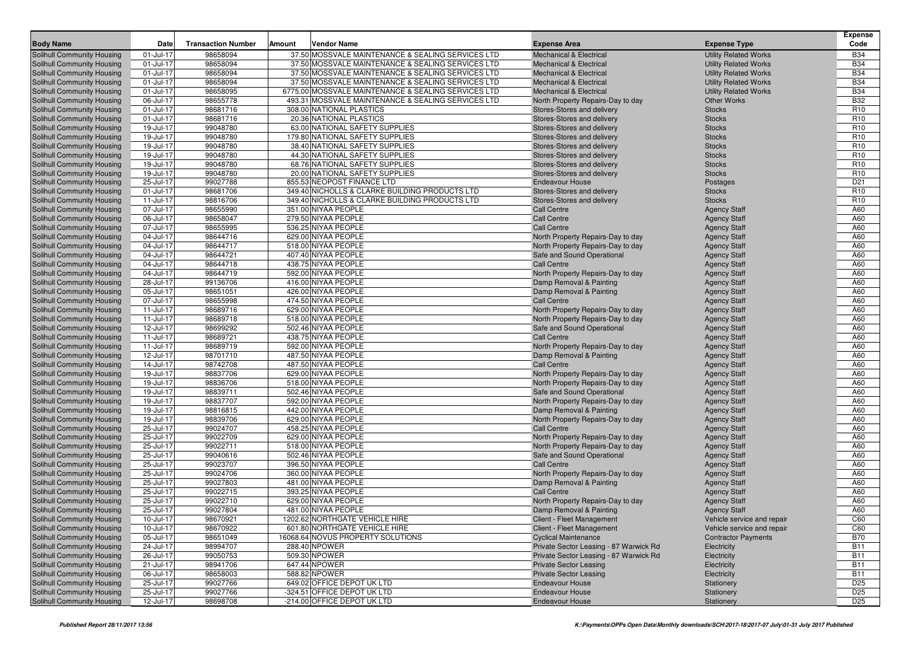| <b>Body Name</b>                                         | Date                   | <b>Transaction Number</b> | Amount | <b>Vendor Name</b>                                  | <b>Expense Area</b>                              | <b>Expense Type</b>                        | <b>Expense</b><br>Code |
|----------------------------------------------------------|------------------------|---------------------------|--------|-----------------------------------------------------|--------------------------------------------------|--------------------------------------------|------------------------|
| Solihull Community Housing                               | 01-Jul-17              | 98658094                  |        | 37.50 MOSSVALE MAINTENANCE & SEALING SERVICES LTD   | <b>Mechanical &amp; Electrical</b>               | <b>Utility Related Works</b>               | <b>B34</b>             |
| Solihull Community Housing                               | 01-Jul-17              | 98658094                  |        | 37.50 MOSSVALE MAINTENANCE & SEALING SERVICES LTD   | <b>Mechanical &amp; Electrical</b>               | <b>Utility Related Works</b>               | <b>B34</b>             |
| Solihull Community Housing                               | 01-Jul-17              | 98658094                  |        | 37.50 MOSSVALE MAINTENANCE & SEALING SERVICES LTD   | <b>Mechanical &amp; Electrical</b>               | <b>Utility Related Works</b>               | <b>B34</b>             |
| Solihull Community Housing                               | 01-Jul-17              | 98658094                  |        | 37.50 MOSSVALE MAINTENANCE & SEALING SERVICES LTD   | <b>Mechanical &amp; Electrical</b>               | <b>Utility Related Works</b>               | <b>B34</b>             |
| <b>Solihull Community Housing</b>                        | 01-Jul-17              | 98658095                  |        | 6775.00 MOSSVALE MAINTENANCE & SEALING SERVICES LTD | <b>Mechanical &amp; Electrical</b>               | <b>Utility Related Works</b>               | <b>B34</b>             |
| Solihull Community Housing                               | 06-Jul-17              | 98655778                  |        | 493.31 MOSSVALE MAINTENANCE & SEALING SERVICES LTD  | North Property Repairs-Day to day                | <b>Other Works</b>                         | <b>B32</b>             |
| Solihull Community Housing                               | 01-Jul-17              | 98681716                  |        | 308.00 NATIONAL PLASTICS                            | Stores-Stores and delivery                       | <b>Stocks</b>                              | R <sub>10</sub>        |
| Solihull Community Housing                               | 01-Jul-17              | 98681716                  |        | 20.36 NATIONAL PLASTICS                             | Stores-Stores and delivery                       | <b>Stocks</b>                              | R <sub>10</sub>        |
| Solihull Community Housing                               | 19-Jul-17              | 99048780                  |        | 63.00 NATIONAL SAFETY SUPPLIES                      | Stores-Stores and delivery                       | <b>Stocks</b>                              | R <sub>10</sub>        |
| Solihull Community Housing                               | 19-Jul-17              | 99048780                  |        | 179.80 NATIONAL SAFETY SUPPLIES                     | Stores-Stores and delivery                       | <b>Stocks</b>                              | R <sub>10</sub>        |
| <b>Solihull Community Housing</b>                        | 19-Jul-17              | 99048780                  |        | 38.40 NATIONAL SAFETY SUPPLIES                      | Stores-Stores and delivery                       | <b>Stocks</b>                              | R <sub>10</sub>        |
| Solihull Community Housing                               | 19-Jul-17              | 99048780                  |        | 44.30 NATIONAL SAFETY SUPPLIES                      | Stores-Stores and delivery                       | <b>Stocks</b>                              | R <sub>10</sub>        |
| Solihull Community Housing                               | 19-Jul-17              | 99048780                  |        | 68.76 NATIONAL SAFETY SUPPLIES                      | Stores-Stores and delivery                       | <b>Stocks</b>                              | R <sub>10</sub>        |
| Solihull Community Housing                               | 19-Jul-17              | 99048780                  |        | 20.00 NATIONAL SAFETY SUPPLIES                      | Stores-Stores and delivery                       | <b>Stocks</b>                              | R <sub>10</sub>        |
| Solihull Community Housing                               | 25-Jul-17              | 99027788                  |        | 855.53 NEOPOST FINANCE LTD                          | <b>Endeavour House</b>                           | Postages                                   | D <sub>21</sub>        |
| <b>Solihull Community Housing</b>                        | 01-Jul-17              | 98681706                  |        | 349.40 NICHOLLS & CLARKE BUILDING PRODUCTS LTD      | Stores-Stores and delivery                       | <b>Stocks</b>                              | R <sub>10</sub>        |
| <b>Solihull Community Housing</b>                        | 11-Jul-17              | 98816706                  |        | 349.40 NICHOLLS & CLARKE BUILDING PRODUCTS LTD      | Stores-Stores and delivery                       | <b>Stocks</b>                              | R <sub>10</sub>        |
| Solihull Community Housing                               | 07-Jul-17              | 98655990                  |        | 351.00 NIYAA PEOPLE                                 | <b>Call Centre</b>                               | <b>Agency Staff</b>                        | A60                    |
| <b>Solihull Community Housing</b>                        | 06-Jul-17              | 98658047                  |        | 279.50 NIYAA PEOPLE                                 | <b>Call Centre</b>                               | <b>Agency Staff</b>                        | A60                    |
| Solihull Community Housing                               | 07-Jul-17              | 98655995                  |        | 536.25 NIYAA PEOPLE                                 | <b>Call Centre</b>                               | <b>Agency Staff</b>                        | A60                    |
| <b>Solihull Community Housing</b>                        | 04-Jul-17              | 98644716                  |        | 629.00 NIYAA PEOPLE                                 | North Property Repairs-Day to day                | <b>Agency Staff</b>                        | A60                    |
| Solihull Community Housing                               | 04-Jul-17              | 98644717                  |        | 518.00 NIYAA PEOPLE                                 | North Property Repairs-Day to day                | <b>Agency Staff</b>                        | A60                    |
| Solihull Community Housing                               | 04-Jul-17              | 98644721                  |        | 407.40 NIYAA PEOPLE                                 | Safe and Sound Operational                       | <b>Agency Staff</b>                        | A60                    |
| <b>Solihull Community Housing</b>                        | 04-Jul-17              | 98644718                  |        | 438.75 NIYAA PEOPLE                                 | <b>Call Centre</b>                               | <b>Agency Staff</b>                        | A60                    |
| Solihull Community Housing                               | 04-Jul-17              | 98644719                  |        | 592.00 NIYAA PEOPLE                                 | North Property Repairs-Day to day                | <b>Agency Staff</b>                        | A60                    |
| <b>Solihull Community Housing</b>                        | 28-Jul-17              | 99136706                  |        | 416.00 NIYAA PEOPLE                                 | Damp Removal & Painting                          | <b>Agency Staff</b>                        | A60                    |
| Solihull Community Housing                               | 05-Jul-17              | 98651051                  |        | 426.00 NIYAA PEOPLE                                 | Damp Removal & Painting                          | <b>Agency Staff</b>                        | A60                    |
| Solihull Community Housing                               | 07-Jul-17              | 98655998                  |        | 474.50 NIYAA PEOPLE                                 | <b>Call Centre</b>                               | <b>Agency Staff</b>                        | A60                    |
| Solihull Community Housing                               | 11-Jul-17              | 98689716                  |        | 629.00 NIYAA PEOPLE                                 | North Property Repairs-Day to day                | <b>Agency Staff</b>                        | A60                    |
| Solihull Community Housing                               | 11-Jul-17              | 98689718                  |        | 518.00 NIYAA PEOPLE                                 | North Property Repairs-Day to day                | <b>Agency Staff</b>                        | A60                    |
| <b>Solihull Community Housing</b>                        | 12-Jul-17              | 98699292<br>98689721      |        | 502.46 NIYAA PEOPLE<br>438.75 NIYAA PEOPLE          | Safe and Sound Operational<br><b>Call Centre</b> | <b>Agency Staff</b>                        | A60<br>A60             |
| Solihull Community Housing                               | 11-Jul-17<br>11-Jul-17 | 98689719                  |        | 592.00 NIYAA PEOPLE                                 | North Property Repairs-Day to day                | <b>Agency Staff</b>                        | A60                    |
| Solihull Community Housing<br>Solihull Community Housing | 12-Jul-17              | 98701710                  |        | 487.50 NIYAA PEOPLE                                 | Damp Removal & Painting                          | <b>Agency Staff</b><br><b>Agency Staff</b> | A60                    |
| Solihull Community Housing                               | 14-Jul-17              | 98742708                  |        | 487.50 NIYAA PEOPLE                                 | <b>Call Centre</b>                               | <b>Agency Staff</b>                        | A60                    |
| <b>Solihull Community Housing</b>                        | 19-Jul-17              | 98837706                  |        | 629.00 NIYAA PEOPLE                                 | North Property Repairs-Day to day                | <b>Agency Staff</b>                        | A60                    |
| Solihull Community Housing                               | 19-Jul-17              | 98836706                  |        | 518.00 NIYAA PEOPLE                                 | North Property Repairs-Day to day                | <b>Agency Staff</b>                        | A60                    |
| Solihull Community Housing                               | 19-Jul-17              | 98839711                  |        | 502.46 NIYAA PEOPLE                                 | Safe and Sound Operational                       | <b>Agency Staff</b>                        | A60                    |
| Solihull Community Housing                               | 19-Jul-17              | 98837707                  |        | 592.00 NIYAA PEOPLE                                 | North Property Repairs-Day to day                | <b>Agency Staff</b>                        | A60                    |
| Solihull Community Housing                               | 19-Jul-17              | 98816815                  |        | 442.00 NIYAA PEOPLE                                 | Damp Removal & Painting                          | <b>Agency Staff</b>                        | A60                    |
| <b>Solihull Community Housing</b>                        | 19-Jul-17              | 98839706                  |        | 629.00 NIYAA PEOPLE                                 | North Property Repairs-Day to day                | <b>Agency Staff</b>                        | A60                    |
| Solihull Community Housing                               | 25-Jul-17              | 99024707                  |        | 458.25 NIYAA PEOPLE                                 | <b>Call Centre</b>                               | <b>Agency Staff</b>                        | A60                    |
| Solihull Community Housing                               | 25-Jul-17              | 99022709                  |        | 629.00 NIYAA PEOPLE                                 | North Property Repairs-Day to day                | <b>Agency Staff</b>                        | A60                    |
| <b>Solihull Community Housing</b>                        | 25-Jul-17              | 99022711                  |        | 518.00 NIYAA PEOPLE                                 | North Property Repairs-Day to day                | <b>Agency Staff</b>                        | A60                    |
| Solihull Community Housing                               | 25-Jul-17              | 99040616                  |        | 502.46 NIYAA PEOPLE                                 | Safe and Sound Operational                       | <b>Agency Staff</b>                        | A60                    |
| <b>Solihull Community Housing</b>                        | 25-Jul-17              | 99023707                  |        | 396.50 NIYAA PEOPLE                                 | <b>Call Centre</b>                               | <b>Agency Staff</b>                        | A60                    |
| Solihull Community Housing                               | 25-Jul-17              | 99024706                  |        | 360.00 NIYAA PEOPLE                                 | North Property Repairs-Day to day                | <b>Agency Staff</b>                        | A60                    |
| Solihull Community Housing                               | 25-Jul-17              | 99027803                  |        | 481.00 NIYAA PEOPLE                                 | Damp Removal & Painting                          | <b>Agency Staff</b>                        | A60                    |
| <b>Solihull Community Housing</b>                        | 25-Jul-17              | 99022715                  |        | 393.25 NIYAA PEOPLE                                 | <b>Call Centre</b>                               | <b>Agency Staff</b>                        | A60                    |
| Solihull Community Housing                               | 25-Jul-17              | 99022710                  |        | 629.00 NIYAA PEOPLE                                 | North Property Repairs-Day to day                | <b>Agency Staff</b>                        | A60                    |
| Solihull Community Housing                               | 25-Jul-17              | 99027804                  |        | 481.00 NIYAA PEOPLE                                 | Damp Removal & Painting                          | <b>Agency Staff</b>                        | A60                    |
| Solihull Community Housing                               | $10$ -Jul-17           | 98670921                  |        | 1202.62 NORTHGATE VEHICLE HIRE                      | Client - Fleet Management                        | Vehicle service and repair                 | C60                    |
| Solihull Community Housing                               | 10-Jul-17              | 98670922                  |        | 601.80 NORTHGATE VEHICLE HIRE                       | <b>Client - Fleet Management</b>                 | Vehicle service and repair                 | C60                    |
| Solihull Community Housing                               | 05-Jul-17              | 98651049                  |        | 16068.64 NOVUS PROPERTY SOLUTIONS                   | <b>Cyclical Maintenance</b>                      | <b>Contractor Payments</b>                 | <b>B70</b>             |
| Solihull Community Housing                               | 24-Jul-17              | 98994707                  |        | 288.40 NPOWER                                       | Private Sector Leasing - 87 Warwick Rd           | Electricity                                | <b>B11</b>             |
| Solihull Community Housing                               | 26-Jul-17              | 99050753                  |        | 509.30 NPOWER                                       | Private Sector Leasing - 87 Warwick Rd           | Electricity                                | <b>B11</b>             |
| Solihull Community Housing                               | 21-Jul-17              | 98941706                  |        | 647.44 NPOWER                                       | <b>Private Sector Leasing</b>                    | Electricity                                | <b>B11</b>             |
| Solihull Community Housing                               | 06-Jul-17              | 98658003                  |        | 588.82 NPOWER                                       | <b>Private Sector Leasing</b>                    | Electricity                                | <b>B11</b>             |
| Solihull Community Housing                               | 25-Jul-17              | 99027766                  |        | 649.02 OFFICE DEPOT UK LTD                          | <b>Endeavour House</b>                           | Stationery                                 | D <sub>25</sub>        |
| Solihull Community Housing                               | 25-Jul-17              | 99027766                  |        | -324.51 OFFICE DEPOT UK LTD                         | <b>Endeavour House</b>                           | Stationery                                 | D <sub>25</sub>        |
| Solihull Community Housing                               | 12-Jul-17              | 98698708                  |        | -214.00 OFFICE DEPOT UK LTD                         | <b>Endeavour House</b>                           | Stationery                                 | D <sub>25</sub>        |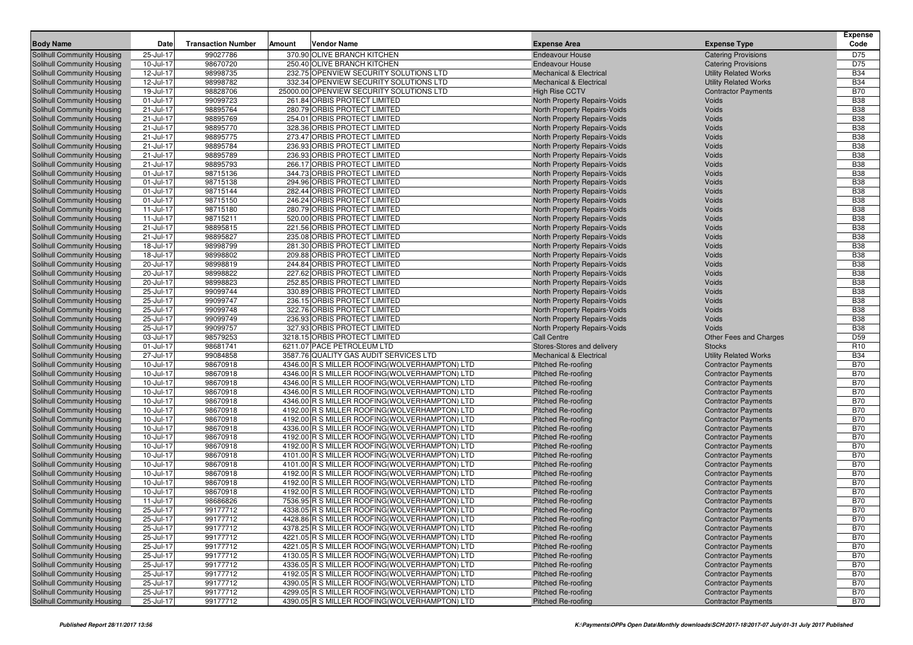|                                                                        |                        |                           |        |                                                                                                 |                                                              |                                                          | <b>Expense</b>           |
|------------------------------------------------------------------------|------------------------|---------------------------|--------|-------------------------------------------------------------------------------------------------|--------------------------------------------------------------|----------------------------------------------------------|--------------------------|
| <b>Body Name</b>                                                       | Date                   | <b>Transaction Number</b> | Amount | <b>Vendor Name</b>                                                                              | <b>Expense Area</b>                                          | <b>Expense Type</b>                                      | Code                     |
| Solihull Community Housing                                             | 25-Jul-17              | 99027786                  |        | 370.90 OLIVE BRANCH KITCHEN                                                                     | <b>Endeavour House</b>                                       | <b>Catering Provisions</b>                               | D75                      |
| <b>Solihull Community Housing</b>                                      | 10-Jul-17              | 98670720                  |        | 250.40 OLIVE BRANCH KITCHEN                                                                     | <b>Endeavour House</b>                                       | <b>Catering Provisions</b>                               | D75                      |
| <b>Solihull Community Housing</b>                                      | 12-Jul-17              | 98998735                  |        | 232.75 OPENVIEW SECURITY SOLUTIONS LTD                                                          | <b>Mechanical &amp; Electrical</b>                           | <b>Utility Related Works</b>                             | <b>B34</b>               |
| <b>Solihull Community Housing</b>                                      | 12-Jul-17              | 98998782                  |        | 332.34 OPENVIEW SECURITY SOLUTIONS LTD                                                          | <b>Mechanical &amp; Electrical</b>                           | <b>Utility Related Works</b>                             | <b>B34</b>               |
| Solihull Community Housing                                             | 19-Jul-17              | 98828706                  |        | 25000.00 OPENVIEW SECURITY SOLUTIONS LTD                                                        | <b>High Rise CCTV</b>                                        | <b>Contractor Payments</b>                               | <b>B70</b>               |
| <b>Solihull Community Housing</b>                                      | 01-Jul-17              | 99099723                  |        | 261.84 ORBIS PROTECT LIMITED<br>280.79 ORBIS PROTECT LIMITED                                    | North Property Repairs-Voids                                 | Voids                                                    | <b>B38</b>               |
| <b>Solihull Community Housing</b>                                      | 21-Jul-17<br>21-Jul-17 | 98895764<br>98895769      |        | 254.01 ORBIS PROTECT LIMITED                                                                    | North Property Repairs-Voids                                 | Voids<br>Voids                                           | <b>B38</b><br><b>B38</b> |
| <b>Solihull Community Housing</b>                                      | 21-Jul-17              | 98895770                  |        | 328.36 ORBIS PROTECT LIMITED                                                                    | North Property Repairs-Voids<br>North Property Repairs-Voids | Voids                                                    | <b>B38</b>               |
| <b>Solihull Community Housing</b><br><b>Solihull Community Housing</b> | 21-Jul-17              | 98895775                  |        | 273.47 ORBIS PROTECT LIMITED                                                                    | North Property Repairs-Voids                                 | Voids                                                    | <b>B38</b>               |
| Solihull Community Housing                                             | 21-Jul-17              | 98895784                  |        | 236.93 ORBIS PROTECT LIMITED                                                                    | North Property Repairs-Voids                                 | Voids                                                    | <b>B38</b>               |
| <b>Solihull Community Housing</b>                                      | 21-Jul-17              | 98895789                  |        | 236.93 ORBIS PROTECT LIMITED                                                                    | North Property Repairs-Voids                                 | Voids                                                    | <b>B38</b>               |
| <b>Solihull Community Housing</b>                                      | 21-Jul-17              | 98895793                  |        | 266.17 ORBIS PROTECT LIMITED                                                                    | North Property Repairs-Voids                                 | Voids                                                    | <b>B38</b>               |
| <b>Solihull Community Housing</b>                                      | 01-Jul-17              | 98715136                  |        | 344.73 ORBIS PROTECT LIMITED                                                                    | North Property Repairs-Voids                                 | Voids                                                    | <b>B38</b>               |
| <b>Solihull Community Housing</b>                                      | 01-Jul-17              | 98715138                  |        | 294.96 ORBIS PROTECT LIMITED                                                                    | North Property Repairs-Voids                                 | Voids                                                    | <b>B38</b>               |
| <b>Solihull Community Housing</b>                                      | 01-Jul-17              | 98715144                  |        | 282.44 ORBIS PROTECT LIMITED                                                                    | North Property Repairs-Voids                                 | Voids                                                    | <b>B38</b>               |
| <b>Solihull Community Housing</b>                                      | 01-Jul-17              | 98715150                  |        | 246.24 ORBIS PROTECT LIMITED                                                                    | North Property Repairs-Voids                                 | Voids                                                    | <b>B38</b>               |
| <b>Solihull Community Housing</b>                                      | 11-Jul-17              | 98715180                  |        | 280.79 ORBIS PROTECT LIMITED                                                                    | North Property Repairs-Voids                                 | Voids                                                    | <b>B38</b>               |
| <b>Solihull Community Housing</b>                                      | 11-Jul-17              | 98715211                  |        | 520.00 ORBIS PROTECT LIMITED                                                                    | North Property Repairs-Voids                                 | Voids                                                    | <b>B38</b>               |
| Solihull Community Housing                                             | 21-Jul-17              | 98895815                  |        | 221.56 ORBIS PROTECT LIMITED                                                                    | North Property Repairs-Voids                                 | Voids                                                    | <b>B38</b>               |
| <b>Solihull Community Housing</b>                                      | 21-Jul-17              | 98895827                  |        | 235.08 ORBIS PROTECT LIMITED                                                                    | North Property Repairs-Voids                                 | Voids                                                    | <b>B38</b>               |
| <b>Solihull Community Housing</b>                                      | 18-Jul-17              | 98998799                  |        | 281.30 ORBIS PROTECT LIMITED                                                                    | North Property Repairs-Voids                                 | Voids                                                    | <b>B38</b>               |
| <b>Solihull Community Housing</b>                                      | 18-Jul-17              | 98998802                  |        | 209.88 ORBIS PROTECT LIMITED                                                                    | North Property Repairs-Voids                                 | Voids                                                    | <b>B38</b>               |
| <b>Solihull Community Housing</b>                                      | 20-Jul-17              | 98998819                  |        | 244.84 ORBIS PROTECT LIMITED                                                                    | North Property Repairs-Voids                                 | Voids                                                    | <b>B38</b>               |
| Solihull Community Housing                                             | 20-Jul-17              | 98998822                  |        | 227.62 ORBIS PROTECT LIMITED                                                                    | North Property Repairs-Voids                                 | Voids                                                    | <b>B38</b>               |
| <b>Solihull Community Housing</b>                                      | 20-Jul-17              | 98998823                  |        | 252.85 ORBIS PROTECT LIMITED                                                                    | North Property Repairs-Voids                                 | Voids                                                    | <b>B38</b>               |
| <b>Solihull Community Housing</b>                                      | 25-Jul-17              | 99099744                  |        | 330.89 ORBIS PROTECT LIMITED                                                                    | North Property Repairs-Voids                                 | Voids                                                    | <b>B38</b>               |
| Solihull Community Housing                                             | 25-Jul-17              | 99099747                  |        | 236.15 ORBIS PROTECT LIMITED                                                                    | North Property Repairs-Voids                                 | Voids                                                    | <b>B38</b>               |
| <b>Solihull Community Housing</b>                                      | 25-Jul-17              | 99099748                  |        | 322.76 ORBIS PROTECT LIMITED                                                                    | North Property Repairs-Voids                                 | Voids                                                    | <b>B38</b>               |
| Solihull Community Housing                                             | 25-Jul-17              | 99099749                  |        | 236.93 ORBIS PROTECT LIMITED                                                                    | North Property Repairs-Voids                                 | Voids                                                    | <b>B38</b>               |
| Solihull Community Housing                                             | 25-Jul-17              | 99099757                  |        | 327.93 ORBIS PROTECT LIMITED                                                                    | North Property Repairs-Voids                                 | Voids                                                    | <b>B38</b>               |
| <b>Solihull Community Housing</b>                                      | 03-Jul-17              | 98579253                  |        | 3218.15 ORBIS PROTECT LIMITED                                                                   | <b>Call Centre</b>                                           | <b>Other Fees and Charges</b>                            | D <sub>59</sub>          |
| <b>Solihull Community Housing</b>                                      | 01-Jul-17              | 98681741                  |        | 6211.07 PACE PETROLEUM LTD                                                                      | Stores-Stores and delivery                                   | <b>Stocks</b>                                            | R <sub>10</sub>          |
| <b>Solihull Community Housing</b>                                      | 27-Jul-17              | 99084858                  |        | 3587.76 QUALITY GAS AUDIT SERVICES LTD                                                          | <b>Mechanical &amp; Electrical</b>                           | <b>Utility Related Works</b>                             | <b>B34</b>               |
| <b>Solihull Community Housing</b>                                      | 10-Jul-17              | 98670918                  |        | 4346.00 R S MILLER ROOFING(WOLVERHAMPTON) LTD                                                   | <b>Pitched Re-roofing</b>                                    | <b>Contractor Payments</b>                               | <b>B70</b>               |
| <b>Solihull Community Housing</b>                                      | 10-Jul-17              | 98670918                  |        | 4346.00 R S MILLER ROOFING (WOLVERHAMPTON) LTD                                                  | <b>Pitched Re-roofing</b>                                    | <b>Contractor Payments</b>                               | <b>B70</b>               |
| <b>Solihull Community Housing</b>                                      | 10-Jul-17              | 98670918                  |        | 4346.00 R S MILLER ROOFING (WOLVERHAMPTON) LTD                                                  | Pitched Re-roofing                                           | <b>Contractor Payments</b>                               | <b>B70</b><br><b>B70</b> |
| <b>Solihull Community Housing</b>                                      | 10-Jul-17<br>10-Jul-17 | 98670918<br>98670918      |        | 4346.00 R S MILLER ROOFING(WOLVERHAMPTON) LTD<br>4346.00 R S MILLER ROOFING (WOLVERHAMPTON) LTD | Pitched Re-roofing                                           | <b>Contractor Payments</b>                               | <b>B70</b>               |
| <b>Solihull Community Housing</b><br>Solihull Community Housing        | 10-Jul-17              | 98670918                  |        | 4192.00 R S MILLER ROOFING (WOLVERHAMPTON) LTD                                                  | Pitched Re-roofing<br>Pitched Re-roofing                     | <b>Contractor Payments</b><br><b>Contractor Payments</b> | <b>B70</b>               |
| <b>Solihull Community Housing</b>                                      | 10-Jul-17              | 98670918                  |        | 4192.00 R S MILLER ROOFING(WOLVERHAMPTON) LTD                                                   | <b>Pitched Re-roofing</b>                                    | <b>Contractor Payments</b>                               | <b>B70</b>               |
| Solihull Community Housing                                             | 10-Jul-17              | 98670918                  |        | 4336.00 R S MILLER ROOFING (WOLVERHAMPTON) LTD                                                  | Pitched Re-roofing                                           | <b>Contractor Payments</b>                               | <b>B70</b>               |
| <b>Solihull Community Housing</b>                                      | 10-Jul-17              | 98670918                  |        | 4192.00 R S MILLER ROOFING (WOLVERHAMPTON) LTD                                                  | Pitched Re-roofing                                           | <b>Contractor Payments</b>                               | <b>B70</b>               |
| <b>Solihull Community Housing</b>                                      | 10-Jul-17              | 98670918                  |        | 4192.00 R S MILLER ROOFING(WOLVERHAMPTON) LTD                                                   | Pitched Re-roofing                                           | <b>Contractor Payments</b>                               | <b>B70</b>               |
| Solihull Community Housing                                             | 10-Jul-17              | 98670918                  |        | 4101.00 R S MILLER ROOFING (WOLVERHAMPTON) LTD                                                  | <b>Pitched Re-roofing</b>                                    | <b>Contractor Payments</b>                               | <b>B70</b>               |
| <b>Solihull Community Housing</b>                                      | 10-Jul-17              | 98670918                  |        | 4101.00 R S MILLER ROOFING(WOLVERHAMPTON) LTD                                                   | <b>Pitched Re-roofing</b>                                    | <b>Contractor Payments</b>                               | <b>B70</b>               |
| Solihull Community Housing                                             | 10-Jul-17              | 98670918                  |        | 4192.00 R S MILLER ROOFING (WOLVERHAMPTON) LTD                                                  | Pitched Re-roofing                                           | <b>Contractor Payments</b>                               | <b>B70</b>               |
| Solihull Community Housing                                             | 10-Jul-17              | 98670918                  |        | 4192.00 R S MILLER ROOFING (WOLVERHAMPTON) LTD                                                  | Pitched Re-roofing                                           | <b>Contractor Payments</b>                               | <b>B70</b>               |
| <b>Solihull Community Housing</b>                                      | 10-Jul-17              | 98670918                  |        | 4192.00 R S MILLER ROOFING(WOLVERHAMPTON) LTD                                                   | Pitched Re-roofing                                           | <b>Contractor Payments</b>                               | <b>B70</b>               |
| Solihull Community Housing                                             | 11-Jul-17              | 98686826                  |        | 7536.95 R S MILLER ROOFING (WOLVERHAMPTON) LTD                                                  | Pitched Re-roofing                                           | <b>Contractor Payments</b>                               | <b>B70</b>               |
| <b>Solihull Community Housing</b>                                      | 25-Jul-17              | 99177712                  |        | 4338.05 R S MILLER ROOFING (WOLVERHAMPTON) LTD                                                  | <b>Pitched Re-roofing</b>                                    | <b>Contractor Payments</b>                               | <b>B70</b>               |
| <b>Solihull Community Housing</b>                                      | 25-Jul-17              | 99177712                  |        | 4428.86 R S MILLER ROOFING (WOLVERHAMPTON) LTD                                                  | Pitched Re-roofing                                           | <b>Contractor Payments</b>                               | B70                      |
| <b>Solihull Community Housing</b>                                      | 25-Jul-17              | 99177712                  |        | 4378.25 R S MILLER ROOFING(WOLVERHAMPTON) LTD                                                   | <b>Pitched Re-roofing</b>                                    | <b>Contractor Payments</b>                               | <b>B70</b>               |
| Solihull Community Housing                                             | 25-Jul-17              | 99177712                  |        | 4221.05 R S MILLER ROOFING (WOLVERHAMPTON) LTD                                                  | Pitched Re-roofing                                           | <b>Contractor Payments</b>                               | <b>B70</b>               |
| Solihull Community Housing                                             | 25-Jul-17              | 99177712                  |        | 4221.05 R S MILLER ROOFING (WOLVERHAMPTON) LTD                                                  | Pitched Re-roofing                                           | <b>Contractor Payments</b>                               | <b>B70</b>               |
| Solihull Community Housing                                             | 25-Jul-17              | 99177712                  |        | 4130.05 R S MILLER ROOFING (WOLVERHAMPTON) LTD                                                  | Pitched Re-roofing                                           | <b>Contractor Payments</b>                               | <b>B70</b>               |
| Solihull Community Housing                                             | 25-Jul-17              | 99177712                  |        | 4336.05 R S MILLER ROOFING (WOLVERHAMPTON) LTD                                                  | <b>Pitched Re-roofing</b>                                    | <b>Contractor Payments</b>                               | <b>B70</b>               |
| Solihull Community Housing                                             | 25-Jul-17              | 99177712                  |        | 4192.05 R S MILLER ROOFING (WOLVERHAMPTON) LTD                                                  | Pitched Re-roofing                                           | <b>Contractor Payments</b>                               | <b>B70</b>               |
| <b>Solihull Community Housing</b>                                      | 25-Jul-17              | 99177712                  |        | 4390.05 R S MILLER ROOFING (WOLVERHAMPTON) LTD                                                  | Pitched Re-roofing                                           | <b>Contractor Payments</b>                               | <b>B70</b>               |
| Solihull Community Housing                                             | 25-Jul-17              | 99177712                  |        | 4299.05 R S MILLER ROOFING (WOLVERHAMPTON) LTD                                                  | Pitched Re-roofing                                           | <b>Contractor Payments</b>                               | <b>B70</b>               |
| Solihull Community Housing                                             | 25-Jul-17              | 99177712                  |        | 4390.05 R S MILLER ROOFING(WOLVERHAMPTON) LTD                                                   | Pitched Re-roofing                                           | <b>Contractor Payments</b>                               | <b>B70</b>               |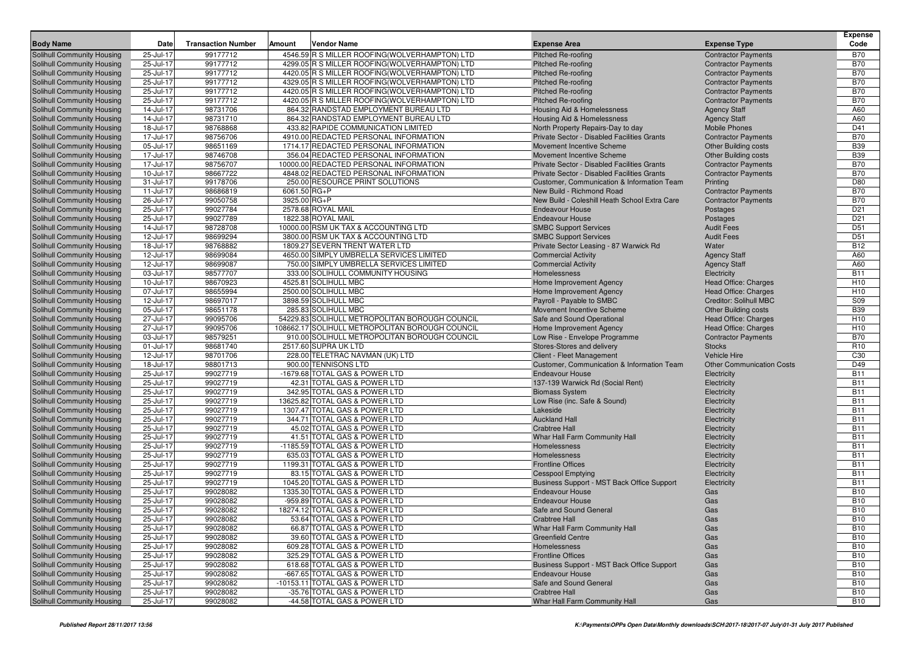| <b>Body Name</b>                                                | Date                   | <b>Transaction Number</b> | Amount       | <b>Vendor Name</b>                                                                                | <b>Expense Area</b>                                      | <b>Expense Type</b>                                       | <b>Expense</b><br>Code             |
|-----------------------------------------------------------------|------------------------|---------------------------|--------------|---------------------------------------------------------------------------------------------------|----------------------------------------------------------|-----------------------------------------------------------|------------------------------------|
| <b>Solihull Community Housing</b>                               | 25-Jul-17              | 99177712                  |              | 4546.59 R S MILLER ROOFING (WOLVERHAMPTON) LTD                                                    | Pitched Re-roofing                                       | <b>Contractor Payments</b>                                | <b>B70</b>                         |
| Solihull Community Housing                                      | 25-Jul-17              | 99177712                  |              | 4299.05 R S MILLER ROOFING (WOLVERHAMPTON) LTD                                                    | <b>Pitched Re-roofing</b>                                | <b>Contractor Payments</b>                                | <b>B70</b>                         |
| Solihull Community Housing                                      | 25-Jul-17              | 99177712                  |              | 4420.05 R S MILLER ROOFING (WOLVERHAMPTON) LTD                                                    | Pitched Re-roofing                                       | <b>Contractor Payments</b>                                | <b>B70</b>                         |
| Solihull Community Housing                                      | 25-Jul-17              | 99177712                  |              | 4329.05 R S MILLER ROOFING (WOLVERHAMPTON) LTD                                                    | <b>Pitched Re-roofing</b>                                | <b>Contractor Payments</b>                                | <b>B70</b>                         |
| Solihull Community Housing                                      | 25-Jul-17              | 99177712                  |              | 4420.05 R S MILLER ROOFING (WOLVERHAMPTON) LTD                                                    | Pitched Re-roofing                                       | <b>Contractor Payments</b>                                | <b>B70</b>                         |
| Solihull Community Housing                                      | 25-Jul-17              | 99177712                  |              | 4420.05 R S MILLER ROOFING (WOLVERHAMPTON) LTD                                                    | Pitched Re-roofing                                       | <b>Contractor Payments</b>                                | <b>B70</b>                         |
| Solihull Community Housing                                      | 14-Jul-17              | 98731706                  |              | 864.32 RANDSTAD EMPLOYMENT BUREAU LTD                                                             | <b>Housing Aid &amp; Homelessness</b>                    | <b>Agency Staff</b>                                       | A60                                |
| Solihull Community Housing                                      | 14-Jul-17              | 98731710                  |              | 864.32 RANDSTAD EMPLOYMENT BUREAU LTD                                                             | <b>Housing Aid &amp; Homelessness</b>                    | <b>Agency Staff</b>                                       | A60                                |
| Solihull Community Housing                                      | 18-Jul-17              | 98768868                  |              | 433.82 RAPIDE COMMUNICATION LIMITED                                                               | North Property Repairs-Day to day                        | <b>Mobile Phones</b>                                      | D41                                |
| Solihull Community Housing                                      | 17-Jul-17              | 98756706                  |              | 4910.00 REDACTED PERSONAL INFORMATION                                                             | Private Sector - Disabled Facilities Grants              | <b>Contractor Payments</b>                                | <b>B70</b>                         |
| <b>Solihull Community Housing</b>                               | 05-Jul-17              | 98651169                  |              | 1714.17 REDACTED PERSONAL INFORMATION                                                             | Movement Incentive Scheme                                | <b>Other Building costs</b>                               | <b>B39</b>                         |
| Solihull Community Housing                                      | 17-Jul-17              | 98746708                  |              | 356.04 REDACTED PERSONAL INFORMATION                                                              | Movement Incentive Scheme                                | <b>Other Building costs</b>                               | <b>B39</b>                         |
| Solihull Community Housing                                      | 17-Jul-17              | 98756707                  |              | 10000.00 REDACTED PERSONAL INFORMATION                                                            | Private Sector - Disabled Facilities Grants              | <b>Contractor Payments</b>                                | <b>B70</b>                         |
| Solihull Community Housing                                      | 10-Jul-17              | 98667722                  |              | 4848.02 REDACTED PERSONAL INFORMATION                                                             | Private Sector - Disabled Facilities Grants              | <b>Contractor Payments</b>                                | <b>B70</b>                         |
| Solihull Community Housing                                      | 31-Jul-17              | 99178706                  |              | 250.00 RESOURCE PRINT SOLUTIONS                                                                   | Customer, Communication & Information Team               | Printing                                                  | D80                                |
| <b>Solihull Community Housing</b>                               | 11-Jul-17              | 98686819                  | 6061.50 RG+P |                                                                                                   | New Build - Richmond Road                                | <b>Contractor Payments</b>                                | <b>B70</b>                         |
| Solihull Community Housing                                      | 26-Jul-17              | 99050758                  | 3925.00 RG+P |                                                                                                   | New Build - Coleshill Heath School Extra Care            | <b>Contractor Payments</b>                                | <b>B70</b>                         |
| Solihull Community Housing                                      | 25-Jul-17              | 99027784                  |              | 2578.68 ROYAL MAIL                                                                                | <b>Endeavour House</b>                                   | Postages                                                  | D <sub>21</sub>                    |
| Solihull Community Housing                                      | 25-Jul-17              | 99027789                  |              | 1822.38 ROYAL MAIL                                                                                | <b>Endeavour House</b>                                   | Postages                                                  | D <sub>21</sub>                    |
| Solihull Community Housing                                      | 14-Jul-17              | 98728708                  |              | 10000.00 RSM UK TAX & ACCOUNTING LTD                                                              | <b>SMBC Support Services</b>                             | <b>Audit Fees</b>                                         | D <sub>51</sub>                    |
| <b>Solihull Community Housing</b>                               | 12-Jul-17              | 98699294                  |              | 3800.00 RSM UK TAX & ACCOUNTING LTD                                                               | <b>SMBC Support Services</b>                             | <b>Audit Fees</b>                                         | D <sub>51</sub>                    |
| Solihull Community Housing                                      | 18-Jul-17              | 98768882                  |              | 1809.27 SEVERN TRENT WATER LTD                                                                    | Private Sector Leasing - 87 Warwick Rd                   | Water                                                     | <b>B12</b>                         |
| Solihull Community Housing                                      | 12-Jul-17              | 98699084                  |              | 4650.00 SIMPLY UMBRELLA SERVICES LIMITED                                                          | <b>Commercial Activity</b>                               | <b>Agency Staff</b>                                       | A60                                |
| Solihull Community Housing                                      | 12-Jul-17              | 98699087                  |              | 750.00 SIMPLY UMBRELLA SERVICES LIMITED                                                           | <b>Commercial Activity</b>                               | <b>Agency Staff</b>                                       | A60                                |
| Solihull Community Housing                                      | 03-Jul-17              | 98577707                  |              | 333.00 SOLIHULL COMMUNITY HOUSING                                                                 | Homelessness                                             | Electricity                                               | <b>B11</b>                         |
| <b>Solihull Community Housing</b>                               | 10-Jul-17              | 98670923                  |              | 4525.81 SOLIHULL MBC                                                                              | <b>Home Improvement Agency</b>                           | <b>Head Office: Charges</b>                               | H <sub>10</sub>                    |
| Solihull Community Housing                                      | 07-Jul-17              | 98655994                  |              | 2500.00 SOLIHULL MBC                                                                              | Home Improvement Agency                                  | Head Office: Charges                                      | H <sub>10</sub>                    |
| Solihull Community Housing                                      | 12-Jul-17              | 98697017                  |              | 3898.59 SOLIHULL MBC                                                                              | Payroll - Payable to SMBC                                | <b>Creditor: Solihull MBC</b>                             | S09                                |
| Solihull Community Housing                                      | 05-Jul-17              | 98651178                  |              | 285.83 SOLIHULL MBC                                                                               | Movement Incentive Scheme                                | <b>Other Building costs</b>                               | <b>B39</b>                         |
| Solihull Community Housing<br><b>Solihull Community Housing</b> | 27-Jul-17<br>27-Jul-17 | 99095706<br>99095706      |              | 54229.83 SOLIHULL METROPOLITAN BOROUGH COUNCIL<br>108662.17 SOLIHULL METROPOLITAN BOROUGH COUNCIL | Safe and Sound Operational                               | Head Office: Charges                                      | H <sub>10</sub><br>H <sub>10</sub> |
| Solihull Community Housing                                      | 03-Jul-17              | 98579251                  |              | 910.00 SOLIHULL METROPOLITAN BOROUGH COUNCIL                                                      | Home Improvement Agency<br>Low Rise - Envelope Programme | <b>Head Office: Charges</b><br><b>Contractor Payments</b> | <b>B70</b>                         |
| Solihull Community Housing                                      | 01-Jul-17              | 98681740                  |              | 2517.60 SUPRA UK LTD                                                                              | Stores-Stores and delivery                               | <b>Stocks</b>                                             | R <sub>10</sub>                    |
| <b>Solihull Community Housing</b>                               | 12-Jul-17              | 98701706                  |              | 228.00 TELETRAC NAVMAN (UK) LTD                                                                   | Client - Fleet Management                                | <b>Vehicle Hire</b>                                       | C <sub>30</sub>                    |
| Solihull Community Housing                                      | 18-Jul-17              | 98801713                  |              | 900.00 TENNISONS LTD                                                                              | Customer, Communication & Information Team               | <b>Other Communication Costs</b>                          | D49                                |
| <b>Solihull Community Housing</b>                               | 25-Jul-17              | 99027719                  |              | -1679.68 TOTAL GAS & POWER LTD                                                                    | <b>Endeavour House</b>                                   | Electricity                                               | <b>B11</b>                         |
| Solihull Community Housing                                      | 25-Jul-17              | 99027719                  |              | 42.31 TOTAL GAS & POWER LTD                                                                       | 137-139 Warwick Rd (Social Rent)                         | Electricity                                               | <b>B11</b>                         |
| Solihull Community Housing                                      | 25-Jul-17              | 99027719                  |              | 342.95 TOTAL GAS & POWER LTD                                                                      | <b>Biomass System</b>                                    | Electricity                                               | <b>B11</b>                         |
| <b>Solihull Community Housing</b>                               | 25-Jul-17              | 99027719                  |              | 13625.82 TOTAL GAS & POWER LTD                                                                    | Low Rise (inc. Safe & Sound)                             | Electricity                                               | <b>B11</b>                         |
| Solihull Community Housing                                      | 25-Jul-17              | 99027719                  |              | 1307.47 TOTAL GAS & POWER LTD                                                                     | Lakeside                                                 | Electricity                                               | <b>B11</b>                         |
| <b>Solihull Community Housing</b>                               | 25-Jul-17              | 99027719                  |              | 344.71 TOTAL GAS & POWER LTD                                                                      | <b>Auckland Hall</b>                                     | Electricity                                               | <b>B11</b>                         |
| Solihull Community Housing                                      | 25-Jul-17              | 99027719                  |              | 45.02 TOTAL GAS & POWER LTD                                                                       | <b>Crabtree Hall</b>                                     | Electricity                                               | <b>B11</b>                         |
| Solihull Community Housing                                      | 25-Jul-17              | 99027719                  |              | 41.51 TOTAL GAS & POWER LTD                                                                       | Whar Hall Farm Community Hall                            | Electricity                                               | <b>B11</b>                         |
| <b>Solihull Community Housing</b>                               | 25-Jul-17              | 99027719                  |              | -1185.59 TOTAL GAS & POWER LTD                                                                    | Homelessness                                             | Electricity                                               | <b>B11</b>                         |
| Solihull Community Housing                                      | 25-Jul-17              | 99027719                  |              | 635.03 TOTAL GAS & POWER LTD                                                                      | Homelessness                                             | Electricity                                               | <b>B11</b>                         |
| <b>Solihull Community Housing</b>                               | 25-Jul-17              | 99027719                  |              | 1199.31 TOTAL GAS & POWER LTD                                                                     | <b>Frontline Offices</b>                                 | Electricity                                               | <b>B11</b>                         |
| Solihull Community Housing                                      | 25-Jul-17              | 99027719                  |              | 83.15 TOTAL GAS & POWER LTD                                                                       | <b>Cesspool Emptying</b>                                 | Electricity                                               | <b>B11</b>                         |
| Solihull Community Housing                                      | 25-Jul-17              | 99027719                  |              | 1045.20 TOTAL GAS & POWER LTD                                                                     | Business Support - MST Back Office Support               | Electricity                                               | <b>B11</b>                         |
| Solihull Community Housing                                      | 25-Jul-17              | 99028082                  |              | 1335.30 TOTAL GAS & POWER LTD                                                                     | <b>Endeavour House</b>                                   | Gas                                                       | <b>B10</b>                         |
| Solihull Community Housing                                      | 25-Jul-17              | 99028082                  |              | -959.89 TOTAL GAS & POWER LTD                                                                     | <b>Endeavour House</b>                                   | Gas                                                       | <b>B10</b>                         |
| Solihull Community Housing                                      | 25-Jul-17              | 99028082                  |              | 18274.12 TOTAL GAS & POWER LTD                                                                    | Safe and Sound General                                   | Gas                                                       | <b>B10</b>                         |
| Solihull Community Housing                                      | 25-Jul-17              | 99028082                  |              | 53.64 TOTAL GAS & POWER LTD                                                                       | <b>Crabtree Hall</b>                                     | Gas                                                       | <b>B10</b>                         |
| Solihull Community Housing                                      | 25-Jul-17              | 99028082                  |              | 66.87 TOTAL GAS & POWER LTD                                                                       | Whar Hall Farm Community Hall                            | Gas                                                       | <b>B10</b>                         |
| Solihull Community Housing                                      | 25-Jul-17              | 99028082                  |              | 39.60 TOTAL GAS & POWER LTD                                                                       | <b>Greenfield Centre</b>                                 | Gas                                                       | <b>B10</b>                         |
| Solihull Community Housing                                      | 25-Jul-17              | 99028082                  |              | 609.28 TOTAL GAS & POWER LTD                                                                      | Homelessness                                             | Gas                                                       | <b>B10</b>                         |
| Solihull Community Housing                                      | 25-Jul-17              | 99028082                  |              | 325.29 TOTAL GAS & POWER LTD                                                                      | <b>Frontline Offices</b>                                 | Gas                                                       | <b>B10</b>                         |
| Solihull Community Housing                                      | 25-Jul-17              | 99028082                  |              | 618.68 TOTAL GAS & POWER LTD                                                                      | Business Support - MST Back Office Support               | Gas                                                       | <b>B10</b>                         |
| Solihull Community Housing                                      | 25-Jul-17              | 99028082                  |              | -667.65 TOTAL GAS & POWER LTD                                                                     | <b>Endeavour House</b>                                   | Gas                                                       | <b>B10</b>                         |
| Solihull Community Housing                                      | 25-Jul-17              | 99028082                  |              | -10153.11 TOTAL GAS & POWER LTD                                                                   | Safe and Sound General                                   | Gas                                                       | <b>B10</b>                         |
| Solihull Community Housing                                      | 25-Jul-17              | 99028082                  |              | -35.76 TOTAL GAS & POWER LTD                                                                      | <b>Crabtree Hall</b>                                     | Gas                                                       | <b>B10</b>                         |
| Solihull Community Housing                                      | 25-Jul-17              | 99028082                  |              | -44.58 TOTAL GAS & POWER LTD                                                                      | Whar Hall Farm Community Hall                            | Gas                                                       | <b>B10</b>                         |